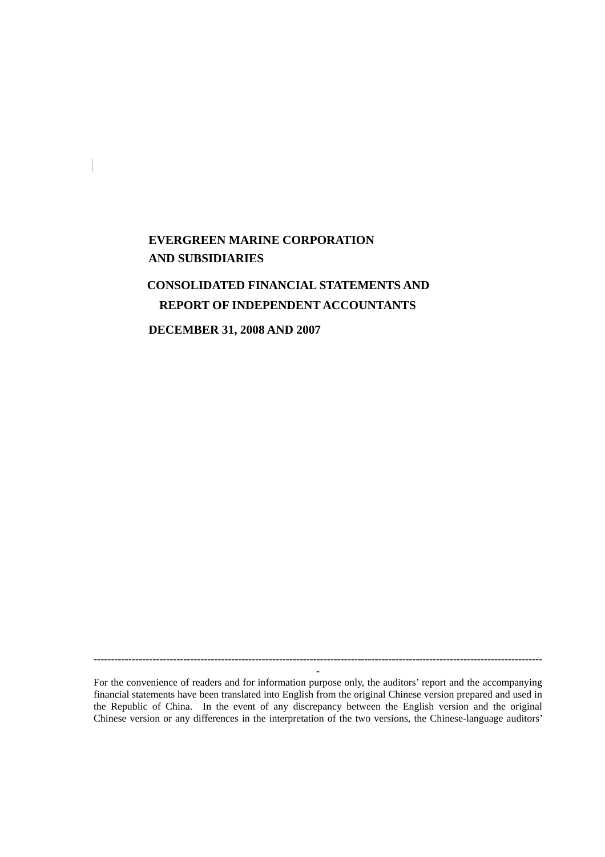# **EVERGREEN MARINE CORPORATION AND SUBSIDIARIES**

# **CONSOLIDATED FINANCIAL STATEMENTS AND REPORT OF INDEPENDENT ACCOUNTANTS**

**DECEMBER 31, 2008 AND 2007**

For the convenience of readers and for information purpose only, the auditors' report and the accompanying financial statements have been translated into English from the original Chinese version prepared and used in the Republic of China. In the event of any discrepancy between the English version and the original Chinese version or any differences in the interpretation of the two versions, the Chinese-language auditors'

----------------------------------------------------------------------------------------------------------------------------------- -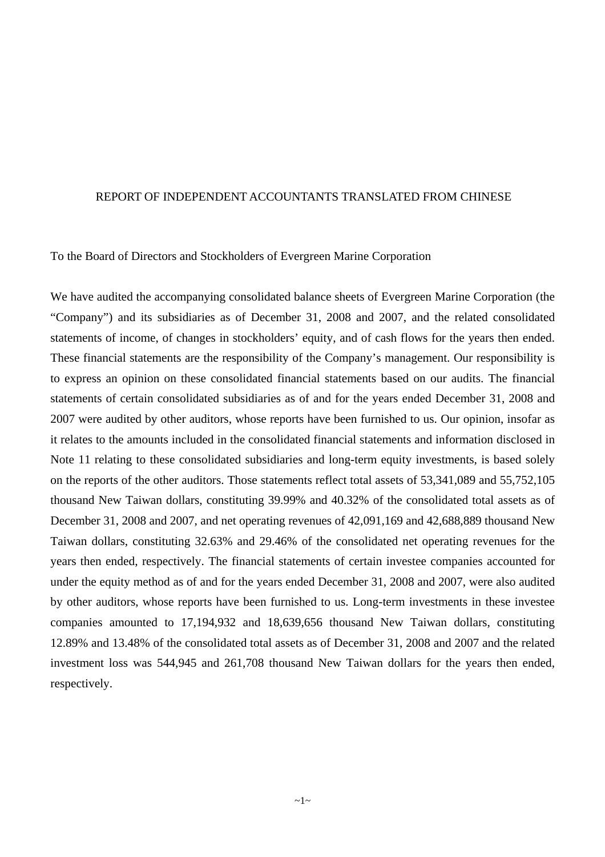#### REPORT OF INDEPENDENT ACCOUNTANTS TRANSLATED FROM CHINESE

To the Board of Directors and Stockholders of Evergreen Marine Corporation

We have audited the accompanying consolidated balance sheets of Evergreen Marine Corporation (the "Company") and its subsidiaries as of December 31, 2008 and 2007, and the related consolidated statements of income, of changes in stockholders' equity, and of cash flows for the years then ended. These financial statements are the responsibility of the Company's management. Our responsibility is to express an opinion on these consolidated financial statements based on our audits. The financial statements of certain consolidated subsidiaries as of and for the years ended December 31, 2008 and 2007 were audited by other auditors, whose reports have been furnished to us. Our opinion, insofar as it relates to the amounts included in the consolidated financial statements and information disclosed in Note 11 relating to these consolidated subsidiaries and long-term equity investments, is based solely on the reports of the other auditors. Those statements reflect total assets of 53,341,089 and 55,752,105 thousand New Taiwan dollars, constituting 39.99% and 40.32% of the consolidated total assets as of December 31, 2008 and 2007, and net operating revenues of 42,091,169 and 42,688,889 thousand New Taiwan dollars, constituting 32.63% and 29.46% of the consolidated net operating revenues for the years then ended, respectively. The financial statements of certain investee companies accounted for under the equity method as of and for the years ended December 31, 2008 and 2007, were also audited by other auditors, whose reports have been furnished to us. Long-term investments in these investee companies amounted to 17,194,932 and 18,639,656 thousand New Taiwan dollars, constituting 12.89% and 13.48% of the consolidated total assets as of December 31, 2008 and 2007 and the related investment loss was 544,945 and 261,708 thousand New Taiwan dollars for the years then ended, respectively.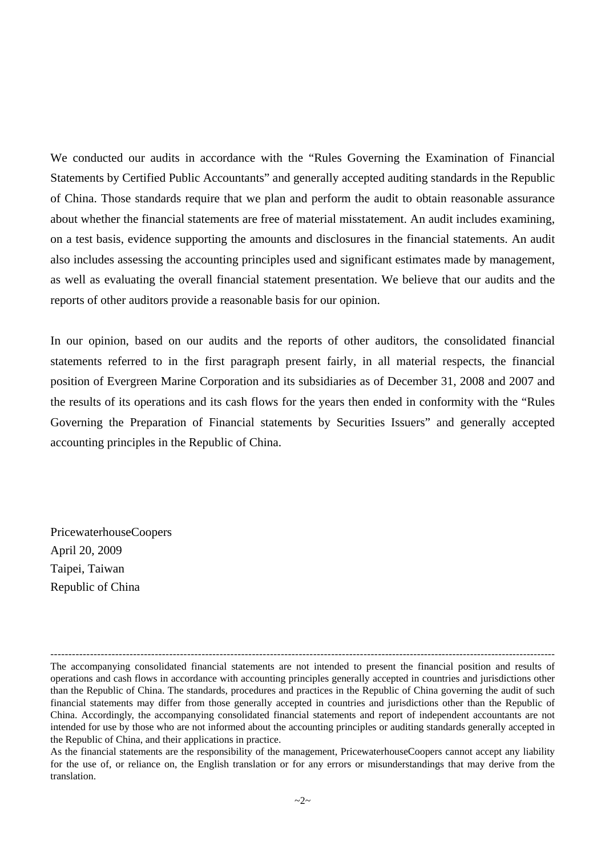We conducted our audits in accordance with the "Rules Governing the Examination of Financial Statements by Certified Public Accountants" and generally accepted auditing standards in the Republic of China. Those standards require that we plan and perform the audit to obtain reasonable assurance about whether the financial statements are free of material misstatement. An audit includes examining, on a test basis, evidence supporting the amounts and disclosures in the financial statements. An audit also includes assessing the accounting principles used and significant estimates made by management, as well as evaluating the overall financial statement presentation. We believe that our audits and the reports of other auditors provide a reasonable basis for our opinion.

In our opinion, based on our audits and the reports of other auditors, the consolidated financial statements referred to in the first paragraph present fairly, in all material respects, the financial position of Evergreen Marine Corporation and its subsidiaries as of December 31, 2008 and 2007 and the results of its operations and its cash flows for the years then ended in conformity with the "Rules Governing the Preparation of Financial statements by Securities Issuers" and generally accepted accounting principles in the Republic of China.

PricewaterhouseCoopers April 20, 2009 Taipei, Taiwan Republic of China

<sup>---------------------------------------------------------------------------------------------------------------------------------------------</sup> The accompanying consolidated financial statements are not intended to present the financial position and results of operations and cash flows in accordance with accounting principles generally accepted in countries and jurisdictions other than the Republic of China. The standards, procedures and practices in the Republic of China governing the audit of such financial statements may differ from those generally accepted in countries and jurisdictions other than the Republic of China. Accordingly, the accompanying consolidated financial statements and report of independent accountants are not intended for use by those who are not informed about the accounting principles or auditing standards generally accepted in the Republic of China, and their applications in practice.

As the financial statements are the responsibility of the management, PricewaterhouseCoopers cannot accept any liability for the use of, or reliance on, the English translation or for any errors or misunderstandings that may derive from the translation.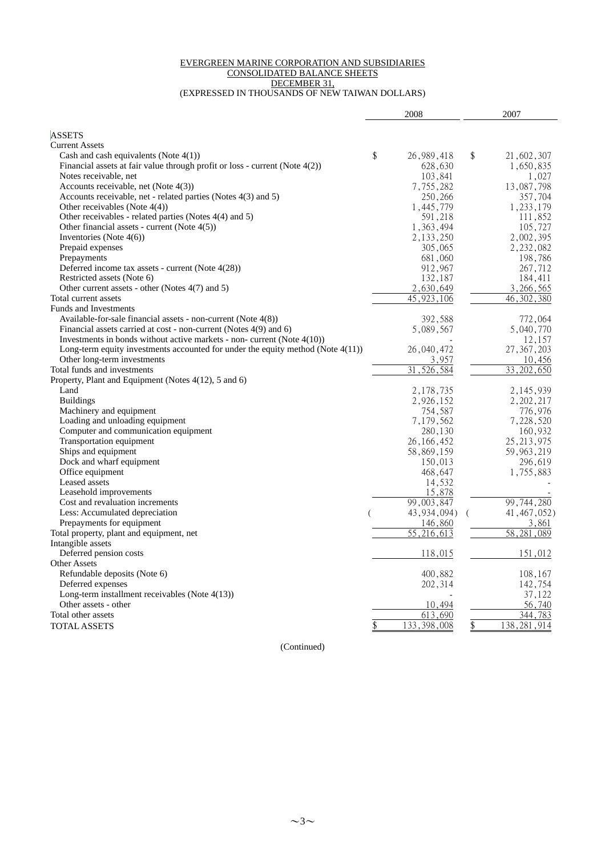#### EVERGREEN MARINE CORPORATION AND SUBSIDIARIES CONSOLIDATED BALANCE SHEETS DECEMBER 31, (EXPRESSED IN THOUSANDS OF NEW TAIWAN DOLLARS)

|                                                                                    | 2008                | 2007                |  |  |
|------------------------------------------------------------------------------------|---------------------|---------------------|--|--|
| <b>ASSETS</b>                                                                      |                     |                     |  |  |
| <b>Current Assets</b>                                                              |                     |                     |  |  |
| Cash and cash equivalents (Note $4(1)$ )                                           | \$<br>26, 989, 418  | \$<br>21,602,307    |  |  |
| Financial assets at fair value through profit or loss - current (Note $4(2)$ )     | 628,630             | 1,650,835           |  |  |
| Notes receivable, net                                                              | 103,841             | 1,027               |  |  |
| Accounts receivable, net (Note $4(3)$ )                                            | 7,755,282           | 13,087,798          |  |  |
| Accounts receivable, net - related parties (Notes 4(3) and 5)                      | 250,266             | 357,704             |  |  |
| Other receivables (Note $4(4)$ )                                                   | 1,445,779           | 1, 233, 179         |  |  |
| Other receivables - related parties (Notes 4(4) and 5)                             | 591,218             | 111,852             |  |  |
| Other financial assets - current (Note $4(5)$ )                                    | 1,363,494           | 105,727             |  |  |
| Inventories (Note $4(6)$ )                                                         | 2, 133, 250         | 2,002,395           |  |  |
| Prepaid expenses                                                                   | 305,065             | 2,232,082           |  |  |
| Prepayments                                                                        | 681,060             | 198,786             |  |  |
| Deferred income tax assets - current (Note 4(28))                                  | 912,967             | 267,712             |  |  |
| Restricted assets (Note 6)                                                         | 132,187             | 184,411             |  |  |
| Other current assets - other (Notes 4(7) and 5)                                    | 2,630,649           | 3,266,565           |  |  |
| Total current assets                                                               | 45,923,106          | 46, 302, 380        |  |  |
| <b>Funds and Investments</b>                                                       |                     |                     |  |  |
| Available-for-sale financial assets - non-current (Note $4(8)$ )                   | 392,588             | 772,064             |  |  |
| Financial assets carried at cost - non-current (Notes 4(9) and 6)                  | 5,089,567           | 5,040,770           |  |  |
| Investments in bonds without active markets - non- current (Note $4(10)$ )         |                     | 12,157              |  |  |
| Long-term equity investments accounted for under the equity method (Note $4(11)$ ) | 26,040,472          | 27, 367, 203        |  |  |
| Other long-term investments                                                        | 3,957               | 10,456              |  |  |
| Total funds and investments                                                        | 31,526,584          | 33, 202, 650        |  |  |
| Property, Plant and Equipment (Notes 4(12), 5 and 6)                               |                     |                     |  |  |
| Land                                                                               | 2,178,735           | 2, 145, 939         |  |  |
| <b>Buildings</b>                                                                   | 2,926,152           | 2, 202, 217         |  |  |
| Machinery and equipment                                                            | 754,587             | 776,976             |  |  |
| Loading and unloading equipment                                                    | 7,179,562           | 7,228,520           |  |  |
| Computer and communication equipment                                               | 280,130             | 160,932             |  |  |
| Transportation equipment                                                           | 26, 166, 452        | 25, 213, 975        |  |  |
| Ships and equipment                                                                | 58,869,159          | 59, 963, 219        |  |  |
| Dock and wharf equipment                                                           | 150,013             | 296,619             |  |  |
| Office equipment                                                                   | 468,647             | 1,755,883           |  |  |
| Leased assets                                                                      | 14,532              |                     |  |  |
| Leasehold improvements                                                             | 15,878              |                     |  |  |
| Cost and revaluation increments                                                    | 99,003,847          | 99,744,280          |  |  |
| Less: Accumulated depreciation                                                     | 43, 934, 094)       | 41, 467, 052)       |  |  |
| Prepayments for equipment                                                          | 146,860             | 3,861               |  |  |
| Total property, plant and equipment, net                                           | 55,216,613          | 58, 281, 089        |  |  |
| Intangible assets                                                                  |                     |                     |  |  |
| Deferred pension costs                                                             | 118,015             | 151,012             |  |  |
| <b>Other Assets</b>                                                                |                     |                     |  |  |
| Refundable deposits (Note 6)                                                       | 400,882             | 108,167             |  |  |
| Deferred expenses                                                                  | 202,314             | 142,754             |  |  |
| Long-term installment receivables (Note $4(13)$ )                                  |                     | 37,122              |  |  |
| Other assets - other                                                               | 10,494              | 56,740              |  |  |
| Total other assets                                                                 | 613.690             | 344.783             |  |  |
| <b>TOTAL ASSETS</b>                                                                | 133, 398, 008<br>\$ | \$<br>138, 281, 914 |  |  |
|                                                                                    |                     |                     |  |  |

(Continued)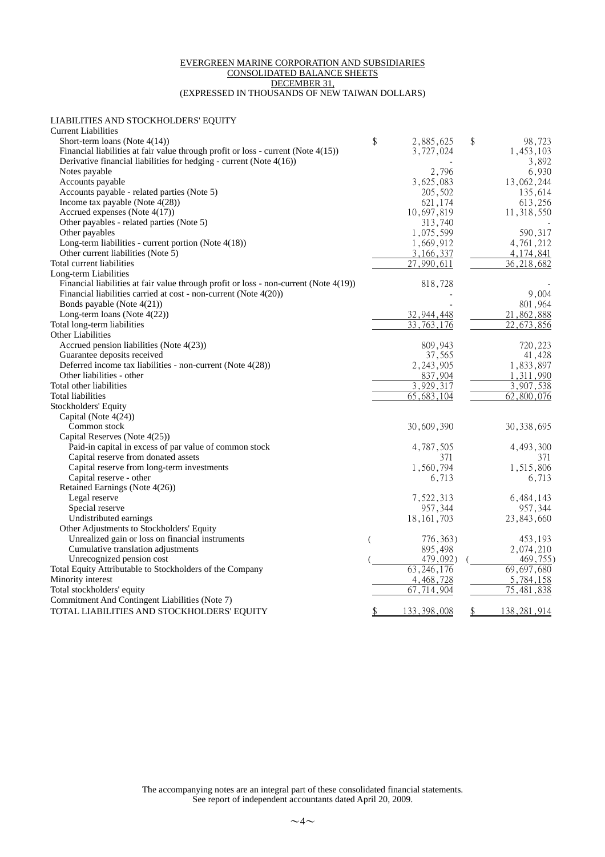#### EVERGREEN MARINE CORPORATION AND SUBSIDIARIES CONSOLIDATED BALANCE SHEETS DECEMBER 31, (EXPRESSED IN THOUSANDS OF NEW TAIWAN DOLLARS)

LIABILITIES AND STOCKHOLDERS' EQUITY

| <b>Current Liabilities</b>                                                            |                    |                         |
|---------------------------------------------------------------------------------------|--------------------|-------------------------|
| Short-term loans (Note $4(14)$ )                                                      | \$<br>2,885,625    | \$<br>98,723            |
| Financial liabilities at fair value through profit or loss - current (Note 4(15))     | 3,727,024          | 1,453,103               |
| Derivative financial liabilities for hedging - current (Note $4(16)$ )                |                    | 3,892                   |
| Notes payable                                                                         | 2,796              | 6,930                   |
| Accounts payable                                                                      | 3,625,083          | 13,062,244              |
| Accounts payable - related parties (Note 5)                                           | 205,502            | 135,614                 |
| Income tax payable (Note $4(28)$ )                                                    | 621, 174           | 613,256                 |
| Accrued expenses (Note 4(17))                                                         | 10,697,819         | 11,318,550              |
| Other payables - related parties (Note 5)                                             | 313,740            |                         |
| Other payables                                                                        | 1,075,599          | 590,317                 |
| Long-term liabilities - current portion (Note 4(18))                                  | 1,669,912          | 4,761,212               |
| Other current liabilities (Note 5)                                                    | 3, 166, 337        | 4, 174, 841             |
| Total current liabilities                                                             | 27,990,611         | $\overline{36,218,682}$ |
| Long-term Liabilities                                                                 |                    |                         |
| Financial liabilities at fair value through profit or loss - non-current (Note 4(19)) | 818,728            |                         |
| Financial liabilities carried at cost - non-current (Note 4(20))                      |                    | 9,004                   |
| Bonds payable (Note 4(21))                                                            |                    | 801,964                 |
| Long-term loans (Note 4(22))                                                          | 32,944,448         | 21,862,888              |
| Total long-term liabilities                                                           | 33<br>.763.<br>176 | ,673,856                |
| Other Liabilities                                                                     |                    |                         |
| Accrued pension liabilities (Note 4(23))                                              | 809,943            | 720,223                 |
| Guarantee deposits received                                                           | 37,565             | 41,428                  |
| Deferred income tax liabilities - non-current (Note 4(28))                            | 2, 243, 905        | 1,833,897               |
| Other liabilities - other                                                             | 837,904            | 1,311,990               |
| Total other liabilities                                                               | 3,929,317          | 3,907,538               |
| Total liabilities                                                                     | 65, 683, 104       | 62,800,076              |
| Stockholders' Equity                                                                  |                    |                         |
|                                                                                       |                    |                         |
| Capital (Note 4(24))                                                                  |                    |                         |
| Common stock<br>Capital Reserves (Note 4(25))                                         | 30,609,390         | 30, 338, 695            |
|                                                                                       |                    |                         |
| Paid-in capital in excess of par value of common stock                                | 4,787,505          | 4,493,300               |
| Capital reserve from donated assets                                                   | 371                | 371                     |
| Capital reserve from long-term investments                                            | 1,560,794          | 1,515,806               |
| Capital reserve - other                                                               | 6,713              | 6,713                   |
| Retained Earnings (Note 4(26))                                                        |                    |                         |
| Legal reserve                                                                         | 7,522,313          | 6,484,143               |
| Special reserve                                                                       | 957,344            | 957,344                 |
| Undistributed earnings                                                                | 18, 161, 703       | 23,843,660              |
| Other Adjustments to Stockholders' Equity                                             |                    |                         |
| Unrealized gain or loss on financial instruments                                      | 776, 363)          | 453,193                 |
| Cumulative translation adjustments                                                    | 895,498            | 2,074,210               |
| Unrecognized pension cost                                                             | 479,092)           | 469,755)                |
| Total Equity Attributable to Stockholders of the Company                              | 63, 246, 176       | 69,697,680              |
| Minority interest                                                                     | 4,468,728          | 5,784,158               |
| Total stockholders' equity                                                            | 67,714,904         | 75,481,838              |
| Commitment And Contingent Liabilities (Note 7)                                        |                    |                         |
| TOTAL LIABILITIES AND STOCKHOLDERS' EQUITY                                            | 133, 398, 008      | \$<br>138, 281, 914     |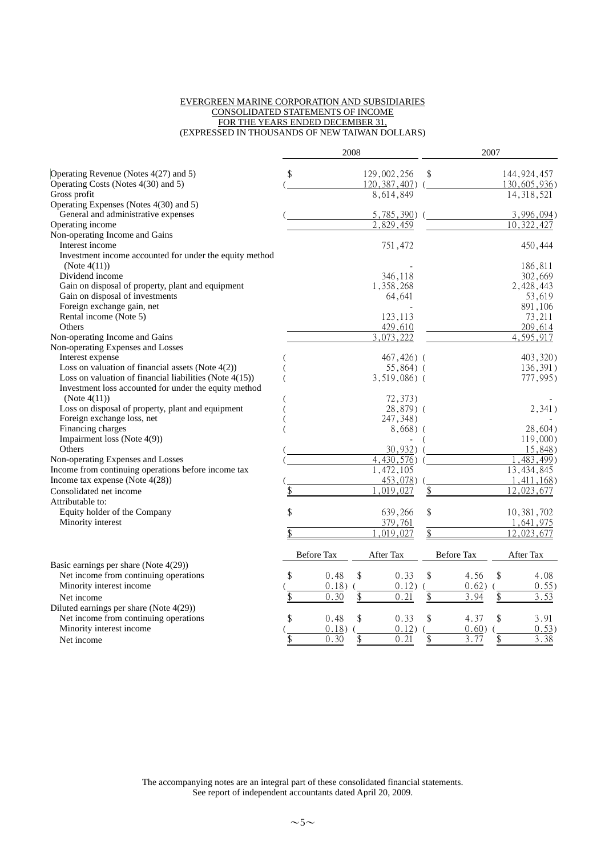#### EVERGREEN MARINE CORPORATION AND SUBSIDIARIES CONSOLIDATED STATEMENTS OF INCOME FOR THE YEARS ENDED DECEMBER 31, (EXPRESSED IN THOUSANDS OF NEW TAIWAN DOLLARS)

|                                                                                                                    |                   | 2008 |                  |                   | 2007 |               |
|--------------------------------------------------------------------------------------------------------------------|-------------------|------|------------------|-------------------|------|---------------|
| Operating Revenue (Notes 4(27) and 5)                                                                              | \$                |      | 129,002,256      | \$                |      | 144, 924, 457 |
| Operating Costs (Notes 4(30) and 5)                                                                                |                   |      | 120, 387, 407) ( |                   |      | 130,605,936)  |
| Gross profit                                                                                                       |                   |      | 8,614,849        |                   |      | 14, 318, 521  |
| Operating Expenses (Notes 4(30) and 5)                                                                             |                   |      |                  |                   |      |               |
| General and administrative expenses                                                                                |                   |      | $5,785,390$ )    |                   |      | 3,996,094)    |
| Operating income                                                                                                   |                   |      | 2,829,459        |                   |      | 10,322,427    |
| Non-operating Income and Gains                                                                                     |                   |      |                  |                   |      |               |
| Interest income                                                                                                    |                   |      | 751,472          |                   |      | 450,444       |
| Investment income accounted for under the equity method                                                            |                   |      |                  |                   |      |               |
| (Note $4(11)$ )                                                                                                    |                   |      |                  |                   |      | 186,811       |
| Dividend income                                                                                                    |                   |      | 346,118          |                   |      | 302,669       |
| Gain on disposal of property, plant and equipment                                                                  |                   |      | 1,358,268        |                   |      | 2,428,443     |
| Gain on disposal of investments                                                                                    |                   |      | 64,641           |                   |      | 53,619        |
| Foreign exchange gain, net                                                                                         |                   |      |                  |                   |      | 891,106       |
| Rental income (Note 5)                                                                                             |                   |      | 123,113          |                   |      | 73,211        |
| Others                                                                                                             |                   |      | 429,610          |                   |      | 209,614       |
| Non-operating Income and Gains                                                                                     |                   |      | 3,073,222        |                   |      | 4,595,917     |
| Non-operating Expenses and Losses                                                                                  |                   |      |                  |                   |      |               |
| Interest expense                                                                                                   |                   |      | 467,426) (       |                   |      | 403,320)      |
| Loss on valuation of financial assets (Note $4(2)$ )<br>Loss on valuation of financial liabilities (Note $4(15)$ ) |                   |      | $55,864$ (       |                   |      | 136,391)      |
| Investment loss accounted for under the equity method                                                              |                   |      | 3,519,086) (     |                   |      | 777,995)      |
| (Note $4(11)$ )                                                                                                    |                   |      | 72,373)          |                   |      |               |
| Loss on disposal of property, plant and equipment                                                                  |                   |      | 28,879) (        |                   |      | 2,341)        |
| Foreign exchange loss, net                                                                                         |                   |      | 247,348)         |                   |      |               |
| Financing charges                                                                                                  |                   |      | $8,668)$ (       |                   |      | 28,604)       |
| Impairment loss (Note 4(9))                                                                                        |                   |      |                  |                   |      | 119,000       |
| Others                                                                                                             |                   |      | 30,932)          |                   |      | 15,848)       |
| Non-operating Expenses and Losses                                                                                  |                   |      | 4,430,576        |                   |      | (483,499)     |
| Income from continuing operations before income tax                                                                |                   |      | 1,472,105        |                   |      | 13, 434, 845  |
| Income tax expense (Note $4(28)$ )                                                                                 |                   |      | 453,078)         |                   |      | 1,411,168     |
| Consolidated net income                                                                                            |                   |      | 019,027          | \$                |      | 12,023,677    |
| Attributable to:                                                                                                   |                   |      |                  |                   |      |               |
| Equity holder of the Company                                                                                       | \$                |      | 639,266          | \$                |      | 10,381,702    |
| Minority interest                                                                                                  |                   |      | 379,761          |                   |      | 1,641,975     |
|                                                                                                                    |                   |      | 019,027          |                   |      | 12,023,677    |
|                                                                                                                    | <b>Before Tax</b> |      |                  | <b>Before Tax</b> |      |               |
|                                                                                                                    |                   |      | After Tax        |                   |      | After Tax     |
| Basic earnings per share (Note $4(29)$ )<br>Net income from continuing operations                                  | \$<br>0.48        | \$   | 0.33             | \$<br>4.56        | \$   | 4.08          |
| Minority interest income                                                                                           | 0.18)             |      | $0.12)$ (        | 0.62)             |      | 0.55)         |
|                                                                                                                    | 0.30              |      | 0.21             | \$<br>3.94        | \$   | 3.53          |
| Net income                                                                                                         |                   |      |                  |                   |      |               |
| Diluted earnings per share (Note 4(29))                                                                            | \$                | \$   |                  | \$                | \$   |               |
| Net income from continuing operations<br>Minority interest income                                                  | 0.48              |      | 0.33             | 4.37<br>0.60)     |      | 3.91          |
|                                                                                                                    | 0.18)<br>0.30     |      | 0.12)<br>0.21    | 3.77              | \$   | 0.53)<br>3.38 |
| Net income                                                                                                         |                   |      |                  |                   |      |               |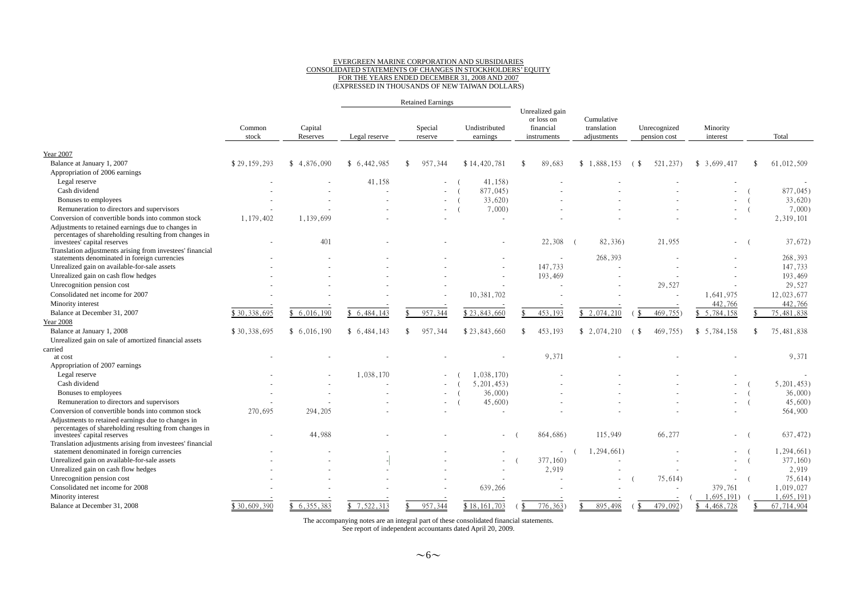# EVERGREEN MARINE CORPORATION AND SUBSIDIARIES CONSOLIDATED STATEMENTS OF CHANGES IN STOCKHOLDERS' EQUITY FOR THE YEARS ENDED DECEMBER 31, 2008 AND 2007 (EXPRESSED IN THOUSANDS OF NEW TAIWAN DOLLARS)

|                                                                                                                                            |                 |                     |               |     | <b>Retained Earnings</b> |                           |                                                           |  |                                          |                |                              |                      |                  |
|--------------------------------------------------------------------------------------------------------------------------------------------|-----------------|---------------------|---------------|-----|--------------------------|---------------------------|-----------------------------------------------------------|--|------------------------------------------|----------------|------------------------------|----------------------|------------------|
|                                                                                                                                            | Common<br>stock | Capital<br>Reserves | Legal reserve |     | Special<br>reserve       | Undistributed<br>earnings | Unrealized gain<br>or loss on<br>financial<br>instruments |  | Cumulative<br>translation<br>adjustments |                | Unrecognized<br>pension cost | Minority<br>interest | Total            |
|                                                                                                                                            |                 |                     |               |     |                          |                           |                                                           |  |                                          |                |                              |                      |                  |
| Year 2007                                                                                                                                  |                 |                     |               |     |                          |                           |                                                           |  |                                          |                |                              |                      |                  |
| Balance at January 1, 2007                                                                                                                 | \$29,159,293    | \$4,876,090         | \$6.442.985   |     | 957,344                  | \$14,420,781              | 89,683                                                    |  | \$1,888,153                              | $\binom{3}{2}$ | 521, 237)                    | \$3,699,417          | \$<br>61,012,509 |
| Appropriation of 2006 earnings                                                                                                             |                 |                     |               |     |                          |                           |                                                           |  |                                          |                |                              |                      |                  |
| Legal reserve                                                                                                                              |                 |                     | 41.158        |     |                          | 41,158)                   |                                                           |  |                                          |                |                              |                      |                  |
| Cash dividend                                                                                                                              |                 |                     |               |     |                          | 877,045)                  |                                                           |  |                                          |                |                              |                      | 877,045)         |
| Bonuses to employees                                                                                                                       |                 |                     |               |     |                          | 33,620)                   |                                                           |  |                                          |                |                              |                      | $33,620$ )       |
| Remuneration to directors and supervisors                                                                                                  |                 |                     |               |     |                          | 7,000                     |                                                           |  |                                          |                |                              |                      | 7,000            |
| Conversion of convertible bonds into common stock                                                                                          | 1,179,402       | 1,139,699           |               |     |                          | $\sim$                    |                                                           |  |                                          |                |                              |                      | 2,319,101        |
| Adjustments to retained earnings due to changes in<br>percentages of shareholding resulting from changes in<br>investees' capital reserves |                 | 401                 |               |     |                          |                           | 22,308                                                    |  | 82,336)                                  |                | 21.955                       |                      | 37,672)          |
| Translation adjustments arising from investees' financial                                                                                  |                 |                     |               |     |                          |                           |                                                           |  |                                          |                |                              |                      |                  |
| statements denominated in foreign currencies                                                                                               |                 |                     |               |     |                          |                           |                                                           |  | 268,393                                  |                |                              |                      | 268,393          |
| Unrealized gain on available-for-sale assets                                                                                               |                 |                     |               |     |                          |                           | 147,733                                                   |  |                                          |                |                              |                      | 147,733          |
| Unrealized gain on cash flow hedges                                                                                                        |                 |                     |               |     |                          |                           | 193,469                                                   |  |                                          |                |                              |                      | 193,469          |
| Unrecognition pension cost                                                                                                                 |                 |                     |               |     |                          |                           |                                                           |  |                                          |                | 29,527                       |                      | 29,527           |
| Consolidated net income for 2007                                                                                                           |                 |                     |               |     |                          | 10, 381, 702              |                                                           |  |                                          |                |                              | 1,641,975            | 12,023,677       |
| Minority interest                                                                                                                          |                 |                     |               |     |                          |                           |                                                           |  |                                          |                |                              | 442,766              | 442,766          |
| Balance at December 31, 2007                                                                                                               | \$30,338,695    | \$6,016,190         | 6,484,143     |     | 957,344                  | \$23,843,660              | 453,193                                                   |  | \$2,074,210                              |                | 469,755)                     | \$5,784,158          | 75,481,838       |
| <b>Year 2008</b>                                                                                                                           |                 |                     |               |     |                          |                           |                                                           |  |                                          |                |                              |                      |                  |
| Balance at January 1, 2008                                                                                                                 | \$30,338,695    | \$6,016,190         | \$6,484,143   | -\$ | 957,344                  | \$23,843,660              | 453,193                                                   |  | \$2,074,210                              | (\$            | 469,755)                     | \$5,784,158          | \$<br>75,481,838 |
| Unrealized gain on sale of amortized financial assets                                                                                      |                 |                     |               |     |                          |                           |                                                           |  |                                          |                |                              |                      |                  |
| carried                                                                                                                                    |                 |                     |               |     |                          |                           |                                                           |  |                                          |                |                              |                      |                  |
| at cost                                                                                                                                    |                 |                     |               |     |                          |                           | 9.371                                                     |  |                                          |                |                              |                      | 9.371            |
| Appropriation of 2007 earnings                                                                                                             |                 |                     |               |     |                          |                           |                                                           |  |                                          |                |                              |                      |                  |
| Legal reserve                                                                                                                              |                 |                     | 1,038,170     |     |                          | 1,038,170)                |                                                           |  |                                          |                |                              |                      |                  |
| Cash dividend                                                                                                                              |                 |                     |               |     |                          | 5,201,453                 |                                                           |  |                                          |                |                              |                      | 5,201,453        |
| Bonuses to employees                                                                                                                       |                 |                     |               |     |                          | 36,000                    |                                                           |  |                                          |                |                              |                      | 36,000           |
| Remuneration to directors and supervisors                                                                                                  |                 |                     |               |     |                          | $45,600$ )                |                                                           |  |                                          |                |                              |                      | $45,600$ )       |
| Conversion of convertible bonds into common stock                                                                                          | 270,695         | 294, 205            |               |     |                          |                           |                                                           |  |                                          |                |                              |                      | 564,900          |
| Adjustments to retained earnings due to changes in<br>percentages of shareholding resulting from changes in<br>investees' capital reserves |                 | 44,988              |               |     |                          | $\overline{a}$            | 864,686)                                                  |  | 115,949                                  |                | 66,277                       |                      | 637,472)         |
| Translation adjustments arising from investees' financial                                                                                  |                 |                     |               |     |                          |                           |                                                           |  |                                          |                |                              |                      |                  |
| statement denominated in foreign currencies                                                                                                |                 |                     |               |     |                          |                           | $\sim$                                                    |  | 1,294,661)                               |                |                              |                      | 1,294,661)       |
| Unrealized gain on available-for-sale assets                                                                                               |                 |                     |               |     |                          | ٠                         | 377,160)                                                  |  |                                          |                |                              |                      | 377,160)         |
| Unrealized gain on cash flow hedges                                                                                                        |                 |                     |               |     |                          |                           | 2,919                                                     |  |                                          |                |                              |                      | 2,919            |
| Unrecognition pension cost                                                                                                                 |                 |                     |               |     |                          |                           |                                                           |  |                                          |                | 75,614)                      | $\sim$               | 75,614)          |
| Consolidated net income for 2008                                                                                                           |                 |                     |               |     |                          | 639,266                   |                                                           |  |                                          |                |                              | 379,761              | 1.019.027        |
| Minority interest                                                                                                                          |                 |                     |               |     |                          |                           |                                                           |  |                                          |                |                              | ,695,191)            | 1,695,191)       |
| Balance at December 31, 2008                                                                                                               | \$30,609,390    | 6.355.383<br>ዩ      | \$7,522,313   |     | 957,344                  | \$18,161,703              | 776,363)                                                  |  | 895.498                                  | -\$            | 479,0921                     | \$4,468,728          | 67,714,904       |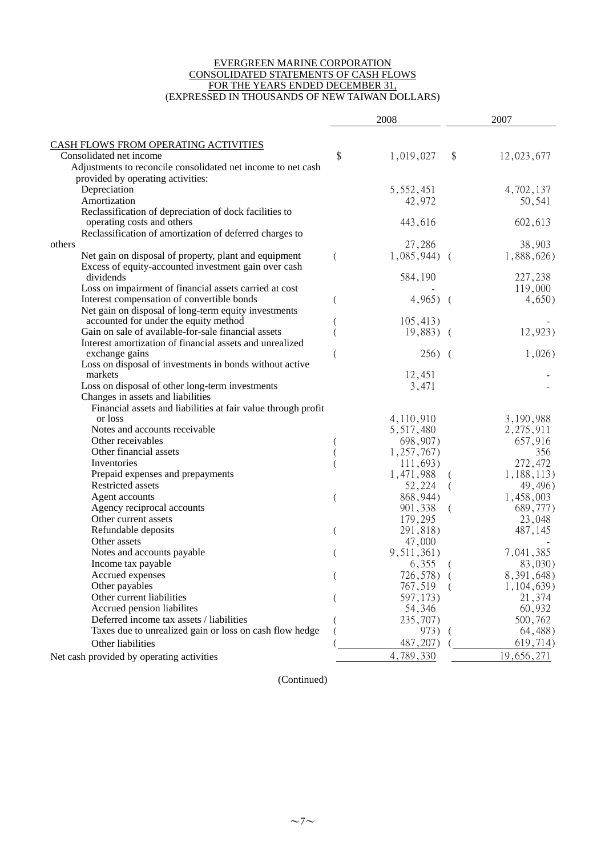#### EVERGREEN MARINE CORPORATION CONSOLIDATED STATEMENTS OF CASH FLOWS FOR THE YEARS ENDED DECEMBER 31, (EXPRESSED IN THOUSANDS OF NEW TAIWAN DOLLARS)

|                                                                 | 2008            | 2007                                  |
|-----------------------------------------------------------------|-----------------|---------------------------------------|
|                                                                 |                 |                                       |
| CASH FLOWS FROM OPERATING ACTIVITIES<br>Consolidated net income |                 |                                       |
| Adjustments to reconcile consolidated net income to net cash    | \$<br>1,019,027 | $\sqrt[6]{\frac{1}{2}}$<br>12,023,677 |
| provided by operating activities:                               |                 |                                       |
| Depreciation                                                    | 5,552,451       | 4,702,137                             |
| Amortization                                                    | 42,972          | 50,541                                |
| Reclassification of depreciation of dock facilities to          |                 |                                       |
| operating costs and others                                      | 443,616         | 602,613                               |
| Reclassification of amortization of deferred charges to         |                 |                                       |
| others                                                          | 27,286          | 38,903                                |
| Net gain on disposal of property, plant and equipment           | $1,085,944$ (   | 1,888,626)                            |
| Excess of equity-accounted investment gain over cash            |                 |                                       |
| dividends                                                       | 584,190         | 227,238                               |
| Loss on impairment of financial assets carried at cost          |                 | 119,000                               |
| Interest compensation of convertible bonds                      | $4,965$ (       | 4,650)                                |
| Net gain on disposal of long-term equity investments            |                 |                                       |
| accounted for under the equity method                           | 105,413)        |                                       |
| Gain on sale of available-for-sale financial assets             | $19,883$ (      | 12,923)                               |
| Interest amortization of financial assets and unrealized        |                 |                                       |
| exchange gains                                                  | $256)$ (        | 1,026                                 |
| Loss on disposal of investments in bonds without active         |                 |                                       |
| markets                                                         | 12,451          |                                       |
| Loss on disposal of other long-term investments                 | 3,471           |                                       |
| Changes in assets and liabilities                               |                 |                                       |
| Financial assets and liabilities at fair value through profit   |                 |                                       |
| or loss                                                         | 4,110,910       | 3,190,988                             |
| Notes and accounts receivable                                   | 5,517,480       | 2,275,911                             |
| Other receivables                                               | 698,907)        | 657,916                               |
| Other financial assets                                          | 1,257,767       | 356                                   |
| Inventories                                                     | 111,693)        | 272,472                               |
| Prepaid expenses and prepayments                                | 1,471,988       | 1,188,113)                            |
| Restricted assets                                               | 52,224          | 49,496)<br>$\left($                   |
| Agent accounts                                                  | 868, 944)       | 1,458,003                             |
| Agency reciprocal accounts                                      | 901,338         | 689,777)<br>(                         |
| Other current assets                                            | 179,295         | 23,048                                |
| Refundable deposits                                             | 291,818)        | 487,145                               |
| Other assets                                                    | 47,000          |                                       |
| Notes and accounts payable                                      | 9, 511, 361)    | 7,041,385                             |
| Income tax payable                                              | 6,355           | 83,030)<br>(                          |
| Accrued expenses                                                | 726,578) (      | 8, 391, 648)                          |
| Other payables                                                  | 767,519         | 1,104,639)                            |
| Other current liabilities                                       | 597,173)        | 21,374                                |
| Accrued pension liabilites                                      | 54,346          | 60,932                                |
| Deferred income tax assets / liabilities                        | 235,707)        | 500,762                               |
| Taxes due to unrealized gain or loss on cash flow hedge         | 973)            | 64,488)                               |
| Other liabilities                                               | 487, 207)       | 619,714)                              |
| Net cash provided by operating activities                       | 4,789,330       | 19,656,271                            |

(Continued)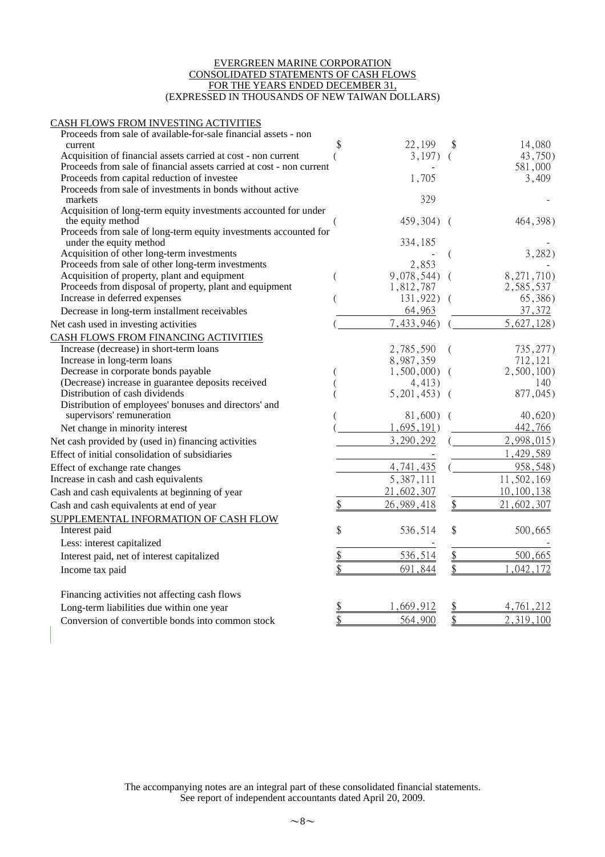#### EVERGREEN MARINE CORPORATION CONSOLIDATED STATEMENTS OF CASH FLOWS FOR THE YEARS ENDED DECEMBER 31, (EXPRESSED IN THOUSANDS OF NEW TAIWAN DOLLARS)

#### CASH FLOWS FROM INVESTING ACTIVITIES

| Proceeds from sale of available-for-sale financial assets - non      |               |          |            |
|----------------------------------------------------------------------|---------------|----------|------------|
| current                                                              | 22,199        |          | 14,080     |
| Acquisition of financial assets carried at cost - non current        | 3,197)        |          | 43,750)    |
| Proceeds from sale of financial assets carried at cost - non current |               |          | 581,000    |
| Proceeds from capital reduction of investee                          | 1,705         |          | 3,409      |
| Proceeds from sale of investments in bonds without active<br>markets | 329           |          |            |
| Acquisition of long-term equity investments accounted for under      |               |          |            |
| the equity method                                                    | 459,304)      | $\left($ | 464, 398)  |
| Proceeds from sale of long-term equity investments accounted for     |               |          |            |
| under the equity method                                              | 334,185       |          |            |
| Acquisition of other long-term investments                           |               |          | 3,282)     |
| Proceeds from sale of other long-term investments                    | 2,853         |          |            |
| Acquisition of property, plant and equipment                         | 9,078,544)    |          | 8,271,710) |
| Proceeds from disposal of property, plant and equipment              | 1,812,787     |          | 2,585,537  |
| Increase in deferred expenses                                        | 131,922)      |          | 65,386)    |
| Decrease in long-term installment receivables                        | 64,963        |          | 37,372     |
| Net cash used in investing activities                                | 7,433,946     |          | 5,627,128  |
| CASH FLOWS FROM FINANCING ACTIVITIES                                 |               |          |            |
| Increase (decrease) in short-term loans                              | 2,785,590     | (        | 735, 277)  |
| Increase in long-term loans                                          | 8,987,359     |          | 712,121    |
| Decrease in corporate bonds payable                                  | 1,500,000     |          | 2,500,100  |
| (Decrease) increase in guarantee deposits received                   | 4,413)        |          | 140        |
| Distribution of cash dividends                                       | 5,201,453)    |          | 877,045)   |
| Distribution of employees' bonuses and directors' and                |               |          |            |
| supervisors' remuneration                                            | 81,600)       |          | 40,620)    |
| Net change in minority interest                                      | 1,695,191)    |          | 442,766    |
| Net cash provided by (used in) financing activities                  | 3,290,292     |          | 2,998,015  |
| Effect of initial consolidation of subsidiaries                      |               |          | 1,429,589  |
| Effect of exchange rate changes                                      | 4,741,435     |          | 958,548)   |
| Increase in cash and cash equivalents                                | 5,387,111     |          | 11,502,169 |
| Cash and cash equivalents at beginning of year                       | 21,602,307    |          | 10,100,138 |
| Cash and cash equivalents at end of year                             | 26,989,418    | \$       | 21,602,307 |
| SUPPLEMENTAL INFORMATION OF CASH FLOW                                |               |          |            |
| Interest paid                                                        | \$<br>536,514 | \$       | 500,665    |
| Less: interest capitalized                                           |               |          |            |
| Interest paid, net of interest capitalized                           | 536,514       | \$       | 500,665    |
|                                                                      | 691,844       |          | ,042,172   |
| Income tax paid                                                      |               |          |            |
| Financing activities not affecting cash flows                        |               |          |            |
| Long-term liabilities due within one year                            | ,669,912      |          | 4,761,212  |
| Conversion of convertible bonds into common stock                    | 564,900       | \$       | 2,319,100  |
|                                                                      |               |          |            |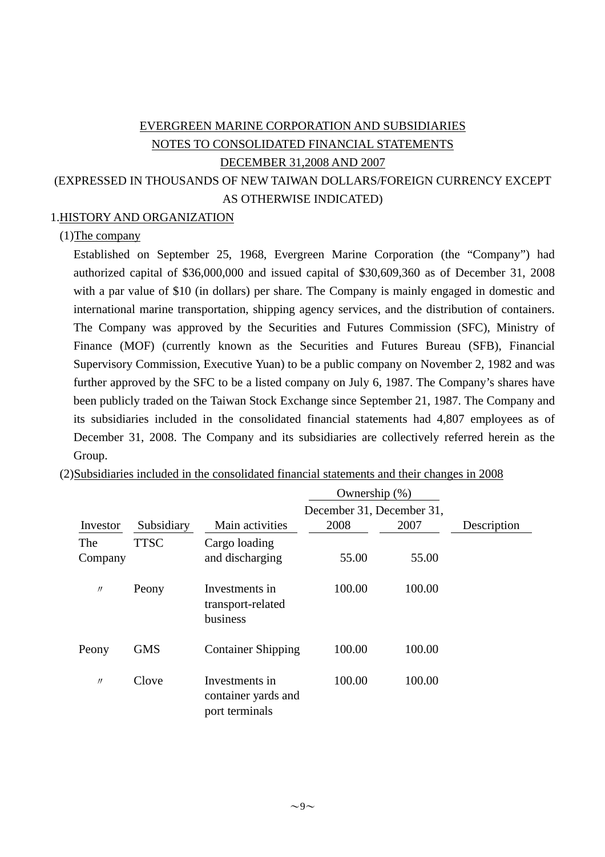# EVERGREEN MARINE CORPORATION AND SUBSIDIARIES NOTES TO CONSOLIDATED FINANCIAL STATEMENTS DECEMBER 31,2008 AND 2007 (EXPRESSED IN THOUSANDS OF NEW TAIWAN DOLLARS/FOREIGN CURRENCY EXCEPT AS OTHERWISE INDICATED)

# 1.HISTORY AND ORGANIZATION

### (1)The company

Established on September 25, 1968, Evergreen Marine Corporation (the "Company") had authorized capital of \$36,000,000 and issued capital of \$30,609,360 as of December 31, 2008 with a par value of \$10 (in dollars) per share. The Company is mainly engaged in domestic and international marine transportation, shipping agency services, and the distribution of containers. The Company was approved by the Securities and Futures Commission (SFC), Ministry of Finance (MOF) (currently known as the Securities and Futures Bureau (SFB), Financial Supervisory Commission, Executive Yuan) to be a public company on November 2, 1982 and was further approved by the SFC to be a listed company on July 6, 1987. The Company's shares have been publicly traded on the Taiwan Stock Exchange since September 21, 1987. The Company and its subsidiaries included in the consolidated financial statements had 4,807 employees as of December 31, 2008. The Company and its subsidiaries are collectively referred herein as the Group.

|          |             |                                                         | Ownership (%)             |        |             |
|----------|-------------|---------------------------------------------------------|---------------------------|--------|-------------|
|          |             |                                                         | December 31, December 31, |        |             |
| Investor | Subsidiary  | Main activities                                         | 2008                      | 2007   | Description |
| The      | <b>TTSC</b> | Cargo loading                                           |                           |        |             |
| Company  |             | and discharging                                         | 55.00                     | 55.00  |             |
| $\prime$ | Peony       | Investments in<br>transport-related<br>business         | 100.00                    | 100.00 |             |
| Peony    | <b>GMS</b>  | <b>Container Shipping</b>                               | 100.00                    | 100.00 |             |
| $\prime$ | Clove       | Investments in<br>container yards and<br>port terminals | 100.00                    | 100.00 |             |

(2)Subsidiaries included in the consolidated financial statements and their changes in 2008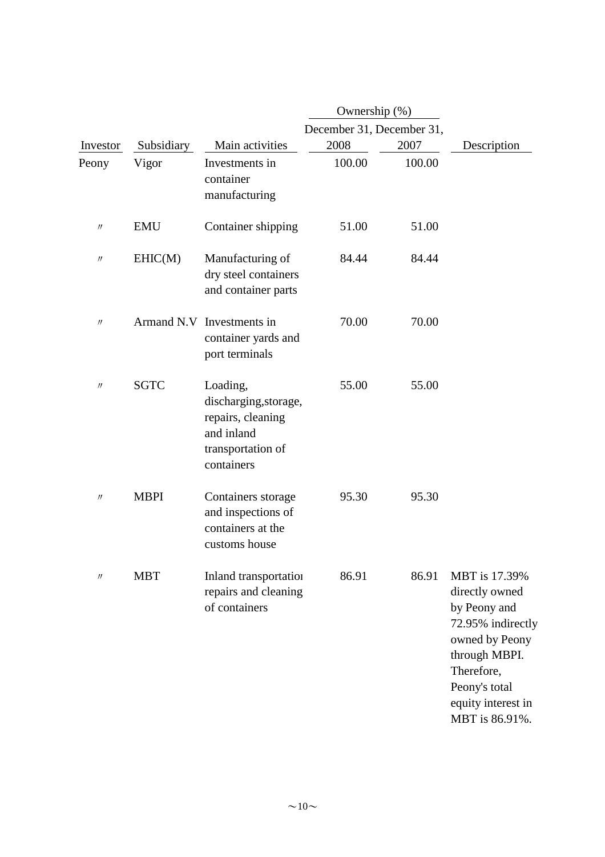|                   |             |                                                                                                         | Ownership (%)             |        |                                                                                                                                                                                |
|-------------------|-------------|---------------------------------------------------------------------------------------------------------|---------------------------|--------|--------------------------------------------------------------------------------------------------------------------------------------------------------------------------------|
|                   |             |                                                                                                         | December 31, December 31, |        |                                                                                                                                                                                |
| Investor          | Subsidiary  | Main activities                                                                                         | 2008                      | 2007   | Description                                                                                                                                                                    |
| Peony             | Vigor       | Investments in<br>container<br>manufacturing                                                            | 100.00                    | 100.00 |                                                                                                                                                                                |
| $^{\prime\prime}$ | <b>EMU</b>  | Container shipping                                                                                      | 51.00                     | 51.00  |                                                                                                                                                                                |
| $^{\prime\prime}$ | EHIC(M)     | Manufacturing of<br>dry steel containers<br>and container parts                                         | 84.44                     | 84.44  |                                                                                                                                                                                |
| $^{\prime\prime}$ |             | Armand N.V Investments in<br>container yards and<br>port terminals                                      | 70.00                     | 70.00  |                                                                                                                                                                                |
| $\prime\prime$    | <b>SGTC</b> | Loading,<br>discharging, storage,<br>repairs, cleaning<br>and inland<br>transportation of<br>containers | 55.00                     | 55.00  |                                                                                                                                                                                |
| $^{\prime\prime}$ | <b>MBPI</b> | Containers storage<br>and inspections of<br>containers at the<br>customs house                          | 95.30                     | 95.30  |                                                                                                                                                                                |
| $^{\prime\prime}$ | <b>MBT</b>  | Inland transportation<br>repairs and cleaning<br>of containers                                          | 86.91                     | 86.91  | MBT is 17.39%<br>directly owned<br>by Peony and<br>72.95% indirectly<br>owned by Peony<br>through MBPI.<br>Therefore,<br>Peony's total<br>equity interest in<br>MBT is 86.91%. |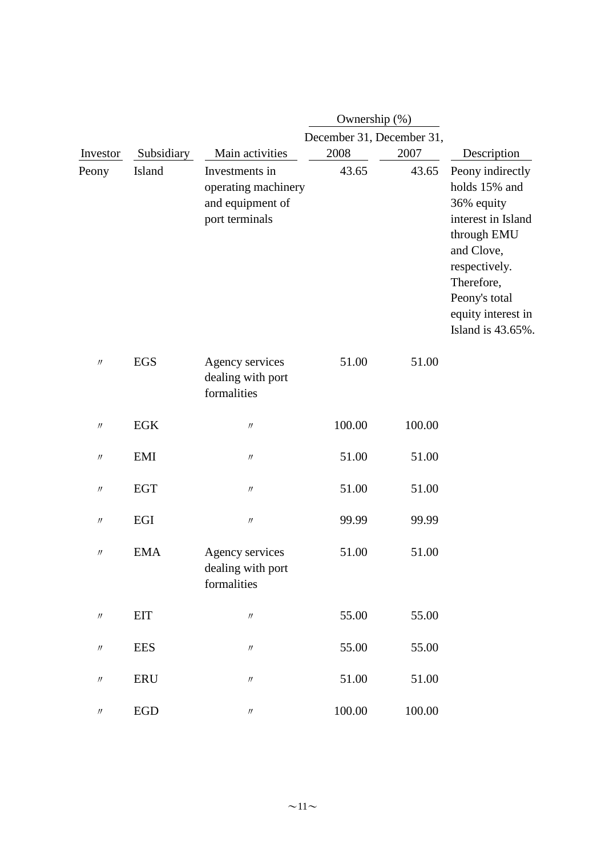|                               |             |                                                                             | Ownership (%)             |        |                                                                                                                                                                                               |
|-------------------------------|-------------|-----------------------------------------------------------------------------|---------------------------|--------|-----------------------------------------------------------------------------------------------------------------------------------------------------------------------------------------------|
|                               |             |                                                                             | December 31, December 31, |        |                                                                                                                                                                                               |
| Investor                      | Subsidiary  | Main activities                                                             | 2008                      | 2007   | Description                                                                                                                                                                                   |
| Peony                         | Island      | Investments in<br>operating machinery<br>and equipment of<br>port terminals | 43.65                     | 43.65  | Peony indirectly<br>holds 15% and<br>36% equity<br>interest in Island<br>through EMU<br>and Clove,<br>respectively.<br>Therefore,<br>Peony's total<br>equity interest in<br>Island is 43.65%. |
| $\prime\prime$                | <b>EGS</b>  | Agency services<br>dealing with port<br>formalities                         | 51.00                     | 51.00  |                                                                                                                                                                                               |
| $\prime\prime$                | EGK         | $^{\prime\prime}$                                                           | 100.00                    | 100.00 |                                                                                                                                                                                               |
| $\prime\prime$                | <b>EMI</b>  | $\prime\prime$                                                              | 51.00                     | 51.00  |                                                                                                                                                                                               |
| $\prime\prime$                | <b>EGT</b>  | $\prime\prime$                                                              | 51.00                     | 51.00  |                                                                                                                                                                                               |
| $\prime\prime$                | EGI         | $\prime\prime$                                                              | 99.99                     | 99.99  |                                                                                                                                                                                               |
| $\prime\prime$                | <b>EMA</b>  | Agency services<br>dealing with port<br>formalities                         | 51.00                     | 51.00  |                                                                                                                                                                                               |
| $\ensuremath{\mathnormal{H}}$ | <b>EIT</b>  | $\ensuremath{\mathnormal{H}}$                                               | 55.00                     | 55.00  |                                                                                                                                                                                               |
| $\ensuremath{\mathnormal{H}}$ | <b>EES</b>  | $\prime\prime$                                                              | 55.00                     | 55.00  |                                                                                                                                                                                               |
| $\ensuremath{\mathnormal{H}}$ | <b>ERU</b>  | $\ensuremath{\mathnormal{H}}$                                               | 51.00                     | 51.00  |                                                                                                                                                                                               |
| $\prime\prime$                | ${\rm EGD}$ | $\prime\prime$                                                              | 100.00                    | 100.00 |                                                                                                                                                                                               |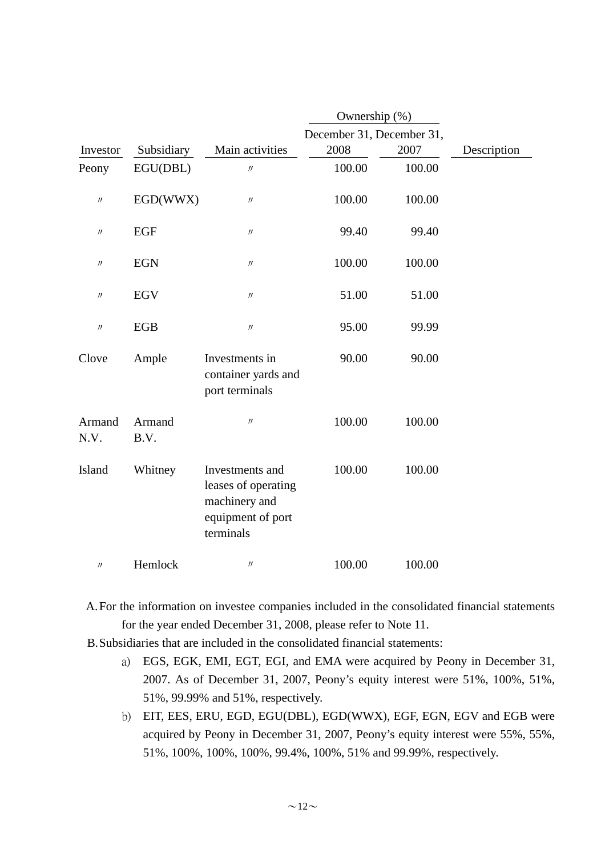|                   |                |                                                                                           | Ownership (%)             |        |             |  |  |
|-------------------|----------------|-------------------------------------------------------------------------------------------|---------------------------|--------|-------------|--|--|
|                   |                |                                                                                           | December 31, December 31, |        |             |  |  |
| Investor          | Subsidiary     | Main activities                                                                           | 2008                      | 2007   | Description |  |  |
| Peony             | EGU(DBL)       | $\prime\prime$                                                                            | 100.00                    | 100.00 |             |  |  |
| $\prime\prime$    | EGD(WWX)       | $\ensuremath{\mathnormal{H}}$                                                             | 100.00                    | 100.00 |             |  |  |
| $^{\prime\prime}$ | <b>EGF</b>     | $\prime\prime$                                                                            | 99.40                     | 99.40  |             |  |  |
| $^{\prime\prime}$ | <b>EGN</b>     | $\ensuremath{\mathnormal{H}}$                                                             | 100.00                    | 100.00 |             |  |  |
| $^{\prime\prime}$ | EGV            | $\ensuremath{\mathnormal{H}}$                                                             | 51.00                     | 51.00  |             |  |  |
| $\prime\prime$    | EGB            | $\prime\prime$                                                                            | 95.00                     | 99.99  |             |  |  |
| Clove             | Ample          | Investments in<br>container yards and<br>port terminals                                   | 90.00                     | 90.00  |             |  |  |
| Armand<br>N.V.    | Armand<br>B.V. | $^{\prime\prime}$                                                                         | 100.00                    | 100.00 |             |  |  |
| Island            | Whitney        | Investments and<br>leases of operating<br>machinery and<br>equipment of port<br>terminals | 100.00                    | 100.00 |             |  |  |
| $\prime\prime$    | Hemlock        | $\prime\prime$                                                                            | 100.00                    | 100.00 |             |  |  |

A.For the information on investee companies included in the consolidated financial statements for the year ended December 31, 2008, please refer to Note 11.

B.Subsidiaries that are included in the consolidated financial statements:

- a) EGS, EGK, EMI, EGT, EGI, and EMA were acquired by Peony in December 31, 2007. As of December 31, 2007, Peony's equity interest were 51%, 100%, 51%, 51%, 99.99% and 51%, respectively.
- b) EIT, EES, ERU, EGD, EGU(DBL), EGD(WWX), EGF, EGN, EGV and EGB were acquired by Peony in December 31, 2007, Peony's equity interest were 55%, 55%, 51%, 100%, 100%, 100%, 99.4%, 100%, 51% and 99.99%, respectively.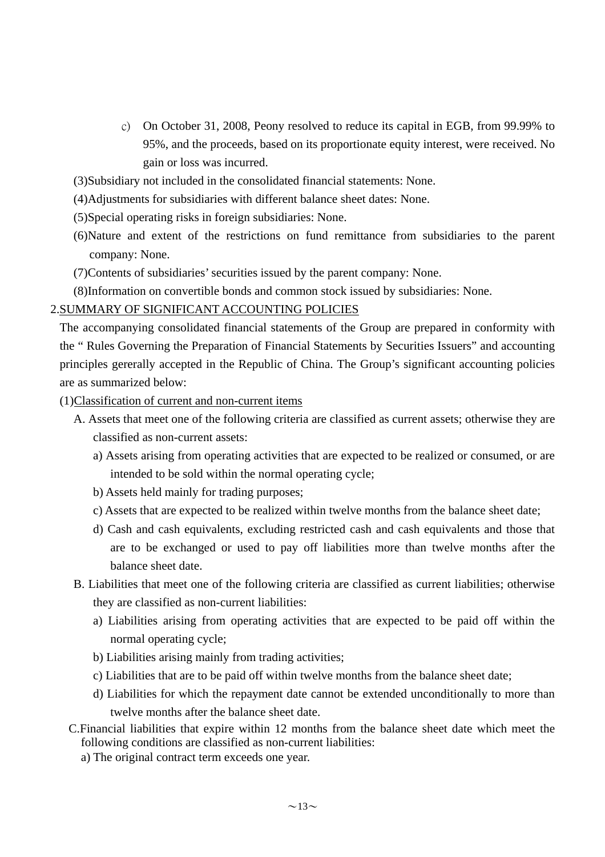- c) On October 31, 2008, Peony resolved to reduce its capital in EGB, from 99.99% to 95%, and the proceeds, based on its proportionate equity interest, were received. No gain or loss was incurred.
- (3)Subsidiary not included in the consolidated financial statements: None.
- (4)Adjustments for subsidiaries with different balance sheet dates: None.
- (5)Special operating risks in foreign subsidiaries: None.
- (6)Nature and extent of the restrictions on fund remittance from subsidiaries to the parent company: None.
- (7)Contents of subsidiaries' securities issued by the parent company: None.

(8)Information on convertible bonds and common stock issued by subsidiaries: None.

#### 2.SUMMARY OF SIGNIFICANT ACCOUNTING POLICIES

The accompanying consolidated financial statements of the Group are prepared in conformity with the " Rules Governing the Preparation of Financial Statements by Securities Issuers" and accounting principles gererally accepted in the Republic of China. The Group's significant accounting policies are as summarized below:

- (1)Classification of current and non-current items
	- A. Assets that meet one of the following criteria are classified as current assets; otherwise they are classified as non-current assets:
		- a) Assets arising from operating activities that are expected to be realized or consumed, or are intended to be sold within the normal operating cycle;
		- b) Assets held mainly for trading purposes;
		- c) Assets that are expected to be realized within twelve months from the balance sheet date;
		- d) Cash and cash equivalents, excluding restricted cash and cash equivalents and those that are to be exchanged or used to pay off liabilities more than twelve months after the balance sheet date.
	- B. Liabilities that meet one of the following criteria are classified as current liabilities; otherwise they are classified as non-current liabilities:
		- a) Liabilities arising from operating activities that are expected to be paid off within the normal operating cycle;
		- b) Liabilities arising mainly from trading activities;
		- c) Liabilities that are to be paid off within twelve months from the balance sheet date;
		- d) Liabilities for which the repayment date cannot be extended unconditionally to more than twelve months after the balance sheet date.
	- C.Financial liabilities that expire within 12 months from the balance sheet date which meet the following conditions are classified as non-current liabilities:
		- a) The original contract term exceeds one year.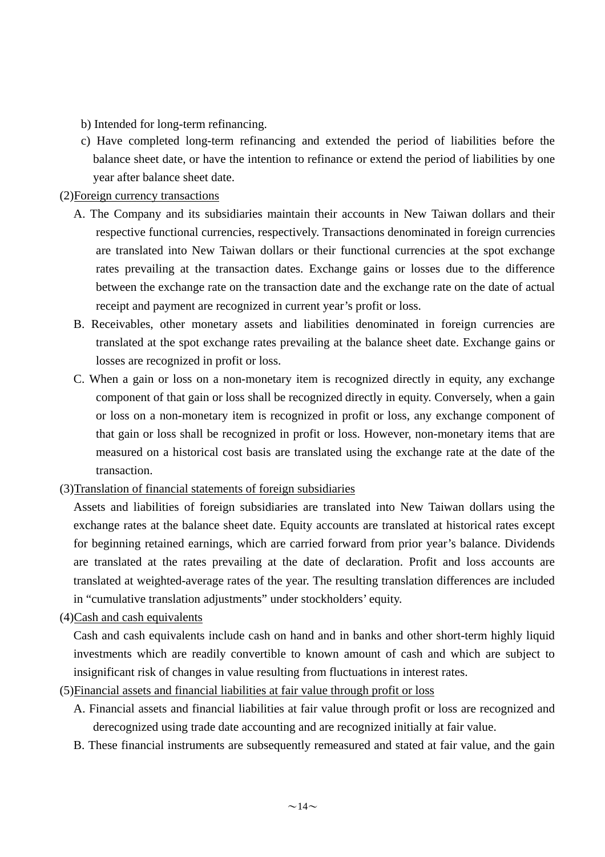b) Intended for long-term refinancing.

c) Have completed long-term refinancing and extended the period of liabilities before the balance sheet date, or have the intention to refinance or extend the period of liabilities by one year after balance sheet date.

## (2)Foreign currency transactions

- A. The Company and its subsidiaries maintain their accounts in New Taiwan dollars and their respective functional currencies, respectively. Transactions denominated in foreign currencies are translated into New Taiwan dollars or their functional currencies at the spot exchange rates prevailing at the transaction dates. Exchange gains or losses due to the difference between the exchange rate on the transaction date and the exchange rate on the date of actual receipt and payment are recognized in current year's profit or loss.
- B. Receivables, other monetary assets and liabilities denominated in foreign currencies are translated at the spot exchange rates prevailing at the balance sheet date. Exchange gains or losses are recognized in profit or loss.
- C. When a gain or loss on a non-monetary item is recognized directly in equity, any exchange component of that gain or loss shall be recognized directly in equity. Conversely, when a gain or loss on a non-monetary item is recognized in profit or loss, any exchange component of that gain or loss shall be recognized in profit or loss. However, non-monetary items that are measured on a historical cost basis are translated using the exchange rate at the date of the transaction.

# (3)Translation of financial statements of foreign subsidiaries

Assets and liabilities of foreign subsidiaries are translated into New Taiwan dollars using the exchange rates at the balance sheet date. Equity accounts are translated at historical rates except for beginning retained earnings, which are carried forward from prior year's balance. Dividends are translated at the rates prevailing at the date of declaration. Profit and loss accounts are translated at weighted-average rates of the year. The resulting translation differences are included in "cumulative translation adjustments" under stockholders' equity.

#### (4)Cash and cash equivalents

Cash and cash equivalents include cash on hand and in banks and other short-term highly liquid investments which are readily convertible to known amount of cash and which are subject to insignificant risk of changes in value resulting from fluctuations in interest rates.

# (5)Financial assets and financial liabilities at fair value through profit or loss

- A. Financial assets and financial liabilities at fair value through profit or loss are recognized and derecognized using trade date accounting and are recognized initially at fair value.
- B. These financial instruments are subsequently remeasured and stated at fair value, and the gain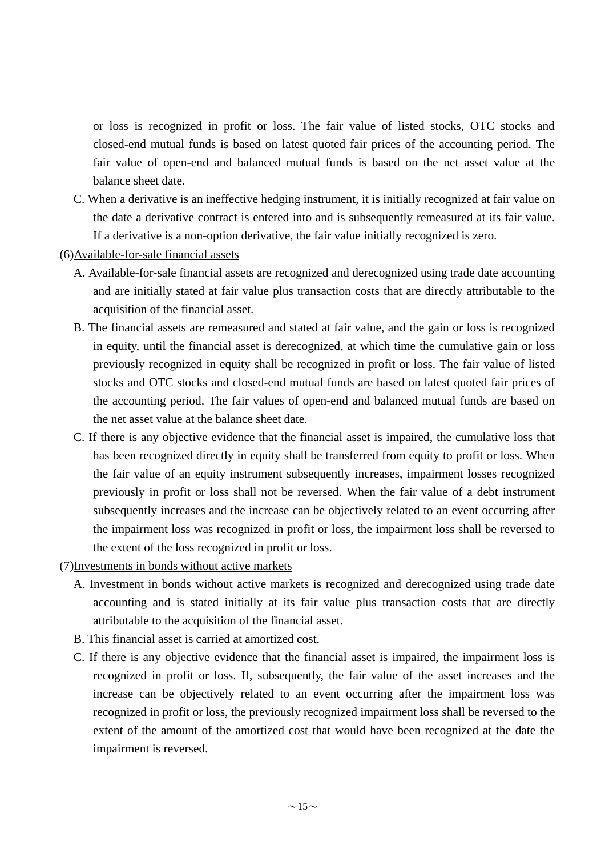or loss is recognized in profit or loss. The fair value of listed stocks, OTC stocks and closed-end mutual funds is based on latest quoted fair prices of the accounting period. The fair value of open-end and balanced mutual funds is based on the net asset value at the balance sheet date.

- C. When a derivative is an ineffective hedging instrument, it is initially recognized at fair value on the date a derivative contract is entered into and is subsequently remeasured at its fair value. If a derivative is a non-option derivative, the fair value initially recognized is zero.
- (6)Available-for-sale financial assets
	- A. Available-for-sale financial assets are recognized and derecognized using trade date accounting and are initially stated at fair value plus transaction costs that are directly attributable to the acquisition of the financial asset.
	- B. The financial assets are remeasured and stated at fair value, and the gain or loss is recognized in equity, until the financial asset is derecognized, at which time the cumulative gain or loss previously recognized in equity shall be recognized in profit or loss. The fair value of listed stocks and OTC stocks and closed-end mutual funds are based on latest quoted fair prices of the accounting period. The fair values of open-end and balanced mutual funds are based on the net asset value at the balance sheet date.
	- C. If there is any objective evidence that the financial asset is impaired, the cumulative loss that has been recognized directly in equity shall be transferred from equity to profit or loss. When the fair value of an equity instrument subsequently increases, impairment losses recognized previously in profit or loss shall not be reversed. When the fair value of a debt instrument subsequently increases and the increase can be objectively related to an event occurring after the impairment loss was recognized in profit or loss, the impairment loss shall be reversed to the extent of the loss recognized in profit or loss.
- (7)Investments in bonds without active markets
	- A. Investment in bonds without active markets is recognized and derecognized using trade date accounting and is stated initially at its fair value plus transaction costs that are directly attributable to the acquisition of the financial asset.
	- B. This financial asset is carried at amortized cost.
	- C. If there is any objective evidence that the financial asset is impaired, the impairment loss is recognized in profit or loss. If, subsequently, the fair value of the asset increases and the increase can be objectively related to an event occurring after the impairment loss was recognized in profit or loss, the previously recognized impairment loss shall be reversed to the extent of the amount of the amortized cost that would have been recognized at the date the impairment is reversed.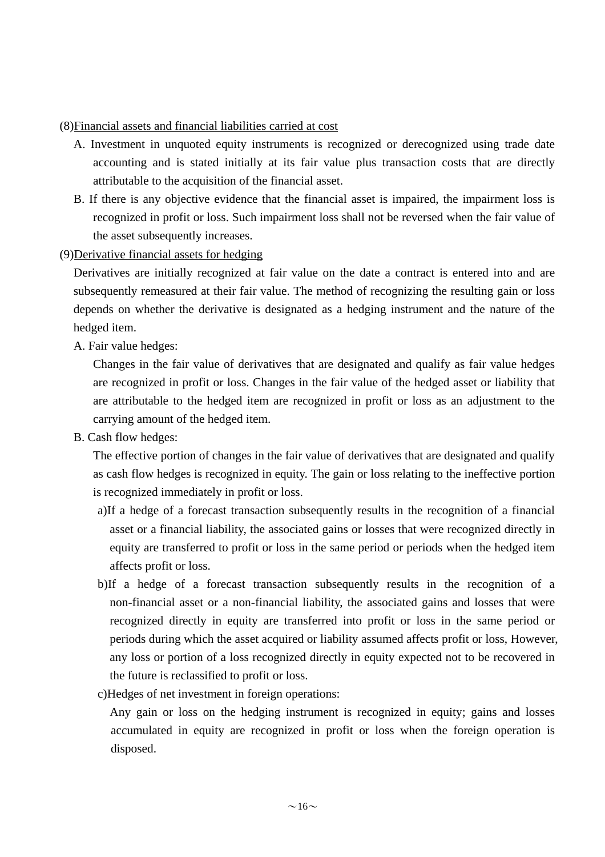(8)Financial assets and financial liabilities carried at cost

- A. Investment in unquoted equity instruments is recognized or derecognized using trade date accounting and is stated initially at its fair value plus transaction costs that are directly attributable to the acquisition of the financial asset.
- B. If there is any objective evidence that the financial asset is impaired, the impairment loss is recognized in profit or loss. Such impairment loss shall not be reversed when the fair value of the asset subsequently increases.

(9)Derivative financial assets for hedging

Derivatives are initially recognized at fair value on the date a contract is entered into and are subsequently remeasured at their fair value. The method of recognizing the resulting gain or loss depends on whether the derivative is designated as a hedging instrument and the nature of the hedged item.

A. Fair value hedges:

Changes in the fair value of derivatives that are designated and qualify as fair value hedges are recognized in profit or loss. Changes in the fair value of the hedged asset or liability that are attributable to the hedged item are recognized in profit or loss as an adjustment to the carrying amount of the hedged item.

B. Cash flow hedges:

The effective portion of changes in the fair value of derivatives that are designated and qualify as cash flow hedges is recognized in equity. The gain or loss relating to the ineffective portion is recognized immediately in profit or loss.

- a)If a hedge of a forecast transaction subsequently results in the recognition of a financial asset or a financial liability, the associated gains or losses that were recognized directly in equity are transferred to profit or loss in the same period or periods when the hedged item affects profit or loss.
- b)If a hedge of a forecast transaction subsequently results in the recognition of a non-financial asset or a non-financial liability, the associated gains and losses that were recognized directly in equity are transferred into profit or loss in the same period or periods during which the asset acquired or liability assumed affects profit or loss, However, any loss or portion of a loss recognized directly in equity expected not to be recovered in the future is reclassified to profit or loss.
- c)Hedges of net investment in foreign operations:

Any gain or loss on the hedging instrument is recognized in equity; gains and losses accumulated in equity are recognized in profit or loss when the foreign operation is disposed.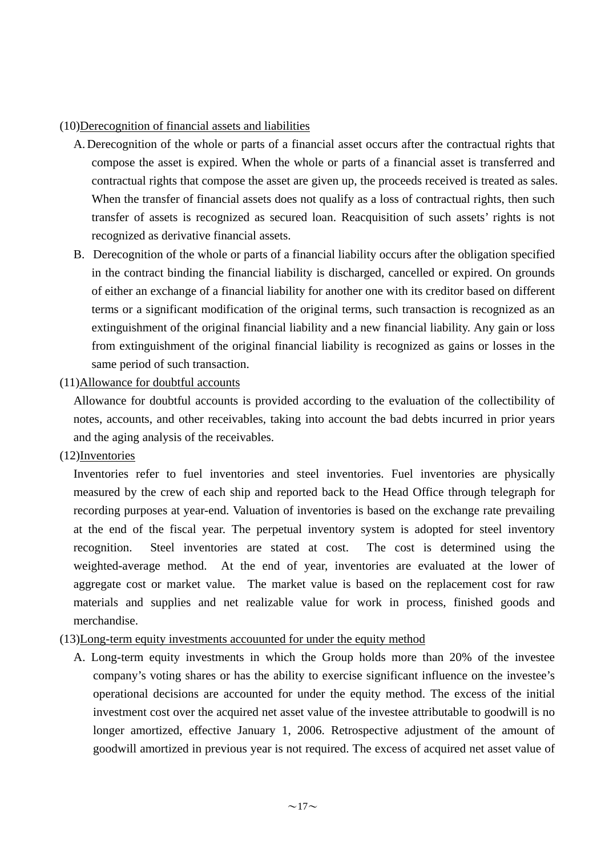### (10)Derecognition of financial assets and liabilities

- A.Derecognition of the whole or parts of a financial asset occurs after the contractual rights that compose the asset is expired. When the whole or parts of a financial asset is transferred and contractual rights that compose the asset are given up, the proceeds received is treated as sales. When the transfer of financial assets does not qualify as a loss of contractual rights, then such transfer of assets is recognized as secured loan. Reacquisition of such assets' rights is not recognized as derivative financial assets.
- B. Derecognition of the whole or parts of a financial liability occurs after the obligation specified in the contract binding the financial liability is discharged, cancelled or expired. On grounds of either an exchange of a financial liability for another one with its creditor based on different terms or a significant modification of the original terms, such transaction is recognized as an extinguishment of the original financial liability and a new financial liability. Any gain or loss from extinguishment of the original financial liability is recognized as gains or losses in the same period of such transaction.

# (11)Allowance for doubtful accounts

Allowance for doubtful accounts is provided according to the evaluation of the collectibility of notes, accounts, and other receivables, taking into account the bad debts incurred in prior years and the aging analysis of the receivables.

(12)Inventories

Inventories refer to fuel inventories and steel inventories. Fuel inventories are physically measured by the crew of each ship and reported back to the Head Office through telegraph for recording purposes at year-end. Valuation of inventories is based on the exchange rate prevailing at the end of the fiscal year. The perpetual inventory system is adopted for steel inventory recognition. Steel inventories are stated at cost. The cost is determined using the weighted-average method. At the end of year, inventories are evaluated at the lower of aggregate cost or market value. The market value is based on the replacement cost for raw materials and supplies and net realizable value for work in process, finished goods and merchandise.

# (13)Long-term equity investments accouunted for under the equity method

A. Long-term equity investments in which the Group holds more than 20% of the investee company's voting shares or has the ability to exercise significant influence on the investee's operational decisions are accounted for under the equity method. The excess of the initial investment cost over the acquired net asset value of the investee attributable to goodwill is no longer amortized, effective January 1, 2006. Retrospective adjustment of the amount of goodwill amortized in previous year is not required. The excess of acquired net asset value of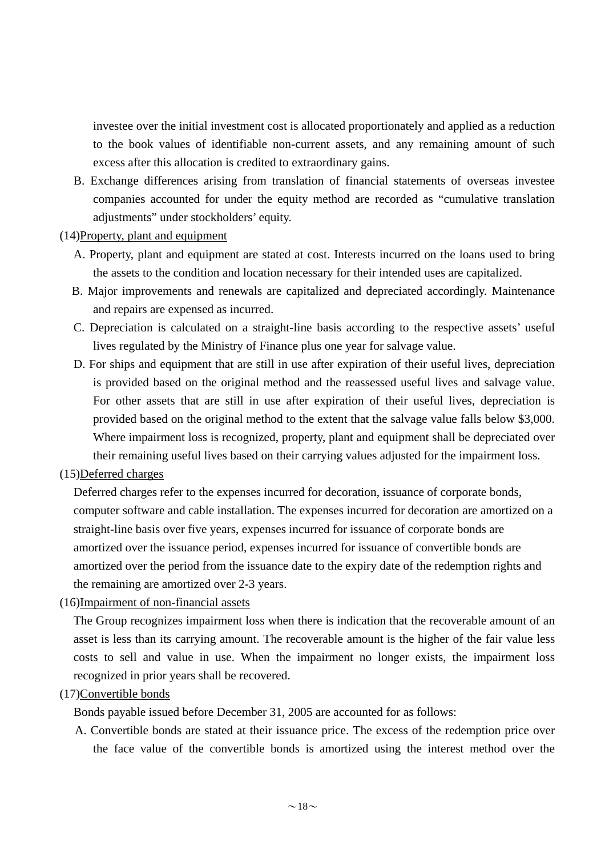investee over the initial investment cost is allocated proportionately and applied as a reduction to the book values of identifiable non-current assets, and any remaining amount of such excess after this allocation is credited to extraordinary gains.

B. Exchange differences arising from translation of financial statements of overseas investee companies accounted for under the equity method are recorded as "cumulative translation adjustments" under stockholders' equity.

### (14)Property, plant and equipment

- A. Property, plant and equipment are stated at cost. Interests incurred on the loans used to bring the assets to the condition and location necessary for their intended uses are capitalized.
- B. Major improvements and renewals are capitalized and depreciated accordingly. Maintenance and repairs are expensed as incurred.
- C. Depreciation is calculated on a straight-line basis according to the respective assets' useful lives regulated by the Ministry of Finance plus one year for salvage value.
- D. For ships and equipment that are still in use after expiration of their useful lives, depreciation is provided based on the original method and the reassessed useful lives and salvage value. For other assets that are still in use after expiration of their useful lives, depreciation is provided based on the original method to the extent that the salvage value falls below \$3,000. Where impairment loss is recognized, property, plant and equipment shall be depreciated over their remaining useful lives based on their carrying values adjusted for the impairment loss.

# (15)Deferred charges

Deferred charges refer to the expenses incurred for decoration, issuance of corporate bonds, computer software and cable installation. The expenses incurred for decoration are amortized on a straight-line basis over five years, expenses incurred for issuance of corporate bonds are amortized over the issuance period, expenses incurred for issuance of convertible bonds are amortized over the period from the issuance date to the expiry date of the redemption rights and the remaining are amortized over 2-3 years.

(16)Impairment of non-financial assets

The Group recognizes impairment loss when there is indication that the recoverable amount of an asset is less than its carrying amount. The recoverable amount is the higher of the fair value less costs to sell and value in use. When the impairment no longer exists, the impairment loss recognized in prior years shall be recovered.

#### (17)Convertible bonds

Bonds payable issued before December 31, 2005 are accounted for as follows:

A. Convertible bonds are stated at their issuance price. The excess of the redemption price over the face value of the convertible bonds is amortized using the interest method over the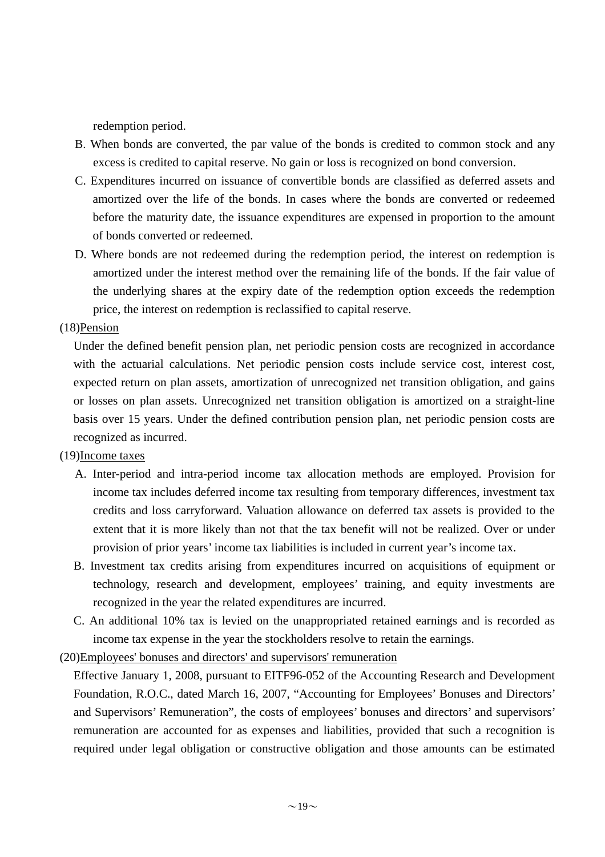redemption period.

- B. When bonds are converted, the par value of the bonds is credited to common stock and any excess is credited to capital reserve. No gain or loss is recognized on bond conversion.
- C. Expenditures incurred on issuance of convertible bonds are classified as deferred assets and amortized over the life of the bonds. In cases where the bonds are converted or redeemed before the maturity date, the issuance expenditures are expensed in proportion to the amount of bonds converted or redeemed.
- D. Where bonds are not redeemed during the redemption period, the interest on redemption is amortized under the interest method over the remaining life of the bonds. If the fair value of the underlying shares at the expiry date of the redemption option exceeds the redemption price, the interest on redemption is reclassified to capital reserve.

### (18)Pension

Under the defined benefit pension plan, net periodic pension costs are recognized in accordance with the actuarial calculations. Net periodic pension costs include service cost, interest cost, expected return on plan assets, amortization of unrecognized net transition obligation, and gains or losses on plan assets. Unrecognized net transition obligation is amortized on a straight-line basis over 15 years. Under the defined contribution pension plan, net periodic pension costs are recognized as incurred.

#### (19)Income taxes

- A. Inter-period and intra-period income tax allocation methods are employed. Provision for income tax includes deferred income tax resulting from temporary differences, investment tax credits and loss carryforward. Valuation allowance on deferred tax assets is provided to the extent that it is more likely than not that the tax benefit will not be realized. Over or under provision of prior years' income tax liabilities is included in current year's income tax.
- B. Investment tax credits arising from expenditures incurred on acquisitions of equipment or technology, research and development, employees' training, and equity investments are recognized in the year the related expenditures are incurred.
- C. An additional 10% tax is levied on the unappropriated retained earnings and is recorded as income tax expense in the year the stockholders resolve to retain the earnings.
- (20)Employees' bonuses and directors' and supervisors' remuneration

Effective January 1, 2008, pursuant to EITF96-052 of the Accounting Research and Development Foundation, R.O.C., dated March 16, 2007, "Accounting for Employees' Bonuses and Directors' and Supervisors' Remuneration", the costs of employees' bonuses and directors' and supervisors' remuneration are accounted for as expenses and liabilities, provided that such a recognition is required under legal obligation or constructive obligation and those amounts can be estimated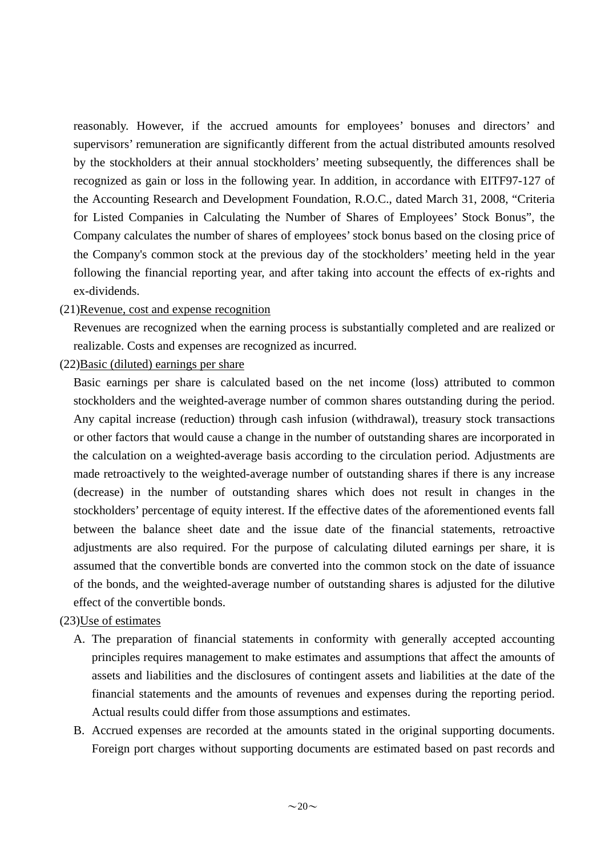reasonably. However, if the accrued amounts for employees' bonuses and directors' and supervisors' remuneration are significantly different from the actual distributed amounts resolved by the stockholders at their annual stockholders' meeting subsequently, the differences shall be recognized as gain or loss in the following year. In addition, in accordance with EITF97-127 of the Accounting Research and Development Foundation, R.O.C., dated March 31, 2008, "Criteria for Listed Companies in Calculating the Number of Shares of Employees' Stock Bonus", the Company calculates the number of shares of employees' stock bonus based on the closing price of the Company's common stock at the previous day of the stockholders' meeting held in the year following the financial reporting year, and after taking into account the effects of ex-rights and ex-dividends.

### (21)Revenue, cost and expense recognition

Revenues are recognized when the earning process is substantially completed and are realized or realizable. Costs and expenses are recognized as incurred.

(22)Basic (diluted) earnings per share

Basic earnings per share is calculated based on the net income (loss) attributed to common stockholders and the weighted-average number of common shares outstanding during the period. Any capital increase (reduction) through cash infusion (withdrawal), treasury stock transactions or other factors that would cause a change in the number of outstanding shares are incorporated in the calculation on a weighted-average basis according to the circulation period. Adjustments are made retroactively to the weighted-average number of outstanding shares if there is any increase (decrease) in the number of outstanding shares which does not result in changes in the stockholders' percentage of equity interest. If the effective dates of the aforementioned events fall between the balance sheet date and the issue date of the financial statements, retroactive adjustments are also required. For the purpose of calculating diluted earnings per share, it is assumed that the convertible bonds are converted into the common stock on the date of issuance of the bonds, and the weighted-average number of outstanding shares is adjusted for the dilutive effect of the convertible bonds.

# (23)Use of estimates

- A. The preparation of financial statements in conformity with generally accepted accounting principles requires management to make estimates and assumptions that affect the amounts of assets and liabilities and the disclosures of contingent assets and liabilities at the date of the financial statements and the amounts of revenues and expenses during the reporting period. Actual results could differ from those assumptions and estimates.
- B. Accrued expenses are recorded at the amounts stated in the original supporting documents. Foreign port charges without supporting documents are estimated based on past records and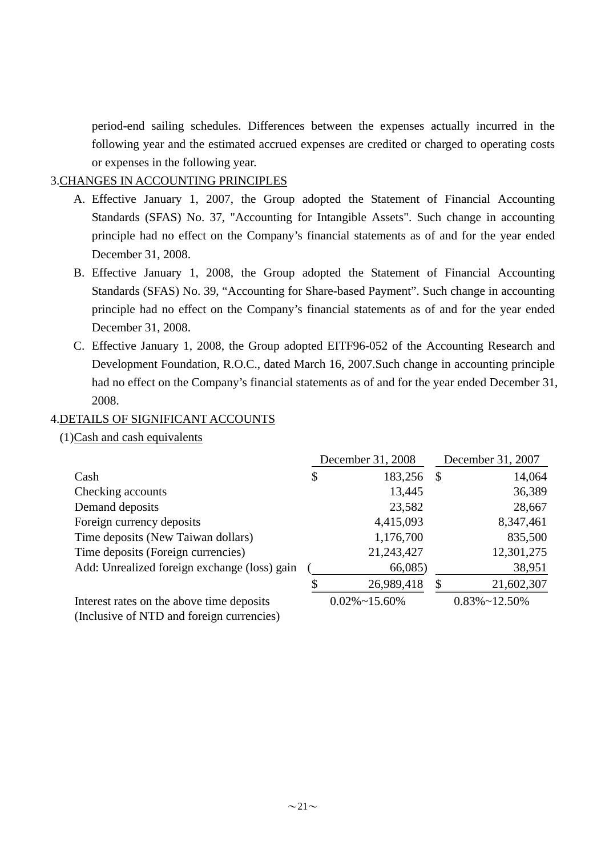period-end sailing schedules. Differences between the expenses actually incurred in the following year and the estimated accrued expenses are credited or charged to operating costs or expenses in the following year.

# 3.CHANGES IN ACCOUNTING PRINCIPLES

- A. Effective January 1, 2007, the Group adopted the Statement of Financial Accounting Standards (SFAS) No. 37, "Accounting for Intangible Assets". Such change in accounting principle had no effect on the Company's financial statements as of and for the year ended December 31, 2008.
- B. Effective January 1, 2008, the Group adopted the Statement of Financial Accounting Standards (SFAS) No. 39, "Accounting for Share-based Payment". Such change in accounting principle had no effect on the Company's financial statements as of and for the year ended December 31, 2008.
- C. Effective January 1, 2008, the Group adopted EITF96-052 of the Accounting Research and Development Foundation, R.O.C., dated March 16, 2007.Such change in accounting principle had no effect on the Company's financial statements as of and for the year ended December 31, 2008.

# 4.DETAILS OF SIGNIFICANT ACCOUNTS

(1)Cash and cash equivalents

|                                              | December 31, 2008 |                       |   | December 31, 2007     |  |  |
|----------------------------------------------|-------------------|-----------------------|---|-----------------------|--|--|
| Cash                                         | \$                | 183,256               | S | 14,064                |  |  |
| Checking accounts                            |                   | 13,445                |   | 36,389                |  |  |
| Demand deposits                              |                   | 23,582                |   | 28,667                |  |  |
| Foreign currency deposits                    |                   | 4,415,093             |   | 8,347,461             |  |  |
| Time deposits (New Taiwan dollars)           |                   | 1,176,700             |   | 835,500               |  |  |
| Time deposits (Foreign currencies)           |                   | 21,243,427            |   | 12,301,275            |  |  |
| Add: Unrealized foreign exchange (loss) gain |                   | 66,085                |   | 38,951                |  |  |
|                                              |                   | 26,989,418            |   | 21,602,307            |  |  |
| Interest rates on the above time deposits    |                   | $0.02\% \sim 15.60\%$ |   | $0.83\% \sim 12.50\%$ |  |  |
| (Inclusive of NTD and foreign currencies)    |                   |                       |   |                       |  |  |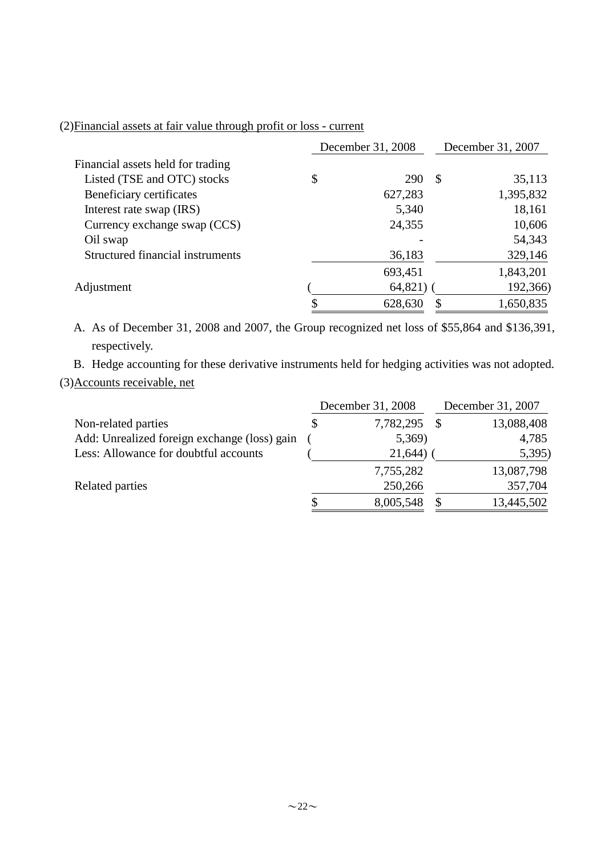# (2)Financial assets at fair value through profit or loss - current

|                                   | December 31, 2008 |            |               | December 31, 2007 |  |  |
|-----------------------------------|-------------------|------------|---------------|-------------------|--|--|
| Financial assets held for trading |                   |            |               |                   |  |  |
| Listed (TSE and OTC) stocks       | \$                | <b>290</b> | $\mathcal{S}$ | 35,113            |  |  |
| Beneficiary certificates          |                   | 627,283    |               | 1,395,832         |  |  |
| Interest rate swap (IRS)          |                   | 5,340      |               | 18,161            |  |  |
| Currency exchange swap (CCS)      |                   | 24,355     |               | 10,606            |  |  |
| Oil swap                          |                   |            |               | 54,343            |  |  |
| Structured financial instruments  |                   | 36,183     |               | 329,146           |  |  |
|                                   |                   | 693,451    |               | 1,843,201         |  |  |
| Adjustment                        |                   | 64,821)    |               | 192,366)          |  |  |
|                                   |                   | 628,630    |               | 1,650,835         |  |  |

A. As of December 31, 2008 and 2007, the Group recognized net loss of \$55,864 and \$136,391, respectively.

B. Hedge accounting for these derivative instruments held for hedging activities was not adopted. (3)Accounts receivable, net

| Non-related parties                          |  | December 31, 2008 | December 31, 2007 |            |  |
|----------------------------------------------|--|-------------------|-------------------|------------|--|
|                                              |  | 7,782,295         |                   | 13,088,408 |  |
| Add: Unrealized foreign exchange (loss) gain |  | 5,369)            |                   | 4,785      |  |
| Less: Allowance for doubtful accounts        |  | 21,644)           |                   | 5,395      |  |
|                                              |  | 7,755,282         |                   | 13,087,798 |  |
| Related parties                              |  | 250,266           |                   | 357,704    |  |
|                                              |  | 8,005,548         |                   | 13,445,502 |  |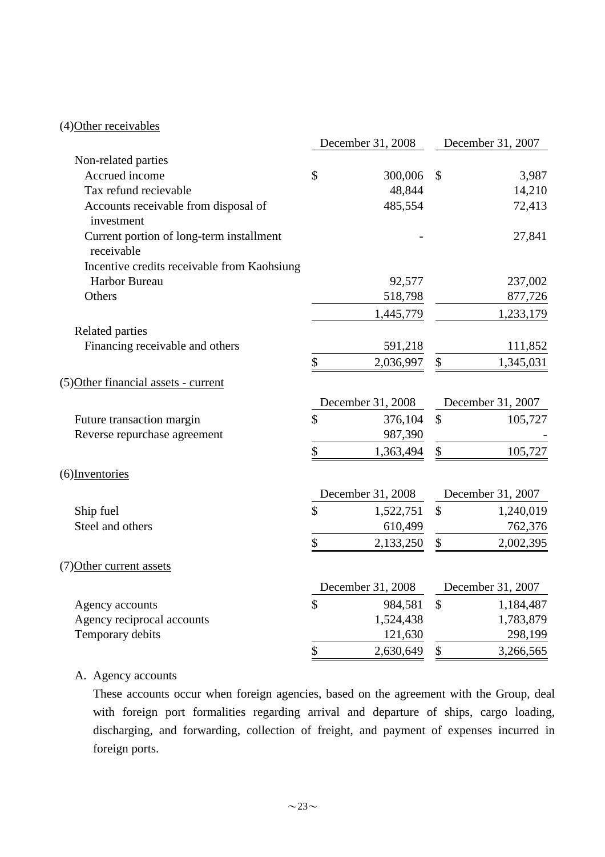# (4)Other receivables

|                                                        | December 31, 2008       | December 31, 2007 |
|--------------------------------------------------------|-------------------------|-------------------|
| Non-related parties                                    |                         |                   |
| Accrued income                                         | \$<br>300,006           | \$<br>3,987       |
| Tax refund recievable                                  | 48,844                  | 14,210            |
| Accounts receivable from disposal of<br>investment     | 485,554                 | 72,413            |
| Current portion of long-term installment<br>receivable |                         | 27,841            |
| Incentive credits receivable from Kaohsiung            |                         |                   |
| <b>Harbor Bureau</b>                                   | 92,577                  | 237,002           |
| Others                                                 | 518,798                 | 877,726           |
|                                                        | 1,445,779               | 1,233,179         |
| Related parties                                        |                         |                   |
| Financing receivable and others                        | 591,218                 | 111,852           |
|                                                        | \$<br>2,036,997         | \$<br>1,345,031   |
| (5) Other financial assets - current                   |                         |                   |
|                                                        | December 31, 2008       | December 31, 2007 |
| Future transaction margin                              | \$<br>376,104           | \$<br>105,727     |
| Reverse repurchase agreement                           | 987,390                 |                   |
|                                                        | \$<br>1,363,494         | \$<br>105,727     |
| (6) Inventories                                        |                         |                   |
|                                                        | December 31, 2008       | December 31, 2007 |
| Ship fuel                                              | \$<br>1,522,751         | \$<br>1,240,019   |
| Steel and others                                       | 610,499                 | 762,376           |
|                                                        | \$<br>2,133,250         | \$<br>2,002,395   |
| (7) Other current assets                               |                         |                   |
|                                                        | December 31, 2008       | December 31, 2007 |
| Agency accounts                                        | $\mathbb{S}$<br>984,581 | \$<br>1,184,487   |
| Agency reciprocal accounts                             | 1,524,438               | 1,783,879         |
| Temporary debits                                       | 121,630                 | 298,199           |
|                                                        | \$<br>2,630,649         | \$<br>3,266,565   |

# A. Agency accounts

These accounts occur when foreign agencies, based on the agreement with the Group, deal with foreign port formalities regarding arrival and departure of ships, cargo loading, discharging, and forwarding, collection of freight, and payment of expenses incurred in foreign ports.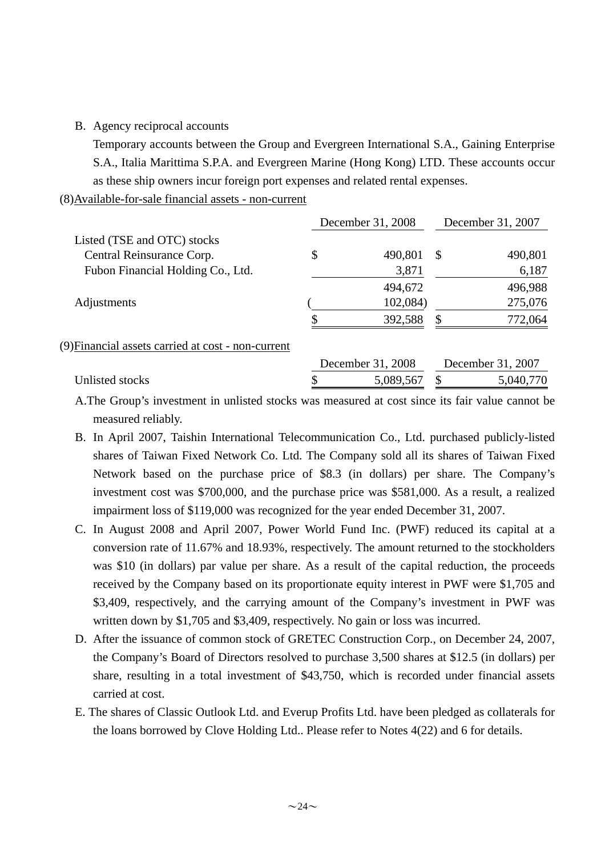B. Agency reciprocal accounts

Temporary accounts between the Group and Evergreen International S.A., Gaining Enterprise S.A., Italia Marittima S.P.A. and Evergreen Marine (Hong Kong) LTD. These accounts occur as these ship owners incur foreign port expenses and related rental expenses.

### (8)Available-for-sale financial assets - non-current

|                                                    | December 31, 2008 | December 31, 2007 |                   |  |  |
|----------------------------------------------------|-------------------|-------------------|-------------------|--|--|
| Listed (TSE and OTC) stocks                        |                   |                   |                   |  |  |
| Central Reinsurance Corp.                          | \$<br>490,801     | -S                | 490,801           |  |  |
| Fubon Financial Holding Co., Ltd.                  | 3,871             |                   | 6,187             |  |  |
|                                                    | 494,672           |                   | 496,988           |  |  |
| Adjustments                                        | 102,084)          |                   | 275,076           |  |  |
|                                                    | 392,588           | \$                | 772,064           |  |  |
| (9) Financial assets carried at cost - non-current |                   |                   |                   |  |  |
|                                                    | December 31, 2008 |                   | December 31, 2007 |  |  |
| Unlisted stocks                                    | 5,089,567         | S                 | 5,040,770         |  |  |

- A.The Group's investment in unlisted stocks was measured at cost since its fair value cannot be measured reliably.
- B. In April 2007, Taishin International Telecommunication Co., Ltd. purchased publicly-listed shares of Taiwan Fixed Network Co. Ltd. The Company sold all its shares of Taiwan Fixed Network based on the purchase price of \$8.3 (in dollars) per share. The Company's investment cost was \$700,000, and the purchase price was \$581,000. As a result, a realized impairment loss of \$119,000 was recognized for the year ended December 31, 2007.
- C. In August 2008 and April 2007, Power World Fund Inc. (PWF) reduced its capital at a conversion rate of 11.67% and 18.93%, respectively. The amount returned to the stockholders was \$10 (in dollars) par value per share. As a result of the capital reduction, the proceeds received by the Company based on its proportionate equity interest in PWF were \$1,705 and \$3,409, respectively, and the carrying amount of the Company's investment in PWF was written down by \$1,705 and \$3,409, respectively. No gain or loss was incurred.
- D. After the issuance of common stock of GRETEC Construction Corp., on December 24, 2007, the Company's Board of Directors resolved to purchase 3,500 shares at \$12.5 (in dollars) per share, resulting in a total investment of \$43,750, which is recorded under financial assets carried at cost.
- E. The shares of Classic Outlook Ltd. and Everup Profits Ltd. have been pledged as collaterals for the loans borrowed by Clove Holding Ltd.. Please refer to Notes 4(22) and 6 for details.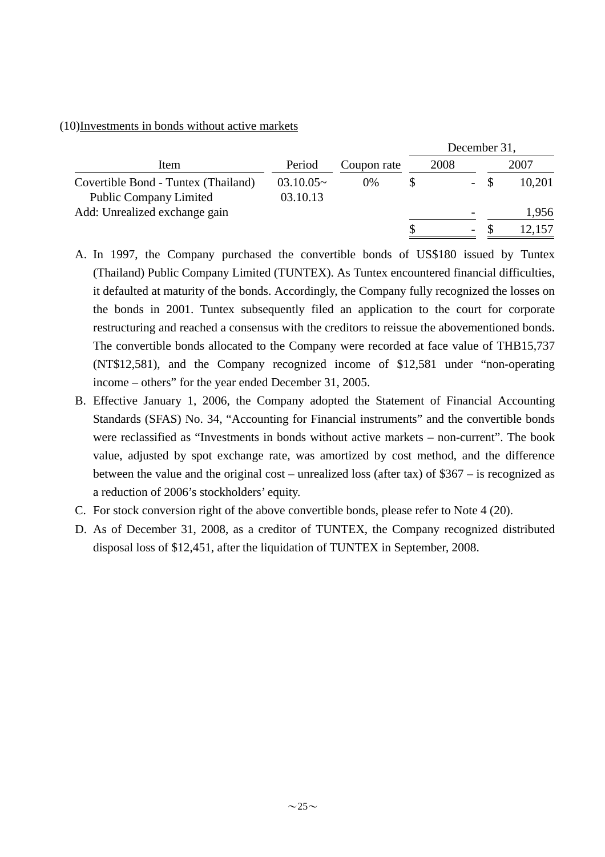#### (10)Investments in bonds without active markets

|                                     |             |             | December 31, |      |     |  |        |
|-------------------------------------|-------------|-------------|--------------|------|-----|--|--------|
| Item                                | Period      | Coupon rate |              | 2008 |     |  | 2007   |
| Covertible Bond - Tuntex (Thailand) | $03.10.05-$ | 0%          |              |      | $-$ |  | 10,201 |
| <b>Public Company Limited</b>       | 03.10.13    |             |              |      |     |  |        |
| Add: Unrealized exchange gain       |             |             |              |      |     |  | 1,956  |
|                                     |             |             |              |      | Ξ.  |  | 12.157 |

- A. In 1997, the Company purchased the convertible bonds of US\$180 issued by Tuntex (Thailand) Public Company Limited (TUNTEX). As Tuntex encountered financial difficulties, it defaulted at maturity of the bonds. Accordingly, the Company fully recognized the losses on the bonds in 2001. Tuntex subsequently filed an application to the court for corporate restructuring and reached a consensus with the creditors to reissue the abovementioned bonds. The convertible bonds allocated to the Company were recorded at face value of THB15,737 (NT\$12,581), and the Company recognized income of \$12,581 under "non-operating income – others" for the year ended December 31, 2005.
- B. Effective January 1, 2006, the Company adopted the Statement of Financial Accounting Standards (SFAS) No. 34, "Accounting for Financial instruments" and the convertible bonds were reclassified as "Investments in bonds without active markets – non-current". The book value, adjusted by spot exchange rate, was amortized by cost method, and the difference between the value and the original cost – unrealized loss (after tax) of \$367 – is recognized as a reduction of 2006's stockholders' equity.
- C. For stock conversion right of the above convertible bonds, please refer to Note 4 (20).
- D. As of December 31, 2008, as a creditor of TUNTEX, the Company recognized distributed disposal loss of \$12,451, after the liquidation of TUNTEX in September, 2008.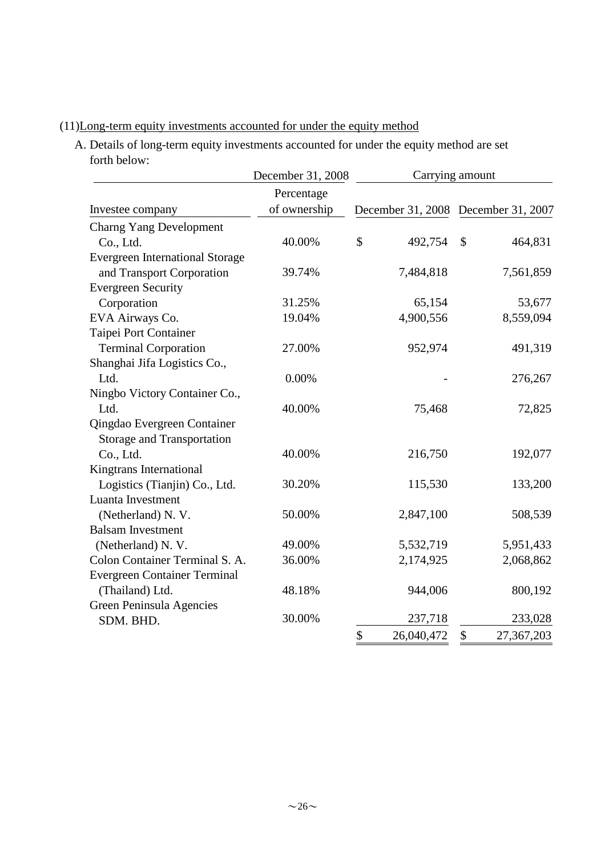# (11)Long-term equity investments accounted for under the equity method

A. Details of long-term equity investments accounted for under the equity method are set forth below:

|                                        | December 31, 2008 | Carrying amount  |                                     |  |  |
|----------------------------------------|-------------------|------------------|-------------------------------------|--|--|
|                                        | Percentage        |                  |                                     |  |  |
| Investee company                       | of ownership      |                  | December 31, 2008 December 31, 2007 |  |  |
| <b>Charng Yang Development</b>         |                   |                  |                                     |  |  |
| Co., Ltd.                              | 40.00%            | \$<br>492,754    | \$<br>464,831                       |  |  |
| <b>Evergreen International Storage</b> |                   |                  |                                     |  |  |
| and Transport Corporation              | 39.74%            | 7,484,818        | 7,561,859                           |  |  |
| <b>Evergreen Security</b>              |                   |                  |                                     |  |  |
| Corporation                            | 31.25%            | 65,154           | 53,677                              |  |  |
| EVA Airways Co.                        | 19.04%            | 4,900,556        | 8,559,094                           |  |  |
| Taipei Port Container                  |                   |                  |                                     |  |  |
| <b>Terminal Corporation</b>            | 27.00%            | 952,974          | 491,319                             |  |  |
| Shanghai Jifa Logistics Co.,           |                   |                  |                                     |  |  |
| Ltd.                                   | 0.00%             |                  | 276,267                             |  |  |
| Ningbo Victory Container Co.,          |                   |                  |                                     |  |  |
| Ltd.                                   | 40.00%            | 75,468           | 72,825                              |  |  |
| Qingdao Evergreen Container            |                   |                  |                                     |  |  |
| Storage and Transportation             |                   |                  |                                     |  |  |
| Co., Ltd.                              | 40.00%            | 216,750          | 192,077                             |  |  |
| Kingtrans International                |                   |                  |                                     |  |  |
| Logistics (Tianjin) Co., Ltd.          | 30.20%            | 115,530          | 133,200                             |  |  |
| Luanta Investment                      |                   |                  |                                     |  |  |
| (Netherland) N. V.                     | 50.00%            | 2,847,100        | 508,539                             |  |  |
| <b>Balsam Investment</b>               |                   |                  |                                     |  |  |
| (Netherland) N. V.                     | 49.00%            | 5,532,719        | 5,951,433                           |  |  |
| Colon Container Terminal S. A.         | 36.00%            | 2,174,925        | 2,068,862                           |  |  |
| <b>Evergreen Container Terminal</b>    |                   |                  |                                     |  |  |
| (Thailand) Ltd.                        | 48.18%            | 944,006          | 800,192                             |  |  |
| Green Peninsula Agencies               |                   |                  |                                     |  |  |
| SDM. BHD.                              | 30.00%            | 237,718          | 233,028                             |  |  |
|                                        |                   | \$<br>26,040,472 | $\mathcal{S}$<br>27,367,203         |  |  |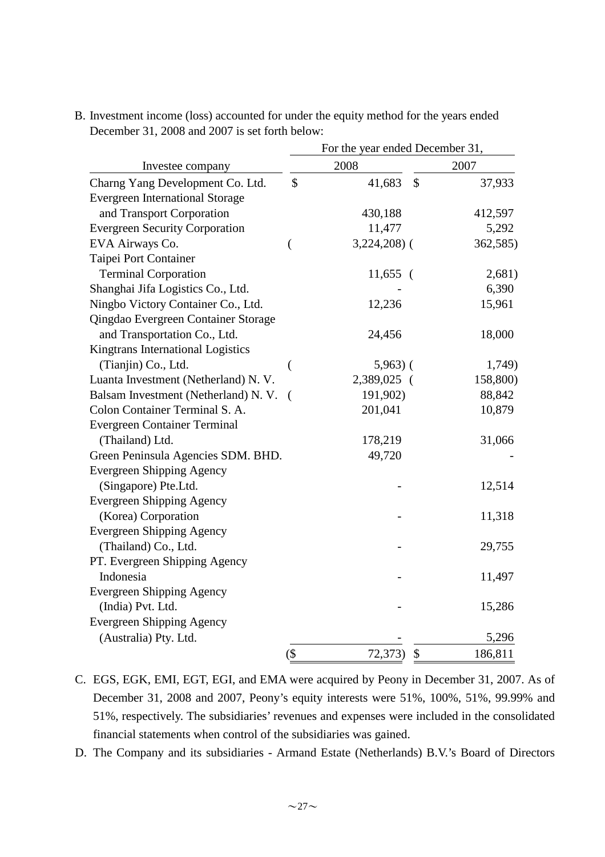|                                        | For the year ended December 31, |               |    |          |  |  |
|----------------------------------------|---------------------------------|---------------|----|----------|--|--|
| Investee company                       |                                 | 2008          |    | 2007     |  |  |
| Charng Yang Development Co. Ltd.       | \$                              | 41,683        | \$ | 37,933   |  |  |
| <b>Evergreen International Storage</b> |                                 |               |    |          |  |  |
| and Transport Corporation              |                                 | 430,188       |    | 412,597  |  |  |
| <b>Evergreen Security Corporation</b>  |                                 | 11,477        |    | 5,292    |  |  |
| EVA Airways Co.                        | $\overline{\phantom{a}}$        | $3,224,208$ ( |    | 362,585) |  |  |
| Taipei Port Container                  |                                 |               |    |          |  |  |
| <b>Terminal Corporation</b>            |                                 | $11,655$ (    |    | 2,681)   |  |  |
| Shanghai Jifa Logistics Co., Ltd.      |                                 |               |    | 6,390    |  |  |
| Ningbo Victory Container Co., Ltd.     |                                 | 12,236        |    | 15,961   |  |  |
| Qingdao Evergreen Container Storage    |                                 |               |    |          |  |  |
| and Transportation Co., Ltd.           |                                 | 24,456        |    | 18,000   |  |  |
| Kingtrans International Logistics      |                                 |               |    |          |  |  |
| (Tianjin) Co., Ltd.                    | (                               | $5,963$ ) (   |    | 1,749)   |  |  |
| Luanta Investment (Netherland) N. V.   |                                 | 2,389,025 (   |    | 158,800) |  |  |
| Balsam Investment (Netherland) N.V.    | $\left($                        | 191,902)      |    | 88,842   |  |  |
| Colon Container Terminal S. A.         |                                 | 201,041       |    | 10,879   |  |  |
| <b>Evergreen Container Terminal</b>    |                                 |               |    |          |  |  |
| (Thailand) Ltd.                        |                                 | 178,219       |    | 31,066   |  |  |
| Green Peninsula Agencies SDM. BHD.     |                                 | 49,720        |    |          |  |  |
| <b>Evergreen Shipping Agency</b>       |                                 |               |    |          |  |  |
| (Singapore) Pte.Ltd.                   |                                 |               |    | 12,514   |  |  |
| <b>Evergreen Shipping Agency</b>       |                                 |               |    |          |  |  |
| (Korea) Corporation                    |                                 |               |    | 11,318   |  |  |
| <b>Evergreen Shipping Agency</b>       |                                 |               |    |          |  |  |
| (Thailand) Co., Ltd.                   |                                 |               |    | 29,755   |  |  |
| PT. Evergreen Shipping Agency          |                                 |               |    |          |  |  |
| Indonesia                              |                                 |               |    | 11,497   |  |  |
| Evergreen Shipping Agency              |                                 |               |    |          |  |  |
| (India) Pvt. Ltd.                      |                                 |               |    | 15,286   |  |  |
| <b>Evergreen Shipping Agency</b>       |                                 |               |    |          |  |  |
| (Australia) Pty. Ltd.                  |                                 |               |    | 5,296    |  |  |
|                                        | $(\$\)$                         | 72,373)       | \$ | 186,811  |  |  |

B. Investment income (loss) accounted for under the equity method for the years ended December 31, 2008 and 2007 is set forth below:

D. The Company and its subsidiaries - Armand Estate (Netherlands) B.V.'s Board of Directors

C. EGS, EGK, EMI, EGT, EGI, and EMA were acquired by Peony in December 31, 2007. As of December 31, 2008 and 2007, Peony's equity interests were 51%, 100%, 51%, 99.99% and 51%, respectively. The subsidiaries' revenues and expenses were included in the consolidated financial statements when control of the subsidiaries was gained.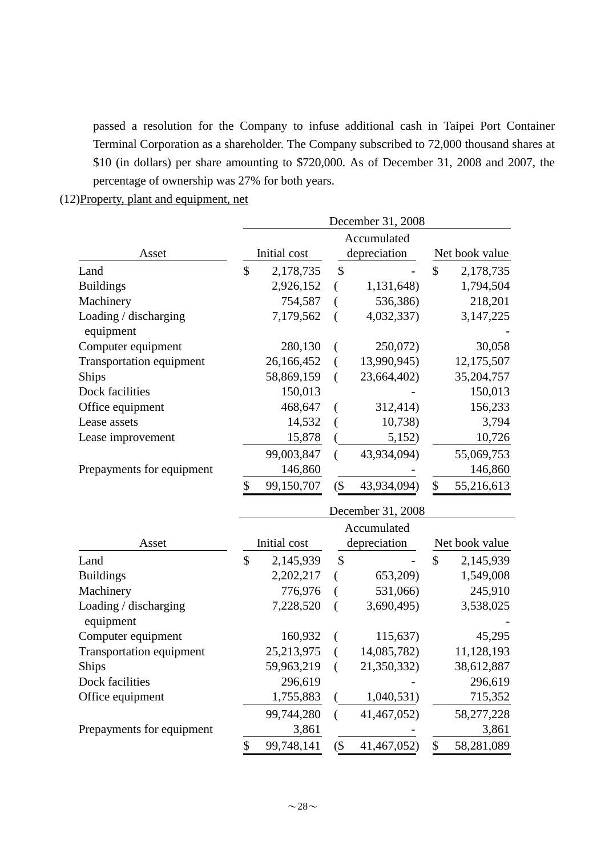passed a resolution for the Company to infuse additional cash in Taipei Port Container Terminal Corporation as a shareholder. The Company subscribed to 72,000 thousand shares at \$10 (in dollars) per share amounting to \$720,000. As of December 31, 2008 and 2007, the percentage of ownership was 27% for both years.

(12)Property, plant and equipment, net

|                                    | December 31, 2008 |              |        |                   |                |                |  |
|------------------------------------|-------------------|--------------|--------|-------------------|----------------|----------------|--|
|                                    |                   |              |        | Accumulated       |                |                |  |
| Asset                              |                   | Initial cost |        | depreciation      | Net book value |                |  |
| Land                               | \$                | 2,178,735    | \$     |                   | \$             | 2,178,735      |  |
| <b>Buildings</b>                   |                   | 2,926,152    | €      | 1,131,648)        |                | 1,794,504      |  |
| Machinery                          |                   | 754,587      | (      | 536,386)          |                | 218,201        |  |
| Loading / discharging<br>equipment |                   | 7,179,562    | (      | 4,032,337)        |                | 3, 147, 225    |  |
| Computer equipment                 |                   | 280,130      | €      | 250,072)          |                | 30,058         |  |
| <b>Transportation equipment</b>    |                   | 26,166,452   | €      | 13,990,945)       |                | 12,175,507     |  |
| <b>Ships</b>                       |                   | 58,869,159   | (      | 23,664,402)       |                | 35,204,757     |  |
| Dock facilities                    |                   | 150,013      |        |                   |                | 150,013        |  |
| Office equipment                   |                   | 468,647      | €      | 312,414)          |                | 156,233        |  |
| Lease assets                       |                   | 14,532       |        | 10,738            |                | 3,794          |  |
| Lease improvement                  |                   | 15,878       |        | 5,152)            |                | 10,726         |  |
|                                    |                   | 99,003,847   | €      | 43,934,094)       |                | 55,069,753     |  |
| Prepayments for equipment          |                   | 146,860      |        |                   |                | 146,860        |  |
|                                    | \$                | 99,150,707   | $($ \$ | 43,934,094)       | \$             | 55,216,613     |  |
|                                    |                   |              |        | December 31, 2008 |                |                |  |
|                                    |                   |              |        | Accumulated       |                |                |  |
| Asset                              |                   | Initial cost |        | depreciation      |                | Net book value |  |
| Land                               | $\mathcal{S}$     | 2,145,939    | \$     |                   | $\mathcal{S}$  | 2,145,939      |  |
| <b>Buildings</b>                   |                   | 2,202,217    | €      | 653,209)          |                | 1,549,008      |  |
| Machinery                          |                   | 776,976      | (      | 531,066)          |                | 245,910        |  |
| Loading / discharging<br>equipment |                   | 7,228,520    | (      | 3,690,495)        |                | 3,538,025      |  |
| Computer equipment                 |                   | 160,932      |        | 115,637)          |                | 45,295         |  |
| <b>Transportation equipment</b>    |                   | 25,213,975   |        | 14,085,782)       |                | 11,128,193     |  |
| Ships                              |                   | 59,963,219   |        | 21,350,332)       |                | 38,612,887     |  |
| Dock facilities                    |                   | 296,619      |        |                   |                | 296,619        |  |
| Office equipment                   |                   | 1,755,883    |        | 1,040,531)        |                | 715,352        |  |
|                                    |                   | 99,744,280   | €      | 41,467,052)       |                | 58,277,228     |  |
| Prepayments for equipment          |                   | 3,861        |        |                   |                | 3,861          |  |
|                                    | \$                | 99,748,141   | $($ \$ | 41,467,052)       | \$             | 58,281,089     |  |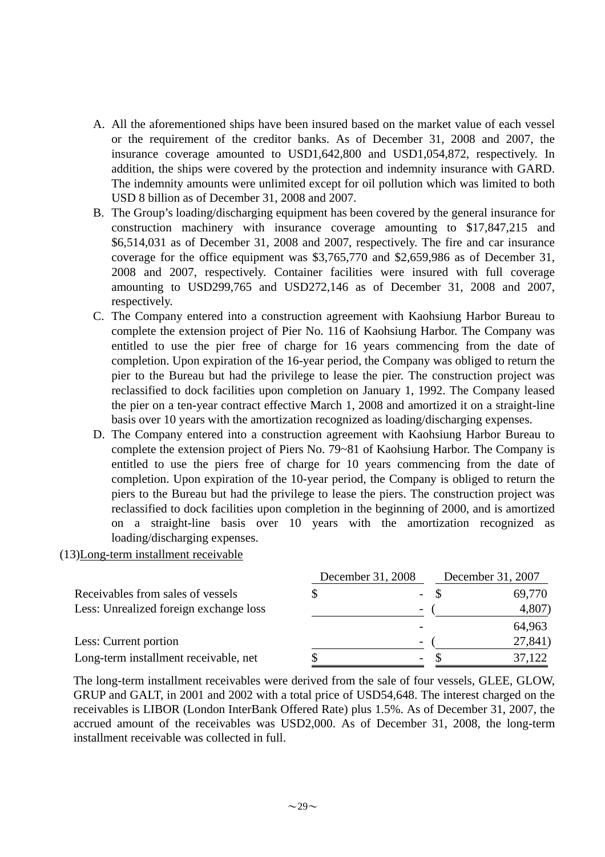- A. All the aforementioned ships have been insured based on the market value of each vessel or the requirement of the creditor banks. As of December 31, 2008 and 2007, the insurance coverage amounted to USD1,642,800 and USD1,054,872, respectively. In addition, the ships were covered by the protection and indemnity insurance with GARD. The indemnity amounts were unlimited except for oil pollution which was limited to both USD 8 billion as of December 31, 2008 and 2007.
- B. The Group's loading/discharging equipment has been covered by the general insurance for construction machinery with insurance coverage amounting to \$17,847,215 and \$6,514,031 as of December 31, 2008 and 2007, respectively. The fire and car insurance coverage for the office equipment was \$3,765,770 and \$2,659,986 as of December 31, 2008 and 2007, respectively. Container facilities were insured with full coverage amounting to USD299,765 and USD272,146 as of December 31, 2008 and 2007, respectively.
- C. The Company entered into a construction agreement with Kaohsiung Harbor Bureau to complete the extension project of Pier No. 116 of Kaohsiung Harbor. The Company was entitled to use the pier free of charge for 16 years commencing from the date of completion. Upon expiration of the 16-year period, the Company was obliged to return the pier to the Bureau but had the privilege to lease the pier. The construction project was reclassified to dock facilities upon completion on January 1, 1992. The Company leased the pier on a ten-year contract effective March 1, 2008 and amortized it on a straight-line basis over 10 years with the amortization recognized as loading/discharging expenses.
- D. The Company entered into a construction agreement with Kaohsiung Harbor Bureau to complete the extension project of Piers No. 79~81 of Kaohsiung Harbor. The Company is entitled to use the piers free of charge for 10 years commencing from the date of completion. Upon expiration of the 10-year period, the Company is obliged to return the piers to the Bureau but had the privilege to lease the piers. The construction project was reclassified to dock facilities upon completion in the beginning of 2000, and is amortized on a straight-line basis over 10 years with the amortization recognized as loading/discharging expenses.

### (13)Long-term installment receivable

|                                        | December 31, 2008 |                          | December 31, 2007 |         |  |
|----------------------------------------|-------------------|--------------------------|-------------------|---------|--|
| Receivables from sales of vessels      |                   | $\overline{\phantom{0}}$ |                   | 69,770  |  |
| Less: Unrealized foreign exchange loss |                   | $\overline{\phantom{a}}$ |                   | 4,807)  |  |
|                                        |                   |                          |                   | 64,963  |  |
| Less: Current portion                  |                   | $\overline{\phantom{0}}$ |                   | 27,841) |  |
| Long-term installment receivable, net  |                   | -                        |                   | 37,122  |  |

The long-term installment receivables were derived from the sale of four vessels, GLEE, GLOW, GRUP and GALT, in 2001 and 2002 with a total price of USD54,648. The interest charged on the receivables is LIBOR (London InterBank Offered Rate) plus 1.5%. As of December 31, 2007, the accrued amount of the receivables was USD2,000. As of December 31, 2008, the long-term installment receivable was collected in full.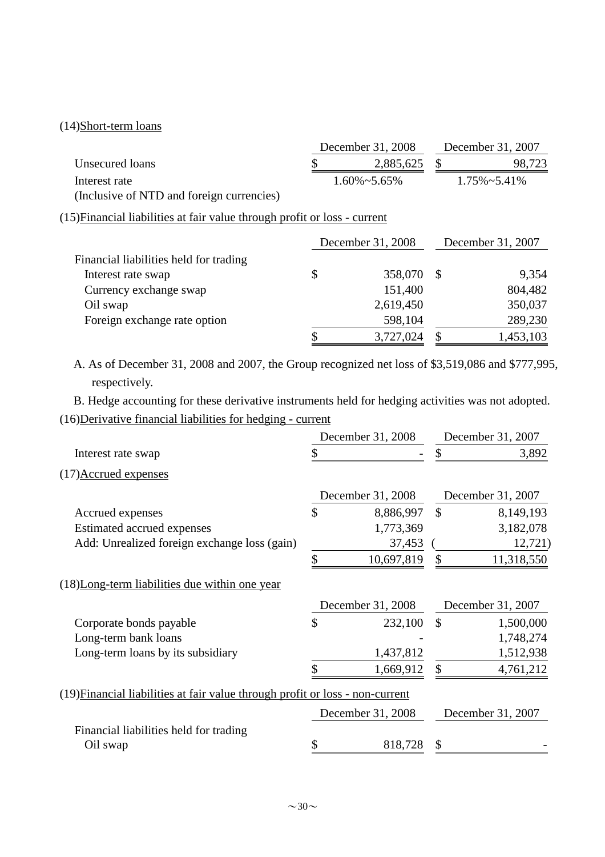# (14)Short-term loans

|                                                                           | December 31, 2008    |              | December 31, 2007    |
|---------------------------------------------------------------------------|----------------------|--------------|----------------------|
| Unsecured loans                                                           | 2,885,625            | \$           | 98,723               |
| Interest rate                                                             | $1.60\% \sim 5.65\%$ |              | $1.75\% \sim 5.41\%$ |
| (Inclusive of NTD and foreign currencies)                                 |                      |              |                      |
| (15) Financial liabilities at fair value through profit or loss - current |                      |              |                      |
|                                                                           | December 31, 2008    |              | December 31, 2007    |
| Financial liabilities held for trading                                    |                      |              |                      |
| Interest rate swap                                                        | \$<br>358,070        | $\mathbb{S}$ | 9,354                |
| Currency exchange swap                                                    | 151,400              |              | 804,482              |
| Oil swap                                                                  | 2,619,450            |              | 350,037              |
| Foreign exchange rate option                                              | 598,104              |              | 289,230              |
|                                                                           | 3,727,024            | \$           | 1,453,103            |

A. As of December 31, 2008 and 2007, the Group recognized net loss of \$3,519,086 and \$777,995, respectively.

B. Hedge accounting for these derivative instruments held for hedging activities was not adopted.

# (16)Derivative financial liabilities for hedging - current

|                                                                               | December 31, 2008 | December 31, 2007 |                   |  |
|-------------------------------------------------------------------------------|-------------------|-------------------|-------------------|--|
| Interest rate swap                                                            |                   |                   | 3,892             |  |
| (17) Accrued expenses                                                         |                   |                   |                   |  |
|                                                                               | December 31, 2008 |                   | December 31, 2007 |  |
| Accrued expenses                                                              | \$<br>8,886,997   | $\mathcal{S}$     | 8,149,193         |  |
| Estimated accrued expenses                                                    | 1,773,369         |                   | 3,182,078         |  |
| Add: Unrealized foreign exchange loss (gain)                                  | 37,453            |                   | 12,721)           |  |
|                                                                               | \$<br>10,697,819  | \$                | 11,318,550        |  |
| (18) Long-term liabilities due within one year                                |                   |                   |                   |  |
|                                                                               | December 31, 2008 |                   | December 31, 2007 |  |
| Corporate bonds payable                                                       | \$<br>232,100     | $\mathcal{S}$     | 1,500,000         |  |
| Long-term bank loans                                                          |                   |                   | 1,748,274         |  |
| Long-term loans by its subsidiary                                             | 1,437,812         |                   | 1,512,938         |  |
|                                                                               | 1,669,912         |                   | 4,761,212         |  |
| (19) Financial liabilities at fair value through profit or loss - non-current |                   |                   |                   |  |
|                                                                               | December 31, 2008 |                   | December 31, 2007 |  |
| Financial liabilities held for trading                                        |                   |                   |                   |  |
| Oil swap                                                                      | 818,728           | \$                |                   |  |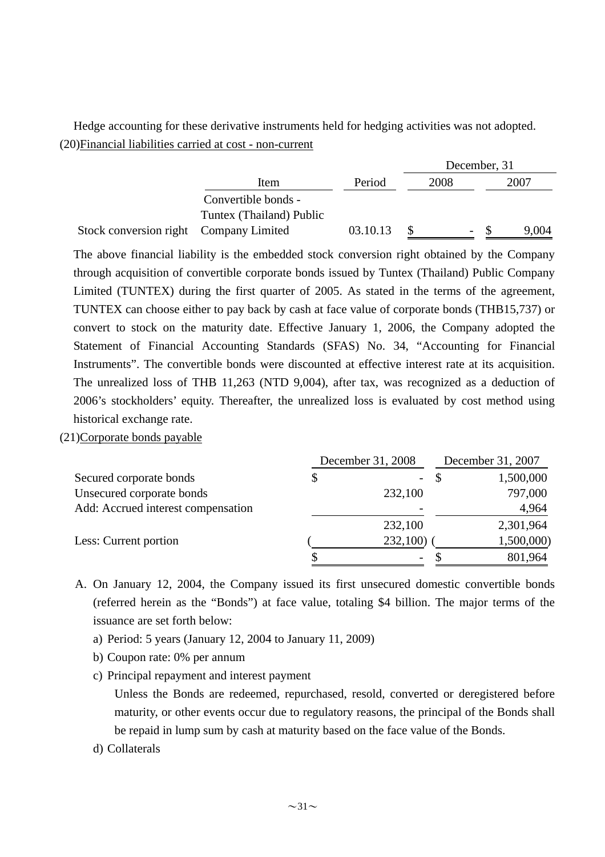Hedge accounting for these derivative instruments held for hedging activities was not adopted. (20)Financial liabilities carried at cost - non-current

|                                        |                          |          | December, 31 |      |        |  |       |
|----------------------------------------|--------------------------|----------|--------------|------|--------|--|-------|
|                                        | Item                     | Period   |              | 2008 |        |  | 2007  |
|                                        | Convertible bonds -      |          |              |      |        |  |       |
|                                        | Tuntex (Thailand) Public |          |              |      |        |  |       |
| Stock conversion right Company Limited |                          | 03.10.13 |              |      | $\sim$ |  | 9.004 |

The above financial liability is the embedded stock conversion right obtained by the Company through acquisition of convertible corporate bonds issued by Tuntex (Thailand) Public Company Limited (TUNTEX) during the first quarter of 2005. As stated in the terms of the agreement, TUNTEX can choose either to pay back by cash at face value of corporate bonds (THB15,737) or convert to stock on the maturity date. Effective January 1, 2006, the Company adopted the Statement of Financial Accounting Standards (SFAS) No. 34, "Accounting for Financial Instruments". The convertible bonds were discounted at effective interest rate at its acquisition. The unrealized loss of THB 11,263 (NTD 9,004), after tax, was recognized as a deduction of 2006's stockholders' equity. Thereafter, the unrealized loss is evaluated by cost method using historical exchange rate.

(21)Corporate bonds payable

|                                    | December 31, 2008              | December 31, 2007 |            |  |
|------------------------------------|--------------------------------|-------------------|------------|--|
| Secured corporate bonds            | \$<br>$\overline{\phantom{a}}$ |                   | 1,500,000  |  |
| Unsecured corporate bonds          | 232,100                        |                   | 797,000    |  |
| Add: Accrued interest compensation |                                |                   | 4,964      |  |
|                                    | 232,100                        |                   | 2,301,964  |  |
| Less: Current portion              | 232,100)                       |                   | 1,500,000) |  |
|                                    |                                |                   | 801,964    |  |

- A. On January 12, 2004, the Company issued its first unsecured domestic convertible bonds (referred herein as the "Bonds") at face value, totaling \$4 billion. The major terms of the issuance are set forth below:
	- a) Period: 5 years (January 12, 2004 to January 11, 2009)
	- b) Coupon rate: 0% per annum
	- c) Principal repayment and interest payment

Unless the Bonds are redeemed, repurchased, resold, converted or deregistered before maturity, or other events occur due to regulatory reasons, the principal of the Bonds shall be repaid in lump sum by cash at maturity based on the face value of the Bonds.

d) Collaterals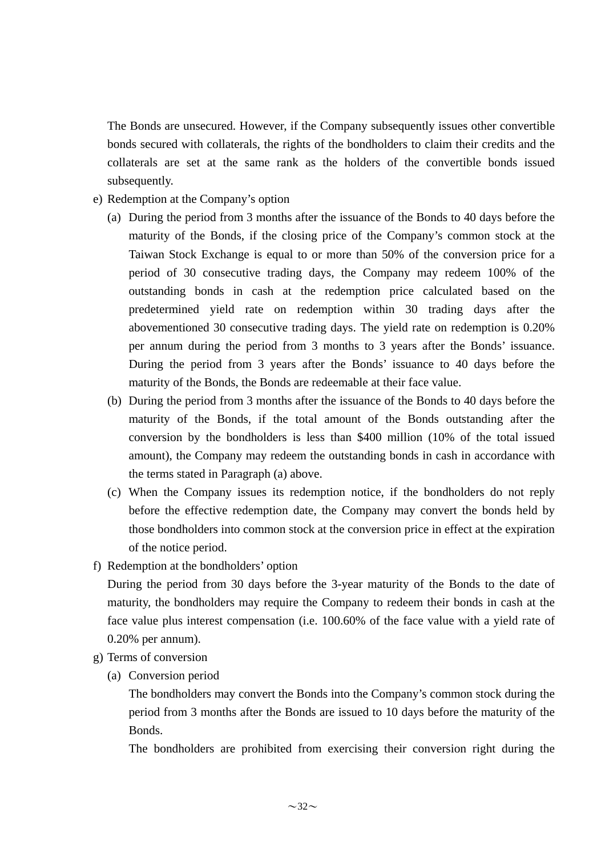The Bonds are unsecured. However, if the Company subsequently issues other convertible bonds secured with collaterals, the rights of the bondholders to claim their credits and the collaterals are set at the same rank as the holders of the convertible bonds issued subsequently.

- e) Redemption at the Company's option
	- (a) During the period from 3 months after the issuance of the Bonds to 40 days before the maturity of the Bonds, if the closing price of the Company's common stock at the Taiwan Stock Exchange is equal to or more than 50% of the conversion price for a period of 30 consecutive trading days, the Company may redeem 100% of the outstanding bonds in cash at the redemption price calculated based on the predetermined yield rate on redemption within 30 trading days after the abovementioned 30 consecutive trading days. The yield rate on redemption is 0.20% per annum during the period from 3 months to 3 years after the Bonds' issuance. During the period from 3 years after the Bonds' issuance to 40 days before the maturity of the Bonds, the Bonds are redeemable at their face value.
	- (b) During the period from 3 months after the issuance of the Bonds to 40 days before the maturity of the Bonds, if the total amount of the Bonds outstanding after the conversion by the bondholders is less than \$400 million (10% of the total issued amount), the Company may redeem the outstanding bonds in cash in accordance with the terms stated in Paragraph (a) above.
	- (c) When the Company issues its redemption notice, if the bondholders do not reply before the effective redemption date, the Company may convert the bonds held by those bondholders into common stock at the conversion price in effect at the expiration of the notice period.
- f) Redemption at the bondholders' option

During the period from 30 days before the 3-year maturity of the Bonds to the date of maturity, the bondholders may require the Company to redeem their bonds in cash at the face value plus interest compensation (i.e. 100.60% of the face value with a yield rate of 0.20% per annum).

- g) Terms of conversion
	- (a) Conversion period

The bondholders may convert the Bonds into the Company's common stock during the period from 3 months after the Bonds are issued to 10 days before the maturity of the Bonds.

The bondholders are prohibited from exercising their conversion right during the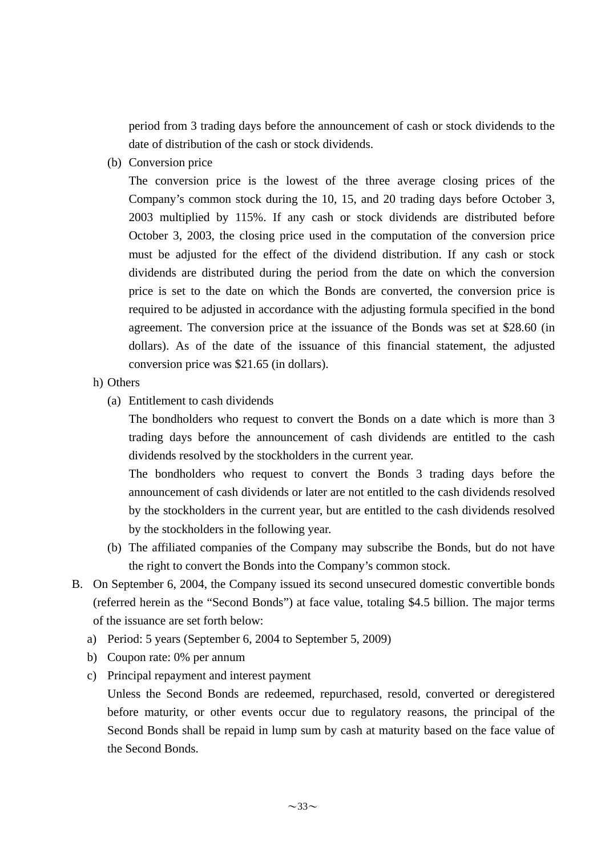period from 3 trading days before the announcement of cash or stock dividends to the date of distribution of the cash or stock dividends.

(b) Conversion price

The conversion price is the lowest of the three average closing prices of the Company's common stock during the 10, 15, and 20 trading days before October 3, 2003 multiplied by 115%. If any cash or stock dividends are distributed before October 3, 2003, the closing price used in the computation of the conversion price must be adjusted for the effect of the dividend distribution. If any cash or stock dividends are distributed during the period from the date on which the conversion price is set to the date on which the Bonds are converted, the conversion price is required to be adjusted in accordance with the adjusting formula specified in the bond agreement. The conversion price at the issuance of the Bonds was set at \$28.60 (in dollars). As of the date of the issuance of this financial statement, the adjusted conversion price was \$21.65 (in dollars).

- h) Others
	- (a) Entitlement to cash dividends

The bondholders who request to convert the Bonds on a date which is more than 3 trading days before the announcement of cash dividends are entitled to the cash dividends resolved by the stockholders in the current year.

The bondholders who request to convert the Bonds 3 trading days before the announcement of cash dividends or later are not entitled to the cash dividends resolved by the stockholders in the current year, but are entitled to the cash dividends resolved by the stockholders in the following year.

- (b) The affiliated companies of the Company may subscribe the Bonds, but do not have the right to convert the Bonds into the Company's common stock.
- B. On September 6, 2004, the Company issued its second unsecured domestic convertible bonds (referred herein as the "Second Bonds") at face value, totaling \$4.5 billion. The major terms of the issuance are set forth below:
	- a) Period: 5 years (September 6, 2004 to September 5, 2009)
	- b) Coupon rate: 0% per annum
	- c) Principal repayment and interest payment

Unless the Second Bonds are redeemed, repurchased, resold, converted or deregistered before maturity, or other events occur due to regulatory reasons, the principal of the Second Bonds shall be repaid in lump sum by cash at maturity based on the face value of the Second Bonds.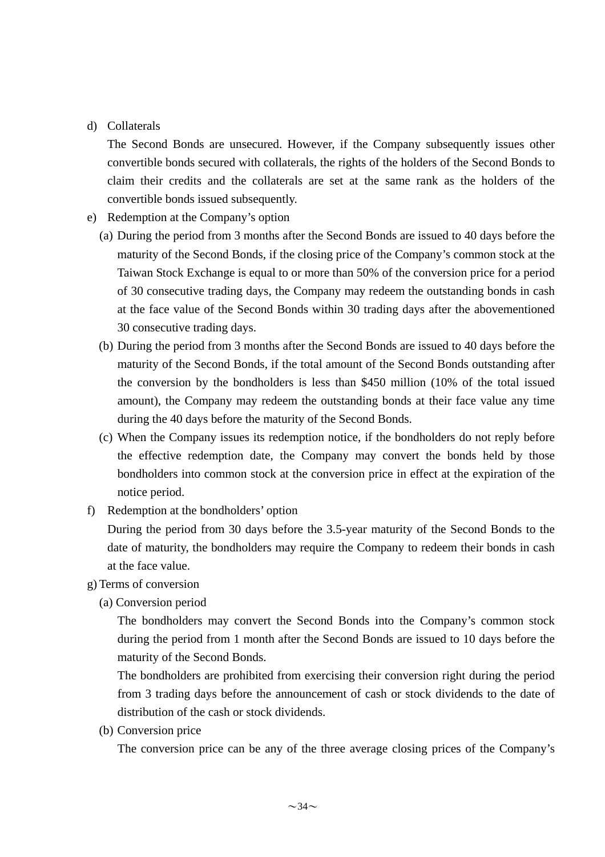### d) Collaterals

The Second Bonds are unsecured. However, if the Company subsequently issues other convertible bonds secured with collaterals, the rights of the holders of the Second Bonds to claim their credits and the collaterals are set at the same rank as the holders of the convertible bonds issued subsequently.

- e) Redemption at the Company's option
	- (a) During the period from 3 months after the Second Bonds are issued to 40 days before the maturity of the Second Bonds, if the closing price of the Company's common stock at the Taiwan Stock Exchange is equal to or more than 50% of the conversion price for a period of 30 consecutive trading days, the Company may redeem the outstanding bonds in cash at the face value of the Second Bonds within 30 trading days after the abovementioned 30 consecutive trading days.
	- (b) During the period from 3 months after the Second Bonds are issued to 40 days before the maturity of the Second Bonds, if the total amount of the Second Bonds outstanding after the conversion by the bondholders is less than \$450 million (10% of the total issued amount), the Company may redeem the outstanding bonds at their face value any time during the 40 days before the maturity of the Second Bonds.
	- (c) When the Company issues its redemption notice, if the bondholders do not reply before the effective redemption date, the Company may convert the bonds held by those bondholders into common stock at the conversion price in effect at the expiration of the notice period.
- f) Redemption at the bondholders' option

During the period from 30 days before the 3.5-year maturity of the Second Bonds to the date of maturity, the bondholders may require the Company to redeem their bonds in cash at the face value.

- g) Terms of conversion
	- (a) Conversion period

The bondholders may convert the Second Bonds into the Company's common stock during the period from 1 month after the Second Bonds are issued to 10 days before the maturity of the Second Bonds.

The bondholders are prohibited from exercising their conversion right during the period from 3 trading days before the announcement of cash or stock dividends to the date of distribution of the cash or stock dividends.

(b) Conversion price

The conversion price can be any of the three average closing prices of the Company's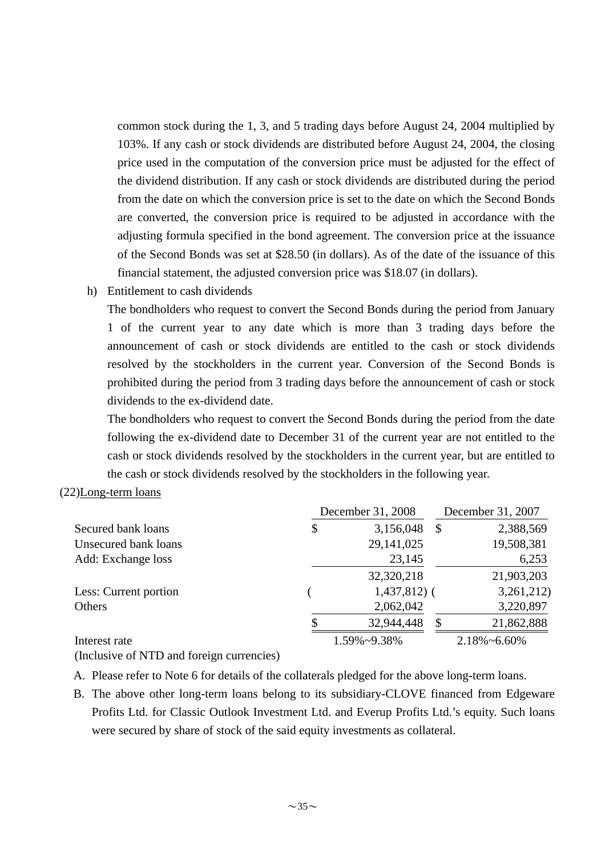common stock during the 1, 3, and 5 trading days before August 24, 2004 multiplied by 103%. If any cash or stock dividends are distributed before August 24, 2004, the closing price used in the computation of the conversion price must be adjusted for the effect of the dividend distribution. If any cash or stock dividends are distributed during the period from the date on which the conversion price is set to the date on which the Second Bonds are converted, the conversion price is required to be adjusted in accordance with the adjusting formula specified in the bond agreement. The conversion price at the issuance of the Second Bonds was set at \$28.50 (in dollars). As of the date of the issuance of this financial statement, the adjusted conversion price was \$18.07 (in dollars).

h) Entitlement to cash dividends

The bondholders who request to convert the Second Bonds during the period from January 1 of the current year to any date which is more than 3 trading days before the announcement of cash or stock dividends are entitled to the cash or stock dividends resolved by the stockholders in the current year. Conversion of the Second Bonds is prohibited during the period from 3 trading days before the announcement of cash or stock dividends to the ex-dividend date.

The bondholders who request to convert the Second Bonds during the period from the date following the ex-dividend date to December 31 of the current year are not entitled to the cash or stock dividends resolved by the stockholders in the current year, but are entitled to the cash or stock dividends resolved by the stockholders in the following year.

#### (22)Long-term loans

|                       | December 31, 2008 |               | December 31, 2007 |                      |
|-----------------------|-------------------|---------------|-------------------|----------------------|
| Secured bank loans    | \$                | 3,156,048     | S                 | 2,388,569            |
| Unsecured bank loans  |                   | 29, 141, 025  |                   | 19,508,381           |
| Add: Exchange loss    |                   | 23,145        |                   | 6,253                |
|                       |                   | 32,320,218    |                   | 21,903,203           |
| Less: Current portion |                   | $1,437,812$ ( |                   | 3,261,212)           |
| Others                |                   | 2,062,042     |                   | 3,220,897            |
|                       |                   | 32,944,448    | -S                | 21,862,888           |
| Interest rate         |                   | 1.59%~9.38%   |                   | $2.18\% \sim 6.60\%$ |

(Inclusive of NTD and foreign currencies)

- A. Please refer to Note 6 for details of the collaterals pledged for the above long-term loans.
- B. The above other long-term loans belong to its subsidiary-CLOVE financed from Edgeware Profits Ltd. for Classic Outlook Investment Ltd. and Everup Profits Ltd.'s equity. Such loans were secured by share of stock of the said equity investments as collateral.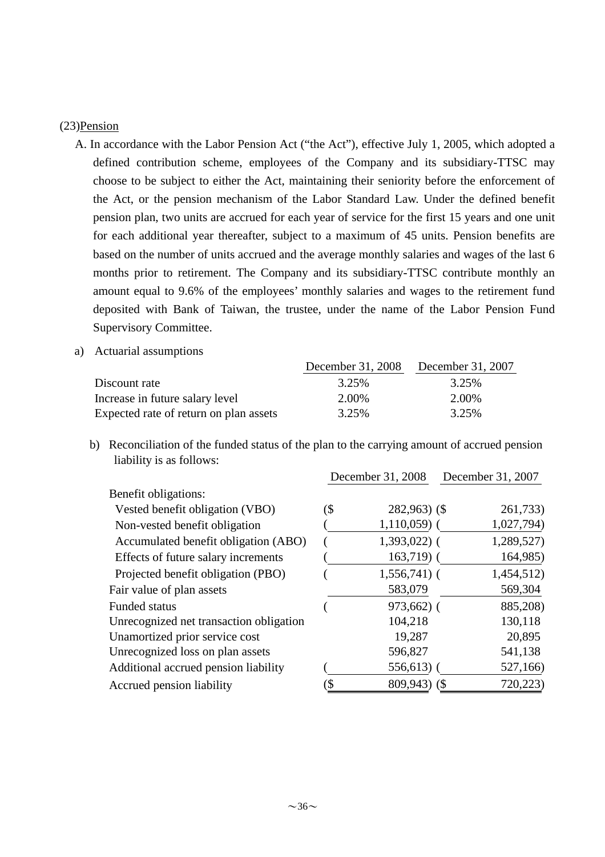#### (23)Pension

- A. In accordance with the Labor Pension Act ("the Act"), effective July 1, 2005, which adopted a defined contribution scheme, employees of the Company and its subsidiary-TTSC may choose to be subject to either the Act, maintaining their seniority before the enforcement of the Act, or the pension mechanism of the Labor Standard Law. Under the defined benefit pension plan, two units are accrued for each year of service for the first 15 years and one unit for each additional year thereafter, subject to a maximum of 45 units. Pension benefits are based on the number of units accrued and the average monthly salaries and wages of the last 6 months prior to retirement. The Company and its subsidiary-TTSC contribute monthly an amount equal to 9.6% of the employees' monthly salaries and wages to the retirement fund deposited with Bank of Taiwan, the trustee, under the name of the Labor Pension Fund Supervisory Committee.
- a) Actuarial assumptions

|                                        | December 31, 2008 | December 31, 2007 |
|----------------------------------------|-------------------|-------------------|
| Discount rate                          | 3.25%             | 3.25%             |
| Increase in future salary level        | 2.00%             | 2.00%             |
| Expected rate of return on plan assets | 3.25%             | 3.25%             |

b) Reconciliation of the funded status of the plan to the carrying amount of accrued pension liability is as follows:

|                                         |     | December 31, 2008 | December 31, 2007 |          |
|-----------------------------------------|-----|-------------------|-------------------|----------|
| Benefit obligations:                    |     |                   |                   |          |
| Vested benefit obligation (VBO)         | (\$ | $282,963$ (\$)    |                   | 261,733) |
| Non-vested benefit obligation           |     | $1,110,059$ (     | 1,027,794)        |          |
| Accumulated benefit obligation (ABO)    |     | $1,393,022$ (     | 1,289,527)        |          |
| Effects of future salary increments     |     | $163,719$ (       |                   | 164,985) |
| Projected benefit obligation (PBO)      |     | $1,556,741$ (     | 1,454,512)        |          |
| Fair value of plan assets               |     | 583,079           |                   | 569,304  |
| <b>Funded status</b>                    |     | 973,662) (        |                   | 885,208) |
| Unrecognized net transaction obligation |     | 104,218           | 130,118           |          |
| Unamortized prior service cost          |     | 19,287            |                   | 20,895   |
| Unrecognized loss on plan assets        |     | 596,827           | 541,138           |          |
| Additional accrued pension liability    |     | $556,613$ (       |                   | 527,166) |
| Accrued pension liability               | \$  | 809,943) (\$      |                   | 720,223) |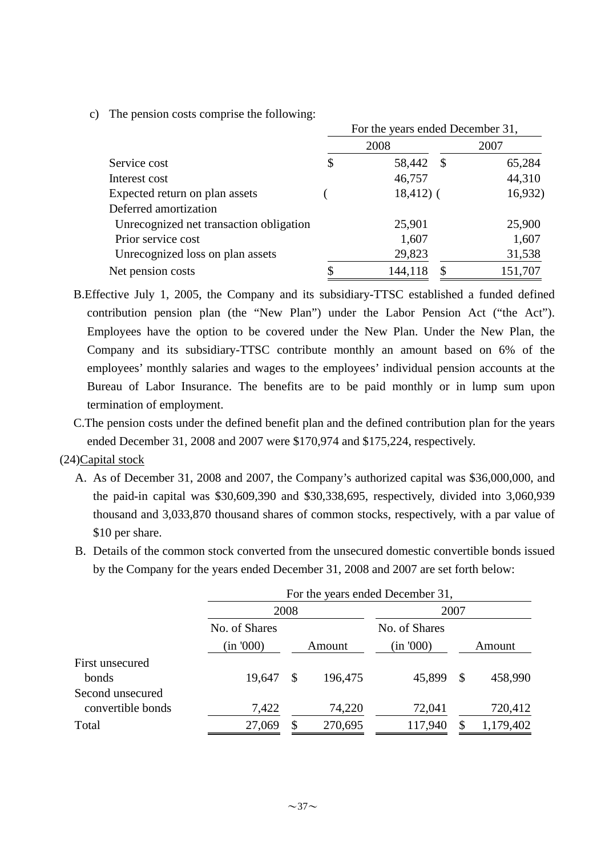c) The pension costs comprise the following:

|                                         | For the years ended December 31, |             |  |         |  |  |  |  |
|-----------------------------------------|----------------------------------|-------------|--|---------|--|--|--|--|
|                                         |                                  | 2008        |  | 2007    |  |  |  |  |
| Service cost                            |                                  | 58,442 \$   |  | 65,284  |  |  |  |  |
| Interest cost                           |                                  | 46,757      |  | 44,310  |  |  |  |  |
| Expected return on plan assets          |                                  | $18,412)$ ( |  | 16,932) |  |  |  |  |
| Deferred amortization                   |                                  |             |  |         |  |  |  |  |
| Unrecognized net transaction obligation |                                  | 25,901      |  | 25,900  |  |  |  |  |
| Prior service cost                      |                                  | 1,607       |  | 1,607   |  |  |  |  |
| Unrecognized loss on plan assets        |                                  | 29,823      |  | 31,538  |  |  |  |  |
| Net pension costs                       |                                  | 144,118     |  | 151,707 |  |  |  |  |

- B.Effective July 1, 2005, the Company and its subsidiary-TTSC established a funded defined contribution pension plan (the "New Plan") under the Labor Pension Act ("the Act"). Employees have the option to be covered under the New Plan. Under the New Plan, the Company and its subsidiary-TTSC contribute monthly an amount based on 6% of the employees' monthly salaries and wages to the employees' individual pension accounts at the Bureau of Labor Insurance. The benefits are to be paid monthly or in lump sum upon termination of employment.
- C.The pension costs under the defined benefit plan and the defined contribution plan for the years ended December 31, 2008 and 2007 were \$170,974 and \$175,224, respectively.

#### (24)Capital stock

- A. As of December 31, 2008 and 2007, the Company's authorized capital was \$36,000,000, and the paid-in capital was \$30,609,390 and \$30,338,695, respectively, divided into 3,060,939 thousand and 3,033,870 thousand shares of common stocks, respectively, with a par value of \$10 per share.
- B. Details of the common stock converted from the unsecured domestic convertible bonds issued by the Company for the years ended December 31, 2008 and 2007 are set forth below:

| For the years ended December 31, |               |         |               |          |           |  |  |  |
|----------------------------------|---------------|---------|---------------|----------|-----------|--|--|--|
|                                  |               |         | 2007          |          |           |  |  |  |
| No. of Shares                    |               |         | No. of Shares |          |           |  |  |  |
| (in '000)                        | Amount        |         | (in '000)     | Amount   |           |  |  |  |
|                                  |               |         |               |          |           |  |  |  |
| 19,647                           | <sup>\$</sup> | 196,475 | 45,899        | <b>S</b> | 458,990   |  |  |  |
|                                  |               |         |               |          |           |  |  |  |
| 7,422                            |               | 74,220  | 72,041        |          | 720,412   |  |  |  |
| 27,069                           | $\mathbb{S}$  | 270,695 | 117,940       |          | 1,179,402 |  |  |  |
|                                  |               | 2008    |               |          |           |  |  |  |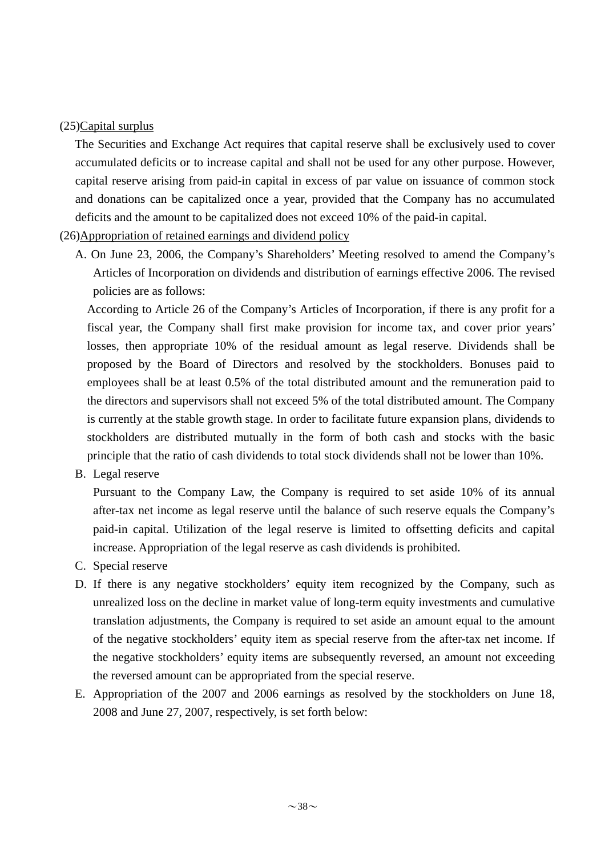#### (25)Capital surplus

The Securities and Exchange Act requires that capital reserve shall be exclusively used to cover accumulated deficits or to increase capital and shall not be used for any other purpose. However, capital reserve arising from paid-in capital in excess of par value on issuance of common stock and donations can be capitalized once a year, provided that the Company has no accumulated deficits and the amount to be capitalized does not exceed 10% of the paid-in capital.

#### (26)Appropriation of retained earnings and dividend policy

A. On June 23, 2006, the Company's Shareholders' Meeting resolved to amend the Company's Articles of Incorporation on dividends and distribution of earnings effective 2006. The revised policies are as follows:

According to Article 26 of the Company's Articles of Incorporation, if there is any profit for a fiscal year, the Company shall first make provision for income tax, and cover prior years' losses, then appropriate 10% of the residual amount as legal reserve. Dividends shall be proposed by the Board of Directors and resolved by the stockholders. Bonuses paid to employees shall be at least 0.5% of the total distributed amount and the remuneration paid to the directors and supervisors shall not exceed 5% of the total distributed amount. The Company is currently at the stable growth stage. In order to facilitate future expansion plans, dividends to stockholders are distributed mutually in the form of both cash and stocks with the basic principle that the ratio of cash dividends to total stock dividends shall not be lower than 10%.

B. Legal reserve

Pursuant to the Company Law, the Company is required to set aside 10% of its annual after-tax net income as legal reserve until the balance of such reserve equals the Company's paid-in capital. Utilization of the legal reserve is limited to offsetting deficits and capital increase. Appropriation of the legal reserve as cash dividends is prohibited.

- C. Special reserve
- D. If there is any negative stockholders' equity item recognized by the Company, such as unrealized loss on the decline in market value of long-term equity investments and cumulative translation adjustments, the Company is required to set aside an amount equal to the amount of the negative stockholders' equity item as special reserve from the after-tax net income. If the negative stockholders' equity items are subsequently reversed, an amount not exceeding the reversed amount can be appropriated from the special reserve.
- E. Appropriation of the 2007 and 2006 earnings as resolved by the stockholders on June 18, 2008 and June 27, 2007, respectively, is set forth below: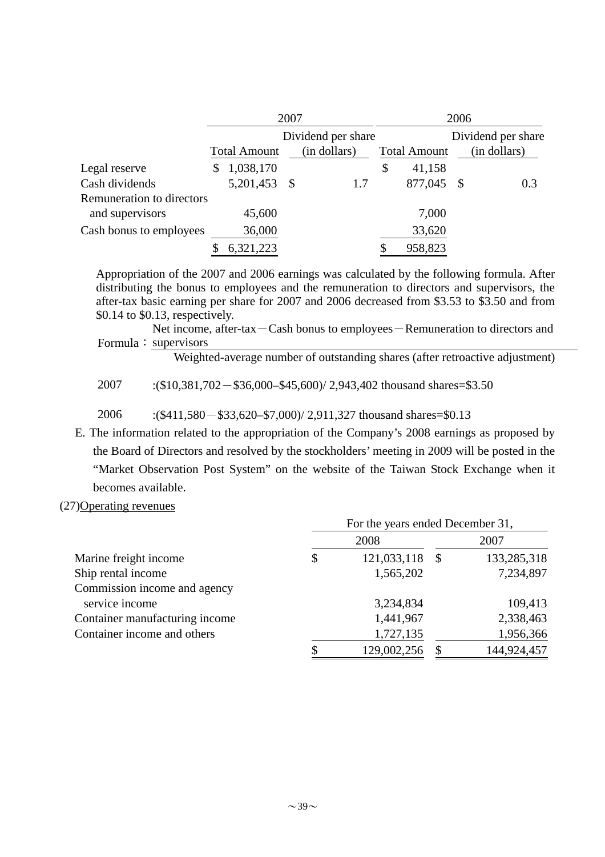|                           | 2007               |                     |  |              |                     | 2006               |              |
|---------------------------|--------------------|---------------------|--|--------------|---------------------|--------------------|--------------|
|                           | Dividend per share |                     |  |              |                     | Dividend per share |              |
|                           |                    | <b>Total Amount</b> |  | (in dollars) | <b>Total Amount</b> |                    | (in dollars) |
| Legal reserve             | \$                 | 1,038,170           |  |              | \$<br>41,158        |                    |              |
| Cash dividends            |                    | 5,201,453 \$        |  | 1.7          | 877,045             | -S                 | 0.3          |
| Remuneration to directors |                    |                     |  |              |                     |                    |              |
| and supervisors           |                    | 45,600              |  |              | 7,000               |                    |              |
| Cash bonus to employees   |                    | 36,000              |  |              | 33,620              |                    |              |
|                           |                    | 6,321,223           |  |              | 958,823             |                    |              |

Appropriation of the 2007 and 2006 earnings was calculated by the following formula. After distributing the bonus to employees and the remuneration to directors and supervisors, the after-tax basic earning per share for 2007 and 2006 decreased from \$3.53 to \$3.50 and from \$0.14 to \$0.13, respectively.

Net income, after-tax-Cash bonus to employees-Remuneration to directors and Formula: supervisors

Weighted-average number of outstanding shares (after retroactive adjustment)

2007 :(\$10,381,702-\$36,000–\$45,600)/ 2,943,402 thousand shares=\$3.50

2006 :(\$411,580-\$33,620–\$7,000)/ 2,911,327 thousand shares=\$0.13

E. The information related to the appropriation of the Company's 2008 earnings as proposed by the Board of Directors and resolved by the stockholders' meeting in 2009 will be posted in the "Market Observation Post System" on the website of the Taiwan Stock Exchange when it becomes available.

(27)Operating revenues

|                                | For the years ended December 31, |             |      |             |  |  |  |  |
|--------------------------------|----------------------------------|-------------|------|-------------|--|--|--|--|
|                                |                                  | 2008        |      | 2007        |  |  |  |  |
| Marine freight income          | \$                               | 121,033,118 | - \$ | 133,285,318 |  |  |  |  |
| Ship rental income             |                                  | 1,565,202   |      | 7,234,897   |  |  |  |  |
| Commission income and agency   |                                  |             |      |             |  |  |  |  |
| service income                 |                                  | 3,234,834   |      | 109,413     |  |  |  |  |
| Container manufacturing income |                                  | 1,441,967   |      | 2,338,463   |  |  |  |  |
| Container income and others    |                                  | 1,727,135   |      | 1,956,366   |  |  |  |  |
|                                | \$                               | 129,002,256 |      | 144,924,457 |  |  |  |  |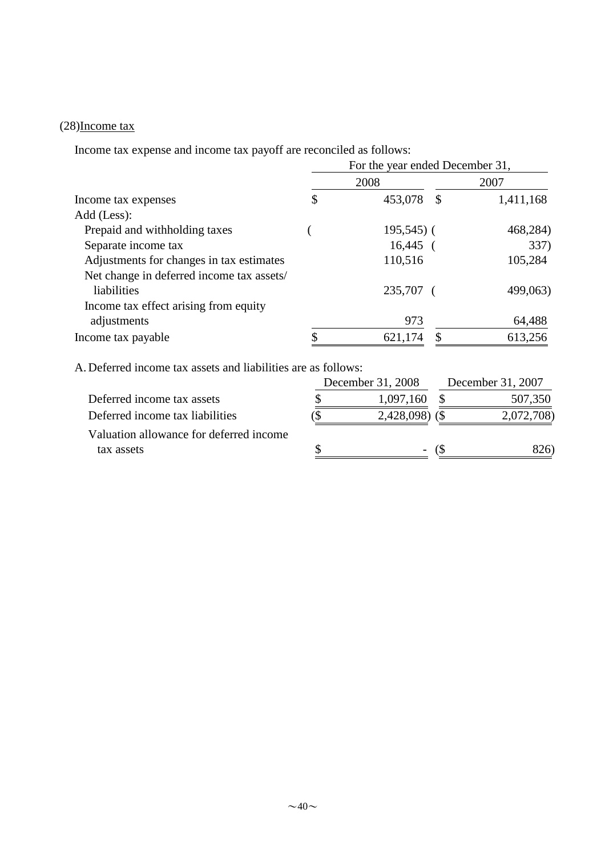## (28)Income tax

Income tax expense and income tax payoff are reconciled as follows:

|                                           | For the year ended December 31, |             |               |           |  |  |  |  |  |
|-------------------------------------------|---------------------------------|-------------|---------------|-----------|--|--|--|--|--|
|                                           |                                 | 2008        |               | 2007      |  |  |  |  |  |
| Income tax expenses                       | \$                              | 453,078     | <sup>\$</sup> | 1,411,168 |  |  |  |  |  |
| Add (Less):                               |                                 |             |               |           |  |  |  |  |  |
| Prepaid and withholding taxes             |                                 | $195,545$ ( |               | 468,284)  |  |  |  |  |  |
| Separate income tax                       |                                 | 16,445      |               | 337)      |  |  |  |  |  |
| Adjustments for changes in tax estimates  |                                 | 110,516     |               | 105,284   |  |  |  |  |  |
| Net change in deferred income tax assets/ |                                 |             |               |           |  |  |  |  |  |
| liabilities                               |                                 | 235,707     |               | 499,063)  |  |  |  |  |  |
| Income tax effect arising from equity     |                                 |             |               |           |  |  |  |  |  |
| adjustments                               |                                 | 973         |               | 64,488    |  |  |  |  |  |
| Income tax payable                        |                                 | 621,174     |               | 613,256   |  |  |  |  |  |

A. Deferred income tax assets and liabilities are as follows:

|                                         | December 31, 2008 | December 31, 2007 |            |  |
|-----------------------------------------|-------------------|-------------------|------------|--|
| Deferred income tax assets              | 1,097,160         |                   | 507,350    |  |
| Deferred income tax liabilities         | 2,428,098)        |                   | 2,072,708) |  |
| Valuation allowance for deferred income |                   |                   |            |  |
| tax assets                              | -                 |                   | 826)       |  |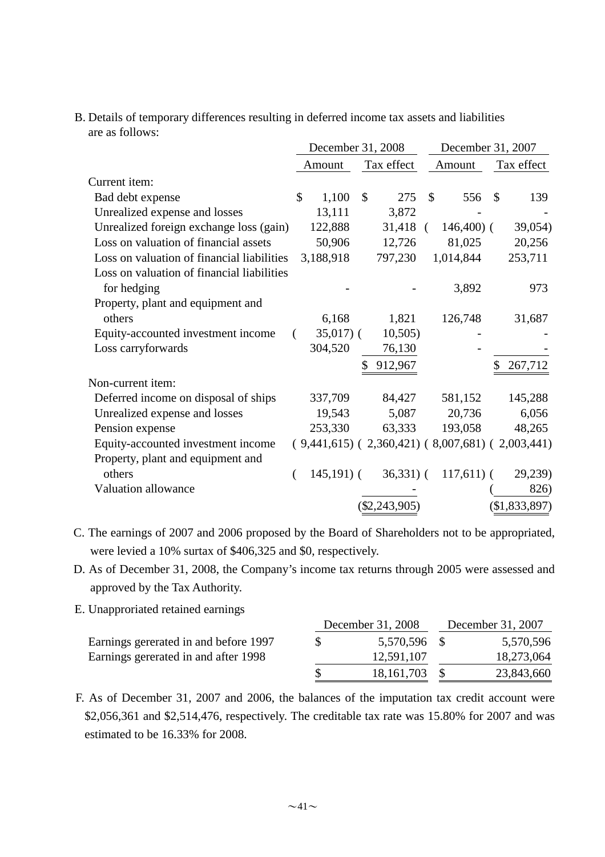B. Details of temporary differences resulting in deferred income tax assets and liabilities are as follows:

|                                            |               | December 31, 2008 |               |                                                   |               | December 31, 2007 |            |               |  |
|--------------------------------------------|---------------|-------------------|---------------|---------------------------------------------------|---------------|-------------------|------------|---------------|--|
|                                            |               | Amount            | Tax effect    |                                                   | Amount        |                   | Tax effect |               |  |
| Current item:                              |               |                   |               |                                                   |               |                   |            |               |  |
| Bad debt expense                           | $\mathcal{S}$ | 1,100             | $\mathcal{S}$ | 275                                               | $\mathcal{S}$ | 556               | \$         | 139           |  |
| Unrealized expense and losses              |               | 13,111            |               | 3,872                                             |               |                   |            |               |  |
| Unrealized foreign exchange loss (gain)    |               | 122,888           |               | $31,418$ (                                        |               | $146,400$ (       |            | 39,054)       |  |
| Loss on valuation of financial assets      |               | 50,906            |               | 12,726                                            |               | 81,025            |            | 20,256        |  |
| Loss on valuation of financial liabilities |               | 3,188,918         |               | 797,230                                           |               | 1,014,844         |            | 253,711       |  |
| Loss on valuation of financial liabilities |               |                   |               |                                                   |               |                   |            |               |  |
| for hedging                                |               |                   |               |                                                   |               | 3,892             |            | 973           |  |
| Property, plant and equipment and          |               |                   |               |                                                   |               |                   |            |               |  |
| others                                     |               | 6,168             |               | 1,821                                             |               | 126,748           |            | 31,687        |  |
| Equity-accounted investment income         |               | $35,017$ ) (      |               | 10,505)                                           |               |                   |            |               |  |
| Loss carryforwards                         |               | 304,520           |               | 76,130                                            |               |                   |            |               |  |
|                                            |               |                   |               | 912,967                                           |               |                   |            | 267,712       |  |
| Non-current item:                          |               |                   |               |                                                   |               |                   |            |               |  |
| Deferred income on disposal of ships       |               | 337,709           |               | 84,427                                            |               | 581,152           |            | 145,288       |  |
| Unrealized expense and losses              |               | 19,543            |               | 5,087                                             |               | 20,736            |            | 6,056         |  |
| Pension expense                            |               | 253,330           |               | 63,333                                            |               | 193,058           |            | 48,265        |  |
| Equity-accounted investment income         |               |                   |               | $(9,441,615) (2,360,421) (8,007,681) (2,003,441)$ |               |                   |            |               |  |
| Property, plant and equipment and          |               |                   |               |                                                   |               |                   |            |               |  |
| others                                     |               | $145,191)$ (      |               | $36,331)$ (                                       |               | $117,611$ ) (     |            | 29,239)       |  |
| Valuation allowance                        |               |                   |               |                                                   |               |                   |            | 826)          |  |
|                                            |               |                   |               | \$2,243,905                                       |               |                   |            | (\$1,833,897) |  |

C. The earnings of 2007 and 2006 proposed by the Board of Shareholders not to be appropriated, were levied a 10% surtax of \$406,325 and \$0, respectively.

- D. As of December 31, 2008, the Company's income tax returns through 2005 were assessed and approved by the Tax Authority.
- E. Unapproriated retained earnings

|                                       | December 31, 2008 | December 31, 2007 |            |  |  |
|---------------------------------------|-------------------|-------------------|------------|--|--|
| Earnings gererated in and before 1997 | 5,570,596 \$      |                   | 5,570,596  |  |  |
| Earnings gererated in and after 1998  | 12,591,107        |                   | 18,273,064 |  |  |
|                                       | 18, 161, 703      |                   | 23,843,660 |  |  |

F. As of December 31, 2007 and 2006, the balances of the imputation tax credit account were \$2,056,361 and \$2,514,476, respectively. The creditable tax rate was 15.80% for 2007 and was estimated to be 16.33% for 2008.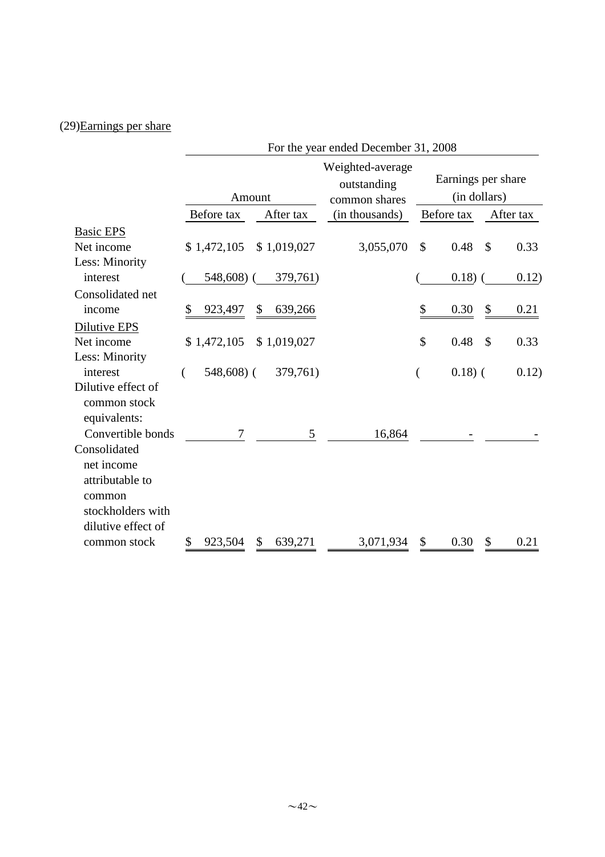# (29)Earnings per share

|                                                                                                    |                  | For the year ended December 31, 2008 |                                 |                    |              |    |           |  |  |  |
|----------------------------------------------------------------------------------------------------|------------------|--------------------------------------|---------------------------------|--------------------|--------------|----|-----------|--|--|--|
|                                                                                                    |                  |                                      | Weighted-average<br>outstanding | Earnings per share |              |    |           |  |  |  |
|                                                                                                    |                  | Amount                               | common shares                   |                    | (in dollars) |    |           |  |  |  |
|                                                                                                    | Before tax       | After tax                            | (in thousands)                  |                    | Before tax   |    | After tax |  |  |  |
| <b>Basic EPS</b>                                                                                   |                  |                                      |                                 |                    |              |    |           |  |  |  |
| Net income                                                                                         | \$1,472,105      | \$1,019,027                          | 3,055,070                       | \$                 | 0.48         | \$ | 0.33      |  |  |  |
| Less: Minority                                                                                     |                  |                                      |                                 |                    |              |    |           |  |  |  |
| interest                                                                                           | 548,608)         | 379,761)                             |                                 |                    | $0.18)$ (    |    | 0.12)     |  |  |  |
| Consolidated net                                                                                   |                  |                                      |                                 |                    |              |    |           |  |  |  |
| income                                                                                             | 923,497<br>\$    | 639,266<br>\$                        |                                 | \$                 | 0.30         | \$ | 0.21      |  |  |  |
| Dilutive EPS                                                                                       |                  |                                      |                                 |                    |              |    |           |  |  |  |
| Net income                                                                                         | \$1,472,105      | \$1,019,027                          |                                 | $\mathcal{S}$      | 0.48         | \$ | 0.33      |  |  |  |
| Less: Minority                                                                                     |                  |                                      |                                 |                    |              |    |           |  |  |  |
| interest                                                                                           | $548,608$ (<br>( | 379,761)                             |                                 | (                  | $0.18)$ (    |    | 0.12)     |  |  |  |
| Dilutive effect of<br>common stock<br>equivalents:                                                 |                  |                                      |                                 |                    |              |    |           |  |  |  |
| Convertible bonds                                                                                  | 7                | 5                                    | 16,864                          |                    |              |    |           |  |  |  |
| Consolidated<br>net income<br>attributable to<br>common<br>stockholders with<br>dilutive effect of |                  |                                      |                                 |                    |              |    |           |  |  |  |
| common stock                                                                                       | \$<br>923,504    | \$<br>639,271                        | 3,071,934                       | \$                 | 0.30         | \$ | 0.21      |  |  |  |
|                                                                                                    |                  |                                      |                                 |                    |              |    |           |  |  |  |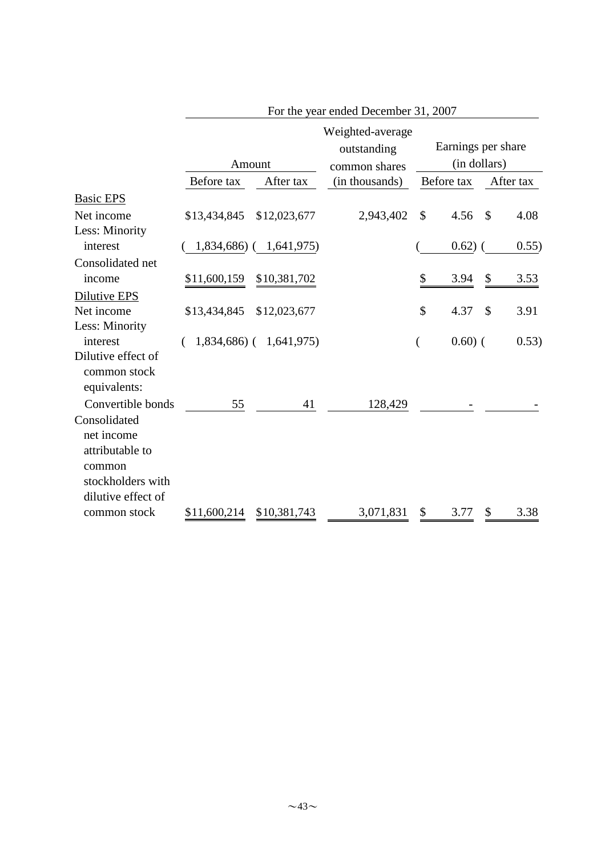|                                                                                                    |                           | For the year ended December 31, 2007 |                                                  |                           |                                    |    |           |  |  |  |
|----------------------------------------------------------------------------------------------------|---------------------------|--------------------------------------|--------------------------------------------------|---------------------------|------------------------------------|----|-----------|--|--|--|
|                                                                                                    |                           | Amount                               | Weighted-average<br>outstanding<br>common shares |                           | Earnings per share<br>(in dollars) |    |           |  |  |  |
|                                                                                                    | Before tax                | After tax                            | (in thousands)                                   |                           | Before tax                         |    | After tax |  |  |  |
| <b>Basic EPS</b>                                                                                   |                           |                                      |                                                  |                           |                                    |    |           |  |  |  |
| Net income                                                                                         | \$13,434,845              | \$12,023,677                         | 2,943,402                                        | $\boldsymbol{\mathsf{S}}$ | 4.56                               | \$ | 4.08      |  |  |  |
| Less: Minority                                                                                     |                           |                                      |                                                  |                           |                                    |    |           |  |  |  |
| interest                                                                                           |                           | 1,834,686) ( 1,641,975)              |                                                  |                           | $0.62)$ (                          |    | 0.55)     |  |  |  |
| Consolidated net                                                                                   |                           |                                      |                                                  |                           |                                    |    |           |  |  |  |
| income                                                                                             | \$11,600,159              | \$10,381,702                         |                                                  | \$                        | 3.94                               | \$ | 3.53      |  |  |  |
| Dilutive EPS                                                                                       |                           |                                      |                                                  |                           |                                    |    |           |  |  |  |
| Net income                                                                                         | \$13,434,845 \$12,023,677 |                                      |                                                  | $\mathcal{S}$             | 4.37                               | \$ | 3.91      |  |  |  |
| Less: Minority                                                                                     |                           |                                      |                                                  |                           |                                    |    |           |  |  |  |
| interest                                                                                           |                           | $1,834,686$ ( $1,641,975$ )          |                                                  |                           | $0.60)$ (                          |    | 0.53)     |  |  |  |
| Dilutive effect of<br>common stock<br>equivalents:                                                 |                           |                                      |                                                  |                           |                                    |    |           |  |  |  |
| Convertible bonds                                                                                  | 55                        | 41                                   | 128,429                                          |                           |                                    |    |           |  |  |  |
| Consolidated<br>net income<br>attributable to<br>common<br>stockholders with<br>dilutive effect of |                           |                                      |                                                  |                           |                                    |    |           |  |  |  |
| common stock                                                                                       | \$11,600,214              | \$10,381,743                         | 3,071,831                                        | \$                        | 3.77                               | \$ | 3.38      |  |  |  |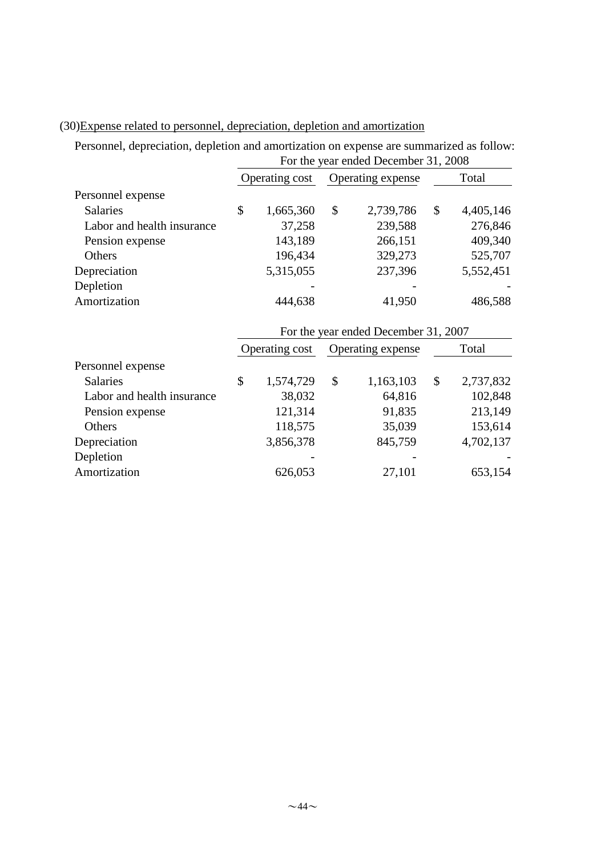|                            | For the year ended December 31, 2008 |                |    |                                      |    |           |  |  |
|----------------------------|--------------------------------------|----------------|----|--------------------------------------|----|-----------|--|--|
|                            |                                      | Operating cost |    | Operating expense                    |    | Total     |  |  |
| Personnel expense          |                                      |                |    |                                      |    |           |  |  |
| <b>Salaries</b>            | \$                                   | 1,665,360      | \$ | 2,739,786                            | \$ | 4,405,146 |  |  |
| Labor and health insurance |                                      | 37,258         |    | 239,588                              |    | 276,846   |  |  |
| Pension expense            |                                      | 143,189        |    | 266,151                              |    | 409,340   |  |  |
| Others                     |                                      | 196,434        |    | 329,273                              |    | 525,707   |  |  |
| Depreciation               |                                      | 5,315,055      |    | 237,396                              |    | 5,552,451 |  |  |
| Depletion                  |                                      |                |    |                                      |    |           |  |  |
| Amortization               |                                      | 444,638        |    | 41,950                               |    | 486,588   |  |  |
|                            |                                      |                |    | For the year ended December 31, 2007 |    |           |  |  |
|                            |                                      | Operating cost |    | Operating expense                    |    | Total     |  |  |
| Personnel expense          |                                      |                |    |                                      |    |           |  |  |
| <b>Salaries</b>            | \$                                   | 1,574,729      | \$ | 1,163,103                            | \$ | 2,737,832 |  |  |
| Labor and health insurance |                                      | 38,032         |    | 64,816                               |    | 102,848   |  |  |
| Pension expense            |                                      | 121,314        |    | 91,835                               |    | 213,149   |  |  |
| Others                     |                                      | 118,575        |    | 35,039                               |    | 153,614   |  |  |
| Depreciation               |                                      | 3,856,378      |    | 845,759                              |    | 4,702,137 |  |  |
| Depletion                  |                                      |                |    |                                      |    |           |  |  |
| Amortization               |                                      | 626,053        |    | 27,101                               |    | 653,154   |  |  |

# (30)Expense related to personnel, depreciation, depletion and amortization

Personnel, depreciation, depletion and amortization on expense are summarized as follow: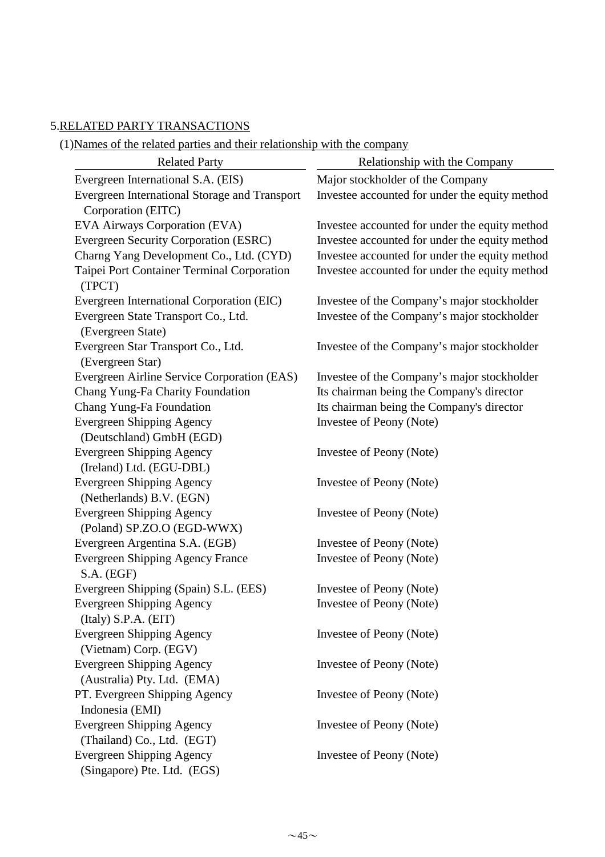#### 5.RELATED PARTY TRANSACTIONS

(1)Names of the related parties and their relationship with the company

| <b>Related Party</b>                                     | Relationship with the Company                  |  |  |  |  |
|----------------------------------------------------------|------------------------------------------------|--|--|--|--|
| Evergreen International S.A. (EIS)                       | Major stockholder of the Company               |  |  |  |  |
| Evergreen International Storage and Transport            | Investee accounted for under the equity method |  |  |  |  |
| Corporation (EITC)                                       |                                                |  |  |  |  |
| EVA Airways Corporation (EVA)                            | Investee accounted for under the equity method |  |  |  |  |
| <b>Evergreen Security Corporation (ESRC)</b>             | Investee accounted for under the equity method |  |  |  |  |
| Charng Yang Development Co., Ltd. (CYD)                  | Investee accounted for under the equity method |  |  |  |  |
| Taipei Port Container Terminal Corporation               | Investee accounted for under the equity method |  |  |  |  |
| (TPCT)                                                   |                                                |  |  |  |  |
| Evergreen International Corporation (EIC)                | Investee of the Company's major stockholder    |  |  |  |  |
| Evergreen State Transport Co., Ltd.<br>(Evergreen State) | Investee of the Company's major stockholder    |  |  |  |  |
| Evergreen Star Transport Co., Ltd.                       | Investee of the Company's major stockholder    |  |  |  |  |
| (Evergreen Star)                                         |                                                |  |  |  |  |
| Evergreen Airline Service Corporation (EAS)              | Investee of the Company's major stockholder    |  |  |  |  |
| Chang Yung-Fa Charity Foundation                         | Its chairman being the Company's director      |  |  |  |  |
| Chang Yung-Fa Foundation                                 | Its chairman being the Company's director      |  |  |  |  |
| <b>Evergreen Shipping Agency</b>                         | Investee of Peony (Note)                       |  |  |  |  |
| (Deutschland) GmbH (EGD)                                 |                                                |  |  |  |  |
| <b>Evergreen Shipping Agency</b>                         | Investee of Peony (Note)                       |  |  |  |  |
| (Ireland) Ltd. (EGU-DBL)                                 |                                                |  |  |  |  |
| <b>Evergreen Shipping Agency</b>                         | Investee of Peony (Note)                       |  |  |  |  |
| (Netherlands) B.V. (EGN)                                 |                                                |  |  |  |  |
| <b>Evergreen Shipping Agency</b>                         | Investee of Peony (Note)                       |  |  |  |  |
| (Poland) SP.ZO.O (EGD-WWX)                               |                                                |  |  |  |  |
| Evergreen Argentina S.A. (EGB)                           | Investee of Peony (Note)                       |  |  |  |  |
| <b>Evergreen Shipping Agency France</b>                  | Investee of Peony (Note)                       |  |  |  |  |
| S.A. (EGF)                                               |                                                |  |  |  |  |
| Evergreen Shipping (Spain) S.L. (EES)                    | Investee of Peony (Note)                       |  |  |  |  |
| <b>Evergreen Shipping Agency</b>                         | Investee of Peony (Note)                       |  |  |  |  |
| (Italy) S.P.A. (EIT)                                     |                                                |  |  |  |  |
| <b>Evergreen Shipping Agency</b>                         | Investee of Peony (Note)                       |  |  |  |  |
| (Vietnam) Corp. (EGV)                                    |                                                |  |  |  |  |
| <b>Evergreen Shipping Agency</b>                         | Investee of Peony (Note)                       |  |  |  |  |
| (Australia) Pty. Ltd. (EMA)                              |                                                |  |  |  |  |
| PT. Evergreen Shipping Agency                            | Investee of Peony (Note)                       |  |  |  |  |
| Indonesia (EMI)                                          |                                                |  |  |  |  |
| <b>Evergreen Shipping Agency</b>                         | Investee of Peony (Note)                       |  |  |  |  |
| (Thailand) Co., Ltd. (EGT)                               |                                                |  |  |  |  |
| <b>Evergreen Shipping Agency</b>                         | Investee of Peony (Note)                       |  |  |  |  |
| (Singapore) Pte. Ltd. (EGS)                              |                                                |  |  |  |  |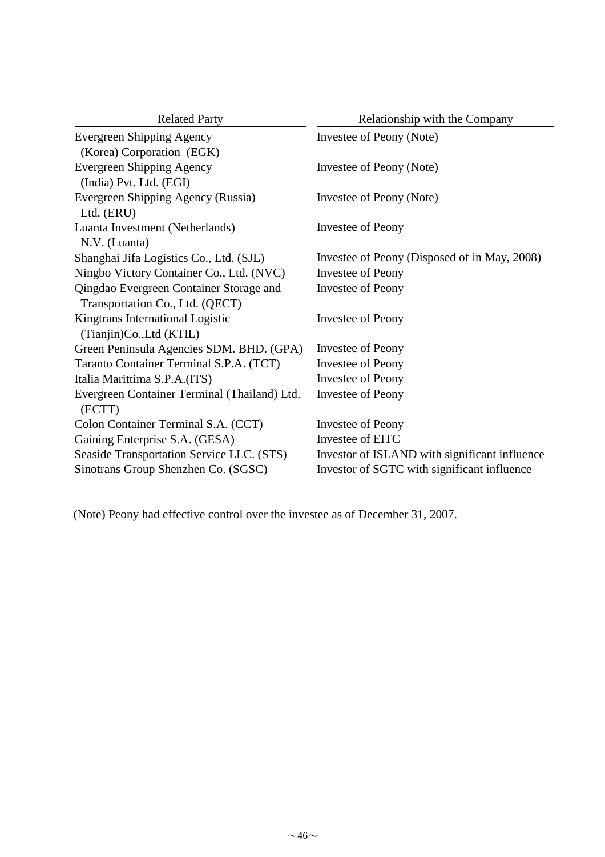| <b>Related Party</b>                                                       | Relationship with the Company                 |
|----------------------------------------------------------------------------|-----------------------------------------------|
| <b>Evergreen Shipping Agency</b><br>(Korea) Corporation (EGK)              | Investee of Peony (Note)                      |
| <b>Evergreen Shipping Agency</b><br>(India) Pvt. Ltd. (EGI)                | Investee of Peony (Note)                      |
| Evergreen Shipping Agency (Russia)<br>Ltd. (ERU)                           | Investee of Peony (Note)                      |
| Luanta Investment (Netherlands)<br>N.V. (Luanta)                           | Investee of Peony                             |
| Shanghai Jifa Logistics Co., Ltd. (SJL)                                    | Investee of Peony (Disposed of in May, 2008)  |
| Ningbo Victory Container Co., Ltd. (NVC)                                   | <b>Investee of Peony</b>                      |
| Qingdao Evergreen Container Storage and<br>Transportation Co., Ltd. (QECT) | <b>Investee of Peony</b>                      |
| Kingtrans International Logistic<br>(Tianjin)Co., Ltd (KTIL)               | Investee of Peony                             |
| Green Peninsula Agencies SDM. BHD. (GPA)                                   | <b>Investee of Peony</b>                      |
| Taranto Container Terminal S.P.A. (TCT)                                    | <b>Investee of Peony</b>                      |
| Italia Marittima S.P.A.(ITS)                                               | <b>Investee of Peony</b>                      |
| Evergreen Container Terminal (Thailand) Ltd.<br>(ECTT)                     | <b>Investee of Peony</b>                      |
| Colon Container Terminal S.A. (CCT)                                        | <b>Investee of Peony</b>                      |
| Gaining Enterprise S.A. (GESA)                                             | Investee of EITC                              |
| Seaside Transportation Service LLC. (STS)                                  | Investor of ISLAND with significant influence |
| Sinotrans Group Shenzhen Co. (SGSC)                                        | Investor of SGTC with significant influence   |

(Note) Peony had effective control over the investee as of December 31, 2007.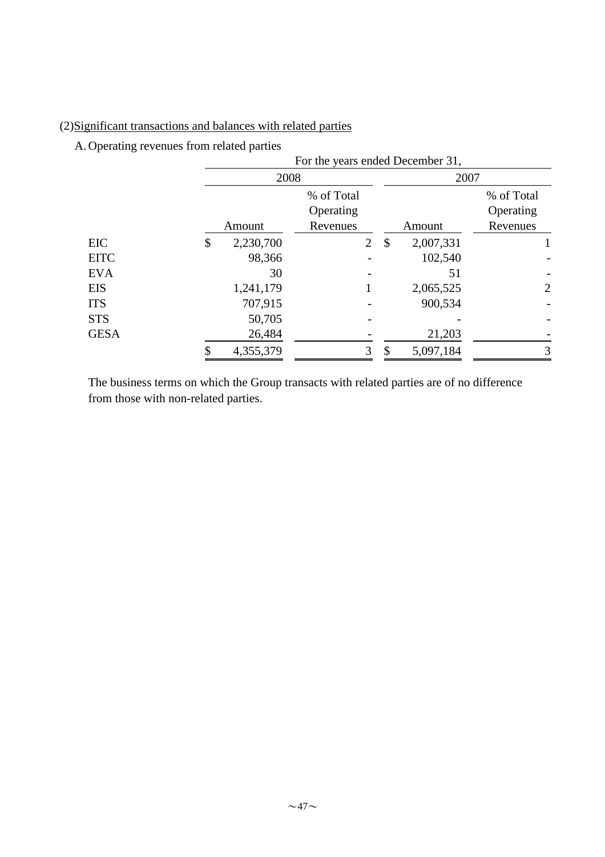# (2)Significant transactions and balances with related parties

A. Operating revenues from related parties

|             | For the years ended December 31, |                                     |    |           |                                     |  |  |  |  |
|-------------|----------------------------------|-------------------------------------|----|-----------|-------------------------------------|--|--|--|--|
|             | 2008                             |                                     |    | 2007      |                                     |  |  |  |  |
|             | Amount                           | % of Total<br>Operating<br>Revenues |    | Amount    | % of Total<br>Operating<br>Revenues |  |  |  |  |
| EIC         | \$<br>2,230,700                  | $\overline{2}$                      | \$ | 2,007,331 |                                     |  |  |  |  |
| <b>EITC</b> | 98,366                           |                                     |    | 102,540   |                                     |  |  |  |  |
| <b>EVA</b>  | 30                               |                                     |    | 51        |                                     |  |  |  |  |
| <b>EIS</b>  | 1,241,179                        |                                     |    | 2,065,525 | $\overline{2}$                      |  |  |  |  |
| <b>ITS</b>  | 707,915                          |                                     |    | 900,534   |                                     |  |  |  |  |
| <b>STS</b>  | 50,705                           |                                     |    |           |                                     |  |  |  |  |
| <b>GESA</b> | 26,484                           |                                     |    | 21,203    |                                     |  |  |  |  |
|             | 4,355,379                        | 3                                   | \$ | 5,097,184 | 3                                   |  |  |  |  |

from those with non-related parties. The business terms on which the Group transacts with related parties are of no difference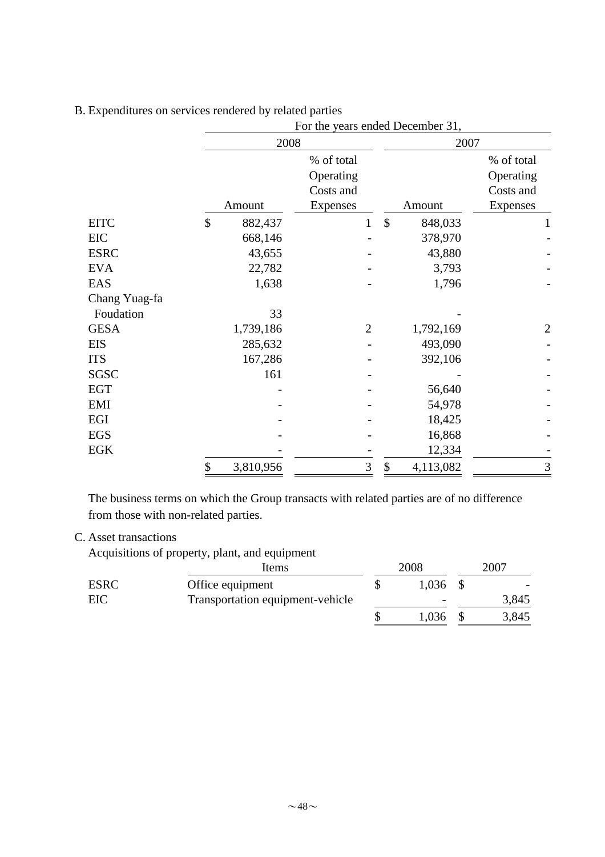| endrates on services rendered by rended parties |               |           | For the years ended December 31, |      |           |                         |  |  |
|-------------------------------------------------|---------------|-----------|----------------------------------|------|-----------|-------------------------|--|--|
|                                                 |               | 2008      |                                  |      | 2007      |                         |  |  |
|                                                 |               |           | % of total<br>Operating          |      |           | % of total<br>Operating |  |  |
|                                                 |               |           | Costs and                        |      |           | Costs and               |  |  |
|                                                 |               | Amount    | <b>Expenses</b>                  |      | Amount    | Expenses                |  |  |
| <b>EITC</b>                                     | $\mathcal{S}$ | 882,437   | 1                                | \$   | 848,033   | 1                       |  |  |
| EIC                                             |               | 668,146   |                                  |      | 378,970   |                         |  |  |
| <b>ESRC</b>                                     |               | 43,655    |                                  |      | 43,880    |                         |  |  |
| <b>EVA</b>                                      |               | 22,782    |                                  |      | 3,793     |                         |  |  |
| EAS                                             |               | 1,638     |                                  |      | 1,796     |                         |  |  |
| Chang Yuag-fa                                   |               |           |                                  |      |           |                         |  |  |
| Foudation                                       |               | 33        |                                  |      |           |                         |  |  |
| <b>GESA</b>                                     |               | 1,739,186 | $\mathfrak{2}$                   |      | 1,792,169 | $\overline{2}$          |  |  |
| <b>EIS</b>                                      |               | 285,632   |                                  |      | 493,090   |                         |  |  |
| <b>ITS</b>                                      |               | 167,286   |                                  |      | 392,106   |                         |  |  |
| SGSC                                            |               | 161       |                                  |      |           |                         |  |  |
| <b>EGT</b>                                      |               |           |                                  |      | 56,640    |                         |  |  |
| <b>EMI</b>                                      |               |           |                                  |      | 54,978    |                         |  |  |
| EGI                                             |               |           |                                  |      | 18,425    |                         |  |  |
| <b>EGS</b>                                      |               |           |                                  |      | 16,868    |                         |  |  |
| EGK                                             |               |           |                                  |      | 12,334    |                         |  |  |
|                                                 | \$            | 3,810,956 | 3                                | $\$$ | 4,113,082 | 3                       |  |  |

B. Expenditures on services rendered by related parties

from those with non-related parties. The business terms on which the Group transacts with related parties are of no difference

#### C. Asset transactions

Acquisitions of property, plant, and equipment

|             | Items                            | 2008                     | 2007  |
|-------------|----------------------------------|--------------------------|-------|
| <b>ESRC</b> | Office equipment                 | 1,036                    |       |
| EIC         | Transportation equipment-vehicle | $\overline{\phantom{0}}$ | 3,845 |
|             |                                  | .036                     | 3,845 |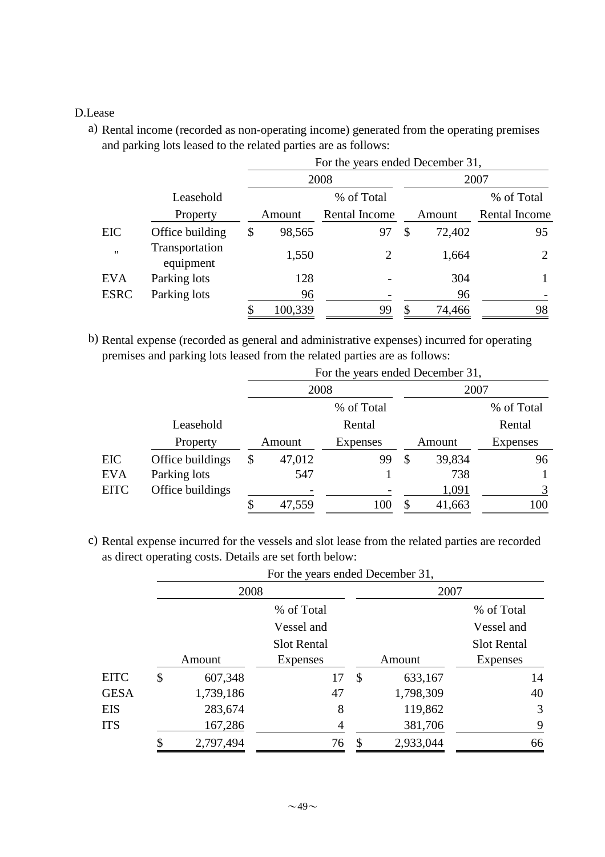#### D.Lease

a) Rental income (recorded as non-operating income) generated from the operating premises and parking lots leased to the related parties are as follows:

|                   |                             | For the years ended December 31, |               |    |        |                |  |  |  |
|-------------------|-----------------------------|----------------------------------|---------------|----|--------|----------------|--|--|--|
|                   |                             |                                  | 2008          |    | 2007   |                |  |  |  |
|                   | Leasehold                   |                                  | % of Total    |    |        | % of Total     |  |  |  |
|                   | Property                    | Amount                           | Rental Income |    | Amount | Rental Income  |  |  |  |
| <b>EIC</b>        | Office building             | \$<br>98,565                     | 97            | \$ | 72,402 | 95             |  |  |  |
| $^{\prime\prime}$ | Transportation<br>equipment | 1,550                            | 2             |    | 1,664  | $\overline{2}$ |  |  |  |
| <b>EVA</b>        | Parking lots                | 128                              |               |    | 304    |                |  |  |  |
| <b>ESRC</b>       | Parking lots                | 96                               |               |    | 96     |                |  |  |  |
|                   |                             | 100,339                          | 99            |    | 74,466 | 98             |  |  |  |

b) Rental expense (recorded as general and administrative expenses) incurred for operating premises and parking lots leased from the related parties are as follows:

|             |                  |                           | For the years ended December 31, |    |        |                 |
|-------------|------------------|---------------------------|----------------------------------|----|--------|-----------------|
|             |                  | 2008                      |                                  |    | 2007   |                 |
|             |                  |                           | % of Total                       |    |        | % of Total      |
|             | Leasehold        |                           | Rental                           |    |        | Rental          |
|             | Property         | Amount<br><b>Expenses</b> |                                  |    | Amount | <b>Expenses</b> |
| <b>EIC</b>  | Office buildings | \$<br>47,012              | 99                               | \$ | 39,834 | 96              |
| <b>EVA</b>  | Parking lots     | 547                       |                                  |    | 738    |                 |
| <b>EITC</b> | Office buildings |                           |                                  |    | 1,091  | 3               |
|             |                  | 47,559                    | 100                              |    | 41,663 | 100             |

c) Rental expense incurred for the vessels and slot lease from the related parties are recorded as direct operating costs. Details are set forth below:

|             |    |           | For the years ended December 31, |      |           |                    |  |  |  |
|-------------|----|-----------|----------------------------------|------|-----------|--------------------|--|--|--|
|             |    | 2008      |                                  | 2007 |           |                    |  |  |  |
|             |    |           | % of Total                       |      |           | % of Total         |  |  |  |
|             |    |           | Vessel and                       |      |           | Vessel and         |  |  |  |
|             |    |           | <b>Slot Rental</b>               |      |           | <b>Slot Rental</b> |  |  |  |
|             |    | Amount    | <b>Expenses</b>                  |      | Amount    | Expenses           |  |  |  |
| <b>EITC</b> | \$ | 607,348   | 17                               | \$   | 633,167   | 14                 |  |  |  |
| <b>GESA</b> |    | 1,739,186 | 47                               |      | 1,798,309 | 40                 |  |  |  |
| EIS         |    | 283,674   | 8                                |      | 119,862   | 3                  |  |  |  |
| <b>ITS</b>  |    | 167,286   | 4                                |      | 381,706   | 9                  |  |  |  |
|             |    | 2,797,494 | 76                               | \$   | 2,933,044 | 66                 |  |  |  |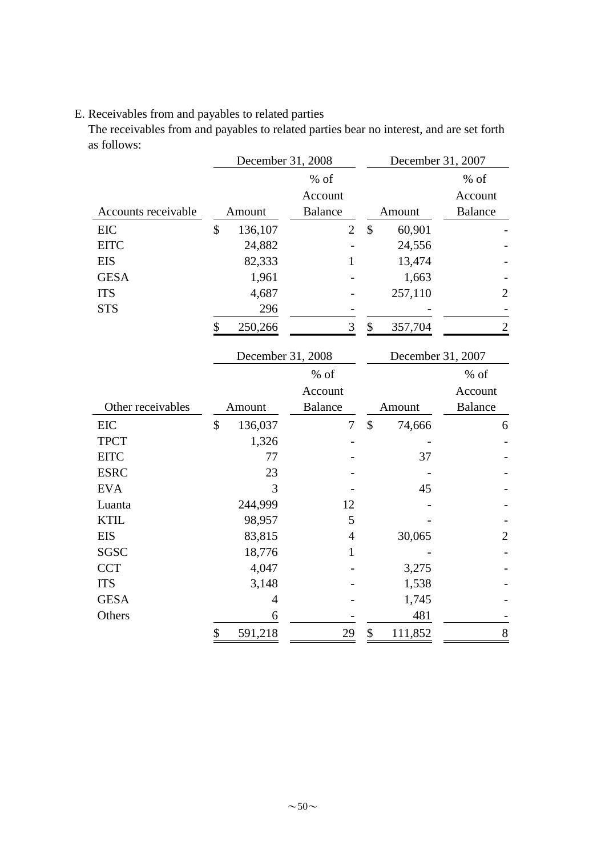# E. Receivables from and payables to related parties

The receivables from and payables to related parties bear no interest, and are set forth as follows:

|                     | December 31, 2008 |                |               | December 31, 2007 |                |
|---------------------|-------------------|----------------|---------------|-------------------|----------------|
|                     |                   | $%$ of         |               |                   | $%$ of         |
|                     |                   | Account        |               |                   | Account        |
| Accounts receivable | Amount            | <b>Balance</b> |               | Amount            | <b>Balance</b> |
| <b>EIC</b>          | \$<br>136,107     | $\overline{2}$ | $\mathcal{S}$ | 60,901            |                |
| <b>EITC</b>         | 24,882            |                |               | 24,556            |                |
| <b>EIS</b>          | 82,333            | $\mathbf{1}$   |               | 13,474            |                |
| <b>GESA</b>         | 1,961             |                |               | 1,663             |                |
| <b>ITS</b>          | 4,687             |                |               | 257,110           | 2              |
| <b>STS</b>          | 296               |                |               |                   |                |
|                     | \$<br>250,266     | 3              | \$            | 357,704           | $\overline{c}$ |
|                     | December 31, 2008 |                |               | December 31, 2007 |                |
|                     |                   | $%$ of         |               |                   | $%$ of         |
|                     |                   | Account        |               |                   | Account        |
|                     |                   |                |               |                   |                |
| Other receivables   | Amount            | <b>Balance</b> |               | Amount            | <b>Balance</b> |
| <b>EIC</b>          | \$<br>136,037     | $\tau$         | \$            | 74,666            | 6              |
| <b>TPCT</b>         | 1,326             |                |               |                   |                |
| <b>EITC</b>         | 77                |                |               | 37                |                |
| <b>ESRC</b>         | 23                |                |               |                   |                |
| <b>EVA</b>          | 3                 |                |               | 45                |                |
| Luanta              | 244,999           | 12             |               |                   |                |
| <b>KTIL</b>         | 98,957            | 5              |               |                   |                |
| <b>EIS</b>          | 83,815            | $\overline{4}$ |               | 30,065            | $\overline{2}$ |
| SGSC                | 18,776            | 1              |               |                   |                |
| <b>CCT</b>          | 4,047             |                |               | 3,275             |                |
| <b>ITS</b>          | 3,148             |                |               | 1,538             |                |
| <b>GESA</b>         | 4                 |                |               | 1,745             |                |
| Others              | 6                 |                |               | 481               |                |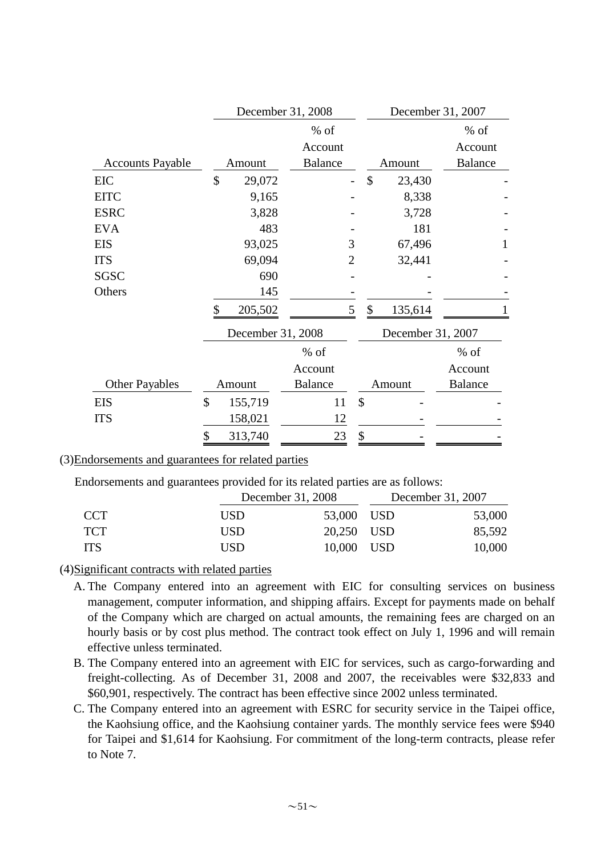|                         |               | December 31, 2008 |                |                | December 31, 2007 |                   |                |              |
|-------------------------|---------------|-------------------|----------------|----------------|-------------------|-------------------|----------------|--------------|
|                         |               |                   | $%$ of         |                |                   |                   | $%$ of         |              |
|                         |               |                   | Account        |                |                   |                   | Account        |              |
| <b>Accounts Payable</b> |               | Amount            | <b>Balance</b> |                |                   | Amount            | <b>Balance</b> |              |
| <b>EIC</b>              | \$            | 29,072            |                |                | \$                | 23,430            |                |              |
| <b>EITC</b>             |               | 9,165             |                |                |                   | 8,338             |                |              |
| <b>ESRC</b>             |               | 3,828             |                |                |                   | 3,728             |                |              |
| <b>EVA</b>              |               | 483               |                |                |                   | 181               |                |              |
| <b>EIS</b>              |               | 93,025            |                | 3              |                   | 67,496            |                | $\mathbf{1}$ |
| <b>ITS</b>              |               | 69,094            |                | $\overline{2}$ |                   | 32,441            |                |              |
| <b>SGSC</b>             |               | 690               |                |                |                   |                   |                |              |
| Others                  |               | 145               |                |                |                   |                   |                |              |
|                         | \$            | 205,502           |                | 5              | \$                | 135,614           |                |              |
|                         |               | December 31, 2008 |                |                |                   | December 31, 2007 |                |              |
|                         |               |                   | $%$ of         |                |                   |                   | $%$ of         |              |
|                         |               |                   | Account        |                |                   |                   | Account        |              |
| <b>Other Payables</b>   |               | Amount            | <b>Balance</b> |                |                   | Amount            | <b>Balance</b> |              |
| <b>EIS</b>              | $\mathcal{S}$ | 155,719           | 11             | \$             |                   |                   |                |              |
| <b>ITS</b>              |               | 158,021           | 12             |                |                   |                   |                |              |
|                         | \$            | 313,740           | 23             | \$             |                   |                   |                |              |

#### (3)Endorsements and guarantees for related parties

Endorsements and guarantees provided for its related parties are as follows:

|            |     | December 31, 2008 | December 31, 2007 |        |  |
|------------|-----|-------------------|-------------------|--------|--|
| CCT.       | USD | 53,000 USD        |                   | 53,000 |  |
| <b>TCT</b> | USD | 20,250 USD        |                   | 85,592 |  |
| <b>TTS</b> | USD | 10,000 USD        |                   | 10,000 |  |

#### (4)Significant contracts with related parties

- A. The Company entered into an agreement with EIC for consulting services on business management, computer information, and shipping affairs. Except for payments made on behalf of the Company which are charged on actual amounts, the remaining fees are charged on an hourly basis or by cost plus method. The contract took effect on July 1, 1996 and will remain effective unless terminated.
- B. The Company entered into an agreement with EIC for services, such as cargo-forwarding and freight-collecting. As of December 31, 2008 and 2007, the receivables were \$32,833 and \$60,901, respectively. The contract has been effective since 2002 unless terminated.
- C. The Company entered into an agreement with ESRC for security service in the Taipei office, the Kaohsiung office, and the Kaohsiung container yards. The monthly service fees were \$940 for Taipei and \$1,614 for Kaohsiung. For commitment of the long-term contracts, please refer to Note 7.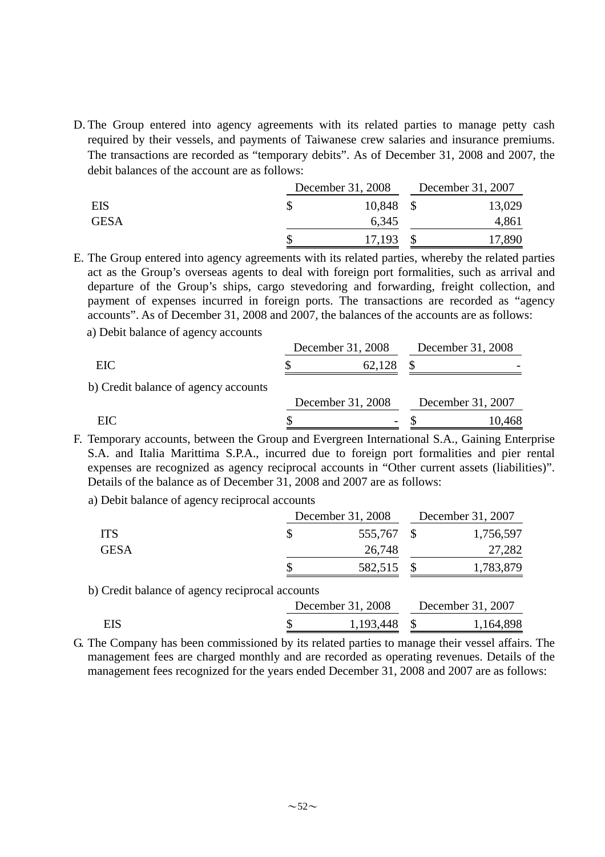D. The Group entered into agency agreements with its related parties to manage petty cash required by their vessels, and payments of Taiwanese crew salaries and insurance premiums. The transactions are recorded as "temporary debits". As of December 31, 2008 and 2007, the debit balances of the account are as follows:

|             | December 31, 2008 | December 31, 2007 |
|-------------|-------------------|-------------------|
| <b>EIS</b>  | 10,848            | 13,029            |
| <b>GESA</b> | 6,345             | 4,861             |
|             | 17,193            | 17,890            |

E. The Group entered into agency agreements with its related parties, whereby the related parties act as the Group's overseas agents to deal with foreign port formalities, such as arrival and departure of the Group's ships, cargo stevedoring and forwarding, freight collection, and payment of expenses incurred in foreign ports. The transactions are recorded as "agency accounts". As of December 31, 2008 and 2007, the balances of the accounts are as follows:

a) Debit balance of agency accounts

|                                      | December 31, 2008 |                   | December 31, 2008 |
|--------------------------------------|-------------------|-------------------|-------------------|
| EIC                                  |                   | 62,128            |                   |
| b) Credit balance of agency accounts |                   |                   |                   |
|                                      |                   | December 31, 2008 | December 31, 2007 |
| EIC                                  |                   |                   | 10,468            |

F. Temporary accounts, between the Group and Evergreen International S.A., Gaining Enterprise S.A. and Italia Marittima S.P.A., incurred due to foreign port formalities and pier rental expenses are recognized as agency reciprocal accounts in "Other current assets (liabilities)". Details of the balance as of December 31, 2008 and 2007 are as follows:

a) Debit balance of agency reciprocal accounts

|             | December 31, 2008 | December 31, 2007 |
|-------------|-------------------|-------------------|
| <b>ITS</b>  | 555,767 \$        | 1,756,597         |
| <b>GESA</b> | 26,748            | 27,282            |
|             | 582,515           | 1,783,879         |

b) Credit balance of agency reciprocal accounts

|     | December 31, 2008 |              | December 31, 2007 |           |
|-----|-------------------|--------------|-------------------|-----------|
| EIS |                   | 1,193,448 \$ |                   | 1,164,898 |

G. The Company has been commissioned by its related parties to manage their vessel affairs. The management fees are charged monthly and are recorded as operating revenues. Details of the management fees recognized for the years ended December 31, 2008 and 2007 are as follows: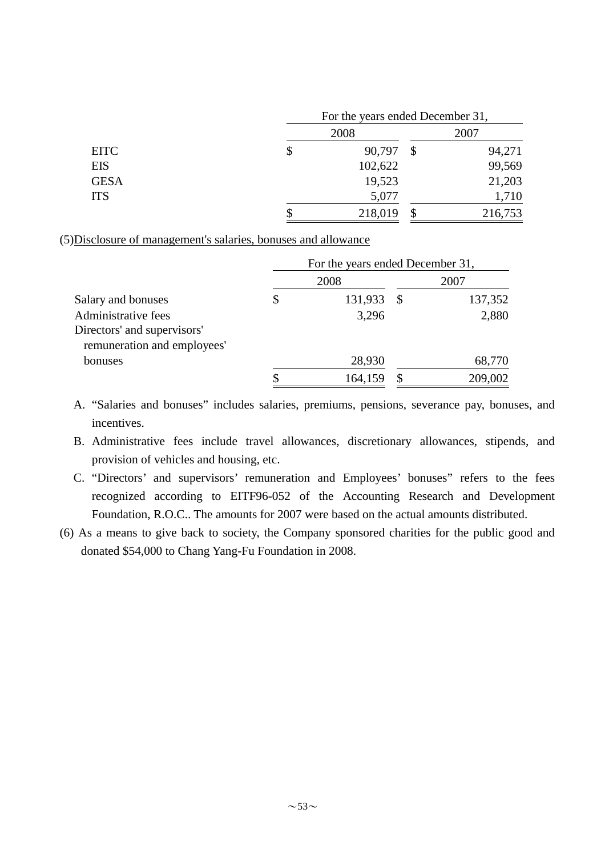|             | For the years ended December 31, |               |         |  |  |
|-------------|----------------------------------|---------------|---------|--|--|
|             | 2008                             |               | 2007    |  |  |
| <b>EITC</b> | \$<br>90,797                     | $\mathcal{S}$ | 94,271  |  |  |
| <b>EIS</b>  | 102,622                          |               | 99,569  |  |  |
| <b>GESA</b> | 19,523                           |               | 21,203  |  |  |
| <b>ITS</b>  | 5,077                            |               | 1,710   |  |  |
|             | 218,019                          |               | 216,753 |  |  |

(5)Disclosure of management's salaries, bonuses and allowance

|                             |               |    | For the years ended December 31, |  |
|-----------------------------|---------------|----|----------------------------------|--|
|                             | 2008          |    | 2007                             |  |
| Salary and bonuses          | \$<br>131,933 | -S | 137,352                          |  |
| Administrative fees         | 3,296         |    | 2,880                            |  |
| Directors' and supervisors' |               |    |                                  |  |
| remuneration and employees' |               |    |                                  |  |
| bonuses                     | 28,930        |    | 68,770                           |  |
|                             | 164,159       | S  | 209,002                          |  |

- A. "Salaries and bonuses" includes salaries, premiums, pensions, severance pay, bonuses, and incentives.
- B. Administrative fees include travel allowances, discretionary allowances, stipends, and provision of vehicles and housing, etc.
- C. "Directors' and supervisors' remuneration and Employees' bonuses" refers to the fees recognized according to EITF96-052 of the Accounting Research and Development Foundation, R.O.C.. The amounts for 2007 were based on the actual amounts distributed.
- (6) As a means to give back to society, the Company sponsored charities for the public good and donated \$54,000 to Chang Yang-Fu Foundation in 2008.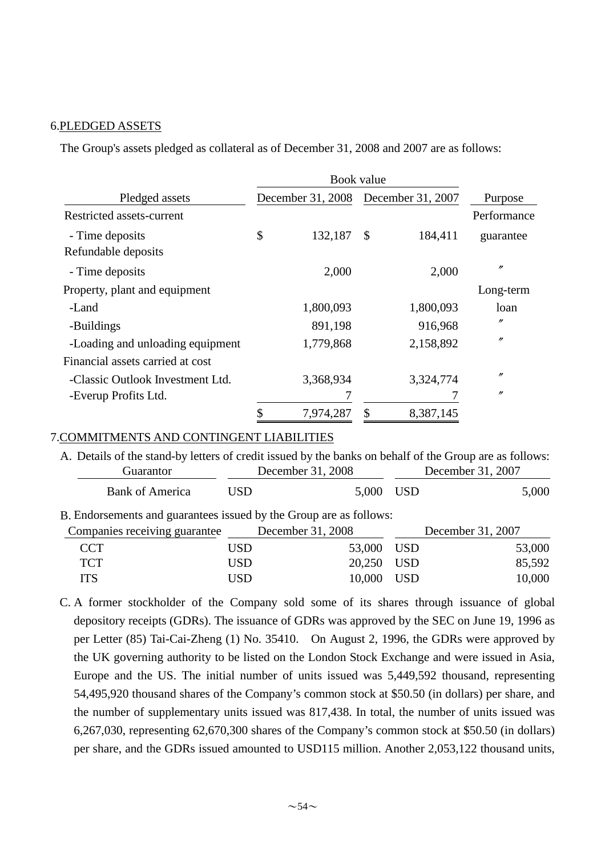#### 6.PLEDGED ASSETS

The Group's assets pledged as collateral as of December 31, 2008 and 2007 are as follows:

|                                             |    | Book value        |    |                   |                   |
|---------------------------------------------|----|-------------------|----|-------------------|-------------------|
| Pledged assets<br>Restricted assets-current |    | December 31, 2008 |    | December 31, 2007 | Purpose           |
|                                             |    |                   |    |                   | Performance       |
| - Time deposits<br>Refundable deposits      | \$ | 132,187           | \$ | 184,411           | guarantee         |
| - Time deposits                             |    | 2,000             |    | 2,000             | $^{\prime\prime}$ |
| Property, plant and equipment               |    |                   |    |                   | Long-term         |
| -Land                                       |    | 1,800,093         |    | 1,800,093         | loan              |
| -Buildings                                  |    | 891,198           |    | 916,968           | n                 |
| -Loading and unloading equipment            |    | 1,779,868         |    | 2,158,892         | n                 |
| Financial assets carried at cost            |    |                   |    |                   |                   |
| -Classic Outlook Investment Ltd.            |    | 3,368,934         |    | 3,324,774         | $^{\prime\prime}$ |
| -Everup Profits Ltd.                        |    |                   |    |                   | $^{\prime\prime}$ |
|                                             |    | 7,974,287         | \$ | 8,387,145         |                   |

#### 7.COMMITMENTS AND CONTINGENT LIABILITIES

A. Details of the stand-by letters of credit issued by the banks on behalf of the Group are as follows: Guarantor December 31, 2008 December 31, 2007 Bank of America USD 5,000 USD 5,000

B. Endorsements and guarantees issued by the Group are as follows:

| Companies receiving guarantee |     | December 31, 2008 | December 31, 2007 |
|-------------------------------|-----|-------------------|-------------------|
| <b>CCT</b>                    | USD | 53,000 USD        | 53,000            |
| <b>TCT</b>                    | USD | 20,250 USD        | 85,592            |
| <b>ITS</b>                    | USD | 10,000 USD        | 10,000            |

C. A former stockholder of the Company sold some of its shares through issuance of global depository receipts (GDRs). The issuance of GDRs was approved by the SEC on June 19, 1996 as per Letter (85) Tai-Cai-Zheng (1) No. 35410. On August 2, 1996, the GDRs were approved by the UK governing authority to be listed on the London Stock Exchange and were issued in Asia, Europe and the US. The initial number of units issued was 5,449,592 thousand, representing 54,495,920 thousand shares of the Company's common stock at \$50.50 (in dollars) per share, and the number of supplementary units issued was 817,438. In total, the number of units issued was 6,267,030, representing 62,670,300 shares of the Company's common stock at \$50.50 (in dollars) per share, and the GDRs issued amounted to USD115 million. Another 2,053,122 thousand units,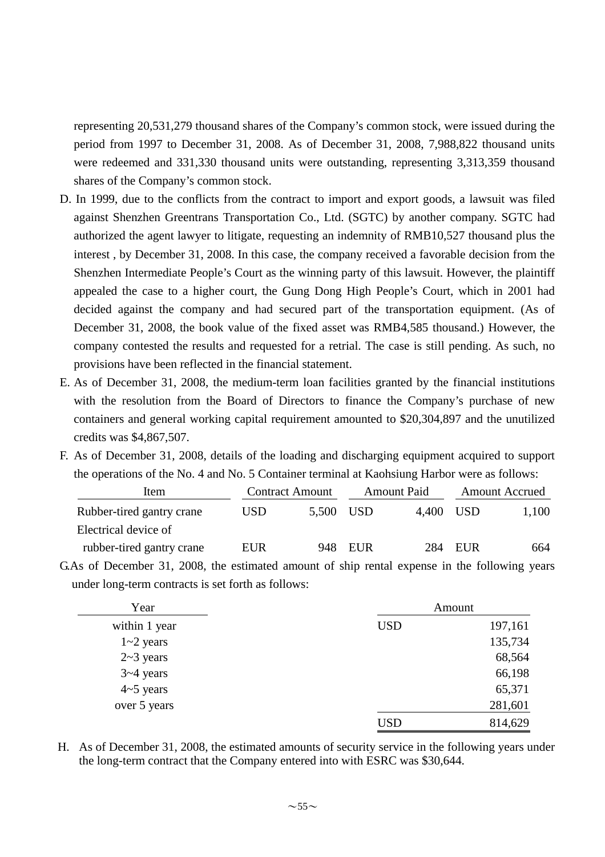representing 20,531,279 thousand shares of the Company's common stock, were issued during the period from 1997 to December 31, 2008. As of December 31, 2008, 7,988,822 thousand units were redeemed and 331,330 thousand units were outstanding, representing 3,313,359 thousand shares of the Company's common stock.

- D. In 1999, due to the conflicts from the contract to import and export goods, a lawsuit was filed against Shenzhen Greentrans Transportation Co., Ltd. (SGTC) by another company. SGTC had authorized the agent lawyer to litigate, requesting an indemnity of RMB10,527 thousand plus the interest , by December 31, 2008. In this case, the company received a favorable decision from the Shenzhen Intermediate People's Court as the winning party of this lawsuit. However, the plaintiff appealed the case to a higher court, the Gung Dong High People's Court, which in 2001 had decided against the company and had secured part of the transportation equipment. (As of December 31, 2008, the book value of the fixed asset was RMB4,585 thousand.) However, the company contested the results and requested for a retrial. The case is still pending. As such, no provisions have been reflected in the financial statement.
- E. As of December 31, 2008, the medium-term loan facilities granted by the financial institutions with the resolution from the Board of Directors to finance the Company's purchase of new containers and general working capital requirement amounted to \$20,304,897 and the unutilized credits was \$4,867,507.
- F. As of December 31, 2008, details of the loading and discharging equipment acquired to support the operations of the No. 4 and No. 5 Container terminal at Kaohsiung Harbor were as follows:

| Item                      |     | <b>Contract Amount</b> | <b>Amount Paid</b> |       | <b>Amount Accrued</b> |       |
|---------------------------|-----|------------------------|--------------------|-------|-----------------------|-------|
| Rubber-tired gantry crane | USD | 5.500 USD              |                    | 4.400 | -USD                  | 1,100 |
| Electrical device of      |     |                        |                    |       |                       |       |
| rubber-tired gantry crane | EUR | 948.                   | EUR                | 284   | <b>EUR</b>            | 664   |

G.As of December 31, 2008, the estimated amount of ship rental expense in the following years under long-term contracts is set forth as follows:

| Year             | Amount     |         |  |  |
|------------------|------------|---------|--|--|
| within 1 year    | <b>USD</b> | 197,161 |  |  |
| $1 - 2$ years    |            | 135,734 |  |  |
| $2 \sim 3$ years |            | 68,564  |  |  |
| $3 - 4$ years    |            | 66,198  |  |  |
| $4-5$ years      |            | 65,371  |  |  |
| over 5 years     |            | 281,601 |  |  |
|                  | <b>USD</b> | 814,629 |  |  |

H. As of December 31, 2008, the estimated amounts of security service in the following years under the long-term contract that the Company entered into with ESRC was \$30,644.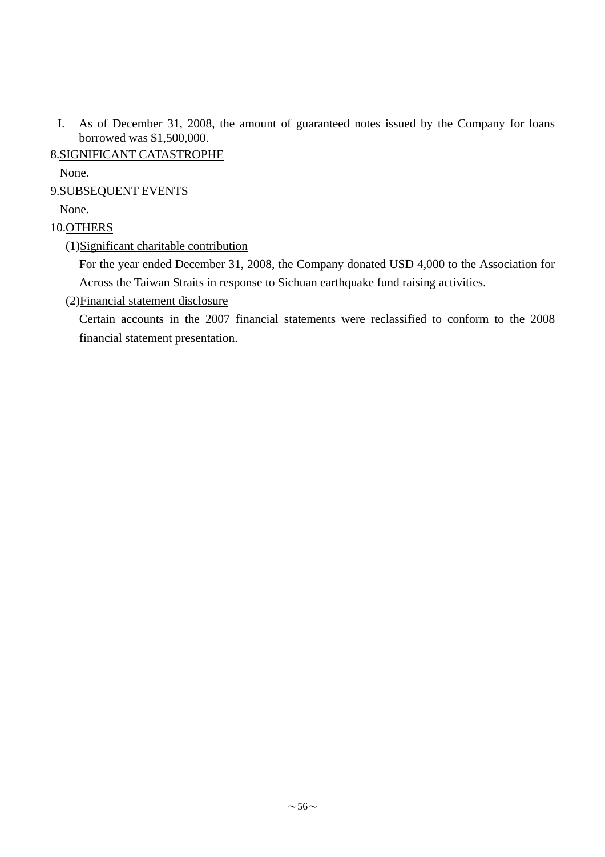I. As of December 31, 2008, the amount of guaranteed notes issued by the Company for loans borrowed was \$1,500,000.

## 8.SIGNIFICANT CATASTROPHE

None.

## 9.SUBSEQUENT EVENTS

None.

## 10.OTHERS

(1)Significant charitable contribution

For the year ended December 31, 2008, the Company donated USD 4,000 to the Association for Across the Taiwan Straits in response to Sichuan earthquake fund raising activities.

(2)Financial statement disclosure

Certain accounts in the 2007 financial statements were reclassified to conform to the 2008 financial statement presentation.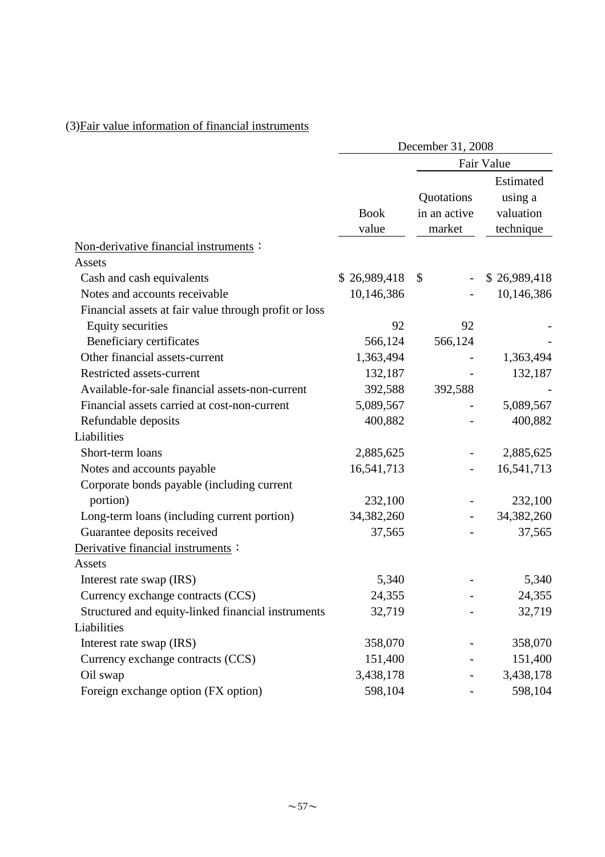# (3)Fair value information of financial instruments

|                                                       | December 31, 2008    |                                      |                                                |  |
|-------------------------------------------------------|----------------------|--------------------------------------|------------------------------------------------|--|
|                                                       |                      |                                      | Fair Value                                     |  |
|                                                       | <b>Book</b><br>value | Quotations<br>in an active<br>market | Estimated<br>using a<br>valuation<br>technique |  |
| Non-derivative financial instruments :                |                      |                                      |                                                |  |
| Assets                                                |                      |                                      |                                                |  |
| Cash and cash equivalents                             | \$26,989,418         | \$                                   | \$26,989,418                                   |  |
| Notes and accounts receivable                         | 10,146,386           |                                      | 10,146,386                                     |  |
| Financial assets at fair value through profit or loss |                      |                                      |                                                |  |
| <b>Equity securities</b>                              | 92                   | 92                                   |                                                |  |
| Beneficiary certificates                              | 566,124              | 566,124                              |                                                |  |
| Other financial assets-current                        | 1,363,494            |                                      | 1,363,494                                      |  |
| Restricted assets-current                             | 132,187              |                                      | 132,187                                        |  |
| Available-for-sale financial assets-non-current       | 392,588              | 392,588                              |                                                |  |
| Financial assets carried at cost-non-current          | 5,089,567            |                                      | 5,089,567                                      |  |
| Refundable deposits                                   | 400,882              |                                      | 400,882                                        |  |
| Liabilities                                           |                      |                                      |                                                |  |
| Short-term loans                                      | 2,885,625            |                                      | 2,885,625                                      |  |
| Notes and accounts payable                            | 16,541,713           |                                      | 16,541,713                                     |  |
| Corporate bonds payable (including current            |                      |                                      |                                                |  |
| portion)                                              | 232,100              |                                      | 232,100                                        |  |
| Long-term loans (including current portion)           | 34,382,260           |                                      | 34,382,260                                     |  |
| Guarantee deposits received                           | 37,565               |                                      | 37,565                                         |  |
| Derivative financial instruments:                     |                      |                                      |                                                |  |
| Assets                                                |                      |                                      |                                                |  |
| Interest rate swap (IRS)                              | 5,340                |                                      | 5,340                                          |  |
| Currency exchange contracts (CCS)                     | 24,355               |                                      | 24,355                                         |  |
| Structured and equity-linked financial instruments    | 32,719               |                                      | 32,719                                         |  |
| Liabilities                                           |                      |                                      |                                                |  |
| Interest rate swap (IRS)                              | 358,070              |                                      | 358,070                                        |  |
| Currency exchange contracts (CCS)                     | 151,400              |                                      | 151,400                                        |  |
| Oil swap                                              | 3,438,178            |                                      | 3,438,178                                      |  |
| Foreign exchange option (FX option)                   | 598,104              |                                      | 598,104                                        |  |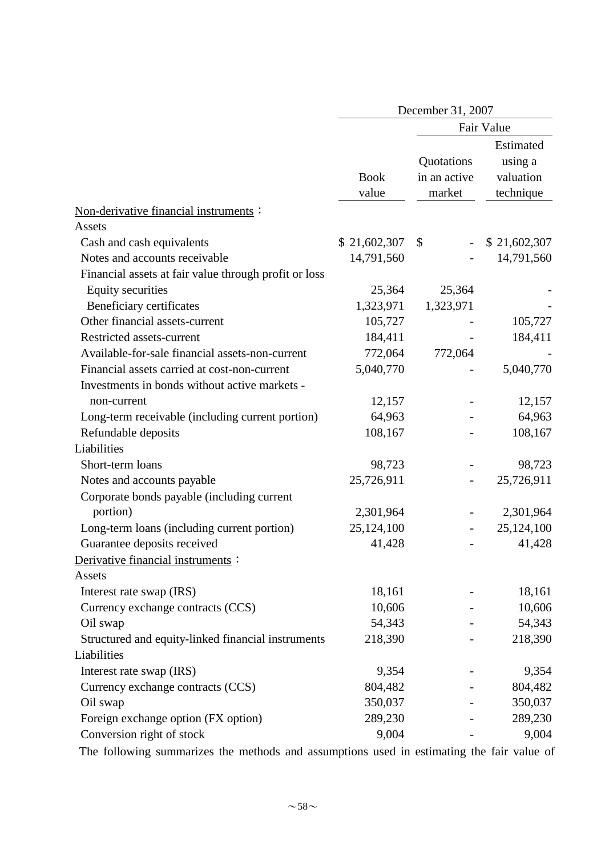|                                                        | December 31, 2007    |                                      |                                                |  |  |
|--------------------------------------------------------|----------------------|--------------------------------------|------------------------------------------------|--|--|
|                                                        |                      |                                      | Fair Value                                     |  |  |
| Non-derivative financial instruments:                  | <b>Book</b><br>value | Quotations<br>in an active<br>market | Estimated<br>using a<br>valuation<br>technique |  |  |
| Assets                                                 |                      |                                      |                                                |  |  |
| Cash and cash equivalents                              | \$21,602,307         | \$                                   | \$21,602,307                                   |  |  |
| Notes and accounts receivable                          | 14,791,560           |                                      | 14,791,560                                     |  |  |
| Financial assets at fair value through profit or loss  |                      |                                      |                                                |  |  |
| <b>Equity securities</b>                               | 25,364               | 25,364                               |                                                |  |  |
| Beneficiary certificates                               | 1,323,971            | 1,323,971                            |                                                |  |  |
| Other financial assets-current                         | 105,727              |                                      | 105,727                                        |  |  |
| Restricted assets-current                              | 184,411              |                                      | 184,411                                        |  |  |
| Available-for-sale financial assets-non-current        | 772,064              | 772,064                              |                                                |  |  |
| Financial assets carried at cost-non-current           | 5,040,770            |                                      | 5,040,770                                      |  |  |
| Investments in bonds without active markets -          |                      |                                      |                                                |  |  |
| non-current                                            | 12,157               |                                      | 12,157                                         |  |  |
| Long-term receivable (including current portion)       | 64,963               |                                      | 64,963                                         |  |  |
| Refundable deposits                                    | 108,167              |                                      | 108,167                                        |  |  |
| Liabilities                                            |                      |                                      |                                                |  |  |
| Short-term loans                                       | 98,723               |                                      | 98,723                                         |  |  |
| Notes and accounts payable                             | 25,726,911           |                                      | 25,726,911                                     |  |  |
| Corporate bonds payable (including current<br>portion) | 2,301,964            |                                      | 2,301,964                                      |  |  |
| Long-term loans (including current portion)            | 25,124,100           |                                      | 25,124,100                                     |  |  |
| Guarantee deposits received                            | 41,428               |                                      | 41,428                                         |  |  |
| Derivative financial instruments :<br>Assets           |                      |                                      |                                                |  |  |
| Interest rate swap (IRS)                               | 18,161               |                                      | 18,161                                         |  |  |
| Currency exchange contracts (CCS)                      | 10,606               |                                      | 10,606                                         |  |  |
| Oil swap                                               | 54,343               |                                      | 54,343                                         |  |  |
| Structured and equity-linked financial instruments     | 218,390              |                                      | 218,390                                        |  |  |
| Liabilities                                            |                      |                                      |                                                |  |  |
| Interest rate swap (IRS)                               | 9,354                |                                      | 9,354                                          |  |  |
| Currency exchange contracts (CCS)                      | 804,482              |                                      | 804,482                                        |  |  |
| Oil swap                                               | 350,037              |                                      | 350,037                                        |  |  |
| Foreign exchange option (FX option)                    | 289,230              |                                      | 289,230                                        |  |  |
| Conversion right of stock                              | 9,004                |                                      | 9,004                                          |  |  |

The following summarizes the methods and assumptions used in estimating the fair value of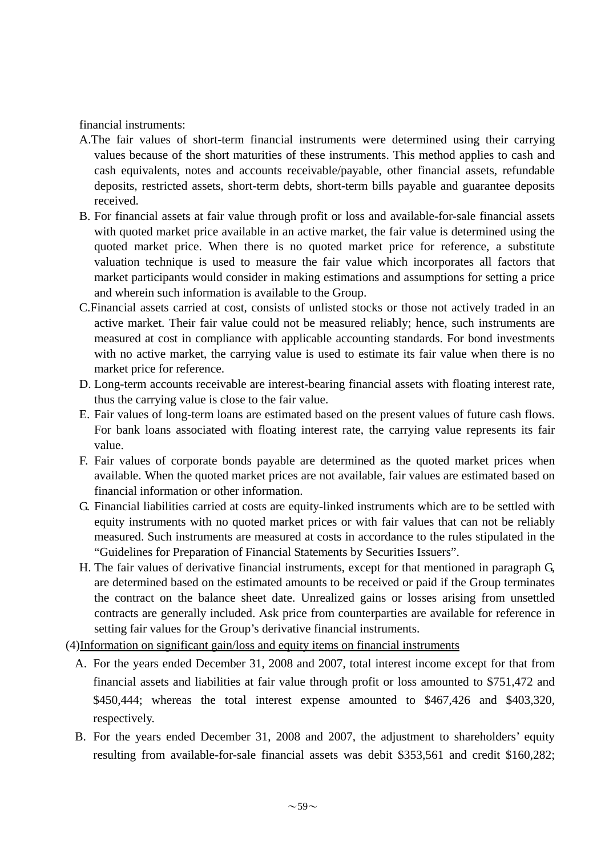financial instruments:

- A.The fair values of short-term financial instruments were determined using their carrying values because of the short maturities of these instruments. This method applies to cash and cash equivalents, notes and accounts receivable/payable, other financial assets, refundable deposits, restricted assets, short-term debts, short-term bills payable and guarantee deposits received.
- B. For financial assets at fair value through profit or loss and available-for-sale financial assets with quoted market price available in an active market, the fair value is determined using the quoted market price. When there is no quoted market price for reference, a substitute valuation technique is used to measure the fair value which incorporates all factors that market participants would consider in making estimations and assumptions for setting a price and wherein such information is available to the Group.
- C.Financial assets carried at cost, consists of unlisted stocks or those not actively traded in an active market. Their fair value could not be measured reliably; hence, such instruments are measured at cost in compliance with applicable accounting standards. For bond investments with no active market, the carrying value is used to estimate its fair value when there is no market price for reference.
- D. Long-term accounts receivable are interest-bearing financial assets with floating interest rate, thus the carrying value is close to the fair value.
- E. Fair values of long-term loans are estimated based on the present values of future cash flows. For bank loans associated with floating interest rate, the carrying value represents its fair value.
- F. Fair values of corporate bonds payable are determined as the quoted market prices when available. When the quoted market prices are not available, fair values are estimated based on financial information or other information.
- G. Financial liabilities carried at costs are equity-linked instruments which are to be settled with equity instruments with no quoted market prices or with fair values that can not be reliably measured. Such instruments are measured at costs in accordance to the rules stipulated in the "Guidelines for Preparation of Financial Statements by Securities Issuers".
- H. The fair values of derivative financial instruments, except for that mentioned in paragraph G, are determined based on the estimated amounts to be received or paid if the Group terminates the contract on the balance sheet date. Unrealized gains or losses arising from unsettled contracts are generally included. Ask price from counterparties are available for reference in setting fair values for the Group's derivative financial instruments.
- (4)Information on significant gain/loss and equity items on financial instruments
	- A. For the years ended December 31, 2008 and 2007, total interest income except for that from financial assets and liabilities at fair value through profit or loss amounted to \$751,472 and \$450,444; whereas the total interest expense amounted to \$467,426 and \$403,320, respectively.
	- B. For the years ended December 31, 2008 and 2007, the adjustment to shareholders' equity resulting from available-for-sale financial assets was debit \$353,561 and credit \$160,282;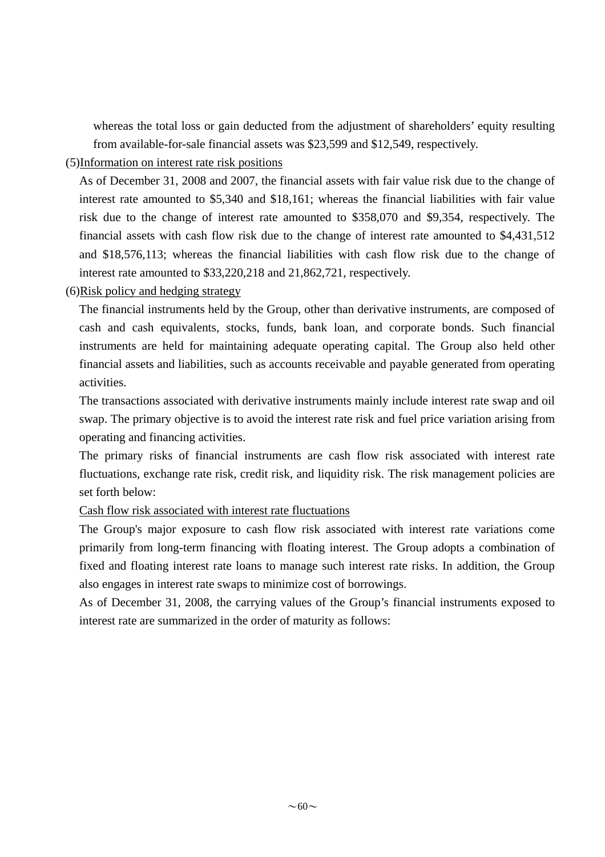whereas the total loss or gain deducted from the adjustment of shareholders' equity resulting from available-for-sale financial assets was \$23,599 and \$12,549, respectively.

## (5)Information on interest rate risk positions

As of December 31, 2008 and 2007, the financial assets with fair value risk due to the change of interest rate amounted to \$5,340 and \$18,161; whereas the financial liabilities with fair value risk due to the change of interest rate amounted to \$358,070 and \$9,354, respectively. The financial assets with cash flow risk due to the change of interest rate amounted to \$4,431,512 and \$18,576,113; whereas the financial liabilities with cash flow risk due to the change of interest rate amounted to \$33,220,218 and 21,862,721, respectively.

## (6)Risk policy and hedging strategy

The financial instruments held by the Group, other than derivative instruments, are composed of cash and cash equivalents, stocks, funds, bank loan, and corporate bonds. Such financial instruments are held for maintaining adequate operating capital. The Group also held other financial assets and liabilities, such as accounts receivable and payable generated from operating activities.

The transactions associated with derivative instruments mainly include interest rate swap and oil swap. The primary objective is to avoid the interest rate risk and fuel price variation arising from operating and financing activities.

The primary risks of financial instruments are cash flow risk associated with interest rate fluctuations, exchange rate risk, credit risk, and liquidity risk. The risk management policies are set forth below:

## Cash flow risk associated with interest rate fluctuations

The Group's major exposure to cash flow risk associated with interest rate variations come primarily from long-term financing with floating interest. The Group adopts a combination of fixed and floating interest rate loans to manage such interest rate risks. In addition, the Group also engages in interest rate swaps to minimize cost of borrowings.

As of December 31, 2008, the carrying values of the Group's financial instruments exposed to interest rate are summarized in the order of maturity as follows: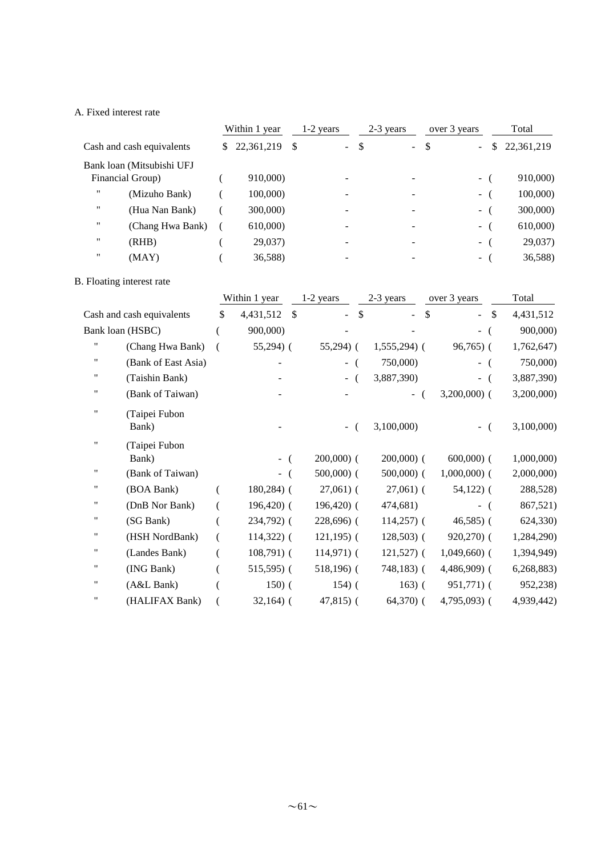#### A. Fixed interest rate

|                                     |    | Within 1 year | 1-2 years |                                                 | 2-3 years | over 3 years  |    | Total      |  |
|-------------------------------------|----|---------------|-----------|-------------------------------------------------|-----------|---------------|----|------------|--|
| Cash and cash equivalents           | S. | 22,361,219    | -S        | $\boldsymbol{\mathsf{S}}$<br>$\Delta \sim 10^4$ | $\sim$    | S<br>$\sim$ . | S. | 22,361,219 |  |
| Bank loan (Mitsubishi UFJ           |    |               |           |                                                 |           |               |    |            |  |
| Financial Group)                    |    | 910,000)      |           |                                                 |           | $ \sqrt{ }$   |    | 910,000)   |  |
| $^{\dagger}$<br>(Mizuho Bank)       |    | 100,000       |           |                                                 |           | $\sim$        |    | 100,000)   |  |
| $^{\prime\prime}$<br>(Hua Nan Bank) |    | 300,000)      |           |                                                 |           | $\sim$        |    | 300,000)   |  |
| ,,<br>(Chang Hwa Bank)              |    | 610,000)      |           |                                                 |           | - (           |    | 610,000)   |  |
| $^{\dagger}$<br>(RHB)               |    | 29,037)       |           |                                                 | ۰         | $\sim$        |    | 29,037)    |  |
| $^{\dagger}$<br>(MAY)               |    | 36,588)       |           |                                                 |           | $\sim$        |    | 36,588)    |  |

#### B. Floating interest rate

|                    |                           | Within 1 year         | 1-2 years     | 2-3 years     | over 3 years                    | Total      |  |
|--------------------|---------------------------|-----------------------|---------------|---------------|---------------------------------|------------|--|
|                    | Cash and cash equivalents | \$<br>4,431,512<br>\$ | \$<br>۰       | \$            | <sup>\$</sup><br>$\blacksquare$ | 4,431,512  |  |
|                    | Bank loan (HSBC)          | 900,000)              |               |               | $\overline{\phantom{0}}$        | 900,000)   |  |
| 11                 | (Chang Hwa Bank)          | $55,294$ ) (          | $55,294$ ) (  | $1,555,294$ ( | $96,765$ (                      | 1,762,647) |  |
| 11                 | (Bank of East Asia)       |                       | $\sim$        | 750,000)      | $-$ (                           | 750,000)   |  |
| "                  | (Taishin Bank)            |                       | $\sim$        | 3,887,390)    | $-$ (                           | 3,887,390) |  |
| 11                 | (Bank of Taiwan)          |                       |               |               | $3,200,000$ (                   | 3,200,000) |  |
| $\pmb{\mathsf{H}}$ | (Taipei Fubon<br>Bank)    |                       | ÷,            | 3,100,000     | $-$ (                           | 3,100,000) |  |
| .,                 | (Taipei Fubon<br>Bank)    |                       | $200,000$ (   | $200,000)$ (  | $600,000$ (                     | 1,000,000) |  |
|                    | (Bank of Taiwan)          |                       | $500,000$ (   | $500,000$ (   | $1,000,000$ (                   | 2,000,000) |  |
| "                  | (BOA Bank)                | $180,284$ ) (         | $27,061$ (    | $27,061$ (    | $54,122$ ) (                    | 288,528)   |  |
| "                  | (DnB Nor Bank)            | $196,420$ (           | $196,420$ (   | 474,681)      | $-$ (                           | 867,521)   |  |
| "                  | (SG Bank)                 | 234,792) (            | $228,696$ (   | $114,257$ ) ( | $46,585$ ) (                    | 624,330)   |  |
| .,                 | (HSH NordBank)            | $114,322$ ) (         | $121,195$ ) ( | $128,503$ (   | $920,270$ (                     | 1,284,290) |  |
| .,                 | (Landes Bank)             | $108,791)$ (          | $114,971$ (   | $121,527$ ) ( | $1,049,660$ (                   | 1,394,949) |  |
| 11                 | (ING Bank)                | $515,595$ (           | $518,196$ (   | $748,183$ (   | $4,486,909$ (                   | 6,268,883) |  |
| 11                 | (A&L Bank)                | $150)$ (              | $154)$ (      | $163)$ (      | $951,771)$ (                    | 952,238)   |  |
| 11                 | (HALIFAX Bank)            | $32,164$ ) (          | $47,815$ (    | $64,370$ (    | $4,795,093$ (                   | 4,939,442) |  |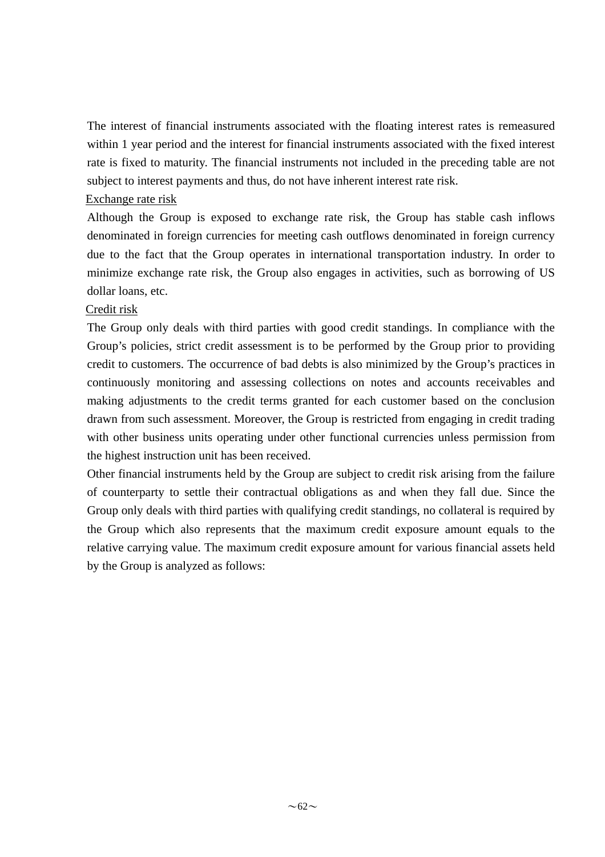The interest of financial instruments associated with the floating interest rates is remeasured within 1 year period and the interest for financial instruments associated with the fixed interest rate is fixed to maturity. The financial instruments not included in the preceding table are not subject to interest payments and thus, do not have inherent interest rate risk.

#### Exchange rate risk

Although the Group is exposed to exchange rate risk, the Group has stable cash inflows denominated in foreign currencies for meeting cash outflows denominated in foreign currency due to the fact that the Group operates in international transportation industry. In order to minimize exchange rate risk, the Group also engages in activities, such as borrowing of US dollar loans, etc.

## Credit risk

The Group only deals with third parties with good credit standings. In compliance with the Group's policies, strict credit assessment is to be performed by the Group prior to providing credit to customers. The occurrence of bad debts is also minimized by the Group's practices in continuously monitoring and assessing collections on notes and accounts receivables and making adjustments to the credit terms granted for each customer based on the conclusion drawn from such assessment. Moreover, the Group is restricted from engaging in credit trading with other business units operating under other functional currencies unless permission from the highest instruction unit has been received.

Other financial instruments held by the Group are subject to credit risk arising from the failure of counterparty to settle their contractual obligations as and when they fall due. Since the Group only deals with third parties with qualifying credit standings, no collateral is required by the Group which also represents that the maximum credit exposure amount equals to the relative carrying value. The maximum credit exposure amount for various financial assets held by the Group is analyzed as follows: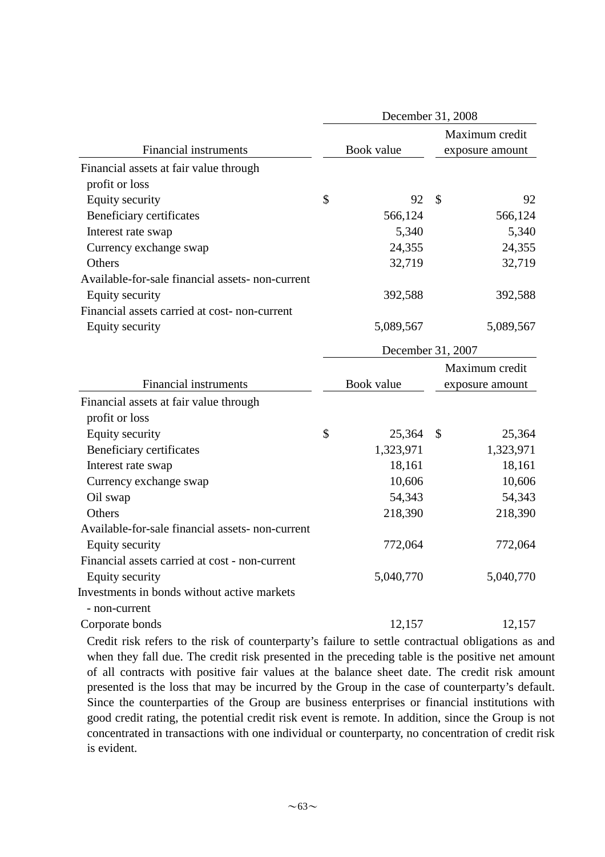|                                                  | December 31, 2008 |                 |
|--------------------------------------------------|-------------------|-----------------|
|                                                  |                   | Maximum credit  |
| <b>Financial instruments</b>                     | Book value        | exposure amount |
| Financial assets at fair value through           |                   |                 |
| profit or loss                                   |                   |                 |
| <b>Equity security</b>                           | \$<br>92          | \$<br>92        |
| Beneficiary certificates                         | 566,124           | 566,124         |
| Interest rate swap                               | 5,340             | 5,340           |
| Currency exchange swap                           | 24,355            | 24,355          |
| Others                                           | 32,719            | 32,719          |
| Available-for-sale financial assets- non-current |                   |                 |
| <b>Equity security</b>                           | 392,588           | 392,588         |
| Financial assets carried at cost-non-current     |                   |                 |
| <b>Equity security</b>                           | 5,089,567         | 5,089,567       |
|                                                  | December 31, 2007 |                 |
|                                                  |                   | Maximum credit  |
| <b>Financial instruments</b>                     | Book value        | exposure amount |
| Financial assets at fair value through           |                   |                 |
| profit or loss                                   |                   |                 |
| <b>Equity security</b>                           | \$<br>25,364      | \$<br>25,364    |
| Beneficiary certificates                         | 1,323,971         | 1,323,971       |
| Interest rate swap                               | 18,161            | 18,161          |
| Currency exchange swap                           | 10,606            | 10,606          |
| Oil swap                                         | 54,343            | 54,343          |
| Others                                           | 218,390           | 218,390         |
| Available-for-sale financial assets- non-current |                   |                 |
| <b>Equity security</b>                           | 772,064           | 772,064         |
| Financial assets carried at cost - non-current   |                   |                 |
| Equity security                                  | 5,040,770         | 5,040,770       |
| Investments in bonds without active markets      |                   |                 |
| - non-current                                    |                   |                 |
| Corporate bonds                                  | 12,157            | 12,157          |

Credit risk refers to the risk of counterparty's failure to settle contractual obligations as and when they fall due. The credit risk presented in the preceding table is the positive net amount of all contracts with positive fair values at the balance sheet date. The credit risk amount presented is the loss that may be incurred by the Group in the case of counterparty's default. Since the counterparties of the Group are business enterprises or financial institutions with good credit rating, the potential credit risk event is remote. In addition, since the Group is not concentrated in transactions with one individual or counterparty, no concentration of credit risk is evident.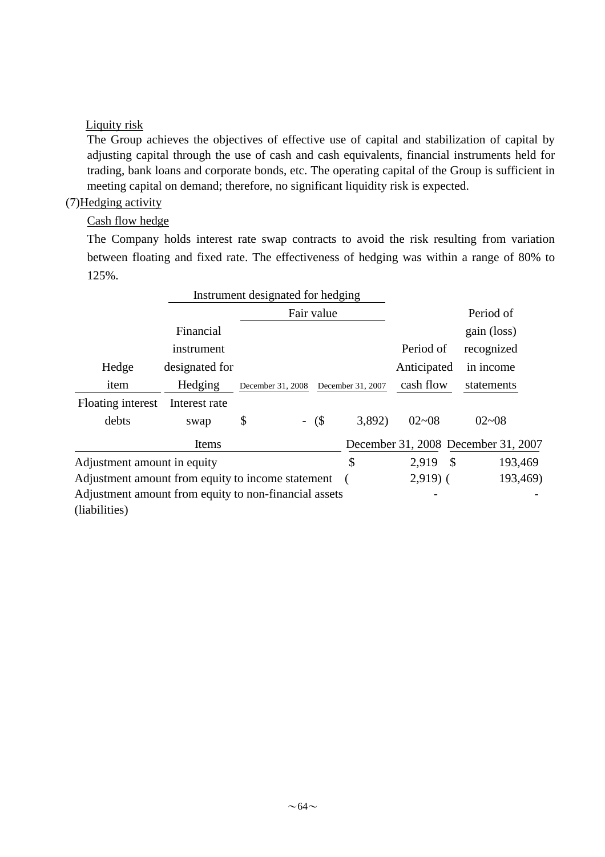#### Liquity risk

The Group achieves the objectives of effective use of capital and stabilization of capital by adjusting capital through the use of cash and cash equivalents, financial instruments held for trading, bank loans and corporate bonds, etc. The operating capital of the Group is sufficient in meeting capital on demand; therefore, no significant liquidity risk is expected.

## (7)Hedging activity

Cash flow hedge

The Company holds interest rate swap contracts to avoid the risk resulting from variation between floating and fixed rate. The effectiveness of hedging was within a range of 80% to 125%.

|                                                       | Instrument designated for hedging |                   |            |                   |                   |                                     |
|-------------------------------------------------------|-----------------------------------|-------------------|------------|-------------------|-------------------|-------------------------------------|
|                                                       |                                   |                   | Fair value |                   |                   | Period of                           |
|                                                       | Financial                         |                   |            |                   |                   | gain (loss)                         |
|                                                       | instrument                        |                   |            |                   | Period of         | recognized                          |
| Hedge                                                 | designated for                    |                   |            |                   | Anticipated       | in income                           |
| item                                                  | Hedging                           | December 31, 2008 |            | December 31, 2007 | cash flow         | statements                          |
| Floating interest                                     | Interest rate                     |                   |            |                   |                   |                                     |
| debts                                                 | swap                              | \$                | $-$ (\$)   | 3,892)            | $02 - 08$         | $02 - 08$                           |
|                                                       | Items                             |                   |            |                   |                   | December 31, 2008 December 31, 2007 |
| Adjustment amount in equity                           |                                   |                   |            | \$                | <b>S</b><br>2,919 | 193,469                             |
| Adjustment amount from equity to income statement     |                                   |                   |            |                   | $2,919$ (         | 193,469)                            |
| Adjustment amount from equity to non-financial assets |                                   |                   |            |                   |                   |                                     |
| (liabilities)                                         |                                   |                   |            |                   |                   |                                     |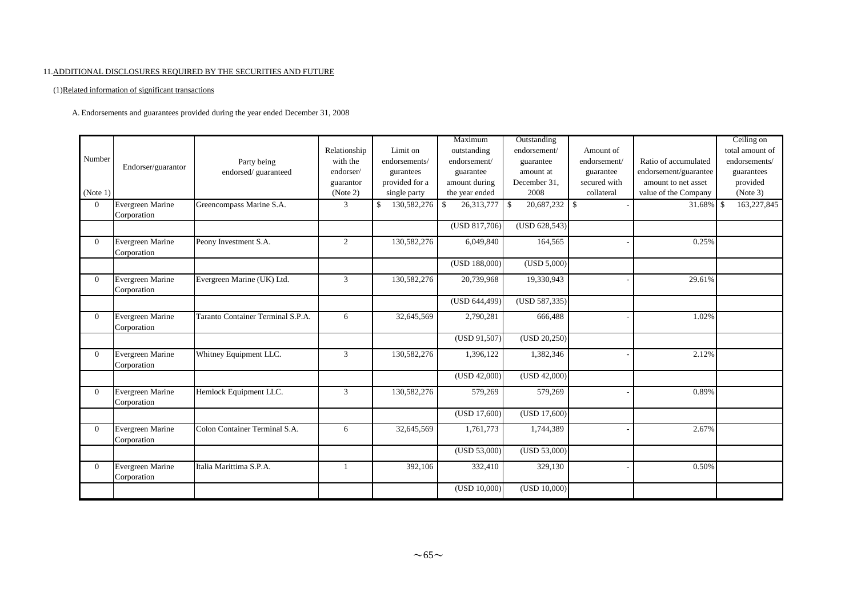#### 11.ADDITIONAL DISCLOSURES REQUIRED BY THE SECURITIES AND FUTURE

(1)Related information of significant transactions

A. Endorsements and guarantees provided during the year ended December 31, 2008

|                |                         |                                   |                |                   | Maximum          | Outstanding            |              |                       | Ceiling on      |
|----------------|-------------------------|-----------------------------------|----------------|-------------------|------------------|------------------------|--------------|-----------------------|-----------------|
|                |                         |                                   | Relationship   | Limit on          | outstanding      | endorsement/           | Amount of    |                       | total amount of |
| Number         |                         | Party being                       | with the       | endorsements/     | endorsement/     | guarantee              | endorsement/ | Ratio of accumulated  | endorsements/   |
|                | Endorser/guarantor      | endorsed/guaranteed               | endorser/      | gurantees         | guarantee        | amount at              | guarantee    | endorsement/guarantee | guarantees      |
|                |                         |                                   | guarantor      | provided for a    | amount during    | December 31,           | secured with | amount to net asset   | provided        |
| (Note 1)       |                         |                                   | (Note 2)       | single party      | the year ended   | 2008                   | collateral   | value of the Company  | (Note 3)        |
| $\Omega$       | Evergreen Marine        | Greencompass Marine S.A.          | 3              | 130,582,276<br>\$ | 26,313,777<br>\$ | $20,687,232$ \$<br>-\$ |              | 31.68% \$             | 163,227,845     |
|                | Corporation             |                                   |                |                   |                  |                        |              |                       |                 |
|                |                         |                                   |                |                   | (USD 817,706)    | (USD 628,543)          |              |                       |                 |
| $\overline{0}$ | Evergreen Marine        | Peony Investment S.A.             | $\overline{2}$ | 130,582,276       | 6,049,840        | 164,565                |              | 0.25%                 |                 |
|                | Corporation             |                                   |                |                   |                  |                        |              |                       |                 |
|                |                         |                                   |                |                   | (USD 188,000)    | (USD 5,000)            |              |                       |                 |
| $\Omega$       | Evergreen Marine        | Evergreen Marine (UK) Ltd.        | 3              | 130,582,276       | 20,739,968       | 19,330,943             |              | 29.61%                |                 |
|                | Corporation             |                                   |                |                   |                  |                        |              |                       |                 |
|                |                         |                                   |                |                   | (USD 644,499)    | (USD 587, 335)         |              |                       |                 |
| $\overline{0}$ | <b>Evergreen Marine</b> | Taranto Container Terminal S.P.A. | 6              | 32,645,569        | 2,790,281        | 666,488                |              | 1.02%                 |                 |
|                | Corporation             |                                   |                |                   |                  |                        |              |                       |                 |
|                |                         |                                   |                |                   | (USD 91,507)     | (USD 20,250)           |              |                       |                 |
| $\Omega$       | Evergreen Marine        | Whitney Equipment LLC.            | 3              | 130,582,276       | 1,396,122        | 1,382,346              |              | 2.12%                 |                 |
|                | Corporation             |                                   |                |                   |                  |                        |              |                       |                 |
|                |                         |                                   |                |                   | (USD 42,000)     | (USD 42,000)           |              |                       |                 |
| $\Omega$       | Evergreen Marine        | Hemlock Equipment LLC.            | 3              | 130,582,276       | 579,269          | 579,269                |              | 0.89%                 |                 |
|                | Corporation             |                                   |                |                   |                  |                        |              |                       |                 |
|                |                         |                                   |                |                   | (USD 17,600)     | (USD 17,600)           |              |                       |                 |
| $\Omega$       | Evergreen Marine        | Colon Container Terminal S.A.     | 6              | 32,645,569        | 1,761,773        | 1,744,389              |              | 2.67%                 |                 |
|                | Corporation             |                                   |                |                   |                  |                        |              |                       |                 |
|                |                         |                                   |                |                   | (USD 53,000)     | (USD 53,000)           |              |                       |                 |
| $\overline{0}$ | Evergreen Marine        | Italia Marittima S.P.A.           | 1              | 392,106           | 332,410          | 329,130                |              | 0.50%                 |                 |
|                | Corporation             |                                   |                |                   |                  |                        |              |                       |                 |
|                |                         |                                   |                |                   | (USD 10,000)     | (USD 10,000)           |              |                       |                 |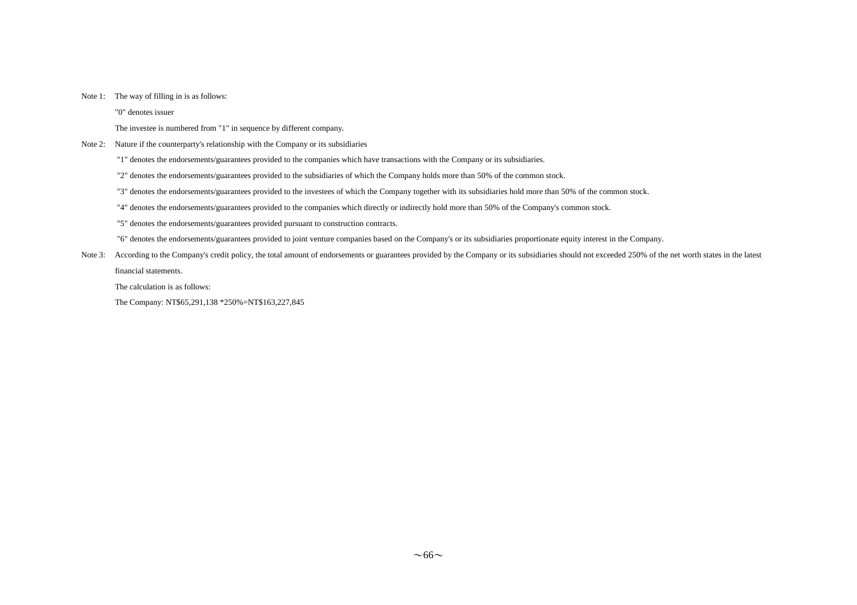#### Note 1: The way of filling in is as follows:

"0" denotes issuer

The investee is numbered from "1" in sequence by different company.

#### Note 2: Nature if the counterparty's relationship with the Company or its subsidiaries

"1" denotes the endorsements/guarantees provided to the companies which have transactions with the Company or its subsidiaries.

"2" denotes the endorsements/guarantees provided to the subsidiaries of which the Company holds more than 50% of the common stock.

- "3" denotes the endorsements/guarantees provided to the investees of which the Company together with its subsidiaries hold more than 50% of the common stock.
- "4" denotes the endorsements/guarantees provided to the companies which directly or indirectly hold more than 50% of the Company's common stock.
- "5" denotes the endorsements/guarantees provided pursuant to construction contracts.

"6" denotes the endorsements/guarantees provided to joint venture companies based on the Company's or its subsidiaries proportionate equity interest in the Company.

Note 3: According to the Company's credit policy, the total amount of endorsements or guarantees provided by the Company or its subsidiaries should not exceeded 250% of the net worth states in the latest financial statements.

The calculation is as follows:

The Company: NT\$65,291,138 \*250%=NT\$163,227,845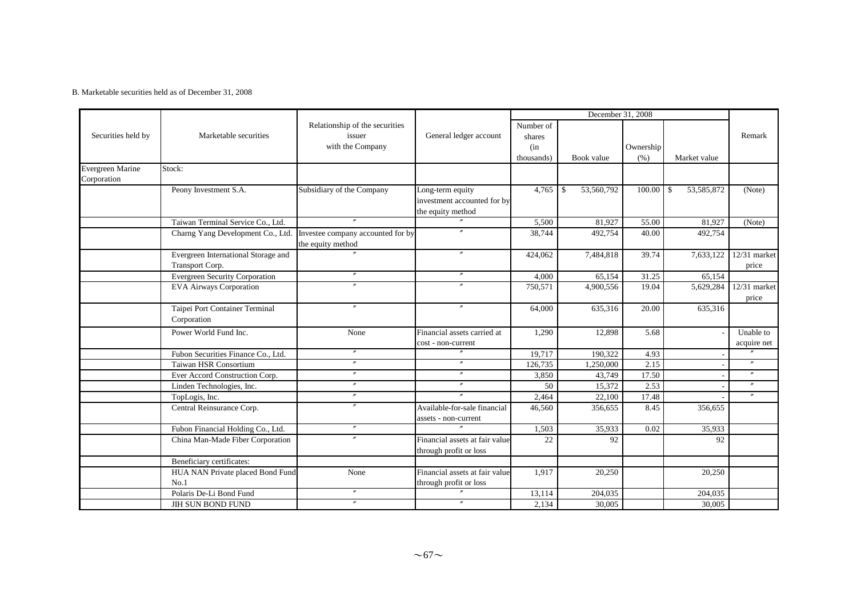#### B. Marketable securities held as of December 31, 2008

|                         |                                                        |                                                              |                                                          |                                          | December 31, 2008           |                    |                             |                          |
|-------------------------|--------------------------------------------------------|--------------------------------------------------------------|----------------------------------------------------------|------------------------------------------|-----------------------------|--------------------|-----------------------------|--------------------------|
| Securities held by      | Marketable securities                                  | Relationship of the securities<br>issuer<br>with the Company | General ledger account                                   | Number of<br>shares<br>(in<br>thousands) | Book value                  | Ownership<br>(% )  | Market value                | Remark                   |
| <b>Evergreen Marine</b> | Stock:                                                 |                                                              |                                                          |                                          |                             |                    |                             |                          |
| Corporation             |                                                        |                                                              |                                                          |                                          |                             |                    |                             |                          |
|                         | Peony Investment S.A.                                  | Subsidiary of the Company                                    | Long-term equity<br>investment accounted for by          | 4,765                                    | 53,560,792<br>$\mathbf{\$}$ | 100.00             | $\mathcal{S}$<br>53,585,872 | (Note)                   |
|                         |                                                        |                                                              | the equity method                                        |                                          |                             |                    |                             |                          |
|                         | Taiwan Terminal Service Co., Ltd.                      |                                                              |                                                          | 5,500                                    | 81,927                      | 55.00              | 81,927                      | (Note)                   |
|                         | Charng Yang Development Co., Ltd.                      | Investee company accounted for by<br>the equity method       |                                                          | 38,744                                   | 492,754                     | 40.00              | 492,754                     |                          |
|                         | Evergreen International Storage and<br>Transport Corp. |                                                              |                                                          | 424,062                                  | 7,484,818                   | 39.74              | 7,633,122                   | $12/31$ market<br>price  |
|                         | <b>Evergreen Security Corporation</b>                  | $\theta$                                                     |                                                          | 4,000                                    | 65,154                      | $\overline{31.25}$ | 65,154                      |                          |
|                         | <b>EVA Airways Corporation</b>                         | $\theta$                                                     |                                                          | 750,571                                  | 4,900,556                   | 19.04              | 5,629,284                   | 12/31 market<br>price    |
|                         | Taipei Port Container Terminal<br>Corporation          | $^{\prime\prime}$                                            | $\boldsymbol{''}$                                        | 64,000                                   | 635,316                     | 20.00              | 635,316                     |                          |
|                         | Power World Fund Inc.                                  | None                                                         | Financial assets carried at<br>cost - non-current        | 1.290                                    | 12,898                      | 5.68               |                             | Unable to<br>acquire net |
|                         | Fubon Securities Finance Co., Ltd.                     | $^{\prime\prime}$                                            | $^{\prime\prime}$                                        | 19,717                                   | 190,322                     | 4.93               |                             |                          |
|                         | Taiwan HSR Consortium                                  | $^{\prime\prime}$                                            | $^{\prime\prime}$                                        | 126,735                                  | 1,250,000                   | 2.15               |                             | $^{\prime\prime}$        |
|                         | Ever Accord Construction Corp.                         | $^{\prime\prime}$                                            | $^{\prime\prime}$                                        | 3,850                                    | 43,749                      | 17.50              |                             | $^{\prime\prime}$        |
|                         | Linden Technologies, Inc.                              | $^{\prime\prime}$                                            | $^{\prime\prime}$                                        | 50                                       | 15,372                      | 2.53               |                             | $\prime\prime$           |
|                         | TopLogis, Inc.                                         | $^{\prime\prime}$                                            |                                                          | 2,464                                    | 22,100                      | 17.48              |                             | $^{\prime\prime}$        |
|                         | Central Reinsurance Corp.                              | $^{\prime\prime}$                                            | Available-for-sale financial<br>assets - non-current     | 46,560                                   | 356,655                     | 8.45               | 356,655                     |                          |
|                         | Fubon Financial Holding Co., Ltd.                      | $^{\prime\prime}$                                            |                                                          | 1,503                                    | 35,933                      | 0.02               | 35.933                      |                          |
|                         | China Man-Made Fiber Corporation                       | $^{\prime\prime}$                                            | Financial assets at fair value<br>through profit or loss | 22                                       | 92                          |                    | 92                          |                          |
|                         | Beneficiary certificates:                              |                                                              |                                                          |                                          |                             |                    |                             |                          |
|                         | HUA NAN Private placed Bond Fund                       | None                                                         | Financial assets at fair value                           | 1,917                                    | 20,250                      |                    | 20,250                      |                          |
|                         | No.1                                                   |                                                              | through profit or loss                                   |                                          |                             |                    |                             |                          |
|                         | Polaris De-Li Bond Fund                                | $^{\prime\prime}$                                            |                                                          | 13,114                                   | 204,035                     |                    | 204,035                     |                          |
|                         | JIH SUN BOND FUND                                      | $^{\prime\prime}$                                            | $\prime\prime$                                           | 2,134                                    | 30,005                      |                    | 30,005                      |                          |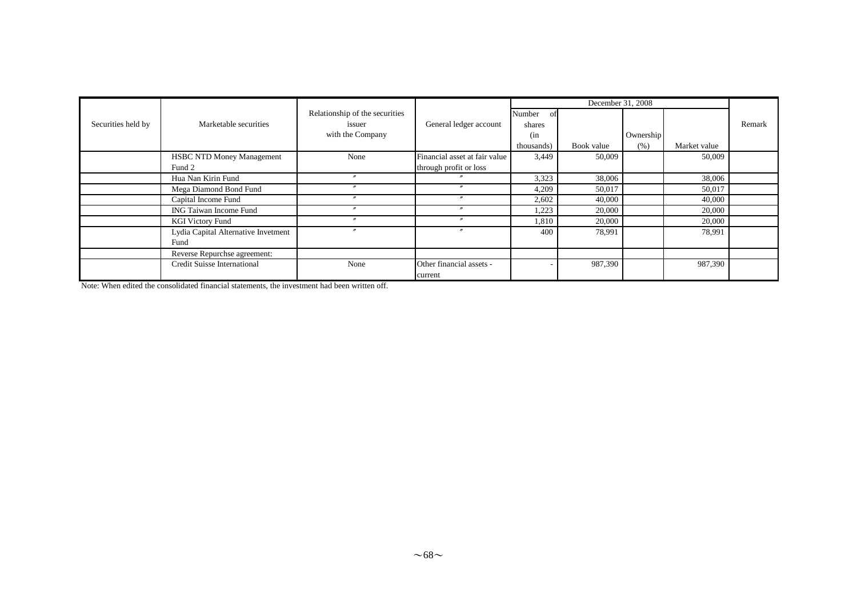|                    |                                     |                                                              |                                     |                                             | December 31, 2008 |                   |              |        |
|--------------------|-------------------------------------|--------------------------------------------------------------|-------------------------------------|---------------------------------------------|-------------------|-------------------|--------------|--------|
| Securities held by | Marketable securities               | Relationship of the securities<br>issuer<br>with the Company | General ledger account              | Number<br>Ωt<br>shares<br>(in<br>thousands) | Book value        | Ownership<br>(% ) | Market value | Remark |
|                    | <b>HSBC NTD Money Management</b>    | None                                                         | Financial asset at fair value       | 3,449                                       | 50,009            |                   | 50,009       |        |
|                    | Fund 2                              |                                                              | through profit or loss              |                                             |                   |                   |              |        |
|                    | Hua Nan Kirin Fund                  | $^{\prime\prime}$                                            |                                     | 3,323                                       | 38,006            |                   | 38,006       |        |
|                    | Mega Diamond Bond Fund              |                                                              |                                     | 4,209                                       | 50,017            |                   | 50,017       |        |
|                    | Capital Income Fund                 |                                                              |                                     | 2,602                                       | 40,000            |                   | 40,000       |        |
|                    | ING Taiwan Income Fund              |                                                              |                                     | 1,223                                       | 20,000            |                   | 20,000       |        |
|                    | <b>KGI Victory Fund</b>             |                                                              | $\boldsymbol{''}$                   | 1,810                                       | 20,000            |                   | 20,000       |        |
|                    | Lydia Capital Alternative Invetment |                                                              |                                     | 400                                         | 78,991            |                   | 78,991       |        |
|                    | Fund                                |                                                              |                                     |                                             |                   |                   |              |        |
|                    | Reverse Repurchse agreement:        |                                                              |                                     |                                             |                   |                   |              |        |
|                    | Credit Suisse International         | None                                                         | Other financial assets -<br>current |                                             | 987,390           |                   | 987,390      |        |

Note: When edited the consolidated financial statements, the investment had been written off.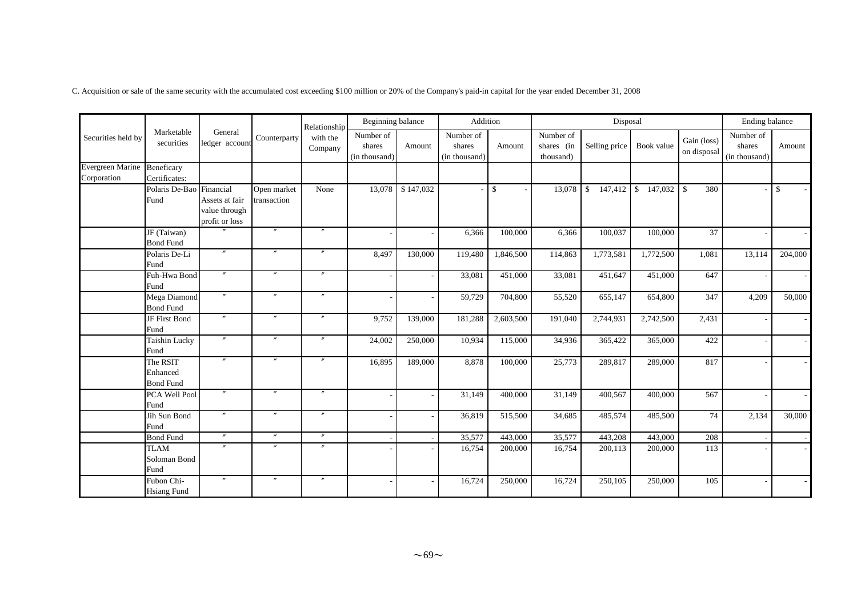C. Acquisition or sale of the same security with the accumulated cost exceeding \$100 million or 20% of the Company's paid-in capital for the year ended December 31, 2008

|                                        |                                             |                                                                |                            | Relationship        | Beginning balance                    |           | Addition                             |                    |                                      | Disposal                      |            |                            | Ending balance                       |              |
|----------------------------------------|---------------------------------------------|----------------------------------------------------------------|----------------------------|---------------------|--------------------------------------|-----------|--------------------------------------|--------------------|--------------------------------------|-------------------------------|------------|----------------------------|--------------------------------------|--------------|
| Securities held by                     | Marketable<br>securities                    | General<br>ledger account                                      | Counterparty               | with the<br>Company | Number of<br>shares<br>(in thousand) | Amount    | Number of<br>shares<br>(in thousand) | Amount             | Number of<br>shares (in<br>thousand) | Selling price                 | Book value | Gain (loss)<br>on disposal | Number of<br>shares<br>(in thousand) | Amount       |
| <b>Evergreen Marine</b><br>Corporation | Beneficary<br>Certificates:                 |                                                                |                            |                     |                                      |           |                                      |                    |                                      |                               |            |                            |                                      |              |
|                                        | Polaris De-Bao<br>Fund                      | Financial<br>Assets at fair<br>value through<br>profit or loss | Open market<br>transaction | None                | 13,078                               | \$147,032 |                                      | $\mathbf{\hat{S}}$ | 13,078                               | 147,412<br>$\mathbf{\hat{S}}$ |            | 380                        |                                      | $\mathbb{S}$ |
|                                        | $\overline{JF(Taiwan)}$<br><b>Bond Fund</b> |                                                                | $\prime\prime$             | $^{\prime\prime}$   |                                      |           | 6,366                                | 100,000            | 6,366                                | 100,037                       | 100,000    | 37                         |                                      |              |
|                                        | Polaris De-Li<br>Fund                       | $\prime\prime$                                                 | $\prime\prime$             | $^{\prime\prime}$   | 8,497                                | 130,000   | 119,480                              | 1,846,500          | 114,863                              | 1,773,581                     | 1,772,500  | 1,081                      | 13,114                               | 204,000      |
|                                        | Fuh-Hwa Bond<br>Fund                        | $^{\prime\prime}$                                              | $^{\prime\prime}$          | $\prime\prime$      |                                      |           | 33,081                               | 451,000            | 33,081                               | 451,647                       | 451,000    | 647                        |                                      |              |
|                                        | Mega Diamond<br><b>Bond Fund</b>            | $\prime\prime$                                                 | $^{\prime\prime}$          | $^{\prime\prime}$   |                                      |           | 59,729                               | 704,800            | 55,520                               | 655,147                       | 654,800    | 347                        | 4,209                                | 50,000       |
|                                        | JF First Bond<br>Fund                       | $\prime\prime$                                                 | $^{\prime\prime}$          | $^{\prime\prime}$   | 9,752                                | 139,000   | 181,288                              | 2,603,500          | 191,040                              | 2,744,931                     | 2,742,500  | 2,431                      |                                      |              |
|                                        | Taishin Lucky<br>Fund                       |                                                                | $\prime$                   |                     | 24,002                               | 250,000   | 10,934                               | 115,000            | 34,936                               | 365,422                       | 365,000    | 422                        |                                      |              |
|                                        | The RSIT<br>Enhanced<br><b>Bond Fund</b>    | $^{\prime\prime}$                                              | $^{\prime\prime}$          | $^{\prime\prime}$   | 16,895                               | 189,000   | 8,878                                | 100,000            | 25,773                               | 289,817                       | 289,000    | 817                        |                                      |              |
|                                        | PCA Well Pool<br>Fund                       | $\prime\prime$                                                 | $\prime\prime$             | $^{\prime\prime}$   |                                      |           | 31,149                               | 400,000            | 31,149                               | 400,567                       | 400,000    | 567                        |                                      |              |
|                                        | Jih Sun Bond<br>Fund                        |                                                                | $^{\prime\prime}$          | $\prime\prime$      |                                      |           | 36,819                               | 515,500            | 34,685                               | 485,574                       | 485,500    | 74                         | 2,134                                | 30,000       |
|                                        | <b>Bond Fund</b>                            | $^{\prime\prime}$                                              | $^{\prime\prime}$          | $^{\prime\prime}$   |                                      |           | 35,577                               | 443,000            | 35,577                               | 443,208                       | 443,000    | 208                        |                                      |              |
|                                        | <b>TLAM</b><br>Soloman Bond<br>Fund         | $\boldsymbol{''}$                                              | $^{\prime\prime}$          | $^{\prime\prime}$   |                                      |           | 16,754                               | 200,000            | 16,754                               | 200,113                       | 200,000    | 113                        |                                      |              |
|                                        | Fubon Chi-<br><b>Hsiang Fund</b>            | $\prime\prime$                                                 | $^{\prime\prime}$          | $^{\prime\prime}$   |                                      |           | 16,724                               | 250,000            | 16,724                               | 250,105                       | 250,000    | 105                        |                                      |              |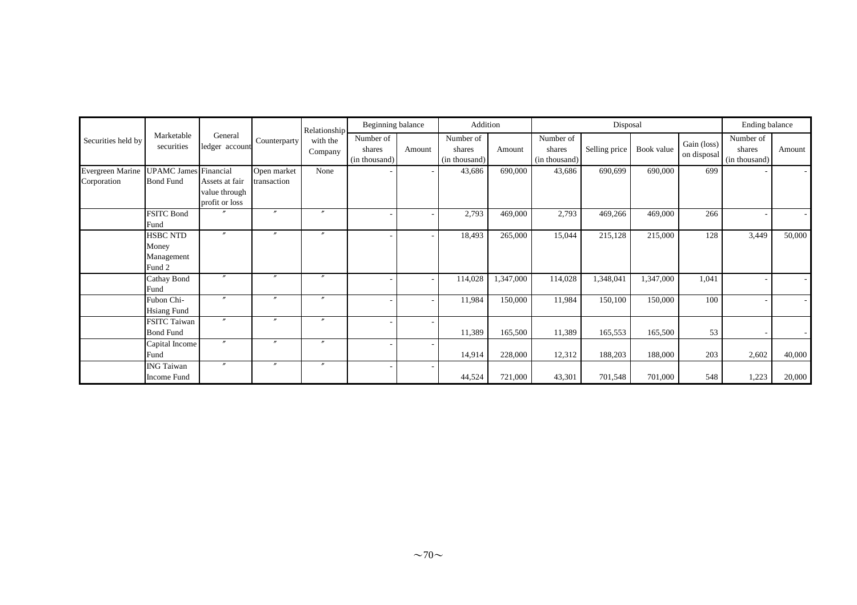|                    |                                                  |                                                   |                   | Relationship        | Beginning balance                    |        | Addition<br>Disposal                 |           | Ending balance                       |               |            |                            |                                      |        |
|--------------------|--------------------------------------------------|---------------------------------------------------|-------------------|---------------------|--------------------------------------|--------|--------------------------------------|-----------|--------------------------------------|---------------|------------|----------------------------|--------------------------------------|--------|
| Securities held by | Marketable<br>securities                         | General<br>ledger account                         | Counterparty      | with the<br>Company | Number of<br>shares<br>(in thousand) | Amount | Number of<br>shares<br>(in thousand) | Amount    | Number of<br>shares<br>(in thousand) | Selling price | Book value | Gain (loss)<br>on disposal | Number of<br>shares<br>(in thousand) | Amount |
| Evergreen Marine   | <b>UPAMC</b> James Financial                     |                                                   | Open market       | None                |                                      |        | 43,686                               | 690,000   | 43,686                               | 690,699       | 690,000    | 699                        |                                      |        |
| Corporation        | <b>Bond Fund</b>                                 | Assets at fair<br>value through<br>profit or loss | transaction       |                     |                                      |        |                                      |           |                                      |               |            |                            |                                      |        |
|                    | <b>FSITC Bond</b><br>Fund                        |                                                   | $\prime\prime$    | $\boldsymbol{r}$    |                                      |        | 2,793                                | 469,000   | 2,793                                | 469,266       | 469,000    | 266                        |                                      |        |
|                    | <b>HSBC NTD</b><br>Money<br>Management<br>Fund 2 | $\prime\prime$                                    | $\prime\prime$    | $\boldsymbol{r}$    |                                      |        | 18,493                               | 265,000   | 15,044                               | 215,128       | 215,000    | 128                        | 3,449                                | 50,000 |
|                    | Cathay Bond<br>Fund                              | $\overline{r}$                                    | $\boldsymbol{r}$  | $\overline{v}$      |                                      |        | 114,028                              | 1,347,000 | 114,028                              | 1,348,041     | 1,347,000  | 1,041                      |                                      |        |
|                    | Fubon Chi-<br><b>Hsiang Fund</b>                 |                                                   | $\boldsymbol{''}$ | $\boldsymbol{r}$    |                                      |        | 11,984                               | 150,000   | 11,984                               | 150,100       | 150,000    | 100                        |                                      |        |
|                    | <b>FSITC Taiwan</b><br><b>Bond Fund</b>          | $\boldsymbol{''}$                                 | $\prime\prime$    | $^{\prime\prime}$   |                                      |        | 11,389                               | 165,500   | 11,389                               | 165,553       | 165,500    | 53                         |                                      |        |
|                    | Capital Income<br>Fund                           | $\boldsymbol{''}$                                 | $\prime\prime$    | $\boldsymbol{r}$    |                                      |        | 14,914                               | 228,000   | 12,312                               | 188,203       | 188,000    | 203                        | 2,602                                | 40,000 |
|                    | <b>ING Taiwan</b><br>Income Fund                 | $\prime\prime$                                    | $\prime\prime$    | $^{\prime\prime}$   |                                      |        | 44,524                               | 721,000   | 43,301                               | 701,548       | 701,000    | 548                        | 1,223                                | 20,000 |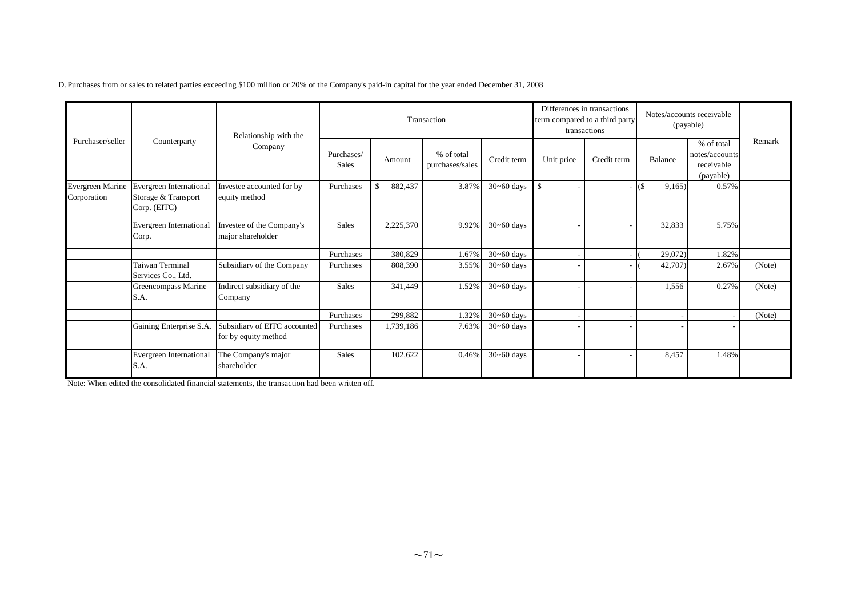|                                  |                                                                       | Relationship with the                                |                            |               | Transaction                   |                | Differences in transactions<br>transactions | term compared to a third party | Notes/accounts receivable<br>(payable) |                                                         |        |
|----------------------------------|-----------------------------------------------------------------------|------------------------------------------------------|----------------------------|---------------|-------------------------------|----------------|---------------------------------------------|--------------------------------|----------------------------------------|---------------------------------------------------------|--------|
| Purchaser/seller<br>Counterparty |                                                                       | Company                                              | Purchases/<br><b>Sales</b> | Amount        | % of total<br>purchases/sales | Credit term    | Unit price                                  | Credit term                    | Balance                                | % of total<br>notes/accounts<br>receivable<br>(payable) | Remark |
| Evergreen Marine<br>Corporation  | <b>Evergreen International</b><br>Storage & Transport<br>Corp. (EITC) | Investee accounted for by<br>equity method           | Purchases                  | 882,437<br>\$ | 3.87%                         | $30 - 60$ days | \$                                          |                                | $\frac{1}{3}$<br>9,165                 | 0.57%                                                   |        |
|                                  | <b>Evergreen International</b><br>Corp.                               | Investee of the Company's<br>major shareholder       | <b>Sales</b>               | 2,225,370     | 9.92%                         | $30 - 60$ days |                                             |                                | 32,833                                 | 5.75%                                                   |        |
|                                  |                                                                       |                                                      | Purchases                  | 380,829       | 1.67%                         | $30 - 60$ days |                                             |                                | 29,072)                                | 1.82%                                                   |        |
|                                  | Taiwan Terminal<br>Services Co., Ltd.                                 | Subsidiary of the Company                            | Purchases                  | 808,390       | 3.55%                         | $30 - 60$ days |                                             |                                | 42,707)                                | 2.67%                                                   | (Note) |
|                                  | Greencompass Marine<br>S.A.                                           | Indirect subsidiary of the<br>Company                | <b>Sales</b>               | 341,449       | 1.52%                         | $30 - 60$ days |                                             |                                | 1,556                                  | 0.27%                                                   | (Note) |
|                                  |                                                                       |                                                      | Purchases                  | 299,882       | 1.32%                         | $30 - 60$ days |                                             |                                |                                        |                                                         | (Note) |
|                                  | Gaining Enterprise S.A.                                               | Subsidiary of EITC accounted<br>for by equity method | Purchases                  | 1,739,186     | 7.63%                         | $30 - 60$ days |                                             |                                |                                        |                                                         |        |
|                                  | Evergreen International<br>S.A.                                       | The Company's major<br>shareholder                   | <b>Sales</b>               | 102,622       | 0.46%                         | $30 - 60$ days |                                             |                                | 8,457                                  | 1.48%                                                   |        |

Note: When edited the consolidated financial statements, the transaction had been written off.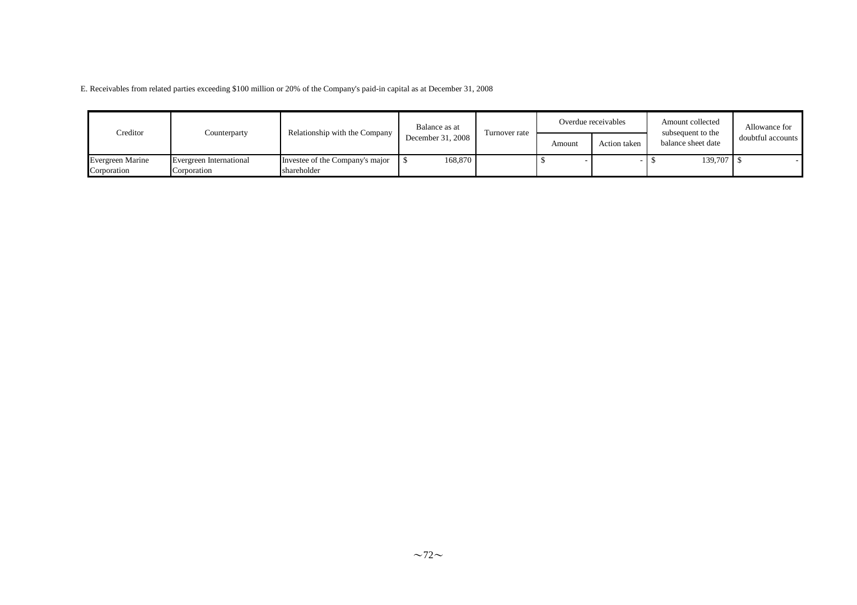E. Receivables from related parties exceeding \$100 million or 20% of the Company's paid-in capital as at December 31, 2008

| Creditor                | Counterparty            | Relationship with the Company   | Balance as at     | Turnover rate |        | Overdue receivables | Amount collected<br>subsequent to the | Allowance for     |
|-------------------------|-------------------------|---------------------------------|-------------------|---------------|--------|---------------------|---------------------------------------|-------------------|
|                         |                         |                                 | December 31, 2008 |               | Amount | Action taken        | balance sheet date                    | doubtful accounts |
| <b>Evergreen Marine</b> | Evergreen International | Investee of the Company's major | 168,870           |               |        |                     | 139,707 \$                            |                   |
| Corporation             | Corporation             | shareholder                     |                   |               |        |                     |                                       |                   |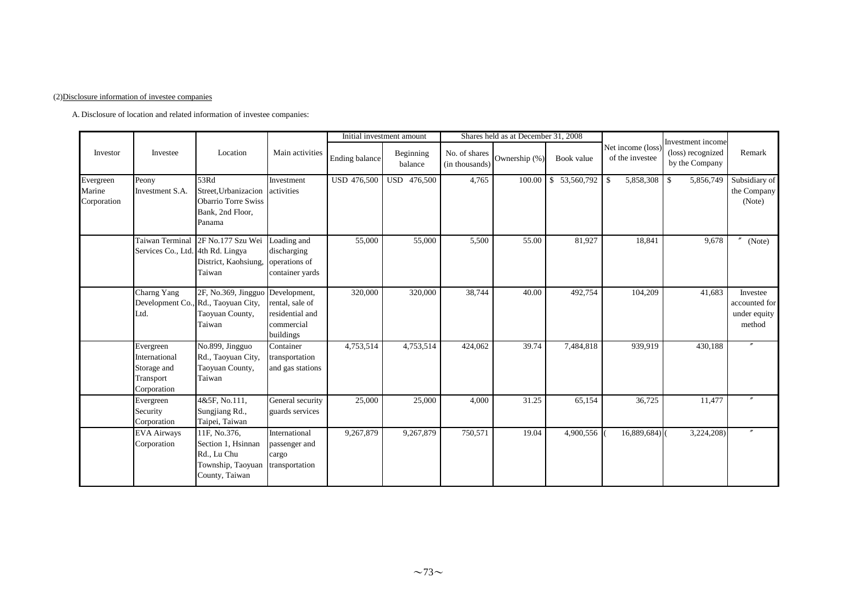### (2)Disclosure information of investee companies

A. Disclosure of location and related information of investee companies:

|                       |                                                                       |                                                                                          |                                                                               |                    | Initial investment amount |                                 | Shares held as at December 31, 2008 |              |                                     |                                                          |                                                     |
|-----------------------|-----------------------------------------------------------------------|------------------------------------------------------------------------------------------|-------------------------------------------------------------------------------|--------------------|---------------------------|---------------------------------|-------------------------------------|--------------|-------------------------------------|----------------------------------------------------------|-----------------------------------------------------|
| Investor              | Investee                                                              | Location                                                                                 | Main activities                                                               | Ending balance     | Beginning<br>balance      | No. of shares<br>(in thousands) | Ownership (%)                       | Book value   | Net income (loss<br>of the investee | Investment income<br>(loss) recognized<br>by the Company | Remark                                              |
| Evergreen             | Peony                                                                 | 53Rd                                                                                     | Investment                                                                    | <b>USD 476,500</b> | USD 476,500               | 4,765                           | 100.00                              | \$53,560,792 | -\$<br>5,858,308                    | $\mathbb{S}$<br>5,856,749                                | Subsidiary of                                       |
| Marine<br>Corporation | Investment S.A.                                                       | Street. Urbanizacion<br><b>Obarrio Torre Swiss</b><br>Bank, 2nd Floor,<br>Panama         | activities                                                                    |                    |                           |                                 |                                     |              |                                     |                                                          | the Company<br>(Note)                               |
|                       | Taiwan Terminal<br>Services Co., Ltd. 4th Rd. Lingya                  | 2F No.177 Szu Wei<br>District, Kaohsiung,<br>Taiwan                                      | Loading and<br>discharging<br>operations of<br>container vards                | 55,000             | 55,000                    | 5,500                           | 55.00                               | 81,927       | 18,841                              | 9,678                                                    | (Note)                                              |
|                       | Charng Yang<br>Ltd.                                                   | 2F, No.369, Jingguo<br>Development Co., Rd., Taoyuan City,<br>Taoyuan County,<br>Taiwan  | Development,<br>rental, sale of<br>residential and<br>commercial<br>buildings | 320,000            | 320,000                   | 38,744                          | 40.00                               | 492,754      | 104,209                             | 41,683                                                   | Investee<br>accounted for<br>under equity<br>method |
|                       | Evergreen<br>International<br>Storage and<br>Transport<br>Corporation | No.899, Jingguo<br>Rd., Taoyuan City,<br>Taoyuan County,<br>Taiwan                       | Container<br>transportation<br>and gas stations                               | 4,753,514          | 4,753,514                 | 424,062                         | 39.74                               | 7,484,818    | 939,919                             | 430,188                                                  |                                                     |
|                       | Evergreen<br>Security<br>Corporation                                  | 4&5F, No.111,<br>Sungjiang Rd.,<br>Taipei, Taiwan                                        | General security<br>guards services                                           | 25,000             | 25,000                    | 4,000                           | 31.25                               | 65,154       | 36,725                              | 11,477                                                   | $\prime$                                            |
|                       | <b>EVA Airways</b><br>Corporation                                     | 11F, No.376,<br>Section 1, Hsinnan<br>Rd., Lu Chu<br>Township, Taoyuan<br>County, Taiwan | International<br>passenger and<br>cargo<br>transportation                     | 9,267,879          | 9,267,879                 | 750,571                         | 19.04                               | 4,900,556    | $16,889,684$ <sup>()</sup>          | 3,224,208)                                               |                                                     |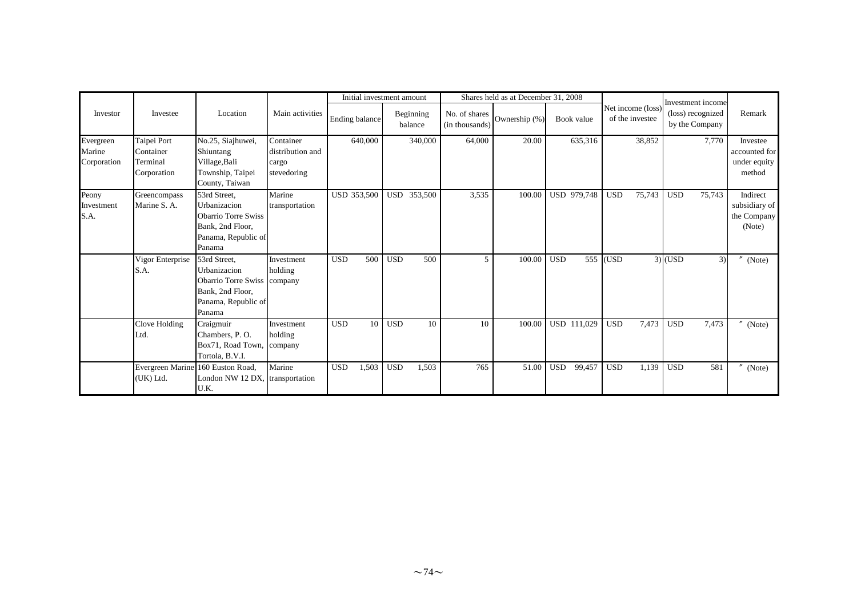|                     |                          |                                         |                               |                    | Initial investment amount |            |                      |                                 | Shares held as at December 31, 2008 |            |             |            |                                      |            |                                                          |                           |
|---------------------|--------------------------|-----------------------------------------|-------------------------------|--------------------|---------------------------|------------|----------------------|---------------------------------|-------------------------------------|------------|-------------|------------|--------------------------------------|------------|----------------------------------------------------------|---------------------------|
| Investor            | Investee                 | Location                                | Main activities               | Ending balance     |                           |            | Beginning<br>balance | No. of shares<br>(in thousands) | Ownership (%)                       |            | Book value  |            | Net income (loss)<br>of the investee |            | Investment income<br>(loss) recognized<br>by the Company | Remark                    |
| Evergreen<br>Marine | Taipei Port<br>Container | No.25, Siajhuwei,<br>Shiuntang          | Container<br>distribution and |                    | 640,000                   |            | 340,000              | 64,000                          | 20.00                               |            | 635,316     |            | 38,852                               |            | 7,770                                                    | Investee<br>accounted for |
| Corporation         | Terminal                 | Village, Bali                           | cargo                         |                    |                           |            |                      |                                 |                                     |            |             |            |                                      |            |                                                          | under equity              |
|                     | Corporation              | Township, Taipei                        | stevedoring                   |                    |                           |            |                      |                                 |                                     |            |             |            |                                      |            |                                                          | method                    |
|                     |                          | County, Taiwan                          |                               |                    |                           |            |                      |                                 |                                     |            |             |            |                                      |            |                                                          |                           |
| Peony               | Greencompass             | 53rd Street.                            | Marine                        | <b>USD 353,500</b> |                           |            | USD 353,500          | 3,535                           | 100.00                              |            | USD 979,748 | <b>USD</b> | 75,743                               | <b>USD</b> | 75,743                                                   | Indirect                  |
| Investment          | Marine S. A.             | Urbanizacion                            | transportation                |                    |                           |            |                      |                                 |                                     |            |             |            |                                      |            |                                                          | subsidiary of             |
| S.A.                |                          | <b>Obarrio Torre Swiss</b>              |                               |                    |                           |            |                      |                                 |                                     |            |             |            |                                      |            |                                                          | the Company               |
|                     |                          | Bank, 2nd Floor,                        |                               |                    |                           |            |                      |                                 |                                     |            |             |            |                                      |            |                                                          | (Note)                    |
|                     |                          | Panama, Republic of                     |                               |                    |                           |            |                      |                                 |                                     |            |             |            |                                      |            |                                                          |                           |
|                     |                          | Panama                                  |                               |                    |                           |            |                      |                                 |                                     |            |             |            |                                      |            |                                                          |                           |
|                     | Vigor Enterprise         | 53rd Street,                            | Investment                    | <b>USD</b>         | 500                       | <b>USD</b> | 500                  | 5                               | 100.00                              | <b>USD</b> |             | 555 (USD   |                                      | $3)$ (USD  | 3)                                                       | (Note)                    |
|                     | S.A.                     | Urbanizacion                            | holding                       |                    |                           |            |                      |                                 |                                     |            |             |            |                                      |            |                                                          |                           |
|                     |                          | Obarrio Torre Swiss company             |                               |                    |                           |            |                      |                                 |                                     |            |             |            |                                      |            |                                                          |                           |
|                     |                          | Bank, 2nd Floor,                        |                               |                    |                           |            |                      |                                 |                                     |            |             |            |                                      |            |                                                          |                           |
|                     |                          | Panama, Republic of                     |                               |                    |                           |            |                      |                                 |                                     |            |             |            |                                      |            |                                                          |                           |
|                     |                          | Panama                                  |                               |                    |                           |            |                      |                                 |                                     |            |             |            |                                      |            |                                                          |                           |
|                     | Clove Holding            | Craigmuir                               | Investment                    | <b>USD</b>         | 10                        | <b>USD</b> | 10                   | 10                              | 100.00                              |            | USD 111,029 | <b>USD</b> | 7,473                                | <b>USD</b> | 7,473                                                    | (Note)                    |
|                     | Ltd.                     | Chambers, P.O.                          | holding                       |                    |                           |            |                      |                                 |                                     |            |             |            |                                      |            |                                                          |                           |
|                     |                          | Box71, Road Town,                       | company                       |                    |                           |            |                      |                                 |                                     |            |             |            |                                      |            |                                                          |                           |
|                     |                          | Tortola, B.V.I.                         |                               |                    |                           |            |                      |                                 |                                     |            |             |            |                                      |            |                                                          |                           |
|                     |                          | Evergreen Marine 160 Euston Road,       | Marine                        | <b>USD</b>         | 1,503                     | <b>USD</b> | 1,503                | 765                             | 51.00                               | <b>USD</b> | 99,457      | <b>USD</b> | 1,139                                | <b>USD</b> | 581                                                      | (Note)                    |
|                     | (UK) Ltd.                | London NW 12 DX, transportation<br>U.K. |                               |                    |                           |            |                      |                                 |                                     |            |             |            |                                      |            |                                                          |                           |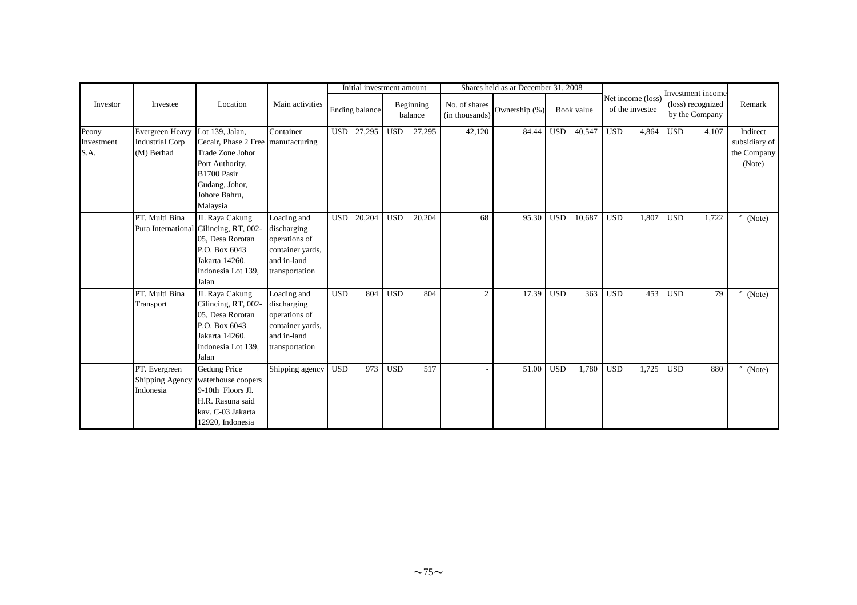|            |                        |                                      |                  |            | Initial investment amount |            |                      |                                 | Shares held as at December 31, 2008 |            |            |            |                                      |                                                          |                          |
|------------|------------------------|--------------------------------------|------------------|------------|---------------------------|------------|----------------------|---------------------------------|-------------------------------------|------------|------------|------------|--------------------------------------|----------------------------------------------------------|--------------------------|
| Investor   | Investee               | Location                             | Main activities  |            | Ending balance            |            | Beginning<br>balance | No. of shares<br>(in thousands) | Ownership (%)                       |            | Book value |            | Net income (loss)<br>of the investee | Investment income<br>(loss) recognized<br>by the Company | Remark                   |
| Peony      | Evergreen Heavy        | Lot 139. Jalan.                      | Container        | <b>USD</b> | 27,295                    | <b>USD</b> | 27,295               | 42,120                          | 84.44                               | <b>USD</b> | 40,547     | <b>USD</b> | 4,864                                | <b>USD</b><br>4,107                                      | Indirect                 |
| Investment | <b>Industrial Corp</b> | Cecair, Phase 2 Free   manufacturing |                  |            |                           |            |                      |                                 |                                     |            |            |            |                                      |                                                          | subsidiary of            |
| S.A.       | (M) Berhad             | <b>Trade Zone Johor</b>              |                  |            |                           |            |                      |                                 |                                     |            |            |            |                                      |                                                          | the Company              |
|            |                        | Port Authority,                      |                  |            |                           |            |                      |                                 |                                     |            |            |            |                                      |                                                          | (Note)                   |
|            |                        | B1700 Pasir                          |                  |            |                           |            |                      |                                 |                                     |            |            |            |                                      |                                                          |                          |
|            |                        | Gudang, Johor,                       |                  |            |                           |            |                      |                                 |                                     |            |            |            |                                      |                                                          |                          |
|            |                        | Johore Bahru,                        |                  |            |                           |            |                      |                                 |                                     |            |            |            |                                      |                                                          |                          |
|            |                        | Malaysia                             |                  |            |                           |            |                      |                                 |                                     |            |            |            |                                      |                                                          |                          |
|            | PT. Multi Bina         | JL Raya Cakung                       | Loading and      | <b>USD</b> | 20,204                    | <b>USD</b> | 20,204               | 68                              | 95.30                               | <b>USD</b> | 10,687     | <b>USD</b> | 1,807                                | <b>USD</b><br>1,722                                      | (Note)                   |
|            | Pura International     | Cilincing, RT, 002-                  | discharging      |            |                           |            |                      |                                 |                                     |            |            |            |                                      |                                                          |                          |
|            |                        | 05, Desa Rorotan                     | operations of    |            |                           |            |                      |                                 |                                     |            |            |            |                                      |                                                          |                          |
|            |                        | P.O. Box 6043                        | container yards, |            |                           |            |                      |                                 |                                     |            |            |            |                                      |                                                          |                          |
|            |                        | Jakarta 14260.                       | and in-land      |            |                           |            |                      |                                 |                                     |            |            |            |                                      |                                                          |                          |
|            |                        | Indonesia Lot 139,                   | transportation   |            |                           |            |                      |                                 |                                     |            |            |            |                                      |                                                          |                          |
|            |                        | Jalan                                |                  |            |                           |            |                      |                                 |                                     |            |            |            |                                      |                                                          |                          |
|            | PT. Multi Bina         | JL Raya Cakung                       | Loading and      | <b>USD</b> | 804                       | <b>USD</b> | 804                  | $\overline{2}$                  | 17.39                               | <b>USD</b> | 363        | <b>USD</b> | 453                                  | <b>USD</b><br>79                                         | $''$ (Note)              |
|            | Transport              | Cilincing, RT, 002-                  | discharging      |            |                           |            |                      |                                 |                                     |            |            |            |                                      |                                                          |                          |
|            |                        | 05, Desa Rorotan                     | operations of    |            |                           |            |                      |                                 |                                     |            |            |            |                                      |                                                          |                          |
|            |                        | P.O. Box 6043                        | container yards, |            |                           |            |                      |                                 |                                     |            |            |            |                                      |                                                          |                          |
|            |                        | Jakarta 14260.                       | and in-land      |            |                           |            |                      |                                 |                                     |            |            |            |                                      |                                                          |                          |
|            |                        | Indonesia Lot 139,                   | transportation   |            |                           |            |                      |                                 |                                     |            |            |            |                                      |                                                          |                          |
|            |                        | Jalan                                |                  |            |                           |            |                      |                                 |                                     |            |            |            |                                      |                                                          |                          |
|            | PT. Evergreen          | Gedung Price                         | Shipping agency  | <b>USD</b> | 973                       | <b>USD</b> | 517                  |                                 | 51.00                               | <b>USD</b> | 1,780      | <b>USD</b> | 1,725                                | <b>USD</b><br>880                                        | $^{\prime\prime}$ (Note) |
|            | Shipping Agency        | waterhouse coopers                   |                  |            |                           |            |                      |                                 |                                     |            |            |            |                                      |                                                          |                          |
|            | Indonesia              | 9-10th Floors Jl.                    |                  |            |                           |            |                      |                                 |                                     |            |            |            |                                      |                                                          |                          |
|            |                        | H.R. Rasuna said                     |                  |            |                           |            |                      |                                 |                                     |            |            |            |                                      |                                                          |                          |
|            |                        | kav. C-03 Jakarta                    |                  |            |                           |            |                      |                                 |                                     |            |            |            |                                      |                                                          |                          |
|            |                        | 12920, Indonesia                     |                  |            |                           |            |                      |                                 |                                     |            |            |            |                                      |                                                          |                          |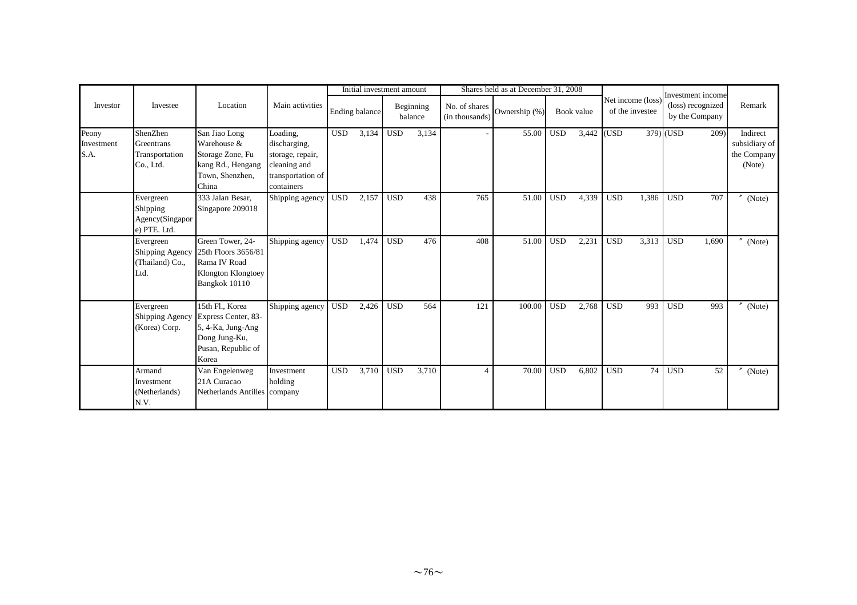|                             |                                                          |                                                                                                             |                                                                                                 |            | Initial investment amount |            |                      |                                 | Shares held as at December 31, 2008 |            |            |            |                                      | Investment income                   |       |                                                    |
|-----------------------------|----------------------------------------------------------|-------------------------------------------------------------------------------------------------------------|-------------------------------------------------------------------------------------------------|------------|---------------------------|------------|----------------------|---------------------------------|-------------------------------------|------------|------------|------------|--------------------------------------|-------------------------------------|-------|----------------------------------------------------|
| Investor                    | Investee                                                 | Location                                                                                                    | Main activities                                                                                 |            | <b>Ending balance</b>     |            | Beginning<br>balance | No. of shares<br>(in thousands) | Ownership (%)                       |            | Book value |            | Net income (loss)<br>of the investee | (loss) recognized<br>by the Company |       | Remark                                             |
| Peony<br>Investment<br>S.A. | ShenZhen<br>Greentrans<br>Transportation<br>Co., Ltd.    | San Jiao Long<br>Warehouse &<br>Storage Zone, Fu<br>kang Rd., Hengang<br>Town, Shenzhen,<br>China           | Loading,<br>discharging,<br>storage, repair,<br>cleaning and<br>transportation of<br>containers | <b>USD</b> | 3,134                     | <b>USD</b> | 3,134                |                                 | 55.00                               | <b>USD</b> | 3,442      | (USD       |                                      | 379) (USD                           | 209)  | Indirect<br>subsidiary of<br>the Company<br>(Note) |
|                             | Evergreen<br>Shipping<br>Agency(Singapor<br>e) PTE. Ltd. | 333 Jalan Besar,<br>Singapore 209018                                                                        | Shipping agency                                                                                 | <b>USD</b> | 2,157                     | <b>USD</b> | 438                  | 765                             | 51.00                               | <b>USD</b> | 4,339      | <b>USD</b> | 1,386                                | <b>USD</b>                          | 707   | (Note)                                             |
|                             | Evergreen<br>Shipping Agency<br>(Thailand) Co.,<br>Ltd.  | Green Tower, 24-<br>25th Floors 3656/81<br>Rama IV Road<br>Klongton Klongtoey<br>Bangkok 10110              | Shipping agency                                                                                 | <b>USD</b> | 1,474                     | <b>USD</b> | 476                  | 408                             | 51.00                               | <b>USD</b> | 2,231      | <b>USD</b> | 3,313                                | <b>USD</b>                          | 1,690 | (Note)                                             |
|                             | Evergreen<br>Shipping Agency<br>(Korea) Corp.            | 15th Fl., Korea<br>Express Center, 83-<br>5, 4-Ka, Jung-Ang<br>Dong Jung-Ku,<br>Pusan, Republic of<br>Korea | Shipping agency                                                                                 | <b>USD</b> | 2,426                     | <b>USD</b> | 564                  | 121                             | 100.00                              | <b>USD</b> | 2,768      | <b>USD</b> | 993                                  | $_{\rm USD}$                        | 993   | (Note)                                             |
|                             | Armand<br>Investment<br>(Netherlands)<br>N.V.            | Van Engelenweg<br>21A Curacao<br>Netherlands Antilles company                                               | Investment<br>holding                                                                           | <b>USD</b> | 3,710                     | <b>USD</b> | 3,710                | $\overline{4}$                  | 70.00                               | <b>USD</b> | 6,802      | <b>USD</b> | 74                                   | <b>USD</b>                          | 52    | $^{\prime\prime}$<br>(Note)                        |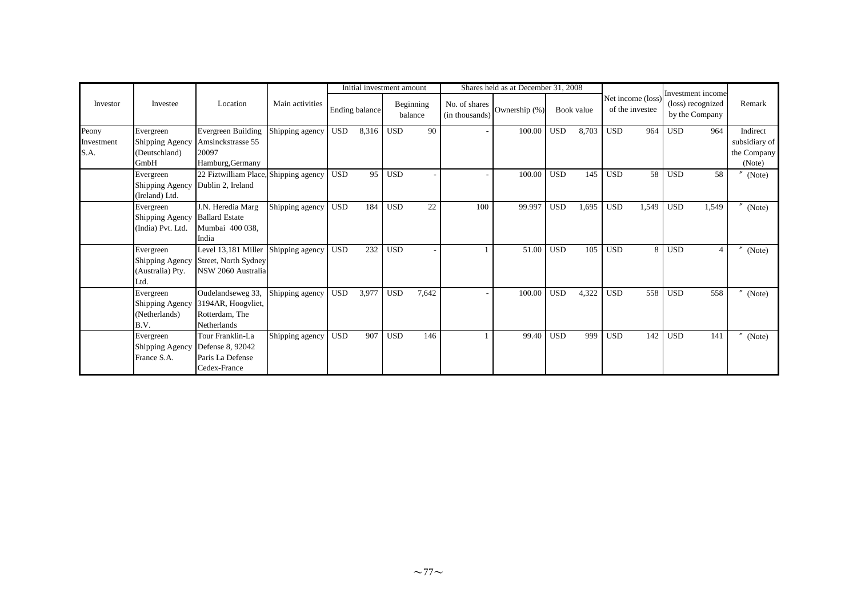|                             |                                                          |                                                                                 |                 |            | Initial investment amount |            |                      |                                 | Shares held as at December 31, 2008 |            |            |            |                                      |            | Investment income                   |                                                    |
|-----------------------------|----------------------------------------------------------|---------------------------------------------------------------------------------|-----------------|------------|---------------------------|------------|----------------------|---------------------------------|-------------------------------------|------------|------------|------------|--------------------------------------|------------|-------------------------------------|----------------------------------------------------|
| Investor                    | Investee                                                 | Location                                                                        | Main activities |            | Ending balance            |            | Beginning<br>balance | No. of shares<br>(in thousands) | Ownership (%)                       |            | Book value |            | Net income (loss)<br>of the investee |            | (loss) recognized<br>by the Company | Remark                                             |
| Peony<br>Investment<br>S.A. | Evergreen<br>Shipping Agency<br>(Deutschland)<br>GmbH    | Evergreen Building<br>Amsinckstrasse 55<br>20097<br>Hamburg, Germany            | Shipping agency | <b>USD</b> | 8,316                     | <b>USD</b> | 90                   |                                 | 100.00                              | <b>USD</b> | 8,703      | <b>USD</b> | 964                                  | <b>USD</b> | 964                                 | Indirect<br>subsidiary of<br>the Company<br>(Note) |
|                             | Evergreen<br>Shipping Agency<br>(Ireland) Ltd.           | 22 Fiztwilliam Place, Shipping agency<br>Dublin 2, Ireland                      |                 | <b>USD</b> | 95                        | <b>USD</b> |                      |                                 | 100.00                              | <b>USD</b> | 145        | <b>USD</b> | 58                                   | <b>USD</b> | 58                                  | (Note)                                             |
|                             | Evergreen<br>Shipping Agency<br>(India) Pvt. Ltd.        | J.N. Heredia Marg<br><b>Ballard Estate</b><br>Mumbai 400 038,<br>India          | Shipping agency | <b>USD</b> | 184                       | <b>USD</b> | 22                   | 100                             | 99.997                              | <b>USD</b> | 1,695      | <b>USD</b> | 1,549                                | <b>USD</b> | 1,549                               | (Note)                                             |
|                             | Evergreen<br>Shipping Agency<br>(Australia) Pty.<br>Ltd. | Level 13,181 Miller<br>Street, North Sydney<br>NSW 2060 Australia               | Shipping agency | <b>USD</b> | 232                       | <b>USD</b> |                      |                                 | 51.00                               | <b>USD</b> | 105        | <b>USD</b> | 8                                    | <b>USD</b> | $\overline{4}$                      | $^{\prime\prime}$<br>(Note)                        |
|                             | Evergreen<br>Shipping Agency<br>(Netherlands)<br>B.V.    | Oudelandseweg 33,<br>3194AR, Hoogyliet,<br>Rotterdam, The<br><b>Netherlands</b> | Shipping agency | <b>USD</b> | 3,977                     | <b>USD</b> | 7.642                |                                 | 100.00                              | <b>USD</b> | 4,322      | <b>USD</b> | 558                                  | <b>USD</b> | 558                                 | $^{\prime\prime}$<br>(Note)                        |
|                             | Evergreen<br>Shipping Agency<br>France S.A.              | Tour Franklin-La<br>Defense 8, 92042<br>Paris La Defense<br>Cedex-France        | Shipping agency | <b>USD</b> | 907                       | <b>USD</b> | 146                  |                                 | 99.40                               | <b>USD</b> | 999        | <b>USD</b> | 142                                  | <b>USD</b> | 141                                 | $^{\prime\prime}$<br>(Note)                        |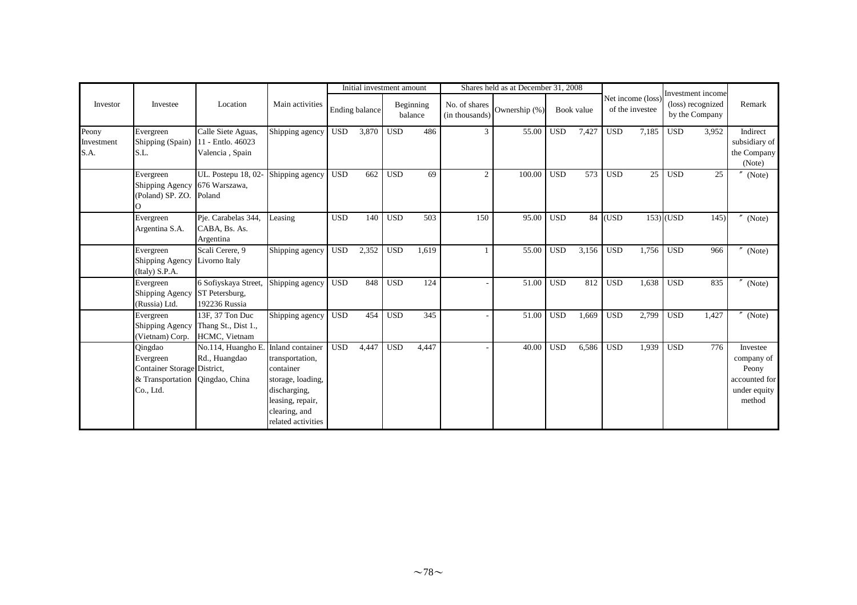|                             |                                                                                      |                                                                        |                                                                                                                              |            | Initial investment amount |            |                      |                                 | Shares held as at December 31, 2008 |            |            |            |                                     |             |                                                          |                                                                            |
|-----------------------------|--------------------------------------------------------------------------------------|------------------------------------------------------------------------|------------------------------------------------------------------------------------------------------------------------------|------------|---------------------------|------------|----------------------|---------------------------------|-------------------------------------|------------|------------|------------|-------------------------------------|-------------|----------------------------------------------------------|----------------------------------------------------------------------------|
| Investor                    | Investee                                                                             | Location                                                               | Main activities                                                                                                              |            | <b>Ending balance</b>     |            | Beginning<br>balance | No. of shares<br>(in thousands) | Ownership (%)                       |            | Book value |            | Net income (loss<br>of the investee |             | Investment income<br>(loss) recognized<br>by the Company | Remark                                                                     |
| Peony<br>Investment<br>S.A. | Evergreen<br>Shipping (Spain)<br>S.L.                                                | Calle Siete Aguas,<br>11 - Entlo. 46023<br>Valencia, Spain             | Shipping agency                                                                                                              | <b>USD</b> | 3,870                     | <b>USD</b> | 486                  | 3                               | 55.00                               | <b>USD</b> | 7,427      | <b>USD</b> | 7,185                               | <b>USD</b>  | 3,952                                                    | Indirect<br>subsidiary of<br>the Company<br>(Note)                         |
|                             | Evergreen<br>Shipping Agency<br>(Poland) SP. ZO.                                     | UL. Postepu 18, 02-<br>676 Warszawa,<br>Poland                         | Shipping agency                                                                                                              | <b>USD</b> | 662                       | <b>USD</b> | 69                   | $\mathfrak{2}$                  | 100.00                              | <b>USD</b> | 573        | <b>USD</b> | 25                                  | <b>USD</b>  | 25                                                       | $^{\prime\prime}$<br>(Note)                                                |
|                             | Evergreen<br>Argentina S.A.                                                          | Pie. Carabelas 344,<br>CABA, Bs. As.<br>Argentina                      | Leasing                                                                                                                      | <b>USD</b> | 140                       | <b>USD</b> | 503                  | 150                             | 95.00                               | <b>USD</b> |            | $84$ (USD  |                                     | $153)$ (USD | 145)                                                     | (Note)                                                                     |
|                             | Evergreen<br><b>Shipping Agency</b><br>(Italy) S.P.A.                                | Scali Cerere, 9<br>Livorno Italy                                       | Shipping agency                                                                                                              | <b>USD</b> | 2,352                     | <b>USD</b> | 1,619                |                                 | 55.00                               | <b>USD</b> | 3,156      | <b>USD</b> | 1,756                               | <b>USD</b>  | 966                                                      | (Note)                                                                     |
|                             | Evergreen<br>Shipping Agency<br>(Russia) Ltd.                                        | 6 Sofiyskaya Street,<br>ST Petersburg,<br>192236 Russia                | Shipping agency                                                                                                              | <b>USD</b> | 848                       | <b>USD</b> | 124                  |                                 | 51.00                               | <b>USD</b> | 812        | <b>USD</b> | 1,638                               | <b>USD</b>  | 835                                                      | (Note)                                                                     |
|                             | Evergreen<br>Shipping Agency<br>(Vietnam) Corp.                                      | $13F$ , 37 Ton Duc<br>Thang St., Dist 1.,<br>HCMC, Vietnam             | Shipping agency                                                                                                              | <b>USD</b> | 454                       | <b>USD</b> | 345                  |                                 | 51.00                               | <b>USD</b> | 1,669      | <b>USD</b> | 2,799                               | <b>USD</b>  | 1,427                                                    | (Note)                                                                     |
|                             | Qingdao<br>Evergreen<br>Container Storage District,<br>& Transportation<br>Co., Ltd. | No.114, Huangho E. Inland container<br>Rd., Huangdao<br>Qingdao, China | transportation,<br>container<br>storage, loading,<br>discharging,<br>leasing, repair,<br>clearing, and<br>related activities | <b>USD</b> | 4,447                     | <b>USD</b> | 4,447                |                                 | 40.00                               | <b>USD</b> | 6,586      | <b>USD</b> | 1,939                               | <b>USD</b>  | 776                                                      | Investee<br>company of<br>Peony<br>accounted for<br>under equity<br>method |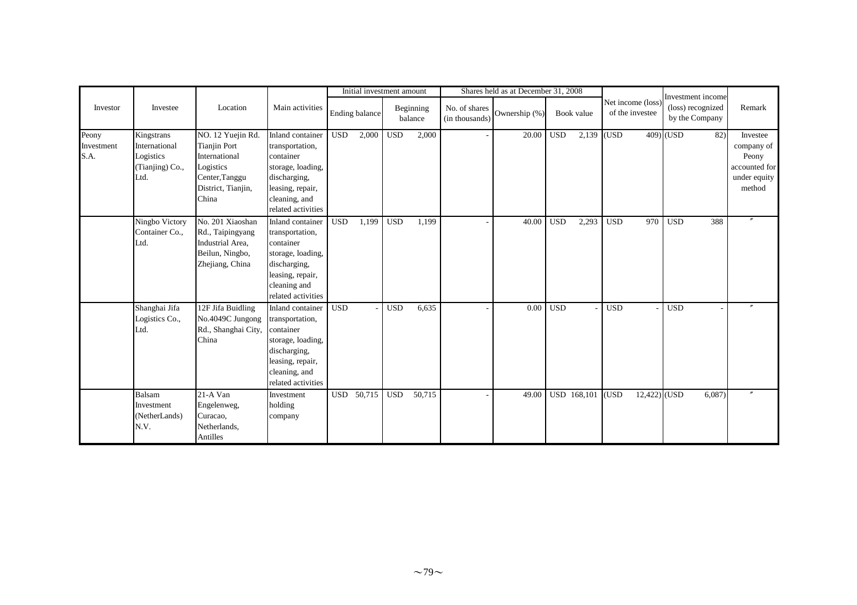|                             |                                                                     |                                                                                                                         |                                                                                                                                                  |            | Initial investment amount |            |                      |                                 | Shares held as at December 31, 2008 |            |             |            |                                      |                                                          |                                                                            |
|-----------------------------|---------------------------------------------------------------------|-------------------------------------------------------------------------------------------------------------------------|--------------------------------------------------------------------------------------------------------------------------------------------------|------------|---------------------------|------------|----------------------|---------------------------------|-------------------------------------|------------|-------------|------------|--------------------------------------|----------------------------------------------------------|----------------------------------------------------------------------------|
| Investor                    | Investee                                                            | Location                                                                                                                | Main activities                                                                                                                                  |            | Ending balance            |            | Beginning<br>balance | No. of shares<br>(in thousands) | Ownership (%)                       |            | Book value  |            | Net income (loss)<br>of the investee | Investment income<br>(loss) recognized<br>by the Company | Remark                                                                     |
| Peony<br>Investment<br>S.A. | Kingstrans<br>International<br>Logistics<br>(Tianjing) Co.,<br>Ltd. | NO. 12 Yuejin Rd.<br><b>Tianjin Port</b><br>International<br>Logistics<br>Center, Tanggu<br>District, Tianjin,<br>China | Inland container<br>transportation,<br>container<br>storage, loading,<br>discharging,<br>leasing, repair,<br>cleaning, and<br>related activities | <b>USD</b> | 2,000                     | <b>USD</b> | 2,000                |                                 | 20.00                               | <b>USD</b> | 2,139 (USD  |            |                                      | 409) (USD<br>82)                                         | Investee<br>company of<br>Peony<br>accounted for<br>under equity<br>method |
|                             | Ningbo Victory<br>Container Co.,<br>Ltd.                            | No. 201 Xiaoshan<br>Rd., Taipingyang<br>Industrial Area,<br>Beilun, Ningbo,<br>Zhejiang, China                          | Inland container<br>transportation,<br>container<br>storage, loading,<br>discharging,<br>leasing, repair,<br>cleaning and<br>related activities  | <b>USD</b> | 1,199                     | <b>USD</b> | 1,199                |                                 | 40.00                               | <b>USD</b> | 2,293       | <b>USD</b> | 970                                  | <b>USD</b><br>388                                        |                                                                            |
|                             | Shanghai Jifa<br>Logistics Co.,<br>Ltd.                             | 12F Jifa Buidling<br>No.4049C Jungong<br>Rd., Shanghai City,<br>China                                                   | Inland container<br>transportation,<br>container<br>storage, loading,<br>discharging,<br>leasing, repair,<br>cleaning, and<br>related activities | <b>USD</b> |                           | <b>USD</b> | 6,635                |                                 | 0.00                                | <b>USD</b> |             | <b>USD</b> |                                      | <b>USD</b>                                               |                                                                            |
|                             | Balsam<br>Investment<br>(NetherLands)<br>N.V.                       | 21-A Van<br>Engelenweg,<br>Curacao,<br>Netherlands,<br>Antilles                                                         | Investment<br>holding<br>company                                                                                                                 |            | USD 50,715                | <b>USD</b> | 50,715               |                                 | 49.00                               |            | USD 168,101 | (USD       | 12,422) (USD                         | 6,087                                                    |                                                                            |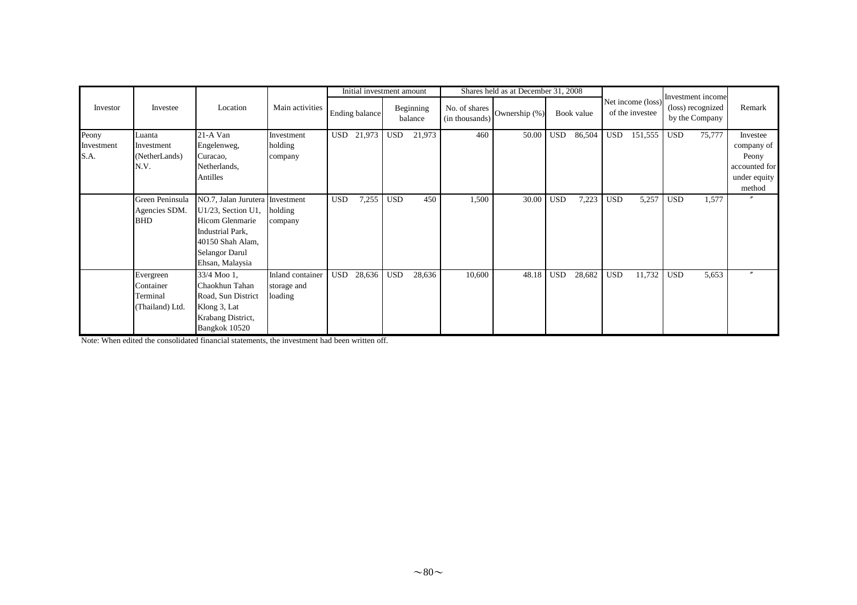|                             |                                                       |                                                                                                                                                                 |                                            |            | Initial investment amount |            |                      |                                 | Shares held as at December 31, 2008 |            |            |            |                                      |            | Investment income                   |                                                                            |
|-----------------------------|-------------------------------------------------------|-----------------------------------------------------------------------------------------------------------------------------------------------------------------|--------------------------------------------|------------|---------------------------|------------|----------------------|---------------------------------|-------------------------------------|------------|------------|------------|--------------------------------------|------------|-------------------------------------|----------------------------------------------------------------------------|
| Investor                    | Investee                                              | Location                                                                                                                                                        | Main activities                            |            | Ending balance            |            | Beginning<br>balance | No. of shares<br>(in thousands) | Ownership (%)                       |            | Book value |            | Net income (loss)<br>of the investee |            | (loss) recognized<br>by the Company | Remark                                                                     |
| Peony<br>Investment<br>S.A. | Luanta<br>Investment<br>(NetherLands)<br>N.V.         | 21-A Van<br>Engelenweg,<br>Curacao,<br>Netherlands,<br>Antilles                                                                                                 | Investment<br>holding<br>company           | <b>USD</b> | 21,973                    | <b>USD</b> | 21,973               | 460                             | 50.00                               | <b>USD</b> | 86,504     | <b>USD</b> | 151,555                              | <b>USD</b> | 75,777                              | Investee<br>company of<br>Peony<br>accounted for<br>under equity<br>method |
|                             | Green Peninsula<br>Agencies SDM.<br><b>BHD</b>        | NO.7, Jalan Jurutera Investment<br>$U1/23$ , Section U1,<br><b>Hicom Glenmarie</b><br>Industrial Park,<br>40150 Shah Alam,<br>Selangor Darul<br>Ehsan, Malaysia | holding<br>company                         | <b>USD</b> | 7,255                     | <b>USD</b> | 450                  | 1,500                           | 30.00                               | <b>USD</b> | 7,223      | <b>USD</b> | 5,257                                | <b>USD</b> | 1,577                               |                                                                            |
|                             | Evergreen<br>Container<br>Terminal<br>(Thailand) Ltd. | 33/4 Moo 1,<br>Chaokhun Tahan<br>Road, Sun District<br>Klong 3, Lat<br>Krabang District,<br>Bangkok 10520                                                       | Inland container<br>storage and<br>loading | <b>USD</b> | 28,636                    | <b>USD</b> | 28,636               | 10,600                          | 48.18                               | <b>USD</b> | 28,682     | <b>USD</b> | 11,732                               | <b>USD</b> | 5,653                               | $\boldsymbol{''}$                                                          |

Note: When edited the consolidated financial statements, the investment had been written off.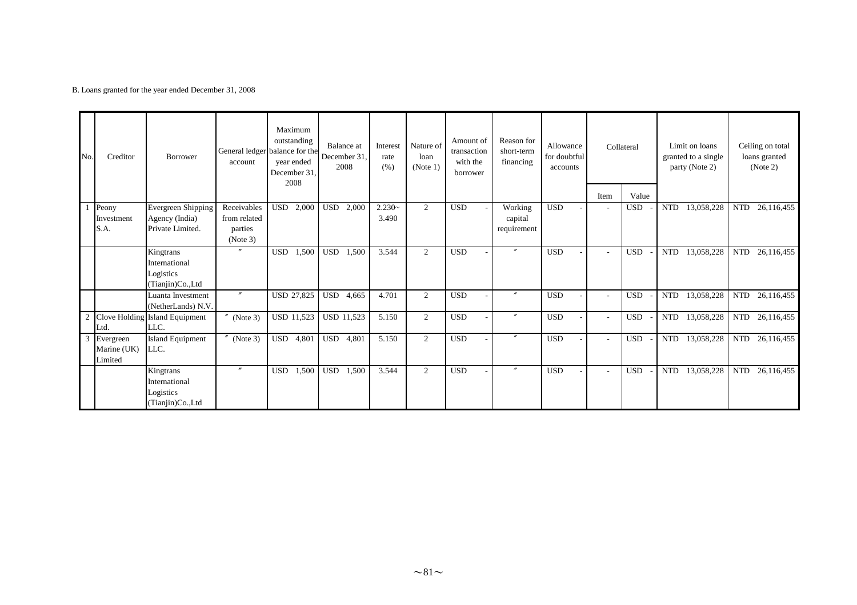B. Loans granted for the year ended December 31, 2008

| No. | Creditor                            | Borrower                                                    | account             | Maximum<br>outstanding<br>General ledger balance for the<br>year ended<br>December 31,<br>2008 | Balance at<br>December 31<br>2008 | Interest<br>rate<br>(% ) | Nature of<br>loan<br>(Note 1) | Amount of<br>transaction<br>with the<br>borrower | Reason for<br>short-term<br>financing | Allowance<br>for doubtful<br>accounts |                          | Collateral          | Limit on loans<br>granted to a single<br>party (Note 2) | Ceiling on total<br>loans granted<br>(Note 2) |
|-----|-------------------------------------|-------------------------------------------------------------|---------------------|------------------------------------------------------------------------------------------------|-----------------------------------|--------------------------|-------------------------------|--------------------------------------------------|---------------------------------------|---------------------------------------|--------------------------|---------------------|---------------------------------------------------------|-----------------------------------------------|
|     | Peony                               | <b>Evergreen Shipping</b>                                   | Receivables         | <b>USD</b><br>2,000                                                                            | 2,000<br><b>USD</b>               | $2.230-$                 | 2                             | <b>USD</b>                                       | Working                               | <b>USD</b>                            | Item                     | Value<br><b>USD</b> | 13,058,228<br><b>NTD</b>                                | <b>NTD</b><br>26,116,455                      |
|     | Investment                          | Agency (India)                                              | from related        |                                                                                                |                                   | 3.490                    |                               |                                                  | capital                               |                                       |                          |                     |                                                         |                                               |
|     | S.A.                                | Private Limited.                                            | parties<br>(Note 3) |                                                                                                |                                   |                          |                               |                                                  | requirement                           |                                       |                          |                     |                                                         |                                               |
|     |                                     | Kingtrans<br>International<br>Logistics<br>(Tianjin)Co.,Ltd |                     | <b>USD</b><br>1,500                                                                            | <b>USD</b><br>1,500               | 3.544                    | $\overline{2}$                | <b>USD</b>                                       | $^{\prime\prime}$                     | <b>USD</b>                            | $\overline{\phantom{a}}$ | <b>USD</b>          | <b>NTD</b><br>13,058,228                                | <b>NTD</b><br>26,116,455                      |
|     |                                     | Luanta Investment<br>(NetherLands) N.V.                     |                     | <b>USD 27,825</b>                                                                              | <b>USD</b><br>4,665               | 4.701                    | 2                             | <b>USD</b>                                       |                                       | <b>USD</b>                            | ۰                        | <b>USD</b>          | 13,058,228<br><b>NTD</b>                                | <b>NTD</b><br>26,116,455                      |
|     | Ltd.                                | Clove Holding Island Equipment<br>LLC.                      | $''$ (Note 3)       | USD 11,523                                                                                     | <b>USD 11,523</b>                 | 5.150                    | 2                             | <b>USD</b>                                       | $\prime\prime$                        | <b>USD</b>                            |                          | <b>USD</b>          | 13,058,228<br><b>NTD</b>                                | 26,116,455<br><b>NTD</b>                      |
| 3   | Evergreen<br>Marine (UK)<br>Limited | Island Equipment<br>LLC.                                    | $N$ (Note 3)        | <b>USD</b><br>4,801                                                                            | <b>USD</b><br>4,801               | 5.150                    | 2                             | <b>USD</b>                                       | $\prime\prime$                        | <b>USD</b>                            | $\overline{\phantom{a}}$ | <b>USD</b>          | 13,058,228<br><b>NTD</b>                                | <b>NTD</b><br>26,116,455                      |
|     |                                     | Kingtrans<br>International<br>Logistics<br>(Tianjin)Co.,Ltd |                     | <b>USD</b><br>1,500                                                                            | <b>USD</b><br>1,500               | 3.544                    | 2                             | <b>USD</b>                                       |                                       | <b>USD</b>                            | $\overline{\phantom{a}}$ | <b>USD</b>          | 13,058,228<br><b>NTD</b>                                | <b>NTD</b><br>26,116,455                      |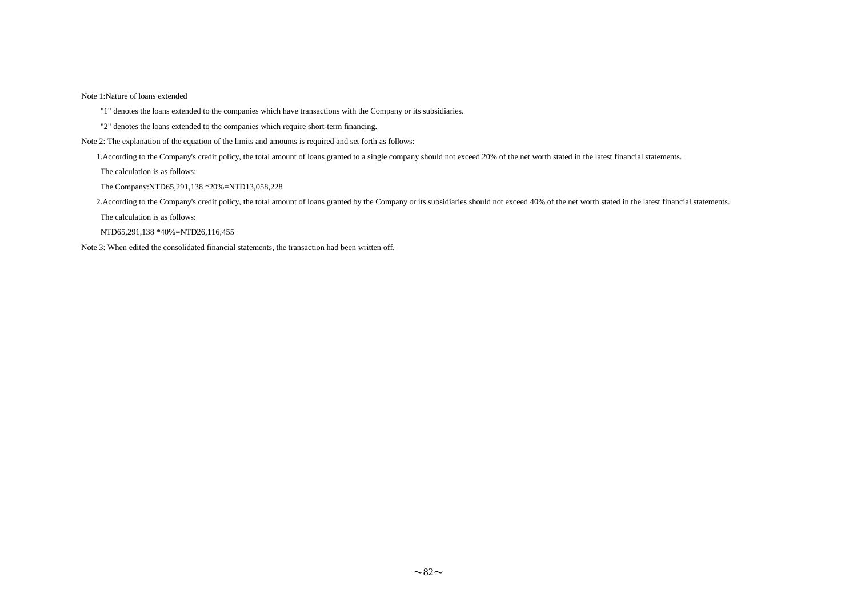Note 1:Nature of loans extended

"1" denotes the loans extended to the companies which have transactions with the Company or its subsidiaries.

"2" denotes the loans extended to the companies which require short-term financing.

Note 2: The explanation of the equation of the limits and amounts is required and set forth as follows:

1.According to the Company's credit policy, the total amount of loans granted to a single company should not exceed 20% of the net worth stated in the latest financial statements.

The calculation is as follows:

The Company:NTD65,291,138 \*20%=NTD13,058,228

2.According to the Company's credit policy, the total amount of loans granted by the Company or its subsidiaries should not exceed 40% of the net worth stated in the latest financial statements.

The calculation is as follows:

NTD65,291,138 \*40%=NTD26,116,455

Note 3: When edited the consolidated financial statements, the transaction had been written off.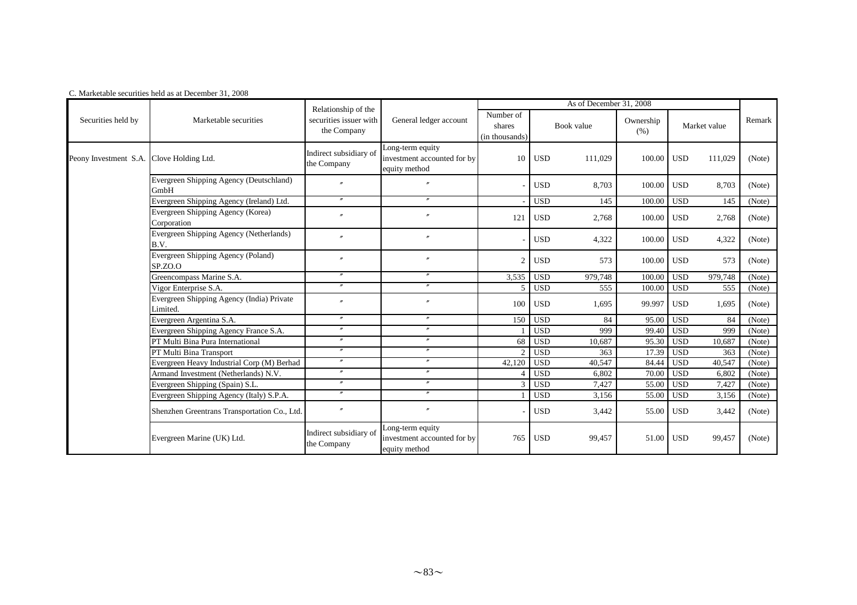|                                          | C. Marketable securities held as at December 31, 2008 |                                       |                                                                  |                                       |            |                         |                   |            |              |        |
|------------------------------------------|-------------------------------------------------------|---------------------------------------|------------------------------------------------------------------|---------------------------------------|------------|-------------------------|-------------------|------------|--------------|--------|
|                                          |                                                       | Relationship of the                   |                                                                  |                                       |            | As of December 31, 2008 |                   |            |              |        |
| Securities held by                       | Marketable securities                                 | securities issuer with<br>the Company | General ledger account                                           | Number of<br>shares<br>(in thousands) |            | Book value              | Ownership<br>(% ) |            | Market value | Remark |
| Peony Investment S.A. Clove Holding Ltd. |                                                       | Indirect subsidiary of<br>the Company | Long-term equity<br>investment accounted for by<br>equity method | 10 <sup>1</sup>                       | <b>USD</b> | 111,029                 | 100.00            | <b>USD</b> | 111,029      | (Note) |
|                                          | Evergreen Shipping Agency (Deutschland)<br>GmbH       | $\overline{v}$                        | $\theta$                                                         |                                       | <b>USD</b> | 8,703                   | 100.00            | <b>USD</b> | 8,703        | (Note) |
|                                          | Evergreen Shipping Agency (Ireland) Ltd.              | $\prime\prime$                        | $\prime$                                                         |                                       | <b>USD</b> | 145                     | 100.00            | <b>USD</b> | 145          | (Note) |
|                                          | Evergreen Shipping Agency (Korea)<br>Corporation      |                                       | $\prime$                                                         | 121                                   | <b>USD</b> | 2,768                   | 100.00            | <b>USD</b> | 2,768        | (Note) |
|                                          | Evergreen Shipping Agency (Netherlands)<br>B.V.       | $\overline{v}$                        | $^{\prime\prime}$                                                |                                       | <b>USD</b> | 4,322                   | 100.00            | <b>USD</b> | 4,322        | (Note) |
|                                          | Evergreen Shipping Agency (Poland)<br>SP.ZO.O         | $\theta$                              | $\overline{''}$                                                  | $\overline{2}$                        | <b>USD</b> | 573                     | 100.00            | <b>USD</b> | 573          | (Note) |
|                                          | Greencompass Marine S.A.                              | $^{\prime\prime}$                     | $^{\prime\prime}$                                                | 3,535                                 | <b>USD</b> | 979,748                 | 100.00            | <b>USD</b> | 979,748      | (Note) |
|                                          | Vigor Enterprise S.A.                                 | $\prime\prime$                        | $^{\prime\prime}$                                                | 5 <sup>1</sup>                        | <b>USD</b> | 555                     | 100.00            | <b>USD</b> | 555          | (Note) |
|                                          | Evergreen Shipping Agency (India) Private<br>Limited. | $^{\prime\prime}$                     | $^{\prime\prime}$                                                | 100                                   | <b>USD</b> | 1,695                   | 99.997            | <b>USD</b> | 1,695        | (Note) |
|                                          | Evergreen Argentina S.A.                              | $^{\prime\prime}$                     | $^{\prime\prime}$                                                | 150                                   | <b>USD</b> | 84                      | 95.00             | <b>USD</b> | 84           | (Note) |
|                                          | Evergreen Shipping Agency France S.A.                 | $^{\prime\prime}$                     | $^{\prime\prime}$                                                |                                       | <b>USD</b> | 999                     | 99.40             | <b>USD</b> | 999          | (Note) |
|                                          | PT Multi Bina Pura International                      | $\prime\prime$                        | $\prime\prime$                                                   | 68                                    | <b>USD</b> | 10,687                  | 95.30             | <b>USD</b> | 10,687       | (Note) |
|                                          | PT Multi Bina Transport                               | $^{\prime\prime}$                     | $^{\prime\prime}$                                                | $\mathcal{D}_{\mathcal{L}}$           | <b>USD</b> | 363                     | 17.39             | <b>USD</b> | 363          | (Note) |
|                                          | Evergreen Heavy Industrial Corp (M) Berhad            | $\prime\prime$                        | $^{\prime\prime}$                                                | 42,120                                | <b>USD</b> | 40,547                  | 84.44             | <b>USD</b> | 40.547       | (Note) |
|                                          | Armand Investment (Netherlands) N.V.                  | $^{\prime\prime}$                     | $^{\prime\prime}$                                                | $\overline{4}$                        | <b>USD</b> | 6,802                   | 70.00             | <b>USD</b> | 6,802        | (Note) |
|                                          | Evergreen Shipping (Spain) S.L.                       | $\prime\prime$                        | $^{\prime\prime}$                                                | 3 <sup>1</sup>                        | <b>USD</b> | 7,427                   | 55.00             | <b>USD</b> | 7,427        | (Note) |
|                                          | Evergreen Shipping Agency (Italy) S.P.A.              | $\prime\prime$                        | $\prime\prime$                                                   |                                       | <b>USD</b> | 3,156                   | 55.00             | <b>USD</b> | 3,156        | (Note) |
|                                          | Shenzhen Greentrans Transportation Co., Ltd.          | $^{\prime\prime}$                     | $^{\prime\prime}$                                                |                                       | <b>USD</b> | 3,442                   | 55.00             | <b>USD</b> | 3,442        | (Note) |
|                                          | Evergreen Marine (UK) Ltd.                            | Indirect subsidiary of<br>the Company | Long-term equity<br>investment accounted for by<br>equity method | 765                                   | <b>USD</b> | 99,457                  | 51.00             | <b>USD</b> | 99,457       | (Note) |

#### C. Marketable securities held as at December 31, 2008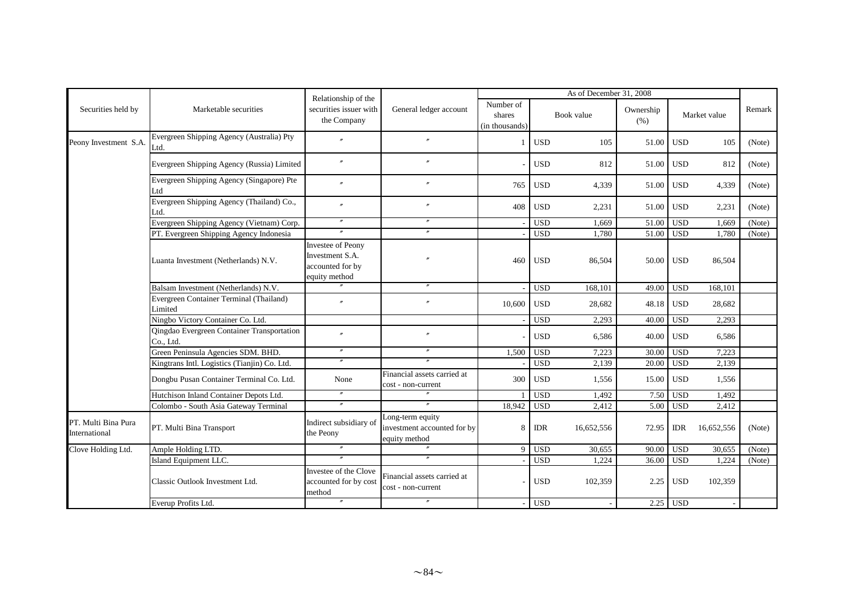|                                      |                                                         | Relationship of the                                                       |                                                                  |                                       |            | As of December 31, 2008 |                   |            |              |        |
|--------------------------------------|---------------------------------------------------------|---------------------------------------------------------------------------|------------------------------------------------------------------|---------------------------------------|------------|-------------------------|-------------------|------------|--------------|--------|
| Securities held by                   | Marketable securities                                   | securities issuer with<br>the Company                                     | General ledger account                                           | Number of<br>shares<br>(in thousands) |            | Book value              | Ownership<br>(% ) |            | Market value | Remark |
| Peony Investment S.A.                | Evergreen Shipping Agency (Australia) Pty<br>Ltd.       | $^{\prime\prime}$                                                         | $^{\prime\prime}$                                                | 1                                     | <b>USD</b> | 105                     | 51.00             | <b>USD</b> | 105          | (Note) |
|                                      | Evergreen Shipping Agency (Russia) Limited              | $\prime\prime$                                                            | $\overline{v}$                                                   |                                       | <b>USD</b> | 812                     | 51.00             | <b>USD</b> | 812          | (Note) |
|                                      | Evergreen Shipping Agency (Singapore) Pte<br>Ltd        | $\overline{r}$                                                            |                                                                  | 765                                   | <b>USD</b> | 4,339                   | 51.00             | <b>USD</b> | 4,339        | (Note) |
|                                      | Evergreen Shipping Agency (Thailand) Co.,<br>Ltd.       | $^{\prime\prime}$                                                         | $^{\prime\prime}$                                                | 408                                   | <b>USD</b> | 2,231                   | 51.00             | <b>USD</b> | 2,231        | (Note) |
|                                      | Evergreen Shipping Agency (Vietnam) Corp.               | $\prime\prime$                                                            | $^{\prime\prime}$                                                |                                       | <b>USD</b> | 1,669                   | 51.00             | <b>USD</b> | 1.669        | (Note) |
|                                      | PT. Evergreen Shipping Agency Indonesia                 | $\prime\prime$                                                            |                                                                  |                                       | <b>USD</b> | 1,780                   | 51.00             | <b>USD</b> | 1,780        | (Note) |
|                                      | Luanta Investment (Netherlands) N.V.                    | Investee of Peony<br>Investment S.A.<br>accounted for by<br>equity method | $\prime$                                                         | 460                                   | <b>USD</b> | 86,504                  | 50.00             | <b>USD</b> | 86,504       |        |
|                                      | Balsam Investment (Netherlands) N.V.                    |                                                                           |                                                                  |                                       | <b>USD</b> | 168,101                 | 49.00             | <b>USD</b> | 168,101      |        |
|                                      | Evergreen Container Terminal (Thailand)<br>Limited      |                                                                           |                                                                  | 10,600                                | <b>USD</b> | 28,682                  | 48.18             | <b>USD</b> | 28,682       |        |
|                                      | Ningbo Victory Container Co. Ltd.                       |                                                                           |                                                                  |                                       | <b>USD</b> | 2,293                   | 40.00             | <b>USD</b> | 2,293        |        |
|                                      | Qingdao Evergreen Container Transportation<br>Co., Ltd. | $^{\prime\prime}$                                                         | $\overline{v}$                                                   |                                       | <b>USD</b> | 6,586                   | 40.00             | <b>USD</b> | 6,586        |        |
|                                      | Green Peninsula Agencies SDM. BHD.                      | $^{\prime\prime}$                                                         | $^{\prime\prime}$                                                | 1,500                                 | <b>USD</b> | 7,223                   | 30.00             | <b>USD</b> | 7,223        |        |
|                                      | Kingtrans Intl. Logistics (Tianjin) Co. Ltd.            | $\prime\prime$                                                            | $\prime\prime$                                                   |                                       | <b>USD</b> | 2,139                   | 20.00             | <b>USD</b> | 2,139        |        |
|                                      | Dongbu Pusan Container Terminal Co. Ltd.                | None                                                                      | Financial assets carried at<br>cost - non-current                | 300                                   | <b>USD</b> | 1,556                   | 15.00             | <b>USD</b> | 1,556        |        |
|                                      | Hutchison Inland Container Depots Ltd.                  | $\prime\prime$                                                            |                                                                  |                                       | <b>USD</b> | 1,492                   | 7.50              | <b>USD</b> | 1,492        |        |
|                                      | Colombo - South Asia Gateway Terminal                   | $^{\prime\prime}$                                                         | $^{\prime\prime}$                                                | 18,942                                | <b>USD</b> | 2,412                   | 5.00              | <b>USD</b> | 2,412        |        |
| PT. Multi Bina Pura<br>International | PT. Multi Bina Transport                                | Indirect subsidiary of<br>the Peony                                       | Long-term equity<br>investment accounted for by<br>equity method | 8                                     | <b>IDR</b> | 16,652,556              | 72.95             | <b>IDR</b> | 16,652,556   | (Note) |
| Clove Holding Ltd.                   | Ample Holding LTD.                                      |                                                                           |                                                                  | 9                                     | <b>USD</b> | 30,655                  | 90.00             | <b>USD</b> | 30,655       | (Note) |
|                                      | Island Equipment LLC.                                   |                                                                           |                                                                  |                                       | <b>USD</b> | 1,224                   | 36.00             | <b>USD</b> | 1,224        | (Note) |
|                                      | Classic Outlook Investment Ltd.                         | Investee of the Clove<br>accounted for by cost<br>method                  | Financial assets carried at<br>cost - non-current                |                                       | <b>USD</b> | 102,359                 | 2.25              | <b>USD</b> | 102,359      |        |
|                                      | Everup Profits Ltd.                                     | $^{\prime\prime}$                                                         | $\prime\prime$                                                   |                                       | <b>USD</b> |                         |                   | $2.25$ USD |              |        |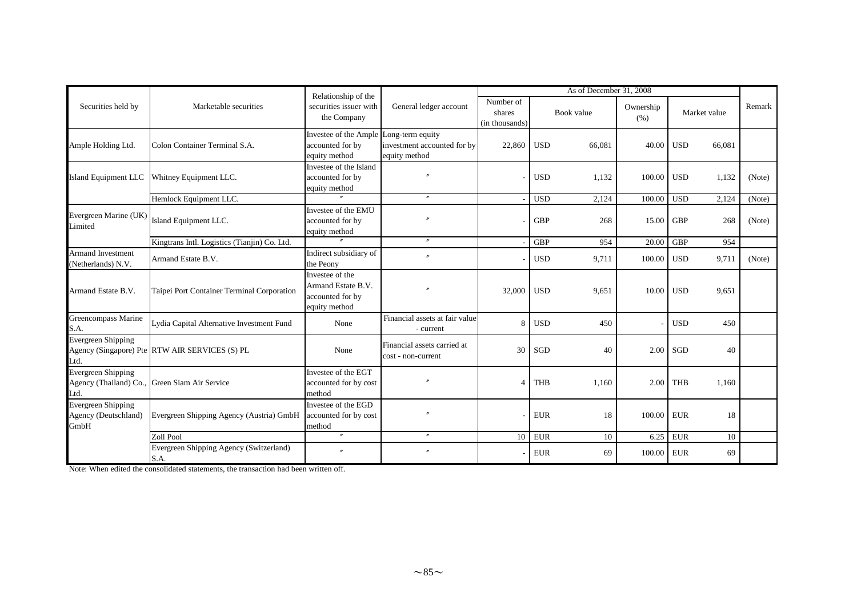|                                                             |                                                 | As of December 31, 2008<br>Relationship of the                              |                                                   |                                       |            |            |                   |            |              |        |
|-------------------------------------------------------------|-------------------------------------------------|-----------------------------------------------------------------------------|---------------------------------------------------|---------------------------------------|------------|------------|-------------------|------------|--------------|--------|
| Securities held by                                          | Marketable securities                           | securities issuer with<br>the Company                                       | General ledger account                            | Number of<br>shares<br>(in thousands) |            | Book value | Ownership<br>(% ) |            | Market value | Remark |
| Ample Holding Ltd.                                          | Colon Container Terminal S.A.                   | Investee of the Ample Long-term equity<br>accounted for by<br>equity method | investment accounted for by<br>equity method      | 22,860                                | <b>USD</b> | 66,081     | 40.00             | <b>USD</b> | 66,081       |        |
| <b>Island Equipment LLC</b>                                 | Whitney Equipment LLC.                          | Investee of the Island<br>accounted for by<br>equity method                 |                                                   |                                       | <b>USD</b> | 1,132      | 100.00            | <b>USD</b> | 1,132        | (Note) |
|                                                             | Hemlock Equipment LLC.                          |                                                                             |                                                   |                                       | <b>USD</b> | 2,124      | 100.00            | <b>USD</b> | 2,124        | (Note) |
| Evergreen Marine (UK)<br>Limited                            | Island Equipment LLC.                           | Investee of the EMU<br>accounted for by<br>equity method                    |                                                   |                                       | <b>GBP</b> | 268        | 15.00             | <b>GBP</b> | 268          | (Note) |
|                                                             | Kingtrans Intl. Logistics (Tianjin) Co. Ltd.    |                                                                             | $^{\prime\prime}$                                 |                                       | <b>GBP</b> | 954        | 20.00             | <b>GBP</b> | 954          |        |
| <b>Armand Investment</b><br>Netherlands) N.V.               | Armand Estate B.V.                              | Indirect subsidiary of<br>the Peony                                         |                                                   |                                       | <b>USD</b> | 9,711      | 100.00            | <b>USD</b> | 9,711        | (Note) |
| Armand Estate B.V.                                          | Taipei Port Container Terminal Corporation      | Investee of the<br>Armand Estate B.V.<br>accounted for by<br>equity method  |                                                   | 32,000                                | <b>USD</b> | 9,651      | 10.00             | <b>USD</b> | 9,651        |        |
| Greencompass Marine<br>S.A.                                 | Lydia Capital Alternative Investment Fund       | None                                                                        | Financial assets at fair value<br>- current       | $\mathbf{8}$                          | <b>USD</b> | 450        |                   | <b>USD</b> | 450          |        |
| <b>Evergreen Shipping</b><br>Ltd.                           | Agency (Singapore) Pte RTW AIR SERVICES (S) PL  | None                                                                        | Financial assets carried at<br>cost - non-current | 30                                    | SGD        | 40         | 2.00              | SGD        | 40           |        |
| <b>Evergreen Shipping</b><br>Agency (Thailand) Co.,<br>Ltd. | Green Siam Air Service                          | Investee of the EGT<br>accounted for by cost<br>method                      |                                                   |                                       | <b>THB</b> | 1,160      | 2.00              | <b>THB</b> | 1.160        |        |
| <b>Evergreen Shipping</b><br>Agency (Deutschland)<br>GmbH   | Evergreen Shipping Agency (Austria) GmbH        | Investee of the EGD<br>accounted for by cost<br>method                      |                                                   |                                       | <b>EUR</b> | 18         | 100.00            | <b>EUR</b> | 18           |        |
|                                                             | Zoll Pool                                       | $^{\prime\prime}$                                                           | $^{\prime\prime}$                                 | 10                                    | <b>EUR</b> | 10         | 6.25              | <b>EUR</b> | 10           |        |
|                                                             | Evergreen Shipping Agency (Switzerland)<br>S.A. |                                                                             | $\prime$                                          |                                       | <b>EUR</b> | 69         | 100.00            | <b>EUR</b> | 69           |        |

Note: When edited the consolidated statements, the transaction had been written off.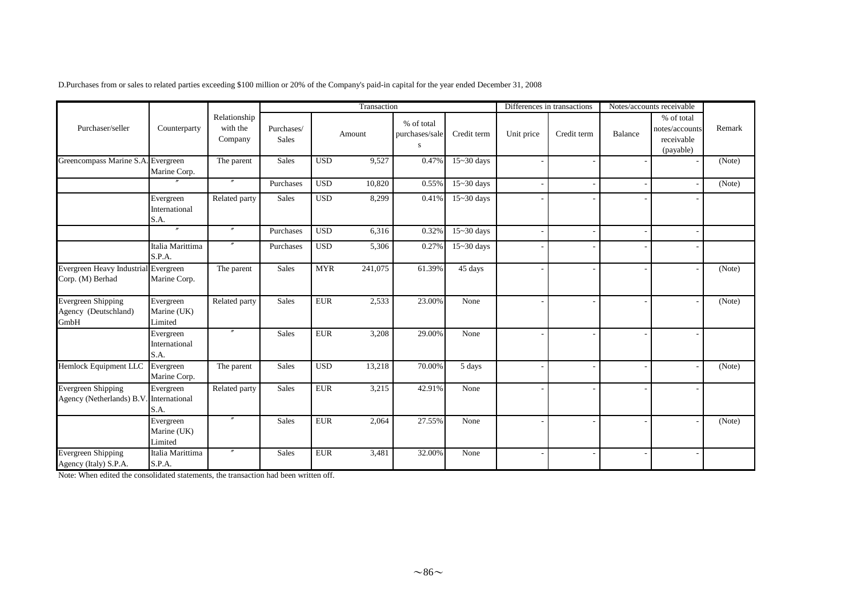|                                                                      |                                     |                                     |                     |            | Transaction |                                   |                | Differences in transactions |             |         | Notes/accounts receivable                               |        |
|----------------------------------------------------------------------|-------------------------------------|-------------------------------------|---------------------|------------|-------------|-----------------------------------|----------------|-----------------------------|-------------|---------|---------------------------------------------------------|--------|
| Purchaser/seller                                                     | Counterparty                        | Relationship<br>with the<br>Company | Purchases/<br>Sales |            | Amount      | % of total<br>purchases/sale<br>S | Credit term    | Unit price                  | Credit term | Balance | % of total<br>notes/accounts<br>receivable<br>(payable) | Remark |
| Greencompass Marine S.A. Evergreen                                   | Marine Corp.                        | The parent                          | Sales               | <b>USD</b> | 9,527       | 0.47%                             | $15 - 30$ days |                             |             |         |                                                         | (Note) |
|                                                                      | $\overline{''}$                     | $^{\prime\prime}$                   | Purchases           | <b>USD</b> | 10,820      | 0.55%                             | $15 - 30$ days |                             |             |         |                                                         | (Note) |
|                                                                      | Evergreen<br>International<br>S.A.  | Related party                       | Sales               | <b>USD</b> | 8,299       | 0.41%                             | 15~30 days     |                             |             |         |                                                         |        |
|                                                                      | $^{\prime\prime}$                   | $\prime\prime$                      | Purchases           | <b>USD</b> | 6,316       | 0.32%                             | $15 - 30$ days |                             |             |         |                                                         |        |
|                                                                      | Italia Marittima<br>S.P.A.          | $^{\prime\prime}$                   | Purchases           | <b>USD</b> | 5,306       | 0.27%                             | $15 - 30$ days |                             |             |         |                                                         |        |
| Evergreen Heavy Industrial Evergreen<br>Corp. (M) Berhad             | Marine Corp.                        | The parent                          | <b>Sales</b>        | <b>MYR</b> | 241,075     | 61.39%                            | 45 days        |                             |             |         |                                                         | (Note) |
| Evergreen Shipping<br>Agency (Deutschland)<br>GmbH                   | Evergreen<br>Marine (UK)<br>Limited | Related party                       | <b>Sales</b>        | <b>EUR</b> | 2,533       | 23.00%                            | None           |                             |             |         |                                                         | (Note) |
|                                                                      | Evergreen<br>International<br>S.A.  | $^{\prime\prime}$                   | <b>Sales</b>        | <b>EUR</b> | 3,208       | 29.00%                            | None           |                             |             |         |                                                         |        |
| Hemlock Equipment LLC                                                | Evergreen<br>Marine Corp.           | The parent                          | <b>Sales</b>        | <b>USD</b> | 13,218      | 70.00%                            | 5 days         |                             |             |         | ÷,                                                      | (Note) |
| <b>Evergreen Shipping</b><br>Agency (Netherlands) B.V. International | Evergreen<br>S.A.                   | Related party                       | <b>Sales</b>        | <b>EUR</b> | 3,215       | 42.91%                            | None           |                             |             |         |                                                         |        |
|                                                                      | Evergreen<br>Marine (UK)<br>Limited | $^{\prime\prime}$                   | <b>Sales</b>        | <b>EUR</b> | 2,064       | 27.55%                            | None           |                             |             |         |                                                         | (Note) |
| <b>Evergreen Shipping</b><br>Agency (Italy) S.P.A.                   | Italia Marittima<br>S.P.A.          |                                     | <b>Sales</b>        | <b>EUR</b> | 3,481       | 32.00%                            | None           |                             |             |         |                                                         |        |

Note: When edited the consolidated statements, the transaction had been written off.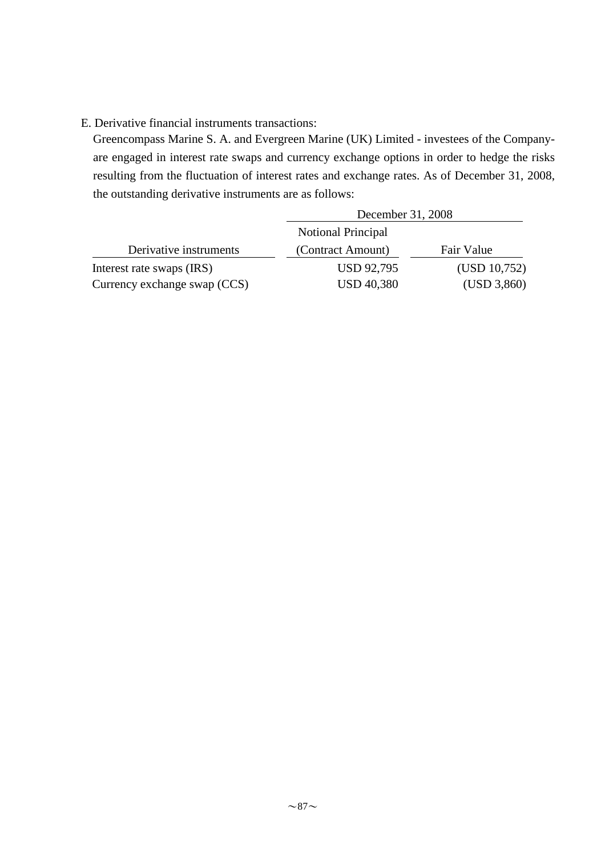## E. Derivative financial instruments transactions:

Greencompass Marine S. A. and Evergreen Marine (UK) Limited - investees of the Companyare engaged in interest rate swaps and currency exchange options in order to hedge the risks resulting from the fluctuation of interest rates and exchange rates. As of December 31, 2008, the outstanding derivative instruments are as follows:

|                              | December 31, 2008         |              |
|------------------------------|---------------------------|--------------|
|                              | <b>Notional Principal</b> |              |
| Derivative instruments       | (Contract Amount)         | Fair Value   |
| Interest rate swaps (IRS)    | <b>USD 92,795</b>         | (USD 10,752) |
| Currency exchange swap (CCS) | <b>USD 40,380</b>         | (USD 3,860)  |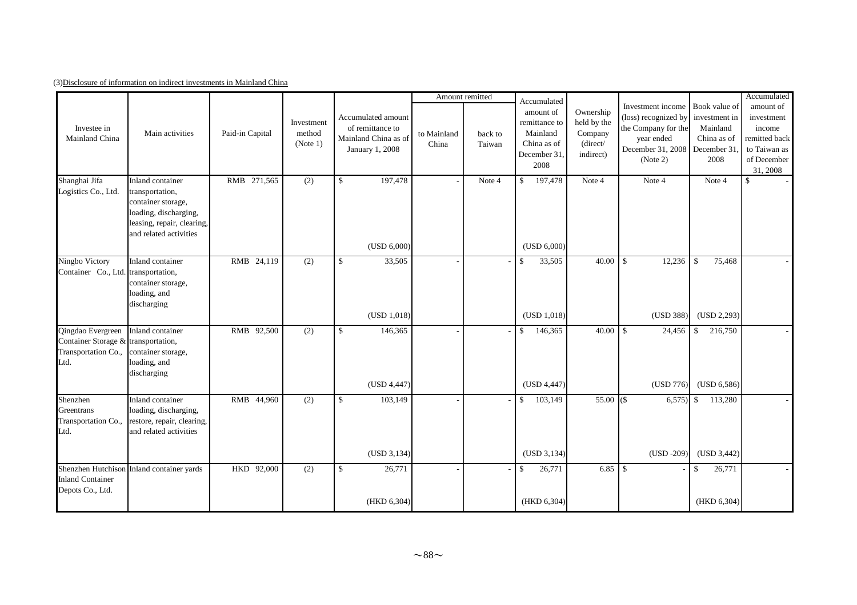|  | (3) Disclosure of information on indirect investments in Mainland China |  |  |
|--|-------------------------------------------------------------------------|--|--|
|  |                                                                         |  |  |

|                                                                                         |                                                                                                                                            |                 |                                  |                                                                                   |                      | Amount remitted   | Accumulated                                                                   |                                                              |                                                                                                                 |                                                                                  | Accumulated                                                                                   |
|-----------------------------------------------------------------------------------------|--------------------------------------------------------------------------------------------------------------------------------------------|-----------------|----------------------------------|-----------------------------------------------------------------------------------|----------------------|-------------------|-------------------------------------------------------------------------------|--------------------------------------------------------------|-----------------------------------------------------------------------------------------------------------------|----------------------------------------------------------------------------------|-----------------------------------------------------------------------------------------------|
| Investee in<br>Mainland China                                                           | Main activities                                                                                                                            | Paid-in Capital | Investment<br>method<br>(Note 1) | Accumulated amount<br>of remittance to<br>Mainland China as of<br>January 1, 2008 | to Mainland<br>China | back to<br>Taiwan | amount of<br>remittance to<br>Mainland<br>China as of<br>December 31.<br>2008 | Ownership<br>held by the<br>Company<br>(direct/<br>indirect) | Investment income<br>(loss) recognized by<br>the Company for the<br>year ended<br>December 31, 2008<br>(Note 2) | Book value of<br>investment in<br>Mainland<br>China as of<br>December 31<br>2008 | amount of<br>investment<br>income<br>remitted back<br>to Taiwan as<br>of December<br>31, 2008 |
| Shanghai Jifa<br>Logistics Co., Ltd.                                                    | Inland container<br>transportation,<br>container storage,<br>loading, discharging,<br>leasing, repair, clearing,<br>and related activities | RMB 271,565     | (2)                              | 197,478<br>$\mathbb{S}$<br>(USD 6,000)                                            |                      | Note 4            | 197,478<br>$\mathbb{S}$<br>(USD 6,000)                                        | Note 4                                                       | Note 4                                                                                                          | Note 4                                                                           | \$                                                                                            |
| Ningbo Victory<br>Container Co., Ltd.                                                   | Inland container<br>transportation,<br>container storage,<br>loading, and<br>discharging                                                   | RMB 24,119      | (2)                              | 33,505<br>\$<br>(USD 1,018)                                                       |                      |                   | 33,505<br>$\mathbb{S}$<br>(USD 1,018)                                         |                                                              | 12,236<br>(USD 388)                                                                                             | 75,468<br>$\mathbf{\hat{S}}$<br>(USD 2, 293)                                     |                                                                                               |
| Qingdao Evergreen<br>Container Storage & transportation,<br>Transportation Co.,<br>Ltd. | Inland container<br>container storage,<br>loading, and<br>discharging                                                                      | RMB 92,500      | (2)                              | 146,365<br><sup>\$</sup><br>(USD 4,447)                                           |                      |                   | $\mathbb{S}$<br>146,365<br>(USD 4,447)                                        |                                                              | 24,456<br>(USD 776)                                                                                             | 216,750<br>$\mathcal{S}$<br>(USD 6,586)                                          |                                                                                               |
| Shenzhen<br>Greentrans<br>Transportation Co.,<br>Ltd.                                   | Inland container<br>loading, discharging,<br>restore, repair, clearing,<br>and related activities                                          | RMB 44,960      | (2)                              | \$<br>103,149<br>(USD 3, 134)                                                     |                      |                   | $\mathbb{S}$<br>103,149<br>(USD 3, 134)                                       | $55.00$ (\$)                                                 | $6,575$ \$<br>$(USD -209)$                                                                                      | 113,280<br>(USD 3,442)                                                           |                                                                                               |
| <b>Inland Container</b><br>Depots Co., Ltd.                                             | Shenzhen Hutchison Inland container yards                                                                                                  | HKD 92,000      | (2)                              | 26,771<br>\$<br>(HKD 6,304)                                                       |                      |                   | 26,771<br>$\mathbf{s}$<br>(HKD 6,304)                                         |                                                              |                                                                                                                 | 26,771<br>$\mathbf{\hat{S}}$<br>(HKD 6,304)                                      |                                                                                               |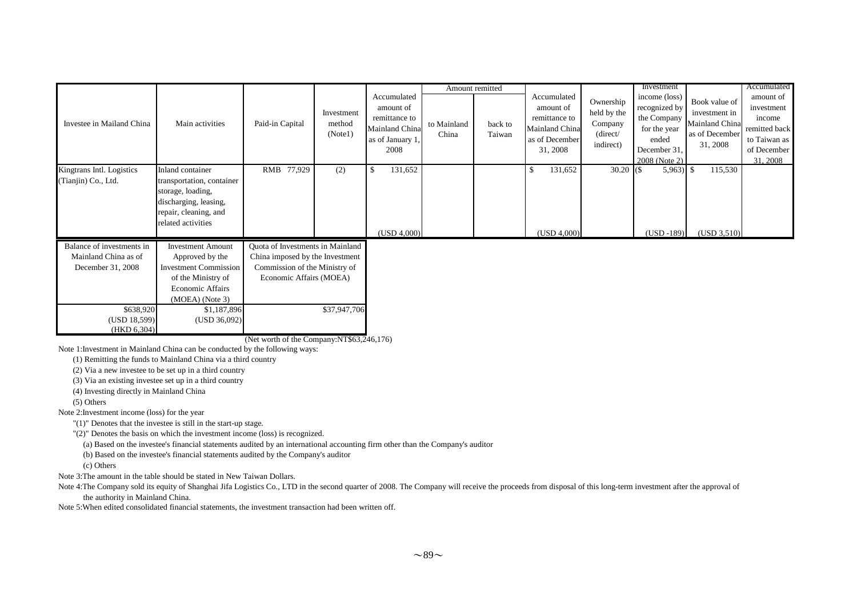|                                                                        |                                                                                                                                            |                                                                                                                                 |                                 |   |                                                                                         | Amount remitted      |                   |                                                                                           |                                                              | Investment                                                                                              |                                                                                | Accumulated                                                                                   |
|------------------------------------------------------------------------|--------------------------------------------------------------------------------------------------------------------------------------------|---------------------------------------------------------------------------------------------------------------------------------|---------------------------------|---|-----------------------------------------------------------------------------------------|----------------------|-------------------|-------------------------------------------------------------------------------------------|--------------------------------------------------------------|---------------------------------------------------------------------------------------------------------|--------------------------------------------------------------------------------|-----------------------------------------------------------------------------------------------|
| Investee in Mailand China                                              | Main activities                                                                                                                            | Paid-in Capital                                                                                                                 | Investment<br>method<br>(Notel) |   | Accumulated<br>amount of<br>remittance to<br>Mainland China<br>as of January 1,<br>2008 | to Mainland<br>China | back to<br>Taiwan | Accumulated<br>amount of<br>remittance to<br>Mainland China<br>as of December<br>31, 2008 | Ownership<br>held by the<br>Company<br>(direct/<br>indirect) | income (loss)<br>recognized by<br>the Company<br>for the year<br>ended<br>December 31,<br>2008 (Note 2) | Book value of<br>investment in<br>Mainland China<br>as of December<br>31, 2008 | amount of<br>investment<br>income<br>remitted back<br>to Taiwan as<br>of December<br>31, 2008 |
| Kingtrans Intl. Logistics<br>(Tianjin) Co., Ltd.                       | Inland container<br>transportation, container<br>storage, loading,<br>discharging, leasing,<br>repair, cleaning, and<br>related activities | RMB 77,929                                                                                                                      | (2)                             | S | 131,652<br>(USD 4.000)                                                                  |                      |                   | 131,652<br>\$<br>(USD 4,000)                                                              | $30.20$ (\$)                                                 | $5,963$ \$<br>$(USD -189)$                                                                              | 115,530<br>(USD 3,510)                                                         |                                                                                               |
| Balance of investments in<br>Mainland China as of<br>December 31, 2008 | <b>Investment Amount</b><br>Approved by the<br><b>Investment Commission</b><br>of the Ministry of                                          | Quota of Investments in Mainland<br>China imposed by the Investment<br>Commission of the Ministry of<br>Economic Affairs (MOEA) |                                 |   |                                                                                         |                      |                   |                                                                                           |                                                              |                                                                                                         |                                                                                |                                                                                               |

(Net worth of the Company:NT\$63,246,176)

\$37,947,706

Note 1:Investment in Mainland China can be conducted by the following ways:

\$638,920 \$1,187,896 (USD 18,599) (USD 36,092)

Economic Affairs(MOEA) (Note 3)

(1) Remitting the funds to Mainland China via a third country

(2) Via a new investee to be set up in a third country

(3) Via an existing investee set up in a third country

(4) Investing directly in Mainland China

(5) Others

Note 2:Investment income (loss) for the year

(HKD 6,304)

"(1)" Denotes that the investee is still in the start-up stage.

"(2)" Denotes the basis on which the investment income (loss) is recognized.

(a) Based on the investee's financial statements audited by an international accounting firm other than the Company's auditor

(b) Based on the investee's financial statements audited by the Company's auditor

(c) Others

Note 3:The amount in the table should be stated in New Taiwan Dollars.

Note 4:The Company sold its equity of Shanghai Jifa Logistics Co., LTD in the second quarter of 2008. The Company will receive the proceeds from disposal of this long-term investment after the approval of the authority in Mainland China.

Note 5:When edited consolidated financial statements, the investment transaction had been written off.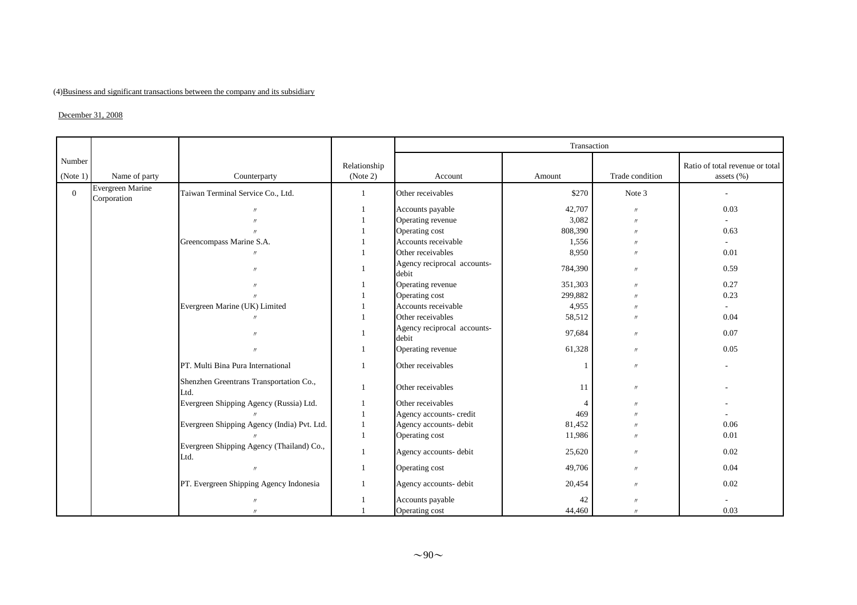#### (4) Business and significant transactions between the company and its subsidiary

#### $\Delta$ December 31, 2008

|                    |                                 |                                                   |                          |                                      | Transaction    |                   |                                                   |
|--------------------|---------------------------------|---------------------------------------------------|--------------------------|--------------------------------------|----------------|-------------------|---------------------------------------------------|
| Number<br>(Note 1) | Name of party                   | Counterparty                                      | Relationship<br>(Note 2) | Account                              | Amount         | Trade condition   | Ratio of total revenue or total<br>assets $(\% )$ |
| $\Omega$           | Evergreen Marine<br>Corporation | Taiwan Terminal Service Co., Ltd.                 | $\mathbf{1}$             | Other receivables                    | \$270          | Note 3            | $\overline{a}$                                    |
|                    |                                 |                                                   |                          | Accounts payable                     | 42,707         | $\prime$          | 0.03                                              |
|                    |                                 | $^{\prime}$                                       |                          | Operating revenue                    | 3,082          | $^{\prime\prime}$ | $\sim$                                            |
|                    |                                 | $^{\prime\prime}$                                 |                          | Operating cost                       | 808,390        | $^{\prime\prime}$ | 0.63                                              |
|                    |                                 | Greencompass Marine S.A.                          |                          | Accounts receivable                  | 1,556          | $^{\prime\prime}$ |                                                   |
|                    |                                 |                                                   |                          | Other receivables                    | 8,950          | $^{\prime\prime}$ | 0.01                                              |
|                    |                                 | $^{\prime\prime}$                                 |                          | Agency reciprocal accounts-<br>debit | 784,390        | $^{\prime\prime}$ | 0.59                                              |
|                    |                                 |                                                   |                          | Operating revenue                    | 351,303        | $^{\prime\prime}$ | 0.27                                              |
|                    |                                 |                                                   |                          | Operating cost                       | 299,882        | $^{\prime\prime}$ | 0.23                                              |
|                    |                                 | Evergreen Marine (UK) Limited                     |                          | Accounts receivable                  | 4,955          | $^{\prime\prime}$ | $\sim$                                            |
|                    |                                 | $^{\prime\prime}$                                 |                          | Other receivables                    | 58,512         | $^{\prime\prime}$ | 0.04                                              |
|                    |                                 | $^{\prime\prime}$                                 |                          | Agency reciprocal accounts-<br>debit | 97,684         | $\prime$          | 0.07                                              |
|                    |                                 | $\prime\prime$                                    |                          | Operating revenue                    | 61,328         | $^{\prime\prime}$ | 0.05                                              |
|                    |                                 | PT. Multi Bina Pura International                 |                          | Other receivables                    |                | $^{\prime\prime}$ |                                                   |
|                    |                                 | Shenzhen Greentrans Transportation Co.,<br>Ltd.   |                          | Other receivables                    | 11             | $^{\prime\prime}$ |                                                   |
|                    |                                 | Evergreen Shipping Agency (Russia) Ltd.           |                          | Other receivables                    | $\overline{4}$ | $^{\prime\prime}$ |                                                   |
|                    |                                 |                                                   |                          | Agency accounts- credit              | 469            |                   |                                                   |
|                    |                                 | Evergreen Shipping Agency (India) Pvt. Ltd.       |                          | Agency accounts- debit               | 81,452         | $^{\prime\prime}$ | 0.06                                              |
|                    |                                 |                                                   |                          | Operating cost                       | 11,986         | $^{\prime\prime}$ | 0.01                                              |
|                    |                                 | Evergreen Shipping Agency (Thailand) Co.,<br>Ltd. |                          | Agency accounts- debit               | 25,620         | $^{\prime\prime}$ | 0.02                                              |
|                    |                                 | $^{\prime\prime}$                                 |                          | Operating cost                       | 49,706         | $^{\prime\prime}$ | 0.04                                              |
|                    |                                 | PT. Evergreen Shipping Agency Indonesia           |                          | Agency accounts- debit               | 20,454         | $^{\prime\prime}$ | 0.02                                              |
|                    |                                 | $^{\prime\prime}$                                 |                          | Accounts payable                     | 42             | $^{\prime\prime}$ |                                                   |
|                    |                                 | $^{\prime\prime}$                                 |                          | Operating cost                       | 44,460         | $^{\prime\prime}$ | 0.03                                              |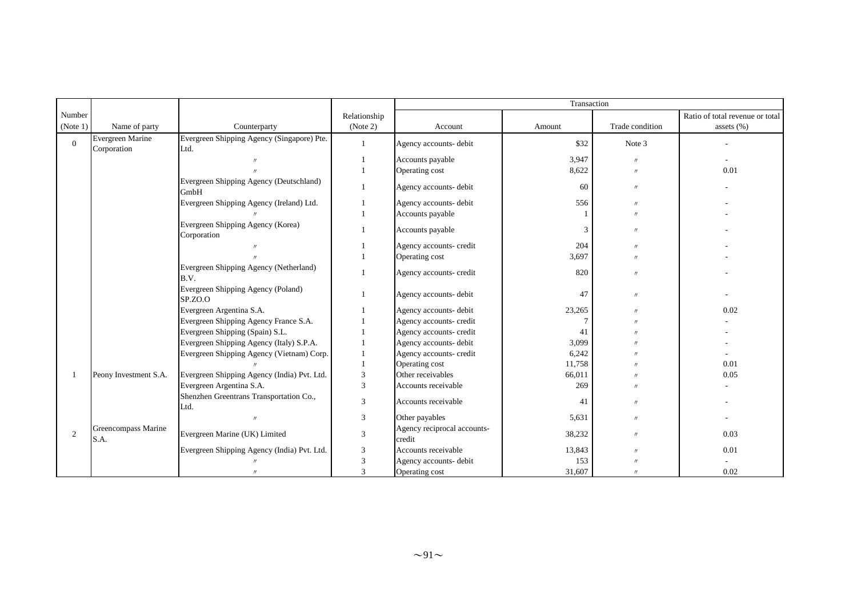|          |                                 |                                                    |              |                                       | Transaction |                   |                                 |
|----------|---------------------------------|----------------------------------------------------|--------------|---------------------------------------|-------------|-------------------|---------------------------------|
| Number   |                                 |                                                    | Relationship |                                       |             |                   | Ratio of total revenue or total |
| (Note 1) | Name of party                   | Counterparty                                       | (Note 2)     | Account                               | Amount      | Trade condition   | assets $(\%)$                   |
| $\Omega$ | Evergreen Marine<br>Corporation | Evergreen Shipping Agency (Singapore) Pte.<br>Ltd. |              | Agency accounts- debit                | \$32        | Note 3            |                                 |
|          |                                 |                                                    |              | Accounts payable                      | 3,947       | $^{\prime\prime}$ | ٠                               |
|          |                                 |                                                    |              | Operating cost                        | 8,622       | $\prime$          | 0.01                            |
|          |                                 | Evergreen Shipping Agency (Deutschland)<br>GmbH    | 1            | Agency accounts- debit                | 60          | $\prime\prime$    |                                 |
|          |                                 | Evergreen Shipping Agency (Ireland) Ltd.           |              | Agency accounts- debit                | 556         | $^{\prime\prime}$ |                                 |
|          |                                 |                                                    |              | Accounts payable                      |             | $^{\prime\prime}$ |                                 |
|          |                                 | Evergreen Shipping Agency (Korea)<br>Corporation   |              | Accounts payable                      | 3           | $^{\prime\prime}$ |                                 |
|          |                                 |                                                    |              | Agency accounts- credit               | 204         | $^{\prime\prime}$ |                                 |
|          |                                 |                                                    |              | Operating cost                        | 3,697       | $^{\prime\prime}$ |                                 |
|          |                                 | Evergreen Shipping Agency (Netherland)<br>B.V.     |              | Agency accounts- credit               | 820         | $^{\prime\prime}$ |                                 |
|          |                                 | Evergreen Shipping Agency (Poland)<br>SP.ZO.O      |              | Agency accounts- debit                | 47          | $^{\prime\prime}$ |                                 |
|          |                                 | Evergreen Argentina S.A.                           |              | Agency accounts- debit                | 23,265      | $^{\prime\prime}$ | 0.02                            |
|          |                                 | Evergreen Shipping Agency France S.A.              |              | Agency accounts- credit               | 7           |                   |                                 |
|          |                                 | Evergreen Shipping (Spain) S.L.                    |              | Agency accounts- credit               | 41          |                   |                                 |
|          |                                 | Evergreen Shipping Agency (Italy) S.P.A.           |              | Agency accounts- debit                | 3,099       |                   |                                 |
|          |                                 | Evergreen Shipping Agency (Vietnam) Corp.          |              | Agency accounts- credit               | 6,242       |                   |                                 |
|          |                                 |                                                    |              | Operating cost                        | 11,758      |                   | 0.01                            |
|          | Peony Investment S.A.           | Evergreen Shipping Agency (India) Pvt. Ltd.        | 3            | Other receivables                     | 66,011      |                   | 0.05                            |
|          |                                 | Evergreen Argentina S.A.                           | 3            | Accounts receivable                   | 269         | $^{\prime\prime}$ |                                 |
|          |                                 | Shenzhen Greentrans Transportation Co.,<br>Ltd.    | 3            | Accounts receivable                   | 41          | $^{\prime\prime}$ |                                 |
|          |                                 |                                                    | 3            | Other payables                        | 5,631       | $^{\prime\prime}$ |                                 |
| 2        | Greencompass Marine<br>S.A.     | Evergreen Marine (UK) Limited                      | 3            | Agency reciprocal accounts-<br>credit | 38,232      | $^{\prime\prime}$ | 0.03                            |
|          |                                 | Evergreen Shipping Agency (India) Pvt. Ltd.        | 3            | Accounts receivable                   | 13,843      | $^{\prime}$       | 0.01                            |
|          |                                 |                                                    | 3            | Agency accounts- debit                | 153         |                   |                                 |
|          |                                 |                                                    | $\mathbf{3}$ | Operating cost                        | 31,607      | $^{\prime\prime}$ | 0.02                            |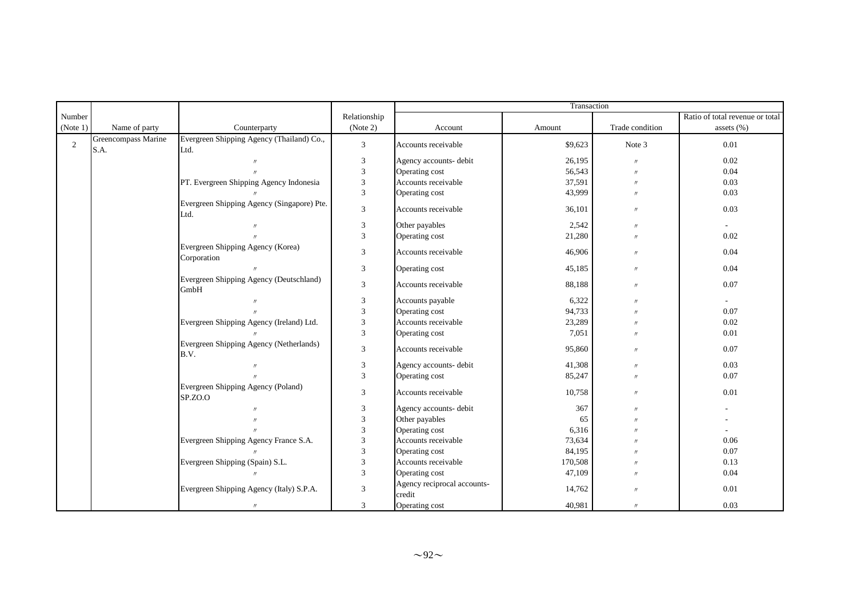|              |                             |                                                    |                           |                                       | Transaction |                   |                                 |
|--------------|-----------------------------|----------------------------------------------------|---------------------------|---------------------------------------|-------------|-------------------|---------------------------------|
| Number       |                             |                                                    | Relationship              |                                       |             |                   | Ratio of total revenue or total |
| (Note 1)     | Name of party               | Counterparty                                       | (Note 2)                  | Account                               | Amount      | Trade condition   | assets $(\% )$                  |
| $\mathbf{2}$ | Greencompass Marine<br>S.A. | Evergreen Shipping Agency (Thailand) Co.,<br>Ltd.  | 3                         | Accounts receivable                   | \$9,623     | Note 3            | 0.01                            |
|              |                             |                                                    | 3                         | Agency accounts- debit                | 26,195      | $^{\prime\prime}$ | 0.02                            |
|              |                             |                                                    | $\mathfrak{Z}$            | Operating cost                        | 56,543      | $^{\prime\prime}$ | 0.04                            |
|              |                             | PT. Evergreen Shipping Agency Indonesia            | 3                         | Accounts receivable                   | 37,591      | $\prime$          | 0.03                            |
|              |                             |                                                    | $\mathfrak{Z}$            | Operating cost                        | 43,999      | $^{\prime\prime}$ | 0.03                            |
|              |                             | Evergreen Shipping Agency (Singapore) Pte.<br>Ltd. | $\sqrt{3}$                | Accounts receivable                   | 36,101      | $\prime$          | 0.03                            |
|              |                             | $\prime$                                           | 3                         | Other payables                        | 2,542       | $\prime$          |                                 |
|              |                             | $^{\prime}$                                        | $\mathfrak{Z}$            | Operating cost                        | 21,280      | $\prime$          | 0.02                            |
|              |                             | Evergreen Shipping Agency (Korea)<br>Corporation   | 3                         | Accounts receivable                   | 46,906      | $\prime$          | 0.04                            |
|              |                             | $^{\prime}$                                        | 3                         | Operating cost                        | 45,185      | $\prime$          | 0.04                            |
|              |                             | Evergreen Shipping Agency (Deutschland)<br>GmbH    | 3                         | Accounts receivable                   | 88,188      | $\prime$          | 0.07                            |
|              |                             | $^{\prime\prime}$                                  | $\mathfrak{Z}$            | Accounts payable                      | 6,322       | $^{\prime\prime}$ | $\sim$                          |
|              |                             |                                                    | 3                         | Operating cost                        | 94,733      | $^{\prime\prime}$ | 0.07                            |
|              |                             | Evergreen Shipping Agency (Ireland) Ltd.           | 3                         | Accounts receivable                   | 23,289      | $^{\prime\prime}$ | 0.02                            |
|              |                             |                                                    | $\overline{3}$            | Operating cost                        | 7,051       | $\prime$          | 0.01                            |
|              |                             | Evergreen Shipping Agency (Netherlands)<br>B.V.    | 3                         | Accounts receivable                   | 95,860      | $\prime$          | 0.07                            |
|              |                             |                                                    | 3                         | Agency accounts- debit                | 41,308      | $\prime$          | 0.03                            |
|              |                             |                                                    | $\mathfrak{Z}$            | Operating cost                        | 85,247      | $\prime$          | 0.07                            |
|              |                             | Evergreen Shipping Agency (Poland)<br>SP.ZO.O      | 3                         | Accounts receivable                   | 10,758      | $\prime$          | 0.01                            |
|              |                             |                                                    | $\boldsymbol{\mathsf{3}}$ | Agency accounts- debit                | 367         | $^{\prime\prime}$ |                                 |
|              |                             |                                                    | $\ensuremath{\mathbf{3}}$ | Other payables                        | 65          | $^{\prime\prime}$ |                                 |
|              |                             |                                                    | $\mathfrak{Z}$            | Operating cost                        | 6,316       |                   |                                 |
|              |                             | Evergreen Shipping Agency France S.A.              | 3                         | Accounts receivable                   | 73,634      |                   | 0.06                            |
|              |                             |                                                    | 3                         | Operating cost                        | 84,195      |                   | 0.07                            |
|              |                             | Evergreen Shipping (Spain) S.L.                    | 3                         | Accounts receivable                   | 170,508     | $^{\prime\prime}$ | 0.13                            |
|              |                             |                                                    | $\overline{3}$            | Operating cost                        | 47,109      | $\mathcal{U}$     | 0.04                            |
|              |                             | Evergreen Shipping Agency (Italy) S.P.A.           | 3                         | Agency reciprocal accounts-<br>credit | 14,762      | $^{\prime\prime}$ | 0.01                            |
|              |                             | $\prime\prime$                                     | 3                         | Operating cost                        | 40,981      | $\prime$          | 0.03                            |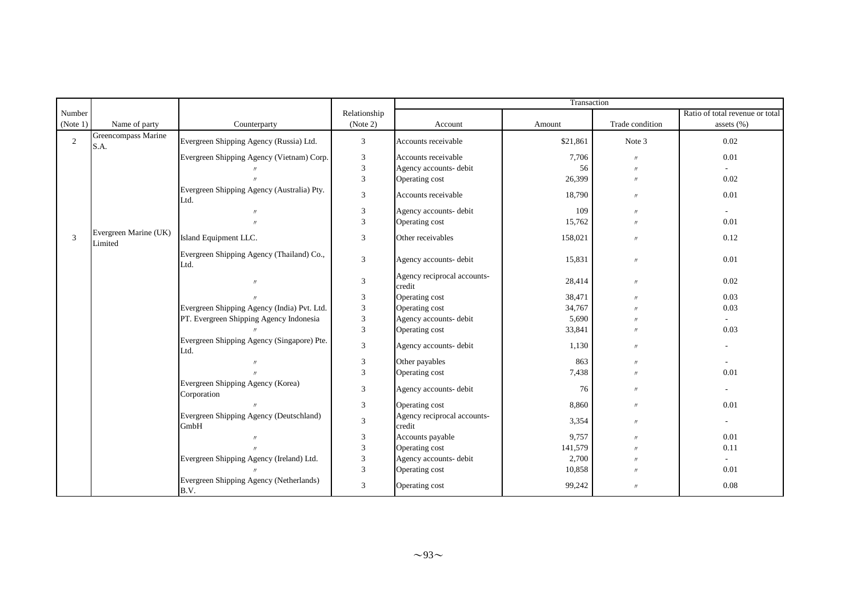|                |                                  |                                                    |                | Transaction                           |          |                   |                                 |  |  |
|----------------|----------------------------------|----------------------------------------------------|----------------|---------------------------------------|----------|-------------------|---------------------------------|--|--|
| Number         |                                  |                                                    | Relationship   |                                       |          |                   | Ratio of total revenue or total |  |  |
| (Note 1)       | Name of party                    | Counterparty                                       | (Note 2)       | Account                               | Amount   | Trade condition   | assets $(\% )$                  |  |  |
| $\overline{2}$ | Greencompass Marine<br>S.A.      | Evergreen Shipping Agency (Russia) Ltd.            | 3              | Accounts receivable                   | \$21,861 | Note 3            | 0.02                            |  |  |
|                |                                  | Evergreen Shipping Agency (Vietnam) Corp.          | 3              | Accounts receivable                   | 7,706    | $^{\prime\prime}$ | 0.01                            |  |  |
|                |                                  |                                                    | 3              | Agency accounts- debit                | 56       | $^{\prime\prime}$ |                                 |  |  |
|                |                                  |                                                    | 3              | Operating cost                        | 26,399   | $^{\prime\prime}$ | 0.02                            |  |  |
|                |                                  | Evergreen Shipping Agency (Australia) Pty.<br>Ltd. | $\mathfrak{Z}$ | Accounts receivable                   | 18,790   | $\prime$          | 0.01                            |  |  |
|                |                                  |                                                    | 3              | Agency accounts- debit                | 109      | $^{\prime\prime}$ |                                 |  |  |
|                |                                  |                                                    | 3              | Operating cost                        | 15,762   | $^{\prime\prime}$ | 0.01                            |  |  |
| 3              | Evergreen Marine (UK)<br>Limited | Island Equipment LLC.                              | 3              | Other receivables                     | 158,021  | $\prime\prime$    | 0.12                            |  |  |
|                |                                  | Evergreen Shipping Agency (Thailand) Co.,<br>Ltd.  | 3              | Agency accounts- debit                | 15,831   | $\prime\prime$    | 0.01                            |  |  |
|                |                                  | $^{\prime\prime}$                                  | 3              | Agency reciprocal accounts-<br>credit | 28,414   | $\prime$          | 0.02                            |  |  |
|                |                                  |                                                    | 3              | Operating cost                        | 38,471   | $^{\prime\prime}$ | 0.03                            |  |  |
|                |                                  | Evergreen Shipping Agency (India) Pvt. Ltd.        | 3              | Operating cost                        | 34,767   | $^{\prime\prime}$ | 0.03                            |  |  |
|                |                                  | PT. Evergreen Shipping Agency Indonesia            | 3              | Agency accounts- debit                | 5,690    | $^{\prime\prime}$ |                                 |  |  |
|                |                                  |                                                    | 3              | Operating cost                        | 33,841   | $^{\prime\prime}$ | 0.03                            |  |  |
|                |                                  | Evergreen Shipping Agency (Singapore) Pte.<br>Ltd. | $\mathfrak{Z}$ | Agency accounts- debit                | 1,130    | $^{\prime\prime}$ |                                 |  |  |
|                |                                  |                                                    | 3              | Other payables                        | 863      | $^{\prime\prime}$ |                                 |  |  |
|                |                                  |                                                    | 3              | Operating cost                        | 7,438    | $\prime$          | 0.01                            |  |  |
|                |                                  | Evergreen Shipping Agency (Korea)<br>Corporation   | 3              | Agency accounts- debit                | 76       | $^{\prime\prime}$ | $\overline{\phantom{a}}$        |  |  |
|                |                                  |                                                    | $\mathfrak{Z}$ | Operating cost                        | 8,860    | $^{\prime\prime}$ | 0.01                            |  |  |
|                |                                  | Evergreen Shipping Agency (Deutschland)<br>GmbH    | $\mathfrak{Z}$ | Agency reciprocal accounts-<br>credit | 3,354    | $^{\prime\prime}$ | $\overline{\phantom{a}}$        |  |  |
|                |                                  |                                                    | 3              | Accounts payable                      | 9,757    | $^{\prime\prime}$ | 0.01                            |  |  |
|                |                                  |                                                    | 3              | Operating cost                        | 141,579  | $^{\prime\prime}$ | 0.11                            |  |  |
|                |                                  | Evergreen Shipping Agency (Ireland) Ltd.           | 3              | Agency accounts- debit                | 2,700    | $^{\prime\prime}$ |                                 |  |  |
|                |                                  |                                                    | 3              | Operating cost                        | 10,858   | $^{\prime\prime}$ | 0.01                            |  |  |
|                |                                  | Evergreen Shipping Agency (Netherlands)<br>B.V.    | 3              | Operating cost                        | 99,242   | $\prime$          | 0.08                            |  |  |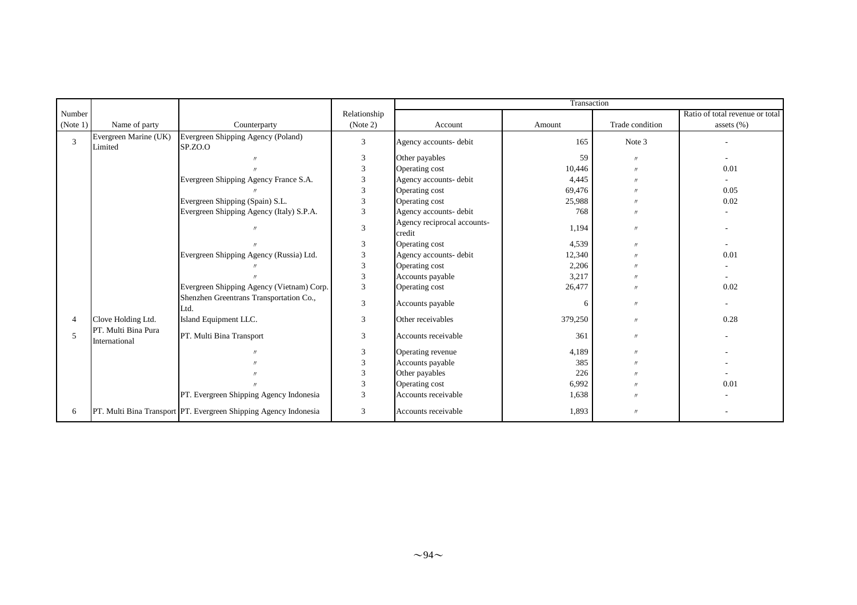|          |                                      |                                                                  |                |                                       | Transaction |                   |                                 |
|----------|--------------------------------------|------------------------------------------------------------------|----------------|---------------------------------------|-------------|-------------------|---------------------------------|
| Number   |                                      |                                                                  | Relationship   |                                       |             |                   | Ratio of total revenue or total |
| (Note 1) | Name of party                        | Counterparty                                                     | (Note 2)       | Account                               | Amount      | Trade condition   | assets $(\% )$                  |
| 3        | Evergreen Marine (UK)<br>Limited     | Evergreen Shipping Agency (Poland)<br>SP.ZO.O                    | 3              | Agency accounts- debit                | 165         | Note 3            |                                 |
|          |                                      |                                                                  | 3              | Other payables                        | 59          | $\prime$          | $\sim$                          |
|          |                                      |                                                                  | 3              | Operating cost                        | 10,446      | $^{\prime\prime}$ | 0.01                            |
|          |                                      | Evergreen Shipping Agency France S.A.                            | 3              | Agency accounts- debit                | 4,445       | $^{\prime\prime}$ |                                 |
|          |                                      |                                                                  | 3              | Operating cost                        | 69,476      | $^{\prime\prime}$ | 0.05                            |
|          |                                      | Evergreen Shipping (Spain) S.L.                                  | 3              | Operating cost                        | 25,988      | $\prime$          | 0.02                            |
|          |                                      | Evergreen Shipping Agency (Italy) S.P.A.                         | 3              | Agency accounts- debit                | 768         | $^{\prime\prime}$ |                                 |
|          |                                      | $^{\prime\prime}$                                                | 3              | Agency reciprocal accounts-<br>credit | 1,194       | $^{\prime\prime}$ |                                 |
|          |                                      |                                                                  | 3              | Operating cost                        | 4,539       | $\prime$          |                                 |
|          |                                      | Evergreen Shipping Agency (Russia) Ltd.                          | 3              | Agency accounts- debit                | 12,340      | $^{\prime}$       | 0.01                            |
|          |                                      |                                                                  | $\mathfrak{Z}$ | Operating cost                        | 2,206       | $^{\prime\prime}$ |                                 |
|          |                                      |                                                                  | 3              | Accounts payable                      | 3,217       | $^{\prime\prime}$ | $\sim$                          |
|          |                                      | Evergreen Shipping Agency (Vietnam) Corp.                        | 3              | Operating cost                        | 26,477      | $^{\prime\prime}$ | 0.02                            |
|          |                                      | Shenzhen Greentrans Transportation Co.,<br>Ltd.                  | 3              | Accounts payable                      | 6           | $^{\prime\prime}$ |                                 |
| 4        | Clove Holding Ltd.                   | Island Equipment LLC.                                            | 3              | Other receivables                     | 379,250     | $^{\prime\prime}$ | 0.28                            |
| 5        | PT. Multi Bina Pura<br>International | PT. Multi Bina Transport                                         | 3              | Accounts receivable                   | 361         | $\prime$          |                                 |
|          |                                      |                                                                  | 3              | Operating revenue                     | 4,189       | $^{\prime\prime}$ |                                 |
|          |                                      |                                                                  | 3              | Accounts payable                      | 385         | $^{\prime\prime}$ |                                 |
|          |                                      |                                                                  | 3              | Other payables                        | 226         | $^{\prime\prime}$ |                                 |
|          |                                      |                                                                  | 3              | Operating cost                        | 6,992       | $^{\prime\prime}$ | 0.01                            |
|          |                                      | PT. Evergreen Shipping Agency Indonesia                          | 3              | Accounts receivable                   | 1,638       | $^{\prime\prime}$ |                                 |
| 6        |                                      | PT. Multi Bina Transport PT. Evergreen Shipping Agency Indonesia | 3              | Accounts receivable                   | 1,893       | $\prime$          |                                 |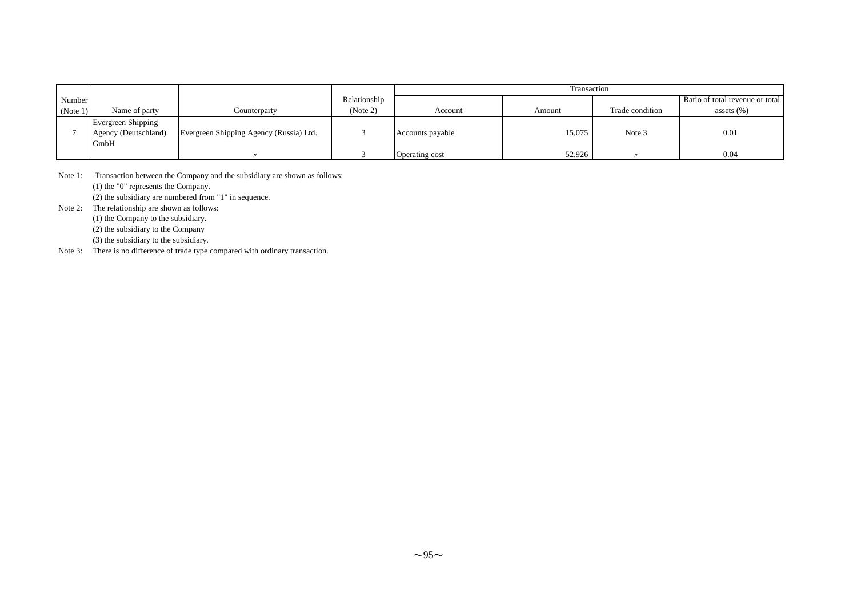|          |                                                           |                                         |              | Transaction      |        |                 |                                 |
|----------|-----------------------------------------------------------|-----------------------------------------|--------------|------------------|--------|-----------------|---------------------------------|
| Number   |                                                           |                                         | Relationship |                  |        |                 | Ratio of total revenue or total |
| (Note 1) | Name of party                                             | Counterparty                            | (Note 2)     | Account          | Amount | Trade condition | assets $(\% )$                  |
|          | <b>Evergreen Shipping</b><br>Agency (Deutschland)<br>GmbH | Evergreen Shipping Agency (Russia) Ltd. |              | Accounts payable | 15.075 | Note 3          | 0.01                            |
|          |                                                           |                                         |              | Operating cost   | 52.926 |                 | 0.04                            |

Note 1: Transaction between the Company and the subsidiary are shown as follows: (1) the "0" represents the Company. (2) the subsidiary are numbered from "1" in sequence.

Note 2: The relationship are shown as follows:

(1) the Company to the subsidiary.

(2) the subsidiary to the Company

(3) the subsidiary to the subsidiary.

Note 3: There is no difference of trade type compared with ordinary transaction.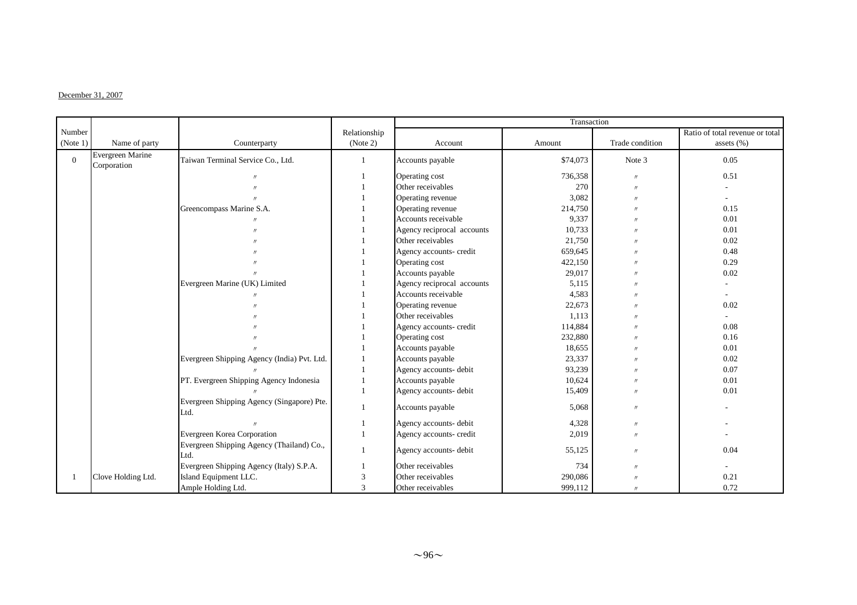### $\Gamma$ December 31, 2007

|                |                                 |                                                    |              | Transaction                |          |                   |                                 |
|----------------|---------------------------------|----------------------------------------------------|--------------|----------------------------|----------|-------------------|---------------------------------|
| Number         |                                 |                                                    | Relationship |                            |          |                   | Ratio of total revenue or total |
| (Note 1)       | Name of party                   | Counterparty                                       | (Note 2)     | Account                    | Amount   | Trade condition   | assets $(\% )$                  |
| $\overline{0}$ | Evergreen Marine<br>Corporation | Taiwan Terminal Service Co., Ltd.                  |              | Accounts payable           | \$74,073 | Note 3            | 0.05                            |
|                |                                 |                                                    |              | Operating cost             | 736,358  | $\prime$          | 0.51                            |
|                |                                 |                                                    |              | Other receivables          | 270      | $\prime$          |                                 |
|                |                                 |                                                    |              | Operating revenue          | 3,082    | $\prime$          |                                 |
|                |                                 | Greencompass Marine S.A.                           |              | Operating revenue          | 214,750  |                   | 0.15                            |
|                |                                 |                                                    |              | Accounts receivable        | 9,337    |                   | 0.01                            |
|                |                                 |                                                    |              | Agency reciprocal accounts | 10,733   | $^{\prime}$       | 0.01                            |
|                |                                 |                                                    |              | Other receivables          | 21,750   | $\prime$          | 0.02                            |
|                |                                 |                                                    |              | Agency accounts- credit    | 659,645  | $^{\prime}$       | 0.48                            |
|                |                                 |                                                    |              | Operating cost             | 422,150  |                   | 0.29                            |
|                |                                 |                                                    |              | Accounts payable           | 29,017   |                   | 0.02                            |
|                |                                 | Evergreen Marine (UK) Limited                      |              | Agency reciprocal accounts | 5,115    |                   |                                 |
|                |                                 |                                                    |              | Accounts receivable        | 4,583    |                   |                                 |
|                |                                 |                                                    |              | Operating revenue          | 22,673   |                   | 0.02                            |
|                |                                 |                                                    |              | Other receivables          | 1,113    |                   |                                 |
|                |                                 |                                                    |              | Agency accounts- credit    | 114,884  | $^{\prime}$       | 0.08                            |
|                |                                 |                                                    |              | Operating cost             | 232,880  |                   | 0.16                            |
|                |                                 |                                                    |              | Accounts payable           | 18,655   | $^{\prime}$       | 0.01                            |
|                |                                 | Evergreen Shipping Agency (India) Pvt. Ltd.        |              | Accounts payable           | 23,337   |                   | 0.02                            |
|                |                                 |                                                    |              | Agency accounts- debit     | 93,239   | $^{\prime}$       | 0.07                            |
|                |                                 | PT. Evergreen Shipping Agency Indonesia            |              | Accounts payable           | 10,624   | $\prime$          | 0.01                            |
|                |                                 |                                                    |              | Agency accounts- debit     | 15,409   | $^{\prime\prime}$ | 0.01                            |
|                |                                 | Evergreen Shipping Agency (Singapore) Pte.<br>Ltd. | 1            | Accounts payable           | 5,068    | $^{\prime\prime}$ |                                 |
|                |                                 |                                                    |              | Agency accounts- debit     | 4,328    | $\prime$          |                                 |
|                |                                 | Evergreen Korea Corporation                        |              | Agency accounts- credit    | 2,019    | $^{\prime\prime}$ |                                 |
|                |                                 | Evergreen Shipping Agency (Thailand) Co.,<br>Ltd.  |              | Agency accounts- debit     | 55,125   | $\prime$          | 0.04                            |
|                |                                 | Evergreen Shipping Agency (Italy) S.P.A.           |              | Other receivables          | 734      | $^{\prime\prime}$ |                                 |
|                | Clove Holding Ltd.              | Island Equipment LLC.                              | 3            | Other receivables          | 290,086  |                   | 0.21                            |
|                |                                 | Ample Holding Ltd.                                 | 3            | Other receivables          | 999,112  | $^{\prime}$       | 0.72                            |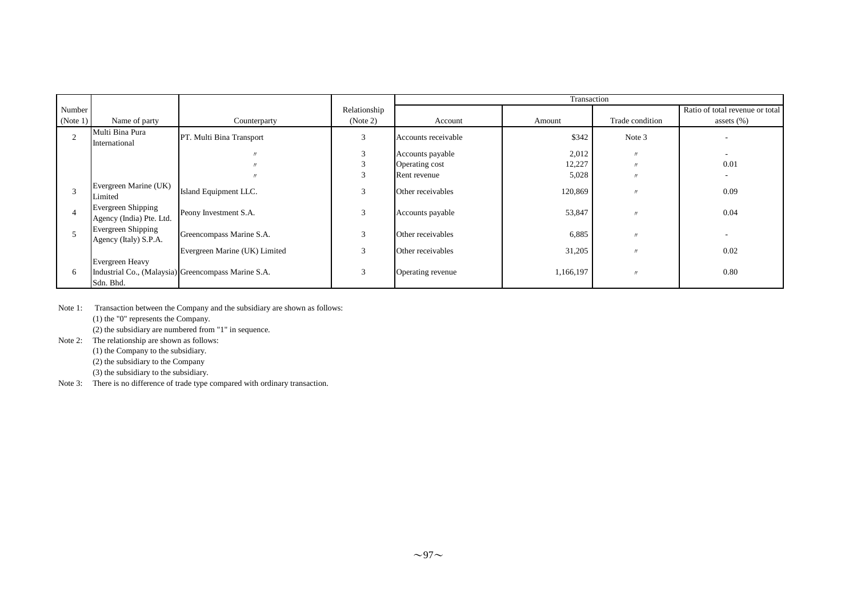|                |                                                       |                                                     |              | Transaction         |           |                   |                                 |
|----------------|-------------------------------------------------------|-----------------------------------------------------|--------------|---------------------|-----------|-------------------|---------------------------------|
| Number         |                                                       |                                                     | Relationship |                     |           |                   | Ratio of total revenue or total |
| (Note 1)       | Name of party                                         | Counterparty                                        | (Note 2)     | Account             | Amount    | Trade condition   | assets $(\%)$                   |
| $\overline{2}$ | Multi Bina Pura<br>International                      | PT. Multi Bina Transport                            | 3            | Accounts receivable | \$342     | Note 3            |                                 |
|                |                                                       |                                                     | 3            | Accounts payable    | 2,012     | $^{\prime\prime}$ |                                 |
|                |                                                       |                                                     | 3            | Operating cost      | 12,227    | $^{\prime\prime}$ | 0.01                            |
|                |                                                       |                                                     | 3            | Rent revenue        | 5,028     | $^{\prime\prime}$ |                                 |
|                | Evergreen Marine (UK)<br>Limited                      | Island Equipment LLC.                               | 3            | Other receivables   | 120,869   | $^{\prime\prime}$ | 0.09                            |
|                | <b>Evergreen Shipping</b><br>Agency (India) Pte. Ltd. | Peony Investment S.A.                               | 3            | Accounts payable    | 53,847    | $\prime$          | 0.04                            |
|                | Evergreen Shipping<br>Agency (Italy) S.P.A.           | Greencompass Marine S.A.                            | 3            | Other receivables   | 6,885     | $^{\prime\prime}$ |                                 |
|                |                                                       | Evergreen Marine (UK) Limited                       | 3            | Other receivables   | 31,205    | $^{\prime\prime}$ | 0.02                            |
| 6              | Evergreen Heavy<br>Sdn. Bhd.                          | Industrial Co., (Malaysia) Greencompass Marine S.A. | 3            | Operating revenue   | 1,166,197 | $\prime$          | 0.80                            |

Note 1: Transaction between the Company and the subsidiary are shown as follows: (1) the "0" represents the Company.  $(2)$  the subsidiary are numbered from "1" in sequence.

Note 2: The relationship are shown as follows: (1) the Company to the subsidiary.

(2) the subsidiary to the Company

(3) the subsidiary to the subsidiary.

Note 3: There is no difference of trade type compared with ordinary transaction.